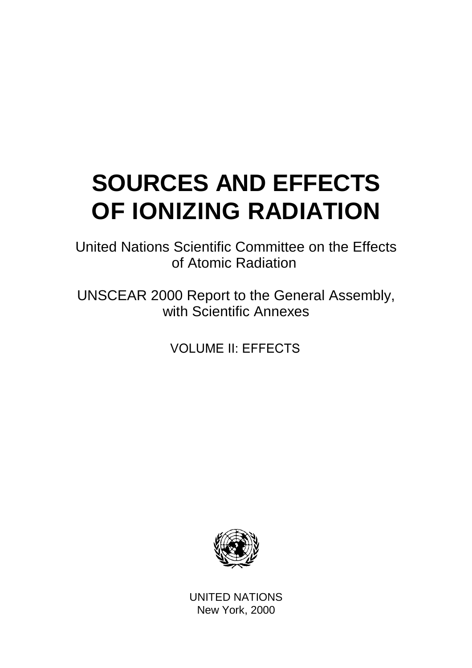# **SOURCES AND EFFECTS OF IONIZING RADIATION**

United Nations Scientific Committee on the Effects of Atomic Radiation

UNSCEAR 2000 Report to the General Assembly, with Scientific Annexes

VOLUME II: EFFECTS



UNITED NATIONS New York, 2000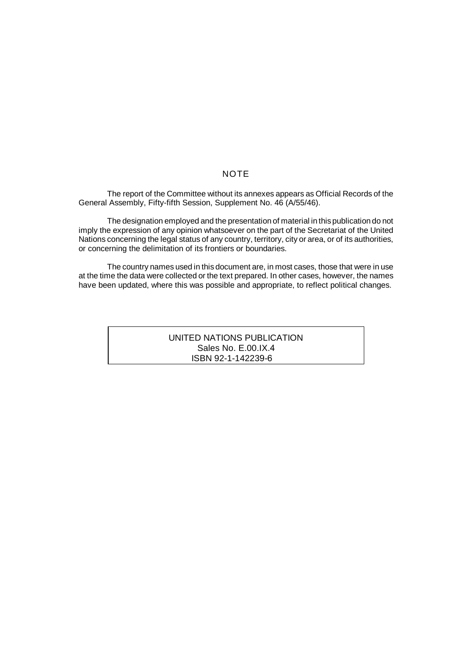### NOTE

The report of the Committee without its annexes appears as Official Records of the General Assembly, Fifty-fifth Session, Supplement No. 46 (A/55/46).

The designation employed and the presentation of material in this publication do not imply the expression of any opinion whatsoever on the part of the Secretariat of the United Nations concerning the legal status of any country, territory, city or area, or of its authorities, or concerning the delimitation of its frontiers or boundaries.

The country names used in this document are, in most cases, those that were in use at the time the data were collected or the text prepared. In other cases, however, the names have been updated, where this was possible and appropriate, to reflect political changes.

> UNITED NATIONS PUBLICATION Sales No. E.00.IX.4 ISBN 92-1-142239-6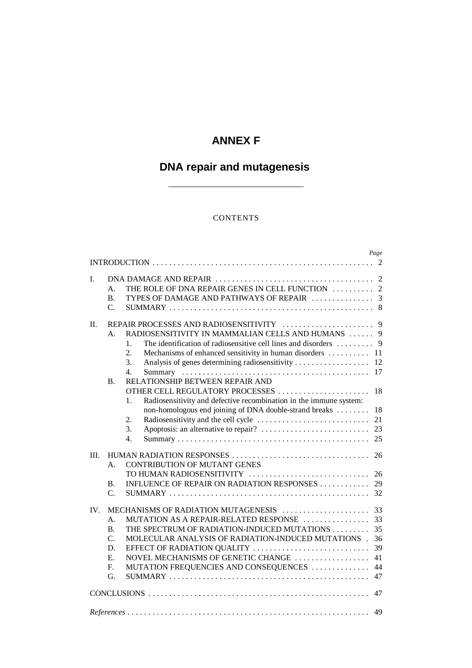### **ANNEX F**

## **DNA repair and mutagenesis**

### **CONTENTS**

| Page                                                                                                                                                                                                                                                                                                                                                                                                                |
|---------------------------------------------------------------------------------------------------------------------------------------------------------------------------------------------------------------------------------------------------------------------------------------------------------------------------------------------------------------------------------------------------------------------|
| L<br>THE ROLE OF DNA REPAIR GENES IN CELL FUNCTION<br>$\overline{2}$<br>A.<br><b>B.</b><br>$C_{\cdot}$                                                                                                                                                                                                                                                                                                              |
| II.<br>RADIOSENSITIVITY IN MAMMALIAN CELLS AND HUMANS  9<br>A.<br>1.<br>2.<br>Mechanisms of enhanced sensitivity in human disorders<br>11<br>3.<br>Analysis of genes determining radiosensitivity<br>12<br>$\overline{4}$ .<br>17<br>RELATIONSHIP BETWEEN REPAIR AND<br><b>B.</b><br>OTHER CELL REGULATORY PROCESSES<br>18                                                                                          |
| 1.<br>Radiosensitivity and defective recombination in the immune system:<br>non-homologous end joining of DNA double-strand breaks<br>18<br>21<br>2.<br>23<br>3.<br>25<br>4.                                                                                                                                                                                                                                        |
| III.<br>26<br><b>CONTRIBUTION OF MUTANT GENES</b><br>A.<br>TO HUMAN RADIOSENSITIVITY<br>26<br>INFLUENCE OF REPAIR ON RADIATION RESPONSES<br>29<br><b>B.</b><br>C.                                                                                                                                                                                                                                                   |
| IV.<br>33<br>MECHANISMS OF RADIATION MUTAGENESIS<br>MUTATION AS A REPAIR-RELATED RESPONSE<br>33<br>A <sub>1</sub><br>THE SPECTRUM OF RADIATION-INDUCED MUTATIONS<br>35<br><b>B.</b><br>MOLECULAR ANALYSIS OF RADIATION-INDUCED MUTATIONS.<br>C.<br>36<br>EFFECT OF RADIATION QUALITY<br>39<br>D.<br>NOVEL MECHANISMS OF GENETIC CHANGE<br>Ε.<br>41<br>44<br>F.<br>MUTATION FREQUENCIES AND CONSEQUENCES<br>47<br>G. |
| 47                                                                                                                                                                                                                                                                                                                                                                                                                  |
| 49                                                                                                                                                                                                                                                                                                                                                                                                                  |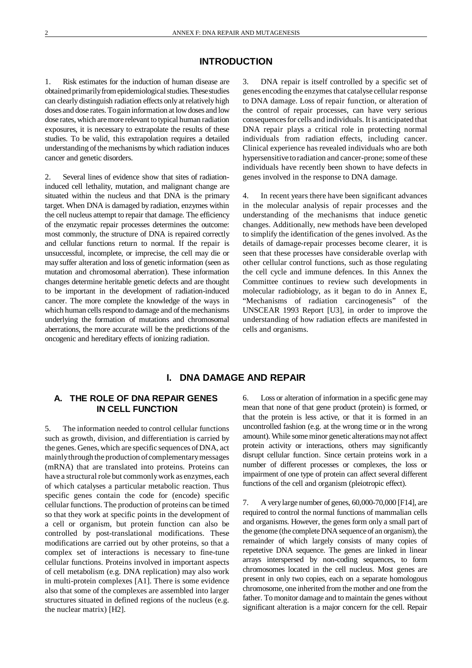### **INTRODUCTION**

1. Risk estimates for the induction of human disease are obtained primarily from epidemiological studies. These studies can clearly distinguish radiation effects onlyat relatively high doses and dose rates. Togain information at lowdoses and low dose rates, which are more relevant to typical human radiation exposures, it is necessary to extrapolate the results of these studies. To be valid, this extrapolation requires a detailed understanding of the mechanisms by which radiation induces cancer and genetic disorders.

2. Several lines of evidence show that sites of radiationinduced cell lethality, mutation, and malignant change are situated within the nucleus and that DNA is the primary target. When DNA is damaged by radiation, enzymes within the cell nucleus attempt to repair that damage. The efficiency of the enzymatic repair processes determines the outcome: most commonly, the structure of DNA is repaired correctly and cellular functions return to normal. If the repair is unsuccessful, incomplete, or imprecise, the cell may die or may suffer alteration and loss of genetic information (seen as mutation and chromosomal aberration). These information changes determine heritable genetic defects and are thought to be important in the development of radiation-induced cancer. The more complete the knowledge of the ways in which human cells respond to damage and of the mechanisms underlying the formation of mutations and chromosomal aberrations, the more accurate will be the predictions of the oncogenic and hereditary effects of ionizing radiation.

3. DNA repair is itself controlled by a specific set of genes encoding the enzymes that catalyse cellular response to DNA damage. Loss of repair function, or alteration of the control of repair processes, can have very serious consequences for cells and individuals. It is anticipated that DNA repair plays a critical role in protecting normal individuals from radiation effects, including cancer. Clinical experience has revealed individuals who are both hypersensitive to radiation and cancer-prone; some of these individuals have recently been shown to have defects in genes involved in the response to DNA damage.

4. In recent years there have been significant advances in the molecular analysis of repair processes and the understanding of the mechanisms that induce genetic changes. Additionally, new methods have been developed to simplify the identification of the genes involved. As the details of damage-repair processes become clearer, it is seen that these processes have considerable overlap with other cellular control functions, such as those regulating the cell cycle and immune defences. In this Annex the Committee continues to review such developments in molecular radiobiology, as it began to do in Annex E, "Mechanisms of radiation carcinogenesis" of the UNSCEAR 1993 Report [U3], in order to improve the understanding of how radiation effects are manifested in cells and organisms.

### **I. DNA DAMAGE AND REPAIR**

### **A. THE ROLE OF DNA REPAIR GENES IN CELL FUNCTION**

5. The information needed to control cellular functions such as growth, division, and differentiation is carried by the genes. Genes, which are specific sequences of DNA, act mainly through the production of complementary messages (mRNA) that are translated into proteins. Proteins can have a structural role but commonlywork as enzymes, each of which catalyses a particular metabolic reaction. Thus specific genes contain the code for (encode) specific cellular functions. The production of proteins can be timed so that they work at specific points in the development of a cell or organism, but protein function can also be controlled by post-translational modifications. These modifications are carried out by other proteins, so that a complex set of interactions is necessary to fine-tune cellular functions. Proteins involved in important aspects of cell metabolism (e.g. DNA replication) may also work in multi-protein complexes [A1]. There is some evidence also that some of the complexes are assembled into larger structures situated in defined regions of the nucleus (e.g. the nuclear matrix) [H2].

6. Loss or alteration of information in a specific gene may mean that none of that gene product (protein) is formed, or that the protein is less active, or that it is formed in an uncontrolled fashion (e.g. at the wrong time or in the wrong amount). While some minor genetic alterations maynot affect protein activity or interactions, others may significantly disrupt cellular function. Since certain proteins work in a number of different processes or complexes, the loss or impairment of one type of protein can affect several different functions of the cell and organism (pleiotropic effect).

7. A verylarge number of genes, 60,000-70,000 [F14], are required to control the normal functions of mammalian cells and organisms. However, the genes form only a small part of the genome (the complete DNA sequence of an organism), the remainder of which largely consists of many copies of repetetive DNA sequence. The genes are linked in linear arrays interspersed by non-coding sequences, to form chromosomes located in the cell nucleus. Most genes are present in only two copies, each on a separate homologous chromosome, one inherited from the mother and one from the father. To monitor damage and to maintain the genes without significant alteration is a major concern for the cell. Repair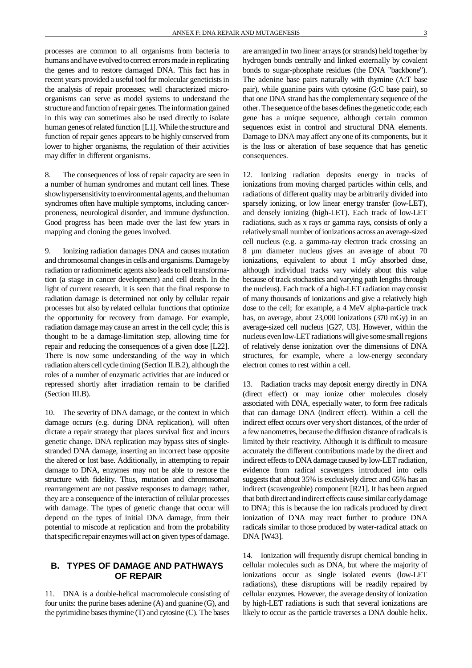processes are common to all organisms from bacteria to humans and have evolved to correct errors made in replicating the genes and to restore damaged DNA. This fact has in recent years provided a useful tool for molecular geneticists in the analysis of repair processes; well characterized microorganisms can serve as model systems to understand the structure and function of repair genes. The information gained in this way can sometimes also be used directly to isolate human genes of related function [L1]. While the structure and function of repair genes appears to be highly conserved from lower to higher organisms, the regulation of their activities may differ in different organisms.

8. The consequences of loss of repair capacity are seen in a number of human syndromes and mutant cell lines. These show hypersensitivity to environmental agents, and the human syndromes often have multiple symptoms, including cancerproneness, neurological disorder, and immune dysfunction. Good progress has been made over the last few years in mapping and cloning the genes involved.

9. Ionizing radiation damages DNA and causes mutation and chromosomal changes in cells and organisms. Damage by radiation or radiomimetic agents alsoleads tocell transformation (a stage in cancer development) and cell death. In the light of current research, it is seen that the final response to radiation damage is determined not only by cellular repair processes but also by related cellular functions that optimize the opportunity for recovery from damage. For example, radiation damage may cause an arrest in the cell cycle; this is thought to be a damage-limitation step, allowing time for repair and reducing the consequences of a given dose [L22]. There is now some understanding of the way in which radiation alters cell cycle timing (Section II.B.2), although the roles of a number of enzymatic activities that are induced or repressed shortly after irradiation remain to be clarified (Section III.B).

10. The severity of DNA damage, or the context in which damage occurs (e.g. during DNA replication), will often dictate a repair strategy that places survival first and incurs genetic change. DNA replication may bypass sites of singlestranded DNA damage, inserting an incorrect base opposite the altered or lost base. Additionally, in attempting to repair damage to DNA, enzymes may not be able to restore the structure with fidelity. Thus, mutation and chromosomal rearrangement are not passive responses to damage; rather, they are a consequence of the interaction of cellular processes with damage. The types of genetic change that occur will depend on the types of initial DNA damage, from their potential to miscode at replication and from the probability that specific repair enzymes will act on given types of damage.

### **B. TYPES OF DAMAGE AND PATHWAYS OF REPAIR**

11. DNA is a double-helical macromolecule consisting of four units: the purine bases adenine (A) and guanine (G), and the pyrimidine bases thymine (T) and cytosine (C). The bases

are arranged in two linear arrays (or strands) held together by hydrogen bonds centrally and linked externally by covalent bonds to sugar-phosphate residues (the DNA "backbone"). The adenine base pairs naturally with thymine (A:T base pair), while guanine pairs with cytosine (G:C base pair), so that one DNA strand has the complementary sequence of the other. The sequence of the bases defines the genetic code; each gene has a unique sequence, although certain common sequences exist in control and structural DNA elements. Damage to DNA may affect any one of its components, but it is the loss or alteration of base sequence that has genetic consequences.

12. Ionizing radiation deposits energy in tracks of ionizations from moving charged particles within cells, and radiations of different quality may be arbitrarily divided into sparsely ionizing, or low linear energy transfer (low-LET), and densely ionizing (high-LET). Each track of low-LET radiations, such as x rays or gamma rays, consists of only a relatively small number of ionizations across an average-sized cell nucleus (e.g. a gamma-ray electron track crossing an 8 µm diameter nucleus gives an average of about 70 ionizations, equivalent to about 1 mGy absorbed dose, although individual tracks vary widely about this value because of track stochastics and varying path lengths through the nucleus). Each track of a high-LET radiation may consist of many thousands of ionizations and give a relatively high dose to the cell; for example, a 4 MeV alpha-particle track has, on average, about 23,000 ionizations (370 mGy) in an average-sized cell nucleus [G27, U3]. However, within the nucleus even low-LET radiations will give some small regions of relatively dense ionization over the dimensions of DNA structures, for example, where a low-energy secondary electron comes to rest within a cell.

13. Radiation tracks may deposit energy directly in DNA (direct effect) or may ionize other molecules closely associated with DNA, especially water, to form free radicals that can damage DNA (indirect effect). Within a cell the indirect effect occurs over very short distances, of the order of a few nanometres, because the diffusion distance of radicals is limited by their reactivity. Although it is difficult to measure accurately the different contributions made by the direct and indirect effects to DNA damage caused by low-LET radiation, evidence from radical scavengers introduced into cells suggests that about 35% is exclusively direct and 65% has an indirect (scavengeable) component [R21]. It has been argued that both direct and indirect effects cause similar earlydamage to DNA; this is because the ion radicals produced by direct ionization of DNA may react further to produce DNA radicals similar to those produced by water-radical attack on DNA [W43].

14. Ionization will frequently disrupt chemical bonding in cellular molecules such as DNA, but where the majority of ionizations occur as single isolated events (low-LET radiations), these disruptions will be readily repaired by cellular enzymes. However, the average density of ionization by high-LET radiations is such that several ionizations are likely to occur as the particle traverses a DNA double helix.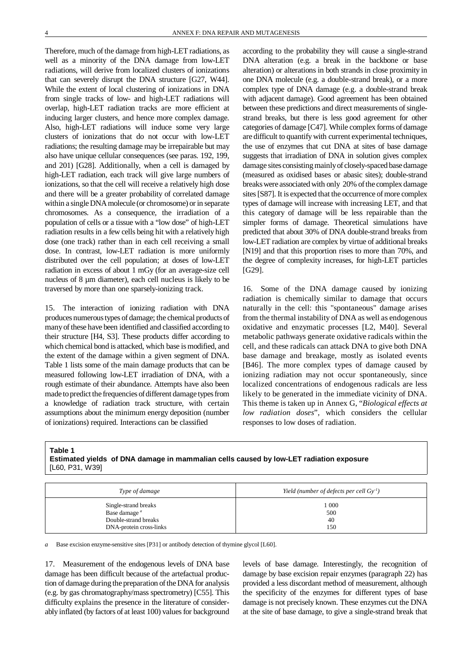Therefore, much of the damage from high-LET radiations, as well as a minority of the DNA damage from low-LET radiations, will derive from localized clusters of ionizations that can severely disrupt the DNA structure [G27, W44]. While the extent of local clustering of ionizations in DNA from single tracks of low- and high-LET radiations will overlap, high-LET radiation tracks are more efficient at inducing larger clusters, and hence more complex damage. Also, high-LET radiations will induce some very large clusters of ionizations that do not occur with low-LET radiations; the resulting damage may be irrepairable but may also have unique cellular consequences (see paras. 192, 199, and 201) [G28]. Additionally, when a cell is damaged by high-LET radiation, each track will give large numbers of ionizations, so that the cell will receive a relatively high dose and there will be a greater probability of correlated damage within a single DNA molecule (or chromosome) or in separate chromosomes. As a consequence, the irradiation of a population of cells or a tissue with a "low dose" of high-LET radiation results in a few cells being hit with a relatively high dose (one track) rather than in each cell receiving a small dose. In contrast, low-LET radiation is more uniformly distributed over the cell population; at doses of low-LET radiation in excess of about 1 mGy (for an average-size cell nucleus of 8 µm diameter), each cell nucleus is likely to be traversed by more than one sparsely-ionizing track.

15. The interaction of ionizing radiation with DNA produces numerous types of damage; the chemical products of manyof these have been identified and classified according to their structure [H4, S3]. These products differ according to which chemical bond is attacked, which base is modified, and the extent of the damage within a given segment of DNA. Table 1 lists some of the main damage products that can be measured following low-LET irradiation of DNA, with a rough estimate of their abundance. Attempts have also been made to predict the frequencies of different damage types from a knowledge of radiation track structure, with certain assumptions about the minimum energy deposition (number of ionizations) required. Interactions can be classified

according to the probability they will cause a single-strand DNA alteration (e.g. a break in the backbone or base alteration) or alterations in both strands in close proximity in one DNA molecule (e.g. a double-strand break), or a more complex type of DNA damage (e.g. a double-strand break with adjacent damage). Good agreement has been obtained between these predictions and direct measurements of singlestrand breaks, but there is less good agreement for other categories of damage [C47]. While complex forms of damage are difficult to quantify with current experimental techniques, the use of enzymes that cut DNA at sites of base damage suggests that irradiation of DNA in solution gives complex damage sites consisting mainly of closely-spaced base damage (measured as oxidised bases or abasic sites); double-strand breaks were associated with only 20% of the complex damage sites [S87]. It is expected that the occurrence of more complex types of damage will increase with increasing LET, and that this category of damage will be less repairable than the simpler forms of damage. Theoretical simulations have predicted that about 30% of DNA double-strand breaks from low-LET radiation are complex by virtue of additional breaks [N19] and that this proportion rises to more than 70%, and the degree of complexity increases, for high-LET particles [G29].

16. Some of the DNA damage caused by ionizing radiation is chemically similar to damage that occurs naturally in the cell: this "spontaneous" damage arises from the thermal instability of DNA as well as endogenous oxidative and enzymatic processes [L2, M40]. Several metabolic pathways generate oxidative radicals within the cell, and these radicals can attack DNA to give both DNA base damage and breakage, mostly as isolated events [B46]. The more complex types of damage caused by ionizing radiation may not occur spontaneously, since localized concentrations of endogenous radicals are less likely to be generated in the immediate vicinity of DNA. This theme is taken up in Annex G, "*Biological effects at low radiation doses*", which considers the cellular responses to low doses of radiation.

**Table 1**

|                 | Estimated yields of DNA damage in mammalian cells caused by low-LET radiation exposure |
|-----------------|----------------------------------------------------------------------------------------|
| [L60, P31, W39] |                                                                                        |

| Type of damage           | Yield (number of defects per cell $Gy^{-1}$ ) |  |  |
|--------------------------|-----------------------------------------------|--|--|
| Single-strand breaks     | 1 000                                         |  |  |
| Base damage <sup>a</sup> | 500                                           |  |  |
| Double-strand breaks     | 40                                            |  |  |
| DNA-protein cross-links  | 150                                           |  |  |

Base excision enzyme-sensitive sites [P31] or antibody detection of thymine glycol [L60].

17. Measurement of the endogenous levels of DNA base damage has been difficult because of the artefactual production of damage during the preparation of the DNA for analysis (e.g. by gas chromatography/mass spectrometry) [C55]. This difficulty explains the presence in the literature of considerably inflated (by factors of at least 100) values for background levels of base damage. Interestingly, the recognition of damage by base excision repair enzymes (paragraph 22) has provided a less discordant method of measurement, although the specificity of the enzymes for different types of base damage is not precisely known. These enzymes cut the DNA at the site of base damage, to give a single-strand break that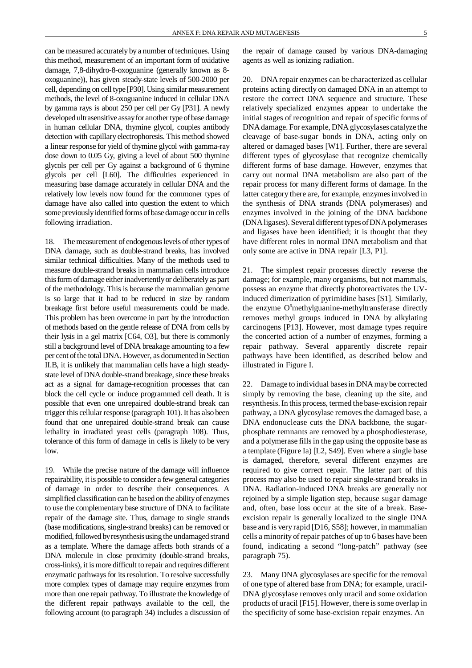can be measured accurately by a number of techniques. Using this method, measurement of an important form of oxidative damage, 7,8-dihydro-8-oxoguanine (generally known as 8 oxoguanine)), has given steady-state levels of 500-2000 per cell, depending on cell type [P30]. Using similar measurement methods, the level of 8-oxoguanine induced in cellular DNA by gamma rays is about 250 per cell per Gy [P31]. A newly developed ultrasensitive assay for another type of base damage in human cellular DNA, thymine glycol, couples antibody detection with capillary electrophoresis. This method showed a linear response for yield of thymine glycol with gamma-ray dose down to 0.05 Gy, giving a level of about 500 thymine glycols per cell per Gy against a background of 6 thymine glycols per cell [L60]. The difficulties experienced in measuring base damage accurately in cellular DNA and the relatively low levels now found for the commoner types of damage have also called into question the extent to which some previously identified forms of base damage occur in cells following irradiation.

18. The measurement of endogenous levels of other types of DNA damage, such as double-strand breaks, has involved similar technical difficulties. Many of the methods used to measure double-strand breaks in mammalian cells introduce this form of damage either inadvertently or deliberately as part of the methodology. This is because the mammalian genome is so large that it had to be reduced in size by random breakage first before useful measurements could be made. This problem has been overcome in part by the introduction of methods based on the gentle release of DNA from cells by their lysis in a gel matrix [C64, O3], but there is commonly still a background level of DNA breakage amounting to a few per cent of the total DNA. However, as documented in Section II.B, it is unlikely that mammalian cells have a high steadystate level of DNA double-strand breakage, since these breaks act as a signal for damage-recognition processes that can block the cell cycle or induce programmed cell death. It is possible that even one unrepaired double-strand break can trigger this cellular response (paragraph 101). It has also been found that one unrepaired double-strand break can cause lethality in irradiated yeast cells (paragraph 108). Thus, tolerance of this form of damage in cells is likely to be very low.

19. While the precise nature of the damage will influence repairability, it is possible to consider a few general categories of damage in order to describe their consequences. A simplified classification can be based on the abilityofenzymes to use the complementary base structure of DNA to facilitate repair of the damage site. Thus, damage to single strands (base modifications, single-strand breaks) can be removed or modified, followed by resynthesis using the undamaged strand as a template. Where the damage affects both strands of a DNA molecule in close proximity (double-strand breaks, cross-links), it is more difficult to repair and requires different enzymatic pathways for its resolution. To resolve successfully more complex types of damage may require enzymes from more than one repair pathway. To illustrate the knowledge of the different repair pathways available to the cell, the following account (to paragraph 34) includes a discussion of the repair of damage caused by various DNA-damaging agents as well as ionizing radiation.

20. DNA repair enzymes can be characterized as cellular proteins acting directly on damaged DNA in an attempt to restore the correct DNA sequence and structure. These relatively specialized enzymes appear to undertake the initial stages of recognition and repair of specific forms of DNA damage. For example, DNA glycosylases catalyze the cleavage of base-sugar bonds in DNA, acting only on altered or damaged bases [W1]. Further, there are several different types of glycosylase that recognize chemically different forms of base damage. However, enzymes that carry out normal DNA metabolism are also part of the repair process for many different forms of damage. In the latter category there are, for example, enzymes involved in the synthesis of DNA strands (DNA polymerases) and enzymes involved in the joining of the DNA backbone (DNA ligases). Several different types ofDNA polymerases and ligases have been identified; it is thought that they have different roles in normal DNA metabolism and that only some are active in DNA repair [L3, P1].

21. The simplest repair processes directly reverse the damage; for example, many organisms, but not mammals, possess an enzyme that directly photoreactivates the UVinduced dimerization of pyrimidine bases [S1]. Similarly, the enzyme O<sup>6</sup>methylguanine-methyltransferase directly removes methyl groups induced in DNA by alkylating carcinogens [P13]. However, most damage types require the concerted action of a number of enzymes, forming a repair pathway. Several apparently discrete repair pathways have been identified, as described below and illustrated in Figure I.

22. Damage to individual bases in DNA maybe corrected simply by removing the base, cleaning up the site, and resynthesis. In this process, termed the base-excision repair pathway, a DNA glycosylase removes the damaged base, a DNA endonuclease cuts the DNA backbone, the sugarphosphate remnants are removed by a phosphodiesterase, and a polymerase fills in the gap using the opposite base as a template (Figure Ia) [L2, S49]. Even where a single base is damaged, therefore, several different enzymes are required to give correct repair. The latter part of this process may also be used to repair single-strand breaks in DNA. Radiation-induced DNA breaks are generally not rejoined by a simple ligation step, because sugar damage and, often, base loss occur at the site of a break. Baseexcision repair is generally localized to the single DNA base and is very rapid [D16, S58]; however, in mammalian cells a minority of repair patches of up to 6 bases have been found, indicating a second "long-patch" pathway (see paragraph 75).

23. Many DNA glycosylases are specific for the removal of one type of altered base from DNA; for example, uracil-DNA glycosylase removes only uracil and some oxidation products of uracil [F15]. However, there is some overlap in the specificity of some base-excision repair enzymes. An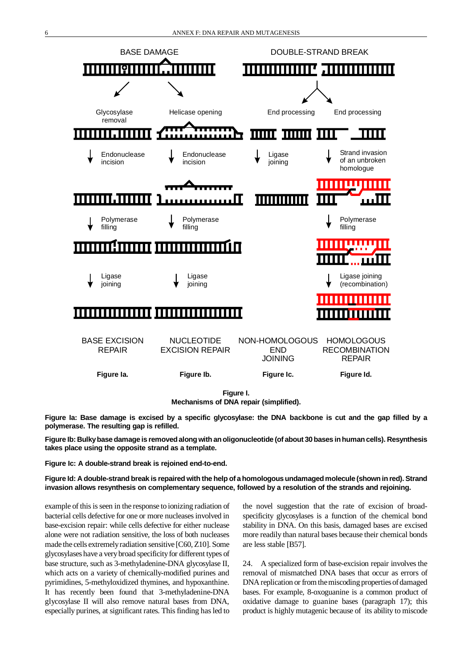

**Mechanisms of DNA repair (simplified).**

**Figure Ia: Base damage is excised by a specific glycosylase: the DNA backbone is cut and the gap filled by a polymerase. The resulting gap is refilled.**

**Figure Ib: Bulkybase damage is removed along with an oligonucleotide (of about 30 bases in human cells). Resynthesis takes place using the opposite strand as a template.**

**Figure Ic: A double-strand break is rejoined end-to-end.**

### **Figure Id: A double-strand break is repaired with the help of a homologous undamaged molecule (shown in red). Strand invasion allows resynthesis on complementary sequence, followed by a resolution of the strands and rejoining.**

example of this is seen in the response to ionizing radiation of bacterial cells defective for one or more nucleases involved in base-excision repair: while cells defective for either nuclease alone were not radiation sensitive, the loss of both nucleases made the cells extremelyradiation sensitive [C60, Z10]. Some glycosylases have a verybroad specificityfor different types of base structure, such as 3-methyladenine-DNA glycosylase II, which acts on a variety of chemically-modified purines and pyrimidines, 5-methyloxidized thymines, and hypoxanthine. It has recently been found that 3-methyladenine-DNA glycosylase II will also remove natural bases from DNA, especially purines, at significant rates. This finding has led to

the novel suggestion that the rate of excision of broadspecificity glycosylases is a function of the chemical bond stability in DNA. On this basis, damaged bases are excised more readily than natural bases because their chemical bonds are less stable [B57].

24. A specialized form of base-excision repair involves the removal of mismatched DNA bases that occur as errors of DNA replication or from the miscoding properties of damaged bases. For example, 8-oxoguanine is a common product of oxidative damage to guanine bases (paragraph 17); this product is highly mutagenic because of its ability to miscode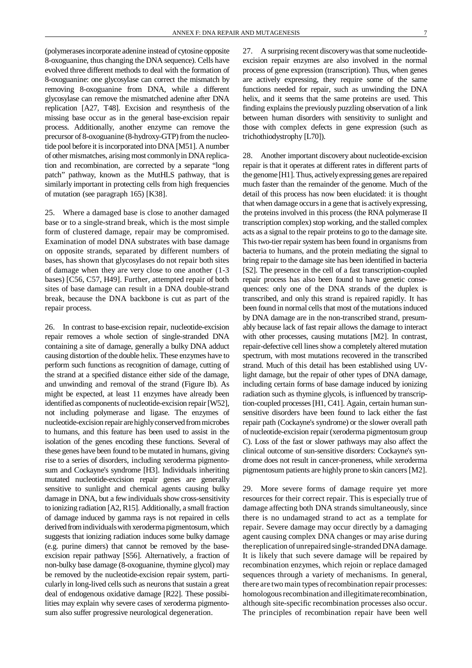(polymerases incorporate adenine instead of cytosine opposite 8-oxoguanine, thus changing the DNA sequence). Cells have evolved three different methods to deal with the formation of 8-oxoguanine: one glycosylase can correct the mismatch by removing 8-oxoguanine from DNA, while a different glycosylase can remove the mismatched adenine after DNA replication [A27, T48]. Excision and resynthesis of the missing base occur as in the general base-excision repair process. Additionally, another enzyme can remove the precursor of 8-oxoguanine (8-hydroxy-GTP) from the nucleotide pool before it is incorporated into DNA [M51]. A number of other mismatches, arising most commonlyin DNA replication and recombination, are corrected by a separate "long patch" pathway, known as the MutHLS pathway, that is similarly important in protecting cells from high frequencies of mutation (see paragraph 165) [K38].

25. Where a damaged base is close to another damaged base or to a single-strand break, which is the most simple form of clustered damage, repair may be compromised. Examination of model DNA substrates with base damage on opposite strands, separated by different numbers of bases, has shown that glycosylases do not repair both sites of damage when they are very close to one another (1-3 bases) [C56, C57, H49]. Further, attempted repair of both sites of base damage can result in a DNA double-strand break, because the DNA backbone is cut as part of the repair process.

26. In contrast to base-excision repair, nucleotide-excision repair removes a whole section of single-stranded DNA containing a site of damage, generally a bulky DNA adduct causing distortion of the double helix. These enzymes have to perform such functions as recognition of damage, cutting of the strand at a specified distance either side of the damage, and unwinding and removal of the strand (Figure Ib). As might be expected, at least 11 enzymes have already been identified as components of nucleotide-excision repair [W52], not including polymerase and ligase. The enzymes of nucleotide-excision repair are highly conserved from microbes to humans, and this feature has been used to assist in the isolation of the genes encoding these functions. Several of these genes have been found to be mutated in humans, giving rise to a series of disorders, including xeroderma pigmentosum and Cockayne's syndrome [H3]. Individuals inheriting mutated nucleotide-excision repair genes are generally sensitive to sunlight and chemical agents causing bulky damage in DNA, but a few individuals show cross-sensitivity to ionizing radiation [A2, R15]. Additionally, a small fraction of damage induced by gamma rays is not repaired in cells derived from individuals with xeroderma pigmentosum, which suggests that ionizing radiation induces some bulky damage (e.g. purine dimers) that cannot be removed by the baseexcision repair pathway [S56]. Alternatively, a fraction of non-bulky base damage (8-oxoguanine, thymine glycol) may be removed by the nucleotide-excision repair system, particularly in long-lived cells such as neurons that sustain a great deal of endogenous oxidative damage [R22]. These possibilities may explain why severe cases of xeroderma pigmentosum also suffer progressive neurological degeneration.

27. A surprising recent discoverywas that some nucleotideexcision repair enzymes are also involved in the normal process of gene expression (transcription). Thus, when genes are actively expressing, they require some of the same functions needed for repair, such as unwinding the DNA helix, and it seems that the same proteins are used. This finding explains the previously puzzling observation of a link between human disorders with sensitivity to sunlight and those with complex defects in gene expression (such as trichothiodystrophy [L70]).

28. Another important discovery about nucleotide-excision repair is that it operates at different rates in different parts of the genome [H1]. Thus, activelyexpressing genes are repaired much faster than the remainder of the genome. Much of the detail of this process has now been elucidated: it is thought that when damage occurs in a gene that is actively expressing, the proteins involved in this process (the RNA polymerase II transcription complex) stop working, and the stalled complex acts as a signal to the repair proteins to go to the damage site. This two-tier repair system has been found in organisms from bacteria to humans, and the protein mediating the signal to bring repair to the damage site has been identified in bacteria [S2]. The presence in the cell of a fast transcription-coupled repair process has also been found to have genetic consequences: only one of the DNA strands of the duplex is transcribed, and only this strand is repaired rapidly. It has been found in normal cells that most of the mutations induced by DNA damage are in the non-transcribed strand, presumably because lack of fast repair allows the damage to interact with other processes, causing mutations [M2]. In contrast, repair-defective cell lines show a completely altered mutation spectrum, with most mutations recovered in the transcribed strand. Much of this detail has been established using UVlight damage, but the repair of other types of DNA damage, including certain forms of base damage induced by ionizing radiation such as thymine glycols, is influenced by transcription-coupled processes [H1, C41]. Again, certain human sunsensitive disorders have been found to lack either the fast repair path (Cockayne's syndrome) or the slower overall path of nucleotide-excision repair (xeroderma pigmentosum group C). Loss of the fast or slower pathways may also affect the clinical outcome of sun-sensitive disorders: Cockayne's syndrome does not result in cancer-proneness, while xeroderma pigmentosum patients are highly prone to skin cancers [M2].

29. More severe forms of damage require yet more resources for their correct repair. This is especially true of damage affecting both DNA strands simultaneously, since there is no undamaged strand to act as a template for repair. Severe damage may occur directly by a damaging agent causing complex DNA changes or may arise during the replication of unrepaired single-stranded DNA damage. It is likely that such severe damage will be repaired by recombination enzymes, which rejoin or replace damaged sequences through a variety of mechanisms. In general, there are two main types of recombination repair processes: homologous recombination and illegitimaterecombination, although site-specific recombination processes also occur. The principles of recombination repair have been well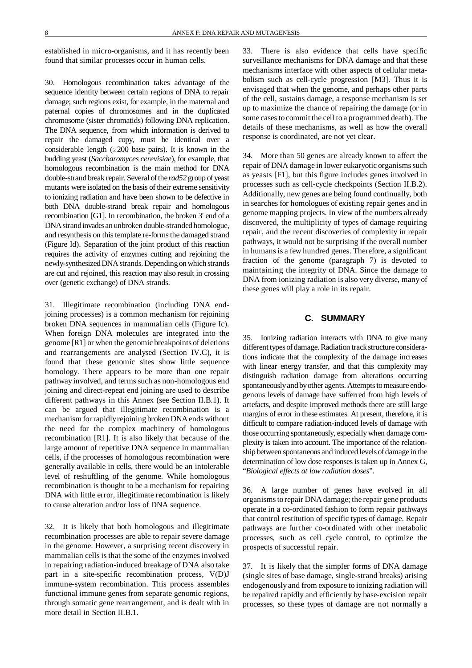established in micro-organisms, and it has recently been found that similar processes occur in human cells.

30. Homologous recombination takes advantage of the sequence identity between certain regions of DNA to repair damage; such regions exist, for example, in the maternal and paternal copies of chromosomes and in the duplicated chromosome (sister chromatids) following DNA replication. The DNA sequence, from which information is derived to repair the damaged copy, must be identical over a considerable length ( $\geq$  200 base pairs). It is known in the budding yeast (*Saccharomyces cerevisiae*), for example, that homologous recombination is the main method for DNA double-strand break repair. Several of the *rad52* group of yeast mutants were isolated on the basis of their extreme sensitivity to ionizing radiation and have been shown to be defective in both DNA double-strand break repair and homologous recombination [G1]. In recombination, the broken 3' end of a DNA strand invades an unbroken double-stranded homologue, and resynthesis on this template re-forms the damaged strand (Figure Id). Separation of the joint product of this reaction requires the activity of enzymes cutting and rejoining the newly-synthesizedDNA strands. Dependingon which strands are cut and rejoined, this reaction may also result in crossing over (genetic exchange) of DNA strands.

31. Illegitimate recombination (including DNA endjoining processes) is a common mechanism for rejoining broken DNA sequences in mammalian cells (Figure Ic). When foreign DNA molecules are integrated into the genome [R1] or when the genomic breakpoints of deletions and rearrangements are analysed (Section IV.C), it is found that these genomic sites show little sequence homology. There appears to be more than one repair pathway involved, and terms such as non-homologous end joining and direct-repeat end joining are used to describe different pathways in this Annex (see Section II.B.1). It can be argued that illegitimate recombination is a mechanism for rapidlyrejoining broken DNA ends without the need for the complex machinery of homologous recombination [R1]. It is also likely that because of the large amount of repetitive DNA sequence in mammalian cells, if the processes of homologous recombination were generally available in cells, there would be an intolerable level of reshuffling of the genome. While homologous recombination is thought to be a mechanism for repairing DNA with little error, illegitimate recombination is likely to cause alteration and/or loss of DNA sequence.

32. It is likely that both homologous and illegitimate recombination processes are able to repair severe damage in the genome. However, a surprising recent discovery in mammalian cells is that the some of the enzymes involved in repairing radiation-induced breakage of DNA also take part in a site-specific recombination process, V(D)J immune-system recombination. This process assembles functional immune genes from separate genomic regions, through somatic gene rearrangement, and is dealt with in more detail in Section II.B.1.

33. There is also evidence that cells have specific surveillance mechanisms for DNA damage and that these mechanisms interface with other aspects of cellular metabolism such as cell-cycle progression [M3]. Thus it is envisaged that when the genome, and perhaps other parts of the cell, sustains damage, a response mechanism is set up to maximize the chance of repairing the damage (or in some cases to commit the cell to a programmed death). The details of these mechanisms, as well as how the overall response is coordinated, are not yet clear.

34. More than 50 genes are already known to affect the repair of DNA damage in lower eukaryotic organisms such as yeasts [F1], but this figure includes genes involved in processes such as cell-cycle checkpoints (Section II.B.2). Additionally, new genes are being found continually, both in searches for homologues of existing repair genes and in genome mapping projects. In view of the numbers already discovered, the multiplicity of types of damage requiring repair, and the recent discoveries of complexity in repair pathways, it would not be surprising if the overall number in humans is a few hundred genes. Therefore, a significant fraction of the genome (paragraph 7) is devoted to maintaining the integrity of DNA. Since the damage to DNA from ionizing radiation is also very diverse, many of these genes will play a role in its repair.

### **C. SUMMARY**

35. Ionizing radiation interacts with DNA to give many different types of damage. Radiation track structure considerations indicate that the complexity of the damage increases with linear energy transfer, and that this complexity may distinguish radiation damage from alterations occurring spontaneously and by other agents. Attempts to measure endogenous levels of damage have sufferred from high levels of artefacts, and despite improved methods there are still large margins of error in these estimates. At present, therefore, it is difficult to compare radiation-induced levels of damage with those occurring spontaneously, especially when damage complexity is taken into account. The importance of the relationship between spontaneous and induced levels of damage in the determination of low dose responses is taken up in Annex G, "*Biological effects at low radiation doses*".

36. A large number of genes have evolved in all organisms torepair DNA damage; the repair gene products operate in a co-ordinated fashion to form repair pathways that control restitution of specific types of damage. Repair pathways are further co-ordinated with other metabolic processes, such as cell cycle control, to optimize the prospects of successful repair.

37. It is likely that the simpler forms of DNA damage (single sites of base damage, single-strand breaks) arising endogenously and from exposure to ionizing radiation will be repaired rapidly and efficiently by base-excision repair processes, so these types of damage are not normally a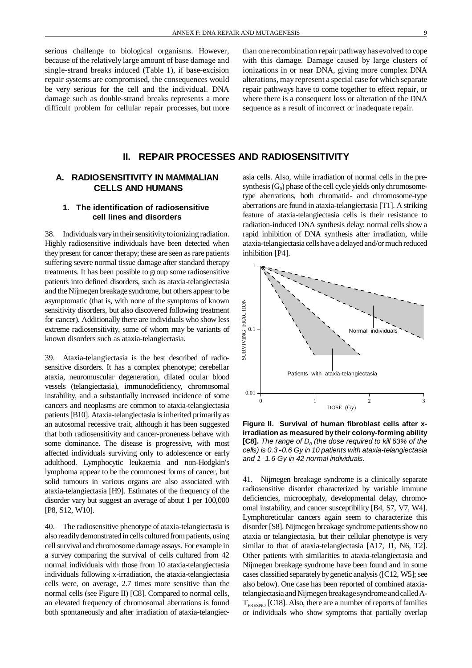serious challenge to biological organisms. However, because of the relatively large amount of base damage and single-strand breaks induced (Table 1), if base-excision repair systems are compromised, the consequences would be very serious for the cell and the individual. DNA damage such as double-strand breaks represents a more difficult problem for cellular repair processes, but more than one recombination repair pathwayhas evolved to cope with this damage. Damage caused by large clusters of ionizations in or near DNA, giving more complex DNA alterations, may represent a special case for which separate repair pathways have to come together to effect repair, or where there is a consequent loss or alteration of the DNA sequence as a result of incorrect or inadequate repair.

### **II. REPAIR PROCESSES AND RADIOSENSITIVITY**

### **A. RADIOSENSITIVITY IN MAMMALIAN CELLS AND HUMANS**

### **1. The identification of radiosensitive cell lines and disorders**

38. Individuals varyin their sensitivitytoionizing radiation. Highly radiosensitive individuals have been detected when they present for cancer therapy; these are seen as rare patients suffering severe normal tissue damage after standard therapy treatments. It has been possible to group some radiosensitive patients into defined disorders, such as ataxia-telangiectasia and the Nijmegen breakage syndrome, but others appear to be asymptomatic (that is, with none of the symptoms of known sensitivity disorders, but also discovered following treatment for cancer). Additionally there are individuals who show less extreme radiosensitivity, some of whom may be variants of known disorders such as ataxia-telangiectasia.

39. Ataxia-telangiectasia is the best described of radiosensitive disorders. It has a complex phenotype; cerebellar ataxia, neuromuscular degeneration, dilated ocular blood vessels (telangiectasia), immunodeficiency, chromosomal instability, and a substantially increased incidence of some cancers and neoplasms are common to ataxia-telangiectasia patients [B10]. Ataxia-telangiectasia is inherited primarily as an autosomal recessive trait, although it has been suggested that both radiosensitivity and cancer-proneness behave with some dominance. The disease is progressive, with most affected individuals surviving only to adolescence or early adulthood. Lymphocytic leukaemia and non-Hodgkin's lymphoma appear to be the commonest forms of cancer, but solid tumours in various organs are also associated with ataxia-telangiectasia [H9]. Estimates of the frequency of the disorder vary but suggest an average of about 1 per 100,000 [P8, S12, W10].

40. The radiosensitive phenotype of ataxia-telangiectasia is also readily demonstrated in cells cultured from patients, using cell survival and chromosome damage assays. For example in a survey comparing the survival of cells cultured from 42 normal individuals with those from 10 ataxia-telangiectasia individuals following x-irradiation, the ataxia-telangiectasia cells were, on average, 2.7 times more sensitive than the normal cells (see Figure II) [C8]. Compared to normal cells, an elevated frequency of chromosomal aberrations is found both spontaneously and after irradiation of ataxia-telangiecasia cells. Also, while irradiation of normal cells in the presynthesis  $(G_0)$  phase of the cell cycle yields only chromosometype aberrations, both chromatid- and chromosome-type aberrations are found in ataxia-telangiectasia [T1]. A striking feature of ataxia-telangiectasia cells is their resistance to radiation-induced DNA synthesis delay: normal cells show a rapid inhibition of DNA synthesis after irradiation, while ataxia-telangiectasia cellshavea delayedand/or much reduced inhibition [P4].



**Figure II. Survival of human fibroblast cells after xirradiation as measured by their colony-forming ability [C8].** *The range of D<sub>0</sub> (the dose required to kill 63% of the cells) is 0.3*and 1-1.6 Gy in 42 normal individuals.

*0.6 Gy in 10 patients with ataxia-telangiectasia*<br>*Gy in 42 normal individuals.*<br>*egen breakage syndrome is a clinically separate*<br>*ve disorder characterized by variable immune*, microcephaly, developmental delay, chromo--1.6 Gy in 42 normal individuals.<br>
Nijmegen breakage syndrome is<br>
ensitive disorder characterized b<br>
encies, microcephaly, developme<br>
instability, and cancer susceptibilit<br>
horeticular cancers again seem<br>
ler [S8]. Nijmege 41. Nijmegen breakage syndrome is a clinically separate radiosensitive disorder characterized by variable immune deficiencies, microcephaly, developmental delay, chromoomal instability, and cancer susceptibility [B4, S7, V7, W4]. Lymphoreticular cancers again seem to characterize this disorder [S8]. Nijmegen breakage syndrome patients show no ataxia or telangiectasia, but their cellular phenotype is very similar to that of ataxia-telangiectasia [A17, J1, N6, T2]. Other patients with similarities to ataxia-telangiectasia and Nijmegen breakage syndrome have been found and in some cases classified separatelybygenetic analysis ([C12, W5]; see also below). One case has been reported of combined ataxiatelangiectasia and Nijmegen breakage syndrome and called A- $T<sub>FRESNO</sub>$  [C18]. Also, there are a number of reports of families or individuals who show symptoms that partially overlap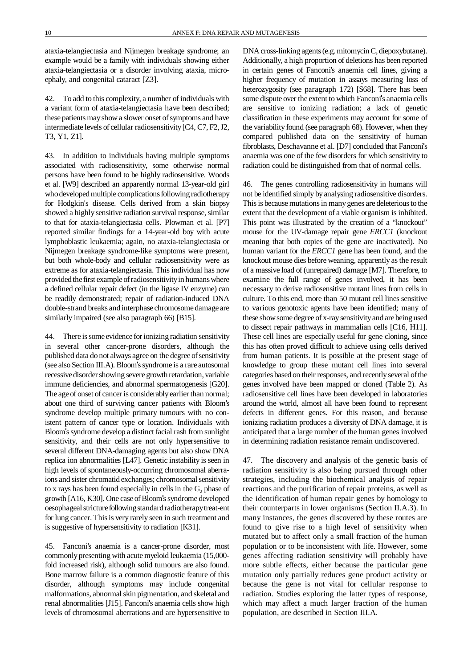ataxia-telangiectasia and Nijmegen breakage syndrome; an example would be a family with individuals showing either ataxia-telangiectasia or a disorder involving ataxia, microephaly, and congenital cataract [Z3].

42. To add to this complexity, a number of individuals with a variant form of ataxia-telangiectasia have been described; these patients mayshow a slower onset of symptoms and have intermediate levels of cellular radiosensitivity[C4, C7, F2, J2, T3, Y1, Z1].

43. In addition to individuals having multiple symptoms associated with radiosensitivity, some otherwise normal persons have been found to be highly radiosensitive. Woods et al. [W9] described an apparently normal 13-year-old girl who developed multiple complications following radiotherapy for Hodgkin's disease. Cells derived from a skin biopsy showed a highly sensitive radiation survival response, similar to that for ataxia-telangiectasia cells. Plowman et al. [P7] reported similar findings for a 14-year-old boy with acute lymphoblastic leukaemia; again, no ataxia-telangiectasia or Nijmegen breakage syndrome-like symptoms were present, but both whole-body and cellular radiosensitivity were as extreme as for ataxia-telangiectasia. This individual has now provided the first example of radiosensitivity in humans where a defined cellular repair defect (in the ligase IV enzyme) can be readily demonstrated; repair of radiation-induced DNA double-strand breaks and interphase chromosome damage are similarly impaired (see also paragraph 66) [B15].

44. There is some evidence for ionizing radiation sensitivity in several other cancer-prone disorders, although the published data do not always agree on the degree of sensitivity (see also Section III.A). Bloom's syndrome is a rare autosomal s syndrome is a rare autosomal<br>ere growth retardation, variable<br>ormal spermatogenesis [G20]. recessivedisorder showing severe growth retardation, variable immune deficiencies, and abnormal spermatogenesis [G20]. The age of onset of cancer is considerablyearlier than normal; about one third of surviving cancer patients with Blooms<br>|-<br>h syndrome develop multiple primary tumours with no conistent pattern of cancer type or location. Individuals with Bloom's syndrome develop a distinct facial rash from sunlight s syndrome develop a distinct facial rash from sunlight<br>vity, and their cells are not only hypersensitive to<br>different DNA-damaging agents but also show DNA sensitivity, and their cells are not only hypersensitive to several different DNA-damaging agents but also show DNA replica ion abnormalities [L47]. Genetic instability is seen in high levels of spontaneously-occurring chromosomal aberraions and sister chromatid exchanges; chromosomal sensitivity to x rays has been found especially in cells in the  $G_2$  phase of growth [A16, K30]. One case of Bloomgrowth [A16, K30]. One case of Bloom's syndrome developed<br>oesophageal stricture following standard radiotherapy treat-ent<br>for lung cancer. This is very rarely seen in such treatment and oesophageal stricture following standard radiotherapy treat-ent is suggestive of hypersensitivity to radiation [K31].

45. Fanconi's anaemia is a cancer-prone disorder, most<br>commonly presenting with acute myeloid leukaemia (15,000-<br>fold increased risk), although solid tumours are also found. commonly presenting with acute myeloid leukaemia (15,000fold increased risk), although solid tumours are also found. Bone marrow failure is a common diagnostic feature of this disorder, although symptoms may include congenital malformations, abnormal skin pigmentation, and skeletal and renal abnormalities [J15]. Fanconi's anaemia cells show high s anaemia cells show high<br>and are hypersensitive to<br>s levels of chromosomal aberrations and are hypersensitive to

DNA cross-linking agents (e.g. mitomycin C, diepoxybutane). Additionally, a high proportion of deletions has been reported in certain genes of Fanconis anaemia cell lines, giving a higher frequency of mutation in assays measuring loss of<br>heterozygosity (see paragraph 172) [S68]. There has been higher frequency of mutation in assays measuring loss of heterozygosity (see paragraph 172) [S68]. There has been some dispute over the extent to which Fanconi's anaemia cells s anaemia cells<br>ck of genetic<br>unt for some of are sensitive to ionizing radiation; a lack of genetic classification in these experiments may account for some of the variability found (see paragraph 68). However, when they compared published data on the sensitivity of human fibroblasts, Deschavanne et al. [D7] concluded that Fanconis<br>o anaemia was one of the few disorders for which sensitivity to radiation could be distinguished from that of normal cells.

46. The genes controlling radiosensitivity in humans will not be identified simply byanalysing radiosensitive disorders. This is because mutations in manygenes are deleterious to the extent that the development of a viable organism is inhibited. This point was illustrated by the creation of a "knockout" mouse for the UV-damage repair gene *ERCC1* (knockout meaning that both copies of the gene are inactivated). No human variant for the *ERCC1* gene has been found, and the knockout mouse dies before weaning, apparently as the result of a massive load of (unrepaired) damage [M7]. Therefore, to examine the full range of genes involved, it has been necessary to derive radiosensitive mutant lines from cells in culture. To this end, more than 50 mutant cell lines sensitive to various genotoxic agents have been identified; many of these showsome degree of x-raysensitivityand are being used to dissect repair pathways in mammalian cells [C16, H11]. These cell lines are especially useful for gene cloning, since this has often proved difficult to achieve using cells derived from human patients. It is possible at the present stage of knowledge to group these mutant cell lines into several categories based on their responses, and recently several of the genes involved have been mapped or cloned (Table 2). As radiosensitive cell lines have been developed in laboratories around the world, almost all have been found to represent defects in different genes. For this reason, and because ionizing radiation produces a diversity of DNA damage, it is anticipated that a large number of the human genes involved in determining radiation resistance remain undiscovered.

47. The discovery and analysis of the genetic basis of radiation sensitivity is also being pursued through other strategies, including the biochemical analysis of repair reactions and the purification of repair proteins, as well as the identification of human repair genes by homology to their counterparts in lower organisms (Section II.A.3). In many instances, the genes discovered by these routes are found to give rise to a high level of sensitivity when mutated but to affect only a small fraction of the human population or to be inconsistent with life. However, some genes affecting radiation sensitivity will probably have more subtle effects, either because the particular gene mutation only partially reduces gene product activity or because the gene is not vital for cellular response to radiation. Studies exploring the latter types of response, which may affect a much larger fraction of the human population, are described in Section III.A.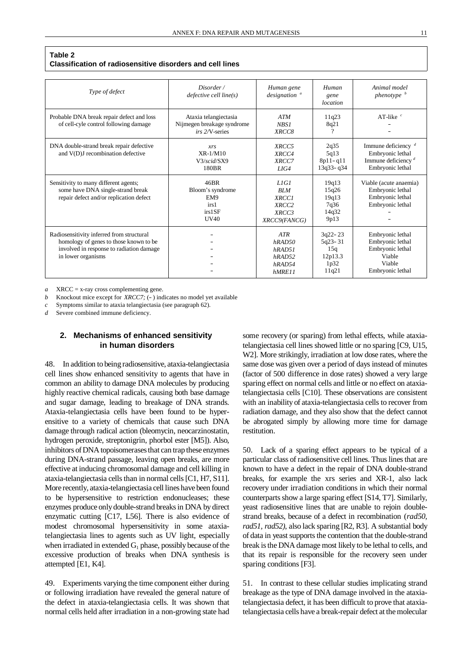### **Table 2 Classification of radiosensitive disorders and cell lines**

| Type of defect                                                                                                                                                                                                                                                                    | Disorder/<br>defective cell line(s)                                   | Human gene<br>$designation$ <sup><math>a</math></sup>                     | Human<br>gene<br>location                                   | Animal model<br>$phenotype^{-b}$                                                                 |
|-----------------------------------------------------------------------------------------------------------------------------------------------------------------------------------------------------------------------------------------------------------------------------------|-----------------------------------------------------------------------|---------------------------------------------------------------------------|-------------------------------------------------------------|--------------------------------------------------------------------------------------------------|
| Probable DNA break repair defect and loss<br>of cell-cyle control following damage                                                                                                                                                                                                | Ataxia telangiectasia<br>Nijmegen breakage syndrome<br>irs 2/V-series | <b>ATM</b><br>NBS1<br>XRCC8                                               | 11q23<br>8q21<br>9                                          | AT-like $^c$                                                                                     |
| DNA double-strand break repair defective<br>and V(D)J recombination defective                                                                                                                                                                                                     | xrs<br>$XR-1/M10$<br>V3/scid/SX9<br>180BR                             | XRCC5<br>XRCC4<br>XRCC7<br>LIG4                                           | 2q35<br>5q13<br>$8p11 - q11$<br>$13q33-q34$                 | Immune deficiency $d$<br>Embryonic lethal<br>Immune deficiency $d$<br>Embryonic lethal           |
| Sensitivity to many different agents;<br>some have DNA single-strand break<br>repair defect and/or replication defect                                                                                                                                                             | 46BR<br>Bloom's syndrome<br>EM9<br>irs1<br>irs1SF<br>UV40             | LIGI<br>BLM<br><b>XRCC1</b><br>XRCC <sub>2</sub><br>XRCC3<br>XRCC9(FANCG) | 19q13<br>15q26<br>19q13<br>7q36<br>14q32<br>9p13            | Viable (acute anaemia)<br>Embryonic lethal<br>Embryonic lethal<br>Embryonic lethal               |
| Radiosensitivity inferred from structural<br>homology of genes to those known to be<br>involved in response to radiation damage<br>in lower organisms                                                                                                                             |                                                                       | ATR<br>$h$ RAD50<br>$h$ RAD51<br>$h$ RAD52<br>$h$ RAD54<br>hMRE11         | $3q22 - 23$<br>$5q23-31$<br>15q<br>12p13.3<br>1p32<br>11q21 | Embryonic lethal<br>Embryonic lethal<br>Embryonic lethal<br>Viable<br>Viable<br>Embryonic lethal |
| $XRCC = x$ -ray cross complementing gene.<br>$\mathfrak a$<br>Knockout mice except for <i>XRCC7</i> ; $(-)$ indicates no model yet available<br>b<br>Symptoms similar to ataxia telangiectasia (see paragraph 62).<br>$\boldsymbol{c}$<br>Severe combined immune deficiency.<br>d |                                                                       |                                                                           |                                                             |                                                                                                  |

*b* Knockout mice except for *XRCC7;* ( $\frac{1}{1}$ 

## –) indicates no model yet available<br>tasia (see paragraph 62).<br>**anced sensitivity**<br>**orders 2. Mechanisms of enhanced sensitivity in human disorders**

48. In addition to being radiosensitive, ataxia-telangiectasia cell lines show enhanced sensitivity to agents that have in common an ability to damage DNA molecules by producing highly reactive chemical radicals, causing both base damage and sugar damage, leading to breakage of DNA strands. Ataxia-telangiectasia cells have been found to be hyperensitive to a variety of chemicals that cause such DNA damage through radical action (bleomycin, neocarzinostatin, hydrogen peroxide, streptonigrin, phorbol ester [M5]). Also, inhibitors ofDNA topoisomerases that can trap these enzymes during DNA-strand passage, leaving open breaks, are more effective at inducing chromosomal damage and cell killing in ataxia-telangiectasia cells than in normal cells [C1, H7, S11]. More recently, ataxia-telangiectasia cell lines have been found to be hypersensitive to restriction endonucleases; these enzymes produce onlydouble-strand breaks in DNA by direct enzymatic cutting [C17, L56]. There is also evidence of modest chromosomal hypersensitivity in some ataxiatelangiectasia lines to agents such as UV light, especially when irradiated in extended  $G_1$  phase, possibly because of the excessive production of breaks when DNA synthesis is attempted [E1, K4].

49. Experiments varying the time component either during or following irradiation have revealed the general nature of the defect in ataxia-telangiectasia cells. It was shown that normal cells held after irradiation in a non-growing state had some recovery (or sparing) from lethal effects, while ataxiatelangiectasia cell lines showed little or no sparing [C9, U15, W2]. More strikingly, irradiation at low dose rates, where the same dose was given over a period of days instead of minutes (factor of 500 difference in dose rates) showed a very large sparing effect on normal cells and little or no effect on ataxiatelangiectasia cells [C10]. These observations are consistent with an inability of ataxia-telangiectasia cells to recover from radiation damage, and they also show that the defect cannot be abrogated simply by allowing more time for damage restitution.

50. Lack of a sparing effect appears to be typical of a particular class of radiosensitive cell lines. Thus lines that are known to have a defect in the repair of DNA double-strand breaks, for example the xrs series and XR-1, also lack recovery under irradiation conditions in which their normal counterparts show a large sparing effect [S14, T7]. Similarly, yeast radiosensitive lines that are unable to rejoin doublestrand breaks, because of a defect in recombination (*rad50, rad51, rad52)*, also lack sparing [R2, R3]. A substantial body of data in yeast supports the contention that the double-strand break is the DNA damage most likely to be lethal to cells, and that its repair is responsible for the recovery seen under sparing conditions [F3].

51. In contrast to these cellular studies implicating strand breakage as the type of DNA damage involved in the ataxiatelangiectasia defect, it has been difficult to prove that ataxiatelangiectasia cells have a break-repair defect at the molecular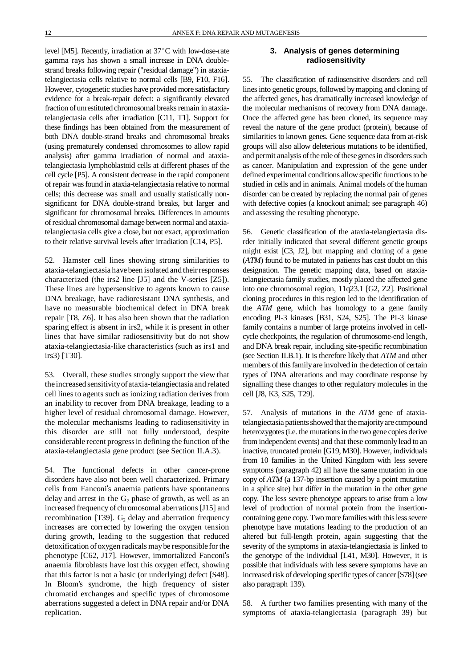level [M5]. Recently, irradiation at 37°C with low-dose-rate<br>gamma rays has shown a small increase in DNA doublegamma rays has shown a small increase in DNA doublestrand breaks following repair ("residual damage") in ataxiatelangiectasia cells relative to normal cells [B9, F10, F16]. However, cytogenetic studies have provided more satisfactory evidence for a break-repair defect: a significantly elevated fraction of unrestituted chromosomal breaks remain in ataxiatelangiectasia cells after irradiation [C11, T1]. Support for these findings has been obtained from the measurement of both DNA double-strand breaks and chromosomal breaks (using prematurely condensed chromosomes to allow rapid analysis) after gamma irradiation of normal and ataxiatelangiectasia lymphoblastoid cells at different phases of the cell cycle [P5]. A consistent decrease in the rapid component of repair was found in ataxia-telangiectasia relative to normal cells; this decrease was small and usually statistically nonsignificant for DNA double-strand breaks, but larger and significant for chromosomal breaks. Differences in amounts of residual chromosomal damage between normal and ataxiatelangiectasia cells give a close, but not exact, approximation to their relative survival levels after irradiation [C14, P5].

52. Hamster cell lines showing strong similarities to ataxia-telangiectasia have been isolated and their responses characterized (the irs2 line [J5] and the V-series [Z5]). These lines are hypersensitive to agents known to cause DNA breakage, have radioresistant DNA synthesis, and have no measurable biochemical defect in DNA break repair [T8, Z6]. It has also been shown that the radiation sparing effect is absent in irs2, while it is present in other lines that have similar radiosensitivity but do not show ataxia-telangiectasia-like characteristics (such as irs1 and irs3) [T30].

53. Overall, these studies strongly support the view that the increased sensitivityofataxia-telangiectasia and related cell lines to agents such as ionizing radiation derives from an inability to recover from DNA breakage, leading to a higher level of residual chromosomal damage. However, the molecular mechanisms leading to radiosensitivity in this disorder are still not fully understood, despite considerable recent progress in defining the function of the ataxia-telangiectasia gene product (see Section II.A.3).

54. The functional defects in other cancer-prone disorders have also not been well characterized. Primary cells from Fanconi's anaemia patients have spontaneous cells from Fanconi's anaemia patients have spontaneous<br>delay and arrest in the  $G_2$  phase of growth, as well as an<br>increased frequency of chromosomal aberrations [J15] and delay and arrest in the  $G_2$  phase of growth, as well as an recombination [T39].  $G_2$  delay and aberration frequency increases are corrected by lowering the oxygen tension during growth, leading to the suggestion that reduced detoxification of oxygen radicals may be responsible for the phenotype [C62, J17]. However, immortalized Fanconis<br>g<br>]. anaemia fibroblasts have lost this oxygen effect, showing that this factor is not a basic (or underlying) defect [S48]. In Bloom's syndrome, the high frequency of sister 's syndrome, the high frequency of sister<br>exchanges and specific types of chromosome<br>suggested a defect in DNA repair and/or DNA chromatid exchanges and specific types of chromosome aberrations suggested a defect in DNA repair and/or DNA replication.

### **3. Analysis of genes determining radiosensitivity**

55. The classification of radiosensitive disorders and cell lines into genetic groups, followed bymapping and cloning of the affected genes, has dramatically increased knowledge of the molecular mechanisms of recovery from DNA damage. Once the affected gene has been cloned, its sequence may reveal the nature of the gene product (protein), because of similarities to known genes. Gene sequence data from at-risk groups will also allow deleterious mutations to be identified, and permit analysis of the role of these genes in disorders such as cancer. Manipulation and expression of the gene under defined experimental conditions allow specific functions to be studied in cells and in animals. Animal models of the human disorder can be created by replacing the normal pair of genes with defective copies (a knockout animal; see paragraph 46) and assessing the resulting phenotype.

56. Genetic classification of the ataxia-telangiectasia disrder initially indicated that several different genetic groups might exist [C3, J2], but mapping and cloning of a gene (*ATM*) found to be mutated in patients has cast doubt on this designation. The genetic mapping data, based on ataxiatelangiectasia family studies, mostly placed the affected gene into one chromosomal region, 11q23.1 [G2, Z2]. Positional cloning procedures in this region led to the identification of the *ATM* gene, which has homology to a gene family encoding PI-3 kinases [B31, S24, S25]. The PI-3 kinase family contains a number of large proteins involved in cellcycle checkpoints, the regulation of chromosome-end length, and DNA break repair, including site-specific recombination (see Section II.B.1). It is therefore likely that *ATM* and other members of this familyare involved in the detection of certain types of DNA alterations and may coordinate response by signalling these changes to other regulatory molecules in the cell [J8, K3, S25, T29].

57. Analysis of mutations in the *ATM* gene of ataxiatelangiectasia patients showed that the majorityare compound heterozygotes (i.e. the mutations in the two gene copies derive from independent events) and that these commonly lead to an inactive, truncated protein [G19, M30]. However, individuals from 10 families in the United Kingdom with less severe symptoms (paragraph 42) all have the same mutation in one copy of *ATM* (a 137-bp insertion caused by a point mutation in a splice site) but differ in the mutation in the other gene copy. The less severe phenotype appears to arise from a low level of production of normal protein from the insertioncontaining gene copy. Two more families with this less severe phenotype have mutations leading to the production of an altered but full-length protein, again suggesting that the severity of the symptoms in ataxia-telangiectasia is linked to the genotype of the individual [L41, M30]. However, it is possible that individuals with less severe symptoms have an increased risk of developing specific types of cancer [S78] (see also paragraph 139).

58. A further two families presenting with many of the symptoms of ataxia-telangiectasia (paragraph 39) but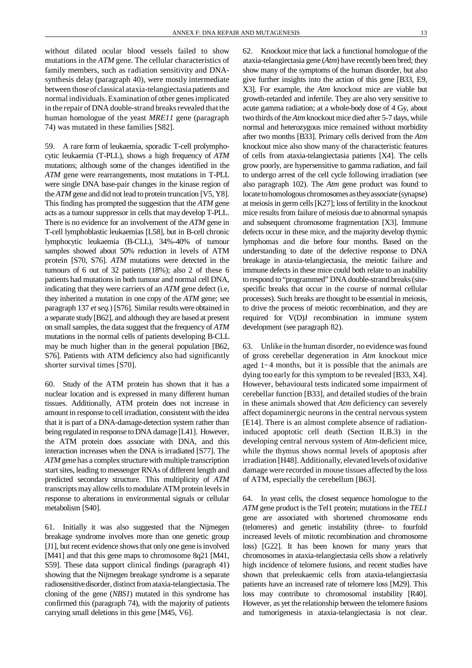without dilated ocular blood vessels failed to show mutations in the *ATM* gene. The cellular characteristics of family members, such as radiation sensitivity and DNAsynthesis delay (paragraph 40), were mostly intermediate between those of classical ataxia-telangiectasia patients and normal individuals. Examination of other genes implicated in the repair of DNA double-strand breaks revealed that the human homologue of the yeast *MRE11* gene (paragraph 74) was mutated in these families [S82].

59. A rare form of leukaemia, sporadic T-cell prolymphocytic leukaemia (T-PLL), shows a high frequency of *ATM* mutations; although some of the changes identified in the *ATM* gene were rearrangements, most mutations in T-PLL were single DNA base-pair changes in the kinase region of the*ATM* gene and did not lead to protein truncation [V5, Y8]. This finding has prompted the suggestion that the *ATM* gene acts as a tumour suppressor in cells that may develop T-PLL. There is no evidence for an involvement of the *ATM* gene in T-cell lymphoblastic leukaemias [L58], but in B-cell chronic lymphocytic leukaemia (B-CLL), 34%-40% of tumour samples showed about 50% reduction in levels of ATM protein [S70, S76]. *ATM* mutations were detected in the tumours of 6 out of 32 patients (18%); also 2 of these 6 patients had mutations in both tumour and normal cell DNA, indicating that they were carriers of an *ATM* gene defect (i.e, they inherited a mutation in one copy of the *ATM* gene; see paragraph 137 *et seq.*) [S76]. Similar results were obtained in a separate study[B62], and although they are based at present on small samples, the data suggest that the frequency of *ATM* mutations in the normal cells of patients developing B-CLL may be much higher than in the general population [B62, S76]. Patients with ATM deficiency also had significantly shorter survival times [S70].

60. Study of the ATM protein has shown that it has a nuclear location and is expressed in many different human tissues. Additionally, ATM protein does not increase in amount in response to cell irradiation, consistent with the idea that it is part of a DNA-damage-detection system rather than being regulated in response to DNA damage [L41]. However, the ATM protein does associate with DNA, and this interaction increases when the DNA is irradiated [S77]. The *ATM* gene has a complex structure with multiple transcription start sites, leading to messenger RNAs of different length and predicted secondary structure. This multiplicity of *ATM* transcripts mayallow cells to modulate ATM protein levels in response to alterations in environmental signals or cellular metabolism [S40].

61. Initially it was also suggested that the Nijmegen breakage syndrome involves more than one genetic group [J1], but recent evidence shows that only one gene is involved [M41] and that this gene maps to chromosome 8q21 [M41, S59]. These data support clinical findings (paragraph 41) showing that the Nijmegen breakage syndrome is a separate radiosensitivedisorder, distinct from ataxia-telangiectasia. The cloning of the gene (*NBS1*) mutated in this syndrome has confirmed this (paragraph 74), with the majority of patients carrying small deletions in this gene [M45, V6].

62. Knockout mice that lack a functional homologue of the ataxia-telangiectasia gene (*Atm*) have recentlybeen bred; they show many of the symptoms of the human disorder, but also give further insights into the action of this gene [B33, E9, X3]. For example, the *Atm* knockout mice are viable but growth-retarded and infertile. They are also very sensitive to acute gamma radiation; at a whole-body dose of 4 Gy, about two thirds of the*Atm* knockout mice died after 5-7 days, while normal and heterozygous mice remained without morbidity after two months [B33]. Primary cells derived from the *Atm* knockout mice also show many of the characteristic features of cells from ataxia-telangiectasia patients [X4]. The cells grow poorly, are hypersensitive to gamma radiation, and fail to undergo arrest of the cell cycle following irradiation (see also paragraph 102). The *Atm* gene product was found to locate to homologous chromosomes as they associate (synapse) at meiosis in germ cells [K27]; loss of fertilityin the knockout mice results from failure of meiosis due to abnormal synapsis and subsequent chromosome fragmentation [X3]. Immune defects occur in these mice, and the majority develop thymic lymphomas and die before four months. Based on the understanding to date of the defective response to DNA breakage in ataxia-telangiectasia, the meiotic failure and immune defects in these mice could both relate to an inability torespond to "programmed" DNA double-strand breaks (sitespecific breaks that occur in the course of normal cellular processes). Such breaks are thought to be essential in meiosis, to drive the process of meiotic recombination, and they are required for V(D)J recombination in immune system development (see paragraph 82).

63. Unlike in the human disorder, no evidence was found of gross cerebellar degeneration in *Atm* knockout mice aged  $1-4$  months, but it is possible that the animals are dying too early for this symptom to be revealed [B33, X4]. However, behavioural tests indicated some impairment of cerebellar function [B33], and detailed studies of the brain in these animals showed that *Atm* deficiency can severely affect dopaminergic neurons in the central nervous system [E14]. There is an almost complete absence of radiationinduced apoptotic cell death (Section II.B.3) in the developing central nervous system of *Atm*-deficient mice, while the thymus shows normal levels of apoptosis after irradiation [H48]. Additionally, elevated levelsofoxidative damage were recorded in mouse tissues affected by the loss of ATM, especially the cerebellum [B63].

64. In yeast cells, the closest sequence homologue to the *ATM* gene product is the Tel1 protein; mutations in the *TEL1* gene are associated with shortened chromosome ends (telomeres) and genetic instability (three- to fourfold increased levels of mitotic recombination and chromosome loss) [G22]. It has been known for many years that chromosomes in ataxia-telangiectasia cells show a relatively high incidence of telomere fusions, and recent studies have shown that preleukaemic cells from ataxia-telangiectasia patients have an increased rate of telomere loss [M29]. This loss may contribute to chromosomal instability [R40]. However, as yet the relationship between the telomere fusions and tumorigenesis in ataxia-telangiectasia is not clear.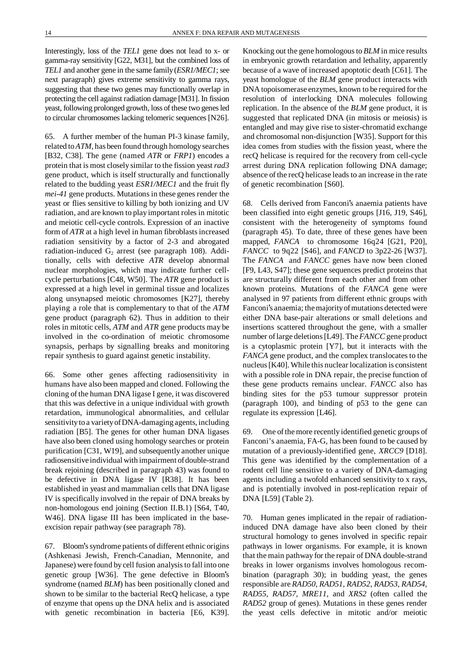Interestingly, loss of the *TEL1* gene does not lead to x- or gamma-ray sensitivity [G22, M31], but the combined loss of *TEL1* and another gene in the same family(*ESR1/MEC1*; see next paragraph) gives extreme sensitivity to gamma rays, suggesting that these two genes may functionally overlap in protecting the cell against radiation damage [M31]. In fission yeast, following prolonged growth, loss of these two genes led to circular chromosomes lacking telomeric sequences [N26].

65. A further member of the human PI-3 kinase family, related to*ATM,* has been found through homologysearches [B32, C38]. The gene (named *ATR* or *FRP1*) encodes a protein that is most closely similar to the fission yeast *rad3* gene product, which is itself structurally and functionally related to the budding yeast *ESR1/MEC1* and the fruit fly *mei-41* gene products. Mutations in these genes render the yeast or flies sensitive to killing by both ionizing and UV radiation, and are known to play important roles in mitotic and meiotic cell-cycle controls. Expression of an inactive form of *ATR* at a high level in human fibroblasts increased radiation sensitivity by a factor of 2-3 and abrogated radiation-induced  $G_2$  arrest (see paragraph 108). Additionally, cells with defective *ATR* develop abnormal nuclear morphologies, which may indicate further cellcycle perturbations [C48, W50]. The *ATR* gene product is expressed at a high level in germinal tissue and localizes along unsynapsed meiotic chromosomes [K27], thereby playing a role that is complementary to that of the *ATM* gene product (paragraph 62). Thus in addition to their roles in mitotic cells, *ATM* and *ATR* gene products may be involved in the co-ordination of meiotic chromosome synapsis, perhaps by signalling breaks and monitoring repair synthesis to guard against genetic instability.

66. Some other genes affecting radiosensitivity in humans have also been mapped and cloned. Following the cloning of the human DNA ligase I gene, it was discovered that this was defective in a unique individual with growth retardation, immunological abnormalities, and cellular sensitivityto a varietyofDNA-damaging agents, including radiation [B5]. The genes for other human DNA ligases have also been cloned using homology searches or protein purification [C31, W19], and subsequently another unique radiosensitive individual with impairment of double-strand break rejoining (described in paragraph 43) was found to be defective in DNA ligase IV [R38]. It has been established in yeast and mammalian cells that DNA ligase IV is specifically involved in the repair of DNA breaks by non-homologous end joining (Section II.B.1) [S64, T40, W46]. DNA ligase III has been implicated in the baseexcision repair pathway (see paragraph 78).

67. Bloom's syndrome patients of different ethnic origins s syndrome patients of different ethnic origins<br>Jewish, French-Canadian, Mennonite, and<br>ere found by cell fusion analysis to fall into one (Ashkenasi Jewish, French-Canadian, Mennonite, and Japanese) were found by cell fusion analysis to fall into one genetic group [W36]. The gene defective in Blooms<br>d<br>e syndrome (named *BLM*) has been positionally cloned and shown to be similar to the bacterial RecQ helicase, a type of enzyme that opens up the DNA helix and is associated with genetic recombination in bacteria [E6, K39].

Knocking out the gene homologous to *BLM* in mice results in embryonic growth retardation and lethality, apparently because of a wave of increased apoptotic death [C61]. The yeast homologue of the *BLM* gene product interacts with DNA topoisomerase enzymes, known to be required for the resolution of interlocking DNA molecules following replication. In the absence of the *BLM* gene product, it is suggested that replicated DNA (in mitosis or meiosis) is entangled and may give rise to sister-chromatid exchange and chromosomal non-disjunction [W35]. Support for this idea comes from studies with the fission yeast, where the recQ helicase is required for the recovery from cell-cycle arrest during DNA replication following DNA damage; absence of the recQ helicase leads to an increase in the rate of genetic recombination [S60].

68. Cells derived from Fanconi's anaemia patients have s anaemia patients have<br>groups [J16, J19, S46],<br>ity of symptoms found been classified into eight genetic groups [J16, J19, S46], consistent with the heterogeneity of symptoms found (paragraph 45). To date, three of these genes have been mapped, *FANCA* to chromosome 16q24 [G21, P20], *FANCC* to 9q22 [S46], and *FANCD* to 3p22-26 [W37]. The *FANCA* and *FANCC* genes have now been cloned [F9, L43, S47]; these gene sequences predict proteins that are structurally different from each other and from other known proteins. Mutations of the *FANCA* gene were analysed in 97 patients from different ethnic groups with Fanconi's anaemia; the majority of mutations detected were s anaemia; the majority of mutations detected were<br>NA base-pair alterations or small deletions and<br>as scattered throughout the gene, with a smaller either DNA base-pair alterations or small deletions and insertions scattered throughout the gene, with a smaller number of large deletions [L49]. The *FANCC* gene product is a cytoplasmic protein [Y7], but it interacts with the *FANCA* gene product, and the complex translocates to the nucleus [K40]. While this nuclear localization is consistent with a possible role in DNA repair, the precise function of these gene products remains unclear. *FANCC* also has binding sites for the p53 tumour suppressor protein (paragraph 100), and binding of p53 to the gene can regulate its expression [L46].

69. One of the more recently identified genetic groups of Fanconi's anaemia, FA-G, has been found to be caused by mutation of a previously-identified gene, *XRCC9* [D18]. This gene was identified by the complementation of a rodent cell line sensitive to a variety of DNA-damaging agents including a twofold enhanced sensitivity to x rays, and is potentially involved in post-replication repair of DNA [L59] (Table 2).

70. Human genes implicated in the repair of radiationinduced DNA damage have also been cloned by their structural homology to genes involved in specific repair pathways in lower organisms. For example, it is known that the main pathway for the repair of DNA double-strand breaks in lower organisms involves homologous recombination (paragraph 30); in budding yeast, the genes responsible are *RAD50, RAD51, RAD52, RAD53, RAD54, RAD55, RAD57, MRE11*, and *XRS2* (often called the *RAD52* group of genes). Mutations in these genes render the yeast cells defective in mitotic and/or meiotic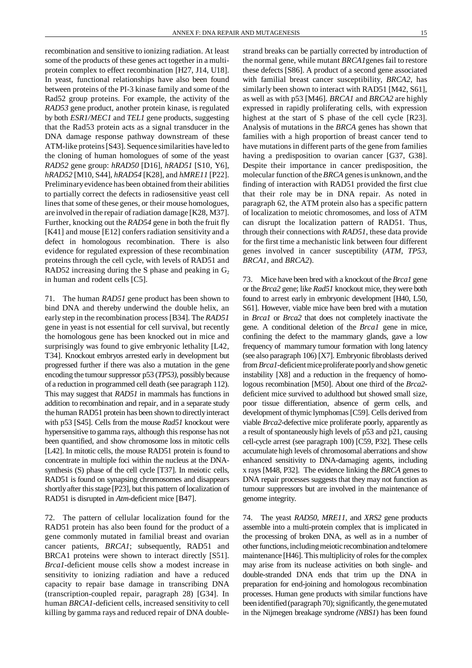recombination and sensitive to ionizing radiation. At least some of the products of these genes act together in a multiprotein complex to effect recombination [H27, J14, U18]. In yeast, functional relationships have also been found between proteins of the PI-3 kinase family and some of the Rad52 group proteins. For example, the activity of the *RAD53* gene product, another protein kinase, is regulated by both *ESR1/MEC1* and *TEL1* gene products, suggesting that the Rad53 protein acts as a signal transducer in the DNA damage response pathway downstream of these ATM-like proteins [S43]. Sequence similarities have led to the cloning of human homologues of some of the yeast *RAD52* gene group: *hRAD50* [D16], *hRAD51* [S10, Y6], *hRAD52* [M10, S44], *hRAD54* [K28], and *hMRE11* [P22]. Preliminaryevidence has been obtained from their abilities to partially correct the defects in radiosensitive yeast cell lines that some of these genes, or their mouse homologues, are involved in the repair of radiation damage [K28, M37]. Further, knocking out the *RAD54* gene in both the fruit fly [K41] and mouse [E12] confers radiation sensitivity and a defect in homologous recombination. There is also evidence for regulated expression of these recombination proteins through the cell cycle, with levels of RAD51 and RAD52 increasing during the S phase and peaking in  $G_2$ in human and rodent cells [C5].

71. The human *RAD51* gene product has been shown to bind DNA and thereby underwind the double helix, an early step in the recombination process [B34]. The *RAD51* gene in yeast is not essential for cell survival, but recently the homologous gene has been knocked out in mice and surprisingly was found to give embryonic lethality [L42, T34]. Knockout embryos arrested early in development but progressed further if there was also a mutation in the gene encoding the tumour suppressor p53 (*TP53),* possiblybecause of a reduction in programmed cell death (see paragraph 112). This may suggest that *RAD51* in mammals has functions in addition to recombination and repair, and in a separate study the human RAD51 protein has been shown todirectlyinteract with p53 [S45]. Cells from the mouse *Rad51* knockout were hypersensitive to gamma rays, although this response has not been quantified, and show chromosome loss in mitotic cells [L42]. In mitotic cells, the mouse RAD51 protein is found to concentrate in multiple foci within the nucleus at the DNAsynthesis (S) phase of the cell cycle [T37]. In meiotic cells, RAD51 is found on synapsing chromosomes and disappears shortlyafter this stage [P23], but this pattern of localization of RAD51 is disrupted in *Atm*-deficient mice [B47].

72. The pattern of cellular localization found for the RAD51 protein has also been found for the product of a gene commonly mutated in familial breast and ovarian cancer patients, *BRCA1*; subsequently, RAD51 and BRCA1 proteins were shown to interact directly [S51]. *Brca1*-deficient mouse cells show a modest increase in sensitivity to ionizing radiation and have a reduced capacity to repair base damage in transcribing DNA (transcription-coupled repair, paragraph 28) [G34]. In human *BRCA1*-deficient cells, increased sensitivity to cell killing by gamma rays and reduced repair of DNA doublestrand breaks can be partially corrected by introduction of the normal gene, while mutant *BRCA1*genes fail to restore these defects [S86]. A product of a second gene associated with familial breast cancer susceptibility, *BRCA2*, has similarly been shown to interact with RAD51 [M42, S61], as well as with p53 [M46]. *BRCA1* and *BRCA2* are highly expressed in rapidly proliferating cells, with expression highest at the start of S phase of the cell cycle [R23]. Analysis of mutations in the *BRCA* genes has shown that families with a high proportion of breast cancer tend to have mutations in different parts of the gene from families having a predisposition to ovarian cancer [G37, G38]. Despite their importance in cancer predisposition, the molecular function of the*BRCA* genes is unknown, and the finding of interaction with RAD51 provided the first clue that their role may be in DNA repair. As noted in paragraph 62, the ATM protein also has a specific pattern of localization to meiotic chromosomes, and loss of ATM can disrupt the localization pattern of RAD51. Thus, through their connections with *RAD51*, these data provide for the first time a mechanistic link between four different genes involved in cancer susceptibility (*ATM*, *TP53, BRCA1*, and *BRCA2*).

73. Mice have been bred with a knockout of the*Brca1* gene or the *Brca2* gene; like *Rad51* knockout mice, they were both found to arrest early in embryonic development [H40, L50, S61]. However, viable mice have been bred with a mutation in *Brca1* or *Brca2* that does not completely inactivate the gene. A conditional deletion of the *Brca1* gene in mice, confining the defect to the mammary glands, gave a low frequency of mammary tumour formation with long latency (see also paragraph 106) [X7]. Embryonic fibroblasts derived from *Brca1*-deficient mice proliferate poorly and show genetic instability [X8] and a reduction in the frequency of homologous recombination [M50]. About one third of the *Brca2* deficient mice survived to adulthood but showed small size, poor tissue differentiation, absence of germ cells, and development of thymic lymphomas [C59]. Cells derived from viable *Brca2*-defective mice proliferate poorly, apparently as a result of spontaneously high levels of p53 and p21, causing cell-cycle arrest (see paragraph 100) [C59, P32]. These cells accumulate high levels of chromosomal aberrations and show enhanced sensitivity to DNA-damaging agents, including x rays [M48, P32]. The evidence linking the *BRCA* genes to DNA repair processes suggests that they may not function as tumour suppressors but are involved in the maintenance of genome integrity.

74. The yeast *RAD50, MRE11,* and *XRS2* gene products assemble into a multi-protein complex that is implicated in the processing of broken DNA, as well as in a number of other functions, including meiotic recombination and telomere maintenance [H46]. This multiplicity of roles for the complex may arise from its nuclease activities on both single- and double-stranded DNA ends that trim up the DNA in preparation for end-joining and homologous recombination processes. Human gene products with similar functions have been identified (paragraph 70); significantly, the genemutated in the Nijmegen breakage syndrome *(NBS1*) has been found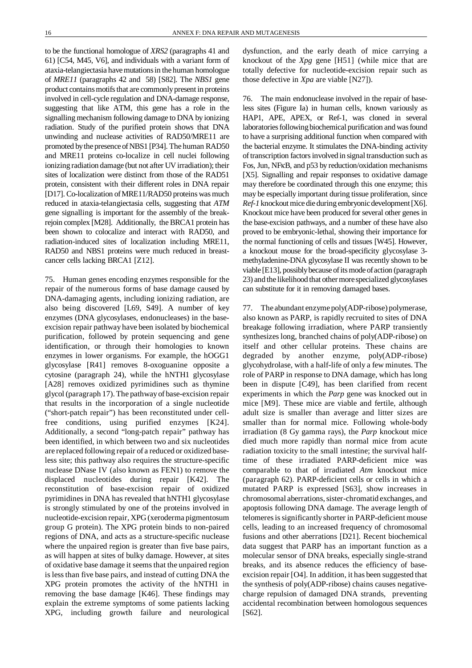to be the functional homologue of *XRS2* (paragraphs 41 and 61) [C54, M45, V6], and individuals with a variant form of ataxia-telangiectasia have mutations in the human homologue of *MRE11* (paragraphs 42 and 58) [S82]. The *NBS1* gene product contains motifs that are commonlypresent in proteins involved in cell-cycle regulation and DNA-damage response, suggesting that like ATM, this gene has a role in the signalling mechanism following damage to DNA by ionizing radiation. Study of the purified protein shows that DNA unwinding and nuclease activities of RAD50/MRE11 are promoted by the presence of NBS1 [P34]. The human RAD50 and MRE11 proteins co-localize in cell nuclei following ionizing radiation damage (but not after UV irradiation); their sites of localization were distinct from those of the RAD51 protein, consistent with their different roles in DNA repair [D17]. Co-localization of MRE11/RAD50 proteins was much reduced in ataxia-telangiectasia cells, suggesting that *ATM* gene signalling is important for the assembly of the breakrejoin complex [M28]. Additionally, the BRCA1 protein has been shown to colocalize and interact with RAD50, and radiation-induced sites of localization including MRE11, RAD50 and NBS1 proteins were much reduced in breastcancer cells lacking BRCA1 [Z12].

75. Human genes encoding enzymes responsible for the repair of the numerous forms of base damage caused by DNA-damaging agents, including ionizing radiation, are also being discovered [L69, S49]. A number of key enzymes (DNA glycosylases, endonucleases) in the baseexcision repair pathway have been isolated by biochemical purification, followed by protein sequencing and gene identification, or through their homologies to known enzymes in lower organisms. For example, the hOGG1 glycosylase [R41] removes 8-oxoguanine opposite a cytosine (paragraph 24), while the hNTH1 glycosylase [A28] removes oxidized pyrimidines such as thymine glycol (paragraph 17). The pathwayof base-excision repair that results in the incorporation of a single nucleotide ("short-patch repair") has been reconstituted under cellfree conditions, using purified enzymes [K24]. Additionally, a second "long-patch repair" pathway has been identified, in which between two and six nucleotides are replaced following repair of a reduced or oxidized baseless site; this pathway also requires the structure-specific nuclease DNase IV (also known as FEN1) to remove the displaced nucleotides during repair [K42]. The reconstitution of base-excision repair of oxidized pyrimidines in DNA has revealed that hNTH1 glycosylase is strongly stimulated by one of the proteins involved in nucleotide-excision repair, XPG (xeroderma pigmentosum group G protein). The XPG protein binds to non-paired regions of DNA, and acts as a structure-specific nuclease where the unpaired region is greater than five base pairs, as will happen at sites of bulky damage. However, at sites of oxidative base damage it seems that the unpaired region is less than five base pairs, and instead of cutting DNA the XPG protein promotes the activity of the hNTH1 in removing the base damage [K46]. These findings may explain the extreme symptoms of some patients lacking XPG, including growth failure and neurological dysfunction, and the early death of mice carrying a knockout of the *Xpg* gene [H51] (while mice that are totally defective for nucleotide-excision repair such as those defective in *Xpa* are viable [N27]).

76. The main endonuclease involved in the repair of baseless sites (Figure Ia) in human cells, known variously as HAP1, APE, APEX, or Ref-1, was cloned in several laboratories following biochemical purification and was found to have a surprising additional function when compared with the bacterial enzyme. It stimulates the DNA-binding activity of transcription factors involved in signal transduction such as Fos, Jun, NFKB, and p53 by reduction/oxidation mechanisms [X5]. Signalling and repair responses to oxidative damage may therefore be coordinated through this one enzyme; this may be especially important during tissue proliferation, since *Ref-1* knockout mice die during embryonicdevelopment [X6]. Knockout mice have been produced for several other genes in the base-excision pathways, and a number of these have also proved to be embryonic-lethal, showing their importance for the normal functioning of cells and tissues [W45]. However, a knockout mouse for the broad-specificity glycosylase 3 methyladenine-DNA glycosylase II was recently shown to be viable [E13], possibly because of its mode of action (paragraph 23) and the likelihood that other morespecialized glycosylases can substitute for it in removing damaged bases.

77. The abundant enzyme poly(ADP-ribose) polymerase, also known as PARP, is rapidly recruited to sites of DNA breakage following irradiation, where PARP transiently synthesizes long, branched chains of poly(ADP-ribose) on itself and other cellular proteins. These chains are degraded by another enzyme, poly(ADP-ribose) glycohydrolase, with a half-life of only a few minutes. The role of PARP in response to DNA damage, which has long been in dispute [C49], has been clarified from recent experiments in which the *Parp* gene was knocked out in mice [M9]. These mice are viable and fertile, although adult size is smaller than average and litter sizes are smaller than for normal mice. Following whole-body irradiation (8 Gy gamma rays), the *Parp* knockout mice died much more rapidly than normal mice from acute radiation toxicity to the small intestine; the survival halftime of these irradiated PARP-deficient mice was comparable to that of irradiated *Atm* knockout mice (paragraph 62). PARP-deficient cells or cells in which a mutated PARP is expressed [S63], show increases in chromosomal aberrations, sister-chromatid exchanges, and apoptosis following DNA damage. The average length of telomeres is significantly shorter in PARP-deficient mouse cells, leading to an increased frequency of chromosomal fusions and other aberrations [D21]. Recent biochemical data suggest that PARP has an important function as a molecular sensor of DNA breaks, especially single-strand breaks, and its absence reduces the efficiency of baseexcision repair [O4]. In addition, it has been suggested that the synthesis of poly(ADP-ribose) chains causes negativecharge repulsion of damaged DNA strands, preventing accidental recombination between homologous sequences [S62].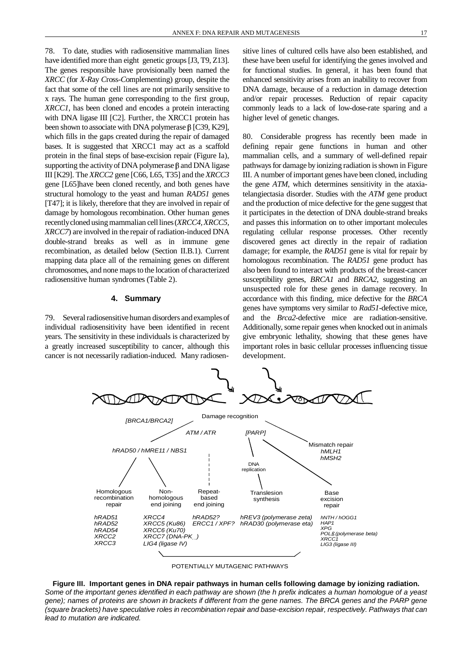78. To date, studies with radiosensitive mammalian lines have identified more than eight genetic groups [J3, T9, Z13]. The genes responsible have provisionally been named the *XRCC* (for *X*-*R*ay *C*ross-*C*omplementing) group, despite the fact that some of the cell lines are not primarily sensitive to x rays. The human gene corresponding to the first group, *XRCC1*, has been cloned and encodes a protein interacting with DNA ligase III [C2]. Further, the XRCC1 protein has been shown to associate with DNA polymerase  $\beta$  [C39, K29], which fills in the gaps created during the repair of damaged bases. It is suggested that XRCC1 may act as a scaffold protein in the final steps of base-excision repair (Figure Ia), supporting the activity of DNA polymerase  $\beta$  and DNA ligase III [K29]. The *XRCC2* gene [C66, L65, T35] and the*XRCC3* gene [L65]have been cloned recently, and both genes have structural homology to the yeast and human *RAD51* genes [T47]; it is likely, therefore that they are involved in repair of damage by homologous recombination. Other human genes recentlycloned using mammalian cell lines(*XRCC4, XRCC5, XRCC7*) are involved in the repair of radiation-induced DNA double-strand breaks as well as in immune gene recombination, as detailed below (Section II.B.1). Current mapping data place all of the remaining genes on different chromosomes, and none maps to the location of characterized radiosensitive human syndromes (Table 2).

### **4. Summary**

79. Several radiosensitive human disorders andexamplesof individual radiosensitivity have been identified in recent years. The sensitivity in these individuals is characterized by a greatly increased susceptibility to cancer, although this cancer is not necessarily radiation-induced. Many radiosensitive lines of cultured cells have also been established, and these have been useful for identifying the genes involved and for functional studies. In general, it has been found that enhanced sensitivity arises from an inability to recover from DNA damage, because of a reduction in damage detection and/or repair processes. Reduction of repair capacity commonly leads to a lack of low-dose-rate sparing and a higher level of genetic changes.

80. Considerable progress has recently been made in defining repair gene functions in human and other mammalian cells, and a summary of well-defined repair pathways for damage byionizing radiation is shown in Figure III. A number of important genes have been cloned, including the gene *ATM*, which determines sensitivity in the ataxiatelangiectasia disorder. Studies with the *ATM* gene product and the production of mice defective for the gene suggest that it participates in the detection of DNA double-strand breaks and passes this information on to other important molecules regulating cellular response processes. Other recently discovered genes act directly in the repair of radiation damage; for example, the *RAD51* gene is vital for repair by homologous recombination. The *RAD51* gene product has also been found to interact with products of the breast-cancer susceptibility genes, *BRCA1* and *BRCA2*, suggesting an unsuspected role for these genes in damage recovery. In accordance with this finding, mice defective for the *BRCA* genes have symptoms very similar to *Rad51*-defective mice, and the *Brca2*-defective mice are radiation-sensitive. Additionally, some repair genes when knocked out in animals give embryonic lethality, showing that these genes have important roles in basic cellular processes influencing tissue development.



POTENTIALLY MUTAGENIC PATHWAYS

**Figure III. Important genes in DNA repair pathways in human cells following damage by ionizing radiation.** *Some of the important genes identified in each pathway are shown (the h prefix indicates a human homologue of a yeast gene); names of proteins are shown in brackets if different from the gene names. The BRCA genes and the PARP gene (square brackets) have speculative roles in recombination repair and base-excision repair, respectively. Pathways that can lead to mutation are indicated.*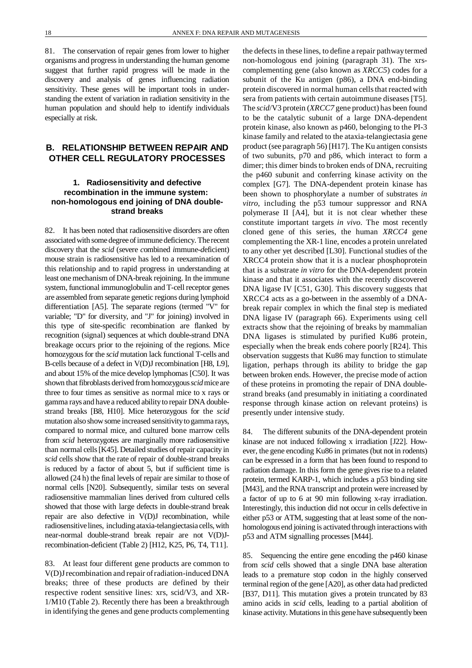81. The conservation of repair genes from lower to higher organisms and progress in understanding the human genome suggest that further rapid progress will be made in the discovery and analysis of genes influencing radiation sensitivity. These genes will be important tools in understanding the extent of variation in radiation sensitivity in the human population and should help to identify individuals especially at risk.

### **B. RELATIONSHIP BETWEEN REPAIR AND OTHER CELL REGULATORY PROCESSES**

### **1. Radiosensitivity and defective recombination in the immune system: non-homologous end joining of DNA doublestrand breaks**

82. It has been noted that radiosensitive disorders are often associatedwith some degree ofimmune deficiency. Therecent discovery that the *scid* (*s*evere *c*ombined *i*mmune-*d*eficient) mouse strain is radiosensitive has led to a reexamination of this relationship and to rapid progress in understanding at least one mechanism of DNA-break rejoining. In the immune system, functional immunoglobulin and T-cell receptor genes are assembled from separate genetic regions during lymphoid differentiation [A5]. The separate regions (termed "V" for variable; "D" for diversity, and "J" for joining) involved in this type of site-specific recombination are flanked by recognition (signal) sequences at which double-strand DNA breakage occurs prior to the rejoining of the regions. Mice homozygous for the *scid* mutation lack functional T-cells and B-cells because of a defect in V(D)J recombination [H8, L9], and about 15% of the mice develop lymphomas [C50]. It was shown that fibroblasts derived from homozygous*scid*miceare three to four times as sensitive as normal mice to x rays or gamma rays and have a reduced abilityto repair DNA doublestrand breaks [B8, H10]. Mice heterozygous for the *scid* mutation also show some increased sensitivity to gamma rays, compared to normal mice, and cultured bone marrow cells from *scid* heterozygotes are marginally more radiosensitive than normal cells [K45]. Detailed studies of repair capacity in *scid* cells show that the rate of repair of double-strand breaks is reduced by a factor of about 5, but if sufficient time is allowed (24 h) the final levels of repair are similar to those of normal cells [N20]. Subsequently, similar tests on several radiosensitive mammalian lines derived from cultured cells showed that those with large defects in double-strand break repair are also defective in V(D)J recombination, while radiosensitivelines, includingataxia-telangiectasia cells, with near-normal double-strand break repair are not V(D)Jrecombination-deficient (Table 2) [H12, K25, P6, T4, T11].

83. At least four different gene products are common to V(D)J recombination and repair ofradiation-induced DNA breaks; three of these products are defined by their respective rodent sensitive lines: xrs, scid/V3, and XR-1/M10 (Table 2). Recently there has been a breakthrough in identifying the genes and gene products complementing

the defects in these lines, to define a repair pathwaytermed non-homologous end joining (paragraph 31). The xrscomplementing gene (also known as *XRCC5*) codes for a subunit of the Ku antigen (p86), a DNA end-binding protein discovered in normal human cells that reacted with sera from patients with certain autoimmune diseases [T5]. The *scid*/V3 protein (*XRCC7* gene product) has been found to be the catalytic subunit of a large DNA-dependent protein kinase, also known as p460, belonging to the PI-3 kinase family and related to the ataxia-telangiectasia gene product (see paragraph 56) [H17]. The Ku antigen consists of two subunits, p70 and p86, which interact to form a dimer; this dimer binds to broken ends of DNA, recruiting the p460 subunit and conferring kinase activity on the complex [G7]. The DNA-dependent protein kinase has been shown to phosphorylate a number of substrates *in vitro*, including the p53 tumour suppressor and RNA polymerase II [A4], but it is not clear whether these constitute important targets *in vivo*. The most recently cloned gene of this series, the human *XRCC4* gene complementing the XR-1 line, encodes a protein unrelated to any other yet described [L30]. Functional studies of the XRCC4 protein show that it is a nuclear phosphoprotein that is a substrate *in vitro* for the DNA-dependent protein kinase and that it associates with the recently discovered DNA ligase IV [C51, G30]. This discovery suggests that XRCC4 acts as a go-between in the assembly of a DNAbreak repair complex in which the final step is mediated DNA ligase IV (paragraph 66). Experiments using cell extracts show that the rejoining of breaks by mammalian DNA ligases is stimulated by purified Ku86 protein, especially when the break ends cohere poorly [R24]. This observation suggests that Ku86 may function to stimulate ligation, perhaps through its ability to bridge the gap between broken ends. However, the precise mode of action of these proteins in promoting the repair of DNA doublestrand breaks (and presumably in initiating a coordinated response through kinase action on relevant proteins) is presently under intensive study.

84. The different subunits of the DNA-dependent protein kinase are not induced following x irradiation [J22]. However, the gene encoding Ku86 in primates (but not in rodents) can be expressed in a form that has been found to respond to radiation damage. In this form the gene gives rise to a related protein, termed KARP-1, which includes a p53 binding site [M43], and the RNA transcript and protein were increased by a factor of up to 6 at 90 min following x-ray irradiation. Interestingly, this induction did not occur in cells defective in either p53 or ATM, suggesting that at least some of the nonhomologous end joining is activated through interactions with p53 and ATM signalling processes [M44].

85. Sequencing the entire gene encoding the p460 kinase from *scid* cells showed that a single DNA base alteration leads to a premature stop codon in the highly conserved terminal region of the gene [A20], as other data had predicted [B37, D11]. This mutation gives a protein truncated by 83 amino acids in *scid* cells, leading to a partial abolition of kinase activity. Mutations in this gene have subsequentlybeen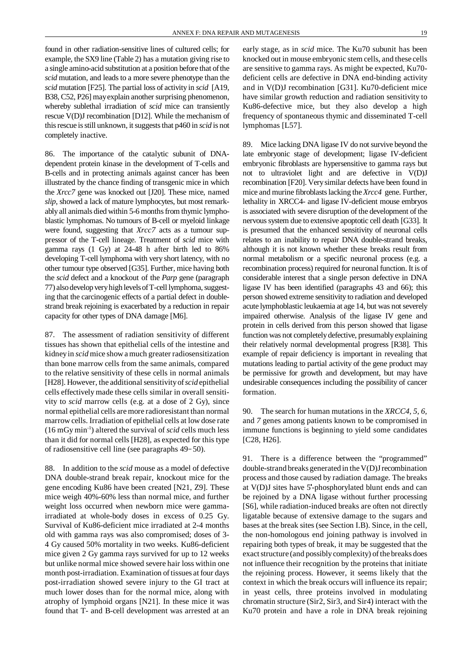found in other radiation-sensitive lines of cultured cells; for example, the SX9 line (Table 2) has a mutation giving rise to a single amino-acid substitution at a position before that of the *scid* mutation, and leads to a more severe phenotype than the *scid* mutation [F25]. The partial loss of activity in *scid* [A19, B38, C52, P26] mayexplain another surprising phenomenon, whereby sublethal irradiation of *scid* mice can transiently rescue V(D)J recombination [D12]. While the mechanism of this rescue is still unknown, it suggests that p460 in *scid* is not completely inactive.

86. The importance of the catalytic subunit of DNAdependent protein kinase in the development of T-cells and B-cells and in protecting animals against cancer has been illustrated by the chance finding of transgenic mice in which the *Xrcc7* gene was knocked out [J20]. These mice, named *slip*, showed a lack of mature lymphocytes, but most remarkablyall animals died within 5-6 months from thymic lymphoblastic lymphomas. No tumours of B-cell or myeloid linkage were found, suggesting that *Xrcc7* acts as a tumour suppressor of the T-cell lineage. Treatment of *scid* mice with gamma rays (1 Gy) at 24-48 h after birth led to 86% developing T-cell lymphoma with very short latency, with no other tumour type observed [G35]. Further, mice having both the *scid* defect and a knockout of the *Parp* gene (paragraph 77) alsodevelop veryhigh levelsofT-cell lymphoma, suggesting that the carcinogenic effects of a partial defect in doublestrand break rejoining is exacerbated by a reduction in repair capacity for other types of DNA damage [M6].

87. The assessment of radiation sensitivity of different tissues has shown that epithelial cells of the intestine and kidneyin *scid* mice show a much greater radiosensitization than bone marrow cells from the same animals, compared to the relative sensitivity of these cells in normal animals [H28]. However, the additional sensitivityof*scid* epithelial cells effectively made these cells similar in overall sensitivity to *scid* marrow cells (e.g. at a dose of 2 Gy), since normal epithelial cells are more radioresistant than normal marrow cells. Irradiation of epithelial cells at low dose rate (16 mGy min-1) altered the survival of *scid* cells much less than it did for normal cells [H28], as expected for this type of radiosensitive cell line (see paragraphs  $49-50$ ).

88. In addition to the *scid* mouse as a model of defective DNA double-strand break repair, knockout mice for the gene encoding Ku86 have been created [N21, Z9]. These mice weigh 40%-60% less than normal mice, and further weight loss occurred when newborn mice were gammairradiated at whole-body doses in excess of 0.25 Gy. Survival of Ku86-deficient mice irradiated at 2-4 months old with gamma rays was also compromised; doses of 3- 4 Gy caused 50% mortality in two weeks. Ku86-deficient mice given 2 Gy gamma rays survived for up to 12 weeks but unlike normal mice showed severe hair loss within one month post-irradiation. Examination of tissues at four days post-irradiation showed severe injury to the GI tract at much lower doses than for the normal mice, along with atrophy of lymphoid organs [N21]. In these mice it was found that T- and B-cell development was arrested at an

early stage, as in *scid* mice. The Ku70 subunit has been knocked out in mouse embryonic stem cells, and these cells are sensitive to gamma rays. As might be expected, Ku70 deficient cells are defective in DNA end-binding activity and in V(D)J recombination [G31]. Ku70-deficient mice have similar growth reduction and radiation sensitivity to Ku86-defective mice, but they also develop a high frequency of spontaneous thymic and disseminated T-cell lymphomas [L57].

89. Mice lacking DNA ligase IV do not survive beyond the late embryonic stage of development; ligase IV-deficient embryonic fibroblasts are hypersensitive to gamma rays but not to ultraviolet light and are defective in V(D)J recombination [F20]. Verysimilar defects have been found in mice and murine fibroblasts lacking the*Xrcc4* gene. Further, lethality in XRCC4- and ligase IV-deficient mouse embryos is associated with severe disruption of the development of the nervous system due to extensive apoptotic cell death [G33]. It is presumed that the enhanced sensitivity of neuronal cells relates to an inability to repair DNA double-strand breaks, although it is not known whether these breaks result from normal metabolism or a specific neuronal process (e.g. a recombination process) required for neuronal function. It is of considerable interest that a single person defective in DNA ligase IV has been identified (paragraphs 43 and 66); this person showed extreme sensitivity to radiation and developed acute lymphoblastic leukaemia at age 14, but was not severely impaired otherwise. Analysis of the ligase IV gene and protein in cells derived from this person showed that ligase function was not completely defective, presumably explaining their relatively normal developmental progress [R38]. This example of repair deficiency is important in revealing that mutations leading to partial activity of the gene product may be permissive for growth and development, but may have undesirable consequences including the possibility of cancer formation.

90. The search for human mutations in the *XRCC4, 5, 6,* and *7* genes among patients known to be compromised in immune functions is beginning to yield some candidates [C28, H26].

91. There is a difference between the "programmed" double-strand breaks generated in the V(D)J recombination process and those caused by radiation damage. The breaks at V(D)J sites have 5-phosphorylated blunt ends and can -phosphorylated blunt ends and can<br>A ligase without further processing<br>induced breaks are often not directly be rejoined by a DNA ligase without further processing [S6], while radiation-induced breaks are often not directly ligatable because of extensive damage to the sugars and bases at the break sites (see Section I.B). Since, in the cell, the non-homologous end joining pathway is involved in repairing both types of break, it may be suggested that the exact structure (and possiblycomplexity) of the breaks does not influence their recognition by the proteins that initiate the rejoining process. However, it seems likely that the context in which the break occurs will influence its repair; in yeast cells, three proteins involved in modulating chromatin structure (Sir2, Sir3, and Sir4) interact with the Ku70 protein and have a role in DNA break rejoining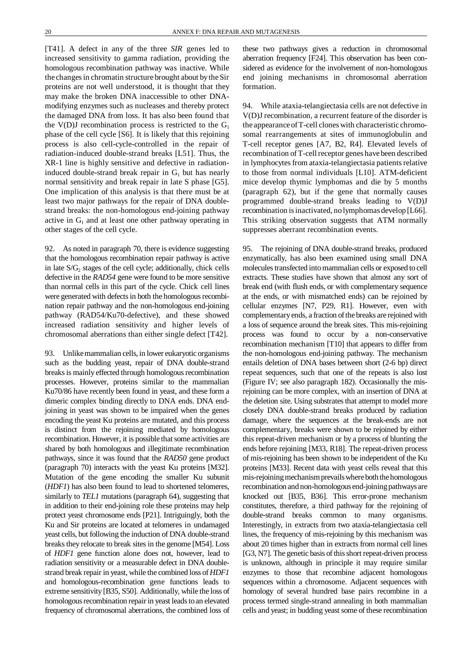[T41]. A defect in any of the three *SIR* genes led to increased sensitivity to gamma radiation, providing the homologous recombination pathway was inactive. While the changes in chromatin structure brought about bythe Sir proteins are not well understood, it is thought that they may make the broken DNA inaccessible to other DNAmodifying enzymes such as nucleases and thereby protect the damaged DNA from loss. It has also been found that the V(D)J recombination process is restricted to the  $G_1$ phase of the cell cycle [S6]. It is likely that this rejoining process is also cell-cycle-controlled in the repair of radiation-induced double-strand breaks [L51]. Thus, the XR-1 line is highly sensitive and defective in radiationinduced double-strand break repair in  $G_1$  but has nearly normal sensitivity and break repair in late S phase [G5]. One implication of this analysis is that there must be at least two major pathways for the repair of DNA doublestrand breaks: the non-homologous end-joining pathway active in  $G_1$  and at least one other pathway operating in other stages of the cell cycle.

92. As noted in paragraph 70, there is evidence suggesting that the homologous recombination repair pathway is active in late  $S/G_2$  stages of the cell cycle; additionally, chick cells defective in the *RAD54* gene were found to be more sensitive than normal cells in this part of the cycle. Chick cell lines were generated with defects in both the homologous recombination repair pathway and the non-homologous end-joining pathway (RAD54/Ku70-defective), and these showed increased radiation sensitivity and higher levels of chromosomal aberrations than either single defect [T42].

93. Unlikemammalian cells, in lower eukaryotic organisms such as the budding yeast, repair of DNA double-strand breaks is mainly effected through homologous recombination processes. However, proteins similar to the mammalian Ku70/86 have recently been found in yeast, and these form a dimeric complex binding directly to DNA ends. DNA endjoining in yeast was shown to be impaired when the genes encoding the yeast Ku proteins are mutated, and this process is distinct from the rejoining mediated by homologous recombination. However, it is possible that some activities are shared by both homologous and illegitimate recombination pathways, since it was found that the *RAD50* gene product (paragraph 70) interacts with the yeast Ku proteins [M32]. Mutation of the gene encoding the smaller Ku subunit (*HDF1*) has also been found to lead to shortened telomeres, similarly to *TEL1* mutations (paragraph 64), suggesting that in addition to their end-joining role these proteins may help protect yeast chromosome ends [P21]. Intriguingly, both the Ku and Sir proteins are located at telomeres in undamaged yeast cells, but following the induction of DNA double-strand breaks they relocate to break sites in the genome [M54]. Loss of *HDF1* gene function alone does not, however, lead to radiation sensitivity or a measurable defect in DNA doublestrand break repair in yeast, while the combined loss of*HDF1* and homologous-recombination gene functions leads to extreme sensitivity [B35, S50]. Additionally, while the loss of homologous recombination repair in yeast leads to an elevated frequency of chromosomal aberrations, the combined loss of these two pathways gives a reduction in chromosomal aberration frequency [F24]. This observation has been considered as evidence for the involvement of non-homologous end joining mechanisms in chromosomal aberration formation.

94. While ataxia-telangiectasia cells are not defective in V(D)J recombination, a recurrent feature of the disorder is the appearance ofT-cell clones with characteristic chromosomal rearrangements at sites of immunoglobulin and T-cell receptor genes [A7, B2, R4]. Elevated levels of recombination of T-cell receptor genes have been described in lymphocytes from ataxia-telangiectasia patients relative to those from normal individuals [L10]. ATM-deficient mice develop thymic lymphomas and die by 5 months (paragraph 62), but if the gene that normally causes programmed double-strand breaks leading to V(D)J recombination is inactivated, nolymphomas develop [L66]. This striking observation suggests that ATM normally suppresses aberrant recombination events.

95. The rejoining of DNA double-strand breaks, produced enzymatically, has also been examined using small DNA molecules transfected into mammalian cells or exposed to cell extracts. These studies have shown that almost any sort of break end (with flush ends, or with complementary sequence at the ends, or with mismatched ends) can be rejoined by cellular enzymes [N7, P29, R1]. However, even with complementary ends, a fraction of the breaks are rejoined with a loss of sequence around the break sites. This mis-rejoining process was found to occur by a non-conservative recombination mechanism [T10] that appears to differ from the non-homologous end-joining pathway. The mechanism entails deletion of DNA bases between short (2-6 bp) direct repeat sequences, such that one of the repeats is also lost (Figure IV; see also paragraph 182). Occasionally the misrejoining can be more complex, with an insertion of DNA at the deletion site. Using substrates that attempt to model more closely DNA double-strand breaks produced by radiation damage, where the sequences at the break-ends are not complementary, breaks were shown to be rejoined by either this repeat-driven mechanism or by a process of blunting the ends before rejoining [M33, R18]. The repeat-driven process of mis-rejoining has been shown to be independent of the Ku proteins [M33]. Recent data with yeast cells reveal that this mis-rejoining mechanism prevails where both the homologous recombination and non-homologous end-joining pathways are knocked out [B35, B36]. This error-prone mechanism constitutes, therefore, a third pathway for the rejoining of double-strand breaks common to many organisms. Interestingly, in extracts from two ataxia-telangiectasia cell lines, the frequency of mis-rejoining by this mechanism was about 20 times higher than in extracts from normal cell lines [G3, N7]. The genetic basis of this short repeat-driven process is unknown, although in principle it may require similar enzymes to those that recombine adjacent homologous sequences within a chromosome. Adjacent sequences with homology of several hundred base pairs recombine in a process termed single-strand annealing in both mammalian cells and yeast; in budding yeast some of these recombination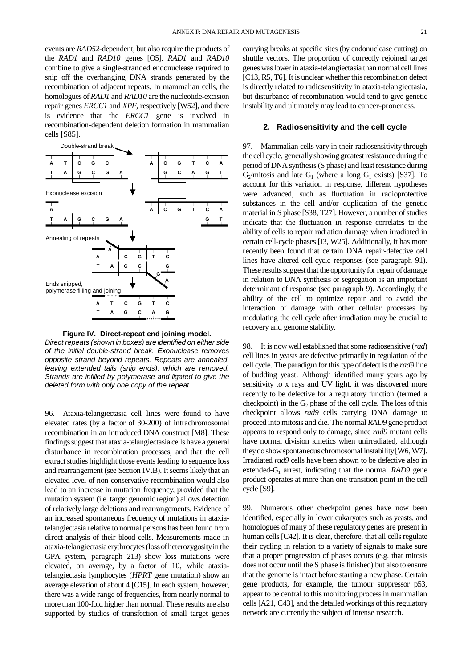events are *RAD52*-dependent, but also require the products of the *RAD1* and *RAD10* genes [O5]. *RAD1* and *RAD10* combine to give a single-stranded endonuclease required to snip off the overhanging DNA strands generated by the recombination of adjacent repeats. In mammalian cells, the homologues of*RAD1* and *RAD10* are the nucleotide-excision repair genes *ERCC1* and *XPF*, respectively [W52], and there is evidence that the *ERCC1* gene is involved in recombination-dependent deletion formation in mammalian cells [S85].



**Figure IV. Direct-repeat end joining model.**

*Direct repeats (shown in boxes) are identified on either side of the initial double-strand break. Exonuclease removes opposite strand beyond repeats. Repeats are annealed, leaving extended tails (snip ends), which are removed. Strands are infilled by polymerase and ligated to give the deleted form with only one copy of the repeat.*

96. Ataxia-telangiectasia cell lines were found to have elevated rates (by a factor of 30-200) of intrachromosomal recombination in an introduced DNA construct [M8]. These findings suggest that ataxia-telangiectasia cells have a general disturbance in recombination processes, and that the cell extract studies highlight those events leading to sequence loss and rearrangement (see Section IV.B). It seems likely that an elevated level of non-conservative recombination would also lead to an increase in mutation frequency, provided that the mutation system (i.e. target genomic region) allows detection of relatively large deletions and rearrangements. Evidence of an increased spontaneous frequency of mutations in ataxiatelangiectasia relative to normal persons has been found from direct analysis of their blood cells. Measurements made in ataxia-telangiectasia erythrocytes (lossofheterozygosityin the GPA system, paragraph 213) show loss mutations were elevated, on average, by a factor of 10, while ataxiatelangiectasia lymphocytes (*HPRT* gene mutation) show an average elevation of about 4 [C15]. In each system, however, there was a wide range of frequencies, from nearly normal to more than 100-fold higher than normal. These results are also supported by studies of transfection of small target genes carrying breaks at specific sites (by endonuclease cutting) on shuttle vectors. The proportion of correctly rejoined target genes was lower in ataxia-telangiectasia than normal cell lines [C13, R5, T6]. It is unclear whether this recombination defect is directly related to radiosensitivity in ataxia-telangiectasia, but disturbance of recombination would tend to give genetic instability and ultimately may lead to cancer-proneness.

### **2. Radiosensitivity and the cell cycle**

97. Mammalian cells vary in their radiosensitivity through the cell cycle, generallyshowing greatest resistance during the period of DNA synthesis (S phase) and least resistance during  $G_2/mitosis$  and late  $G_1$  (where a long  $G_1$  exists) [S37]. To account for this variation in response, different hypotheses were advanced, such as fluctuation in radioprotective substances in the cell and/or duplication of the genetic material in S phase [S38, T27]. However, a number of studies indicate that the fluctuation in response correlates to the ability of cells to repair radiation damage when irradiated in certain cell-cycle phases [I3, W25]. Additionally, it has more recently been found that certain DNA repair-defective cell lines have altered cell-cycle responses (see paragraph 91). These results suggest that the opportunity for repair of damage in relation to DNA synthesis or segregation is an important determinant of response (see paragraph 9). Accordingly, the ability of the cell to optimize repair and to avoid the interaction of damage with other cellular processes by modulating the cell cycle after irradiation may be crucial to recovery and genome stability.

98. It is now well established that some radiosensitive (*rad*) cell lines in yeasts are defective primarily in regulation of the cell cycle. The paradigm for this type of defect is the *rad9* line of budding yeast. Although identified many years ago by sensitivity to x rays and UV light, it was discovered more recently to be defective for a regulatory function (termed a checkpoint) in the  $G_2$  phase of the cell cycle. The loss of this checkpoint allows *rad9* cells carrying DNA damage to proceed into mitosis and die. The normal *RAD9* gene product appears to respond only to damage, since *rad9* mutant cells have normal division kinetics when unirradiated, although they do show spontaneous chromosomal instability [W6, W7]. Irradiated *rad9* cells have been shown to be defective also in extended-G<sub>1</sub> arrest, indicating that the normal *RAD9* gene product operates at more than one transition point in the cell cycle [S9].

99. Numerous other checkpoint genes have now been identified, especially in lower eukaryotes such as yeasts, and homologues of many of these regulatory genes are present in human cells [C42]. It is clear, therefore, that all cells regulate their cycling in relation to a variety of signals to make sure that a proper progression of phases occurs (e.g. that mitosis does not occur until the S phase is finished) but also to ensure that the genome is intact before starting a new phase. Certain gene products, for example, the tumour suppressor p53, appear to be central to this monitoring process in mammalian cells [A21, C43], and the detailed workings of this regulatory network are currently the subject of intense research.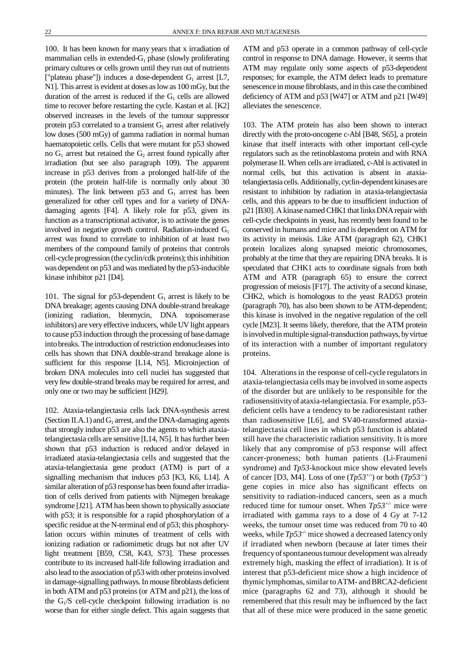100. It has been known for many years that x irradiation of mammalian cells in extended- $G_1$  phase (slowly proliferating primary cultures or cells grown until they run out of nutrients ["plateau phase"]) induces a dose-dependent  $G_1$  arrest [L7, N1]. This arrest is evident at doses as low as 100 mGy, but the duration of the arrest is reduced if the  $G<sub>1</sub>$  cells are allowed time to recover before restarting the cycle. Kastan et al. [K2] observed increases in the levels of the tumour suppressor protein p53 correlated to a transient  $G_1$  arrest after relatively low doses (500 mGy) of gamma radiation in normal human haematopoietic cells. Cells that were mutant for p53 showed no  $G_1$  arrest but retained the  $G_2$  arrest found typically after irradiation (but see also paragraph 109). The apparent increase in p53 derives from a prolonged half-life of the protein (the protein half-life is normally only about 30 minutes). The link between p53 and  $G<sub>1</sub>$  arrest has been generalized for other cell types and for a variety of DNAdamaging agents [F4]. A likely role for p53, given its function as a transcriptional activator, is to activate the genes involved in negative growth control. Radiation-induced  $G_1$ arrest was found to correlate to inhibition of at least two members of the compound family of proteins that controls cell-cycle progression (the cyclin/cdk proteins); this inhibition was dependent on p53 and was mediated bythe p53-inducible kinase inhibitor p21 [D4].

101. The signal for p53-dependent  $G_1$  arrest is likely to be DNA breakage; agents causing DNA double-strand breakage (ionizing radiation, bleomycin, DNA topoisomerase inhibitors) are very effective inducers, while UV light appears to cause p53 induction through the processing of base damage intobreaks. The introduction of restriction endonucleases into cells has shown that DNA double-strand breakage alone is sufficient for this response [L14, N5]. Microinjection of broken DNA molecules into cell nuclei has suggested that very few double-strand breaks may be required for arrest, and only one or two may be sufficient [H29].

102. Ataxia-telangiectasia cells lack DNA-synthesis arrest (Section II.A.1) and  $G_1$  arrest, and the DNA-damaging agents that strongly induce p53 are also the agents to which ataxiatelangiectasia cells are sensitive [L14, N5]. It has further been shown that p53 induction is reduced and/or delayed in irradiated ataxia-telangiectasia cells and suggested that the ataxia-telangiectasia gene product (ATM) is part of a signalling mechanism that induces p53 [K3, K6, L14]. A similar alteration of p53 response has been found after irradiation of cells derived from patients with Nijmegen breakage syndrome [J21]. ATM has been shown to physically associate with p53; it is responsible for a rapid phosphorylation of a specific residue at the N-terminal end of p53; this phosphorylation occurs within minutes of treatment of cells with ionizing radiation or radiomimetic drugs but not after UV light treatment [B59, C58, K43, S73]. These processes contribute to its increased half-life following irradiation and also lead to the association of p53 with other proteins involved in damage-signalling pathways. In mouse fibroblasts deficient in both ATM and p53 proteins (or ATM and p21), the loss of the  $G_1/S$  cell-cycle checkpoint following irradiation is no worse than for either single defect. This again suggests that ATM and p53 operate in a common pathway of cell-cycle control in response to DNA damage. However, it seems that ATM may regulate only some aspects of p53-dependent responses; for example, the ATM defect leads to premature senescence in mouse fibroblasts, and in this case the combined deficiency of ATM and p53 [W47] or ATM and p21 [W49] alleviates the senescence.

103. The ATM protein has also been shown to interact directly with the proto-oncogene c-Abl [B48, S65], a protein kinase that itself interacts with other important cell-cycle regulators such as the retinoblastoma protein and with RNA polymerase II. When cells are irradiated, c-Abl is activated in normal cells, but this activation is absent in ataxiatelangiectasia cells. Additionally, cyclin-dependent kinases are resistant to inhibition by radiation in ataxia-telangiectasia cells, and this appears to be due to insufficient induction of p21 [B30]. A kinase named CHK1 that links DNA repair with cell-cycle checkpoints in yeast, has recently been found to be conserved in humans and mice and is dependent on ATM for its activity in meiosis. Like ATM (paragraph 62), CHK1 protein localizes along synapsed meiotic chromosomes, probably at the time that they are repairing DNA breaks. It is speculated that CHK1 acts to coordinate signals from both ATM and ATR (paragraph 65) to ensure the correct progression of meiosis [F17]. The activity of a second kinase, CHK2, which is homologous to the yeast RAD53 protein (paragraph 70), has also been shown to be ATM-dependent; this kinase is involved in the negative regulation of the cell cycle [M23]. It seems likely, therefore, that the ATM protein is involved in multiple signal-transduction pathways, by virtue of its interaction with a number of important regulatory proteins.

104. Alterations in the response of cell-cycle regulators in ataxia-telangiectasia cells may be involved in some aspects of the disorder but are unlikely to be responsible for the radiosensitivityofataxia-telangiectasia. For example, p53 deficient cells have a tendency to be radioresistant rather than radiosensitive [L6], and SV40-transformed ataxiatelangiectasia cell lines in which p53 function is ablated still have the characteristic radiation sensitivity. It is more likely that any compromise of p53 response will affect cancer-proneness; both human patients (Li-Fraumeni syndrome) and *Tp53-*knockout mice show elevated levels of cancer [D3, M4]. Loss of one  $(Tp53^{+/-})$  or both  $(Tp53^{+/-})$ gene copies in mice also has significant effects on sensitivity to radiation-induced cancers, seen as a much reduced time for tumour onset. When *Tp53+/-* mice were irradiated with gamma rays to a dose of 4 Gy at 7-12 weeks, the tumour onset time was reduced from 70 to 40 weeks, while *Tp53-/-* mice showed a decreased latency only if irradiated when newborn (because at later times their frequencyofspontaneous tumour development was already extremely high, masking the effect of irradiation). It is of interest that p53-deficient mice show a high incidence of thymic lymphomas, similar toATM- and BRCA2-deficient mice (paragraphs 62 and 73), although it should be remembered that this result may be influenced by the fact that all of these mice were produced in the same genetic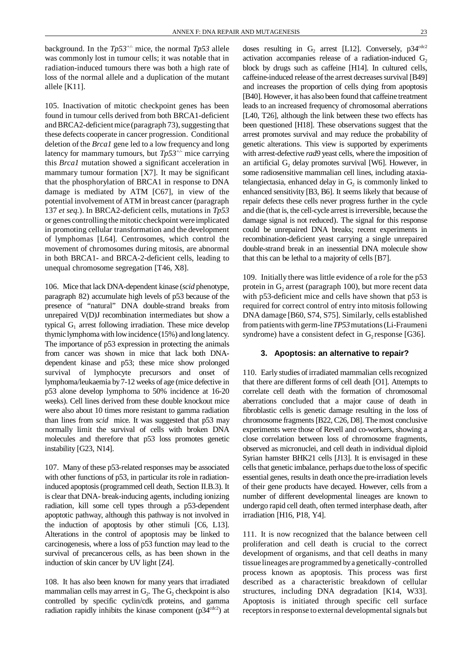background. In the *Tp53+/-* mice, the normal *Tp53* allele was commonly lost in tumour cells; it was notable that in radiation-induced tumours there was both a high rate of loss of the normal allele and a duplication of the mutant allele [K11].

105. Inactivation of mitotic checkpoint genes has been found in tumour cells derived from both BRCA1-deficient and BRCA2-deficient mice (paragraph 73), suggesting that these defects cooperate in cancer progression. Conditional deletion of the *Brca1* gene led to a low frequency and long latency for mammary tumours, but *Tp53+/-* mice carrying this *Brca1* mutation showed a significant acceleration in mammary tumour formation [X7]. It may be significant that the phosphorylation of BRCA1 in response to DNA damage is mediated by ATM [C67], in view of the potential involvement of ATM in breast cancer (paragraph 137 *et seq.*). In BRCA2-deficient cells, mutations in *Tp53* or genes controlling the mitotic checkpoint were implicated in promoting cellular transformation and the development of lymphomas [L64]. Centrosomes, which control the movement of chromosomes during mitosis, are abnormal in both BRCA1- and BRCA-2-deficient cells, leading to unequal chromosome segregation [T46, X8].

106. Mice that lack DNA-dependent kinase (*scid* phenotype, paragraph 82) accumulate high levels of p53 because of the presence of "natural" DNA double-strand breaks from unrepaired V(D)J recombination intermediates but show a typical  $G_1$  arrest following irradiation. These mice develop thymic lymphoma with low incidence (15%) and long latency. The importance of p53 expression in protecting the animals from cancer was shown in mice that lack both DNAdependent kinase and p53; these mice show prolonged survival of lymphocyte precursors and onset of lymphoma/leukaemia by7-12 weeks of age (mice defective in p53 alone develop lymphoma to 50% incidence at 16-20 weeks). Cell lines derived from these double knockout mice were also about 10 times more resistant to gamma radiation than lines from *scid* mice. It was suggested that p53 may normally limit the survival of cells with broken DNA molecules and therefore that p53 loss promotes genetic instability [G23, N14].

107. Many of these p53-related responses may be associated with other functions of p53, in particular its role in radiationinduced apoptosis (programmed cell death, Section II.B.3). It is clear that DNA- break-inducing agents, including ionizing radiation, kill some cell types through a p53-dependent apoptotic pathway, although this pathway is not involved in the induction of apoptosis by other stimuli [C6, L13]. Alterations in the control of apoptosis may be linked to carcinogenesis, where a loss of p53 function may lead to the survival of precancerous cells, as has been shown in the induction of skin cancer by UV light [Z4].

108. It has also been known for many years that irradiated mammalian cells may arrest in  $G_2$ . The  $G_2$  checkpoint is also controlled by specific cyclin/cdk proteins, and gamma radiation rapidly inhibits the kinase component ( $p34^{cdc2}$ ) at doses resulting in  $G_2$  arrest [L12]. Conversely, p34 $\text{c}^{cdc2}$ activation accompanies release of a radiation-induced  $G<sub>2</sub>$ block by drugs such as caffeine [H14]. In cultured cells, caffeine-induced release of the arrest decreases survival [B49] and increases the proportion of cells dying from apoptosis [B40]. However, it has also been found that caffeine treatment leads to an increased frequency of chromosomal aberrations [L40, T26], although the link between these two effects has been questioned [H18]. These observations suggest that the arrest promotes survival and may reduce the probability of genetic alterations. This view is supported by experiments with arrest-defective *rad9* yeast cells, where the imposition of an artificial  $G_2$  delay promotes survival [W6]. However, in some radiosensitive mammalian cell lines, including ataxiatelangiectasia, enhanced delay in  $G<sub>2</sub>$  is commonly linked to enhanced sensitivity [B3, B6]. It seems likely that because of repair defects these cells never progress further in the cycle and die (that is, the cell-cycle arrest is irreversible, because the damage signal is not reduced). The signal for this response could be unrepaired DNA breaks; recent experiments in recombination-deficient yeast carrying a single unrepaired double-strand break in an inessential DNA molecule show that this can be lethal to a majority of cells [B7].

109. Initially there was little evidence of a role for the p53 protein in  $G<sub>2</sub>$  arrest (paragraph 100), but more recent data with p53-deficient mice and cells have shown that p53 is required for correct control of entry into mitosis following DNA damage [B60, S74, S75]. Similarly, cells established from patients with germ-line*TP53*mutations (Li-Fraumeni syndrome) have a consistent defect in  $G_2$  response [G36].

#### **3. Apoptosis: an alternative to repair?**

110. Early studies of irradiated mammalian cells recognized that there are different forms of cell death [O1]. Attempts to correlate cell death with the formation of chromosomal aberrations concluded that a major cause of death in fibroblastic cells is genetic damage resulting in the loss of chromosome fragments [B22, C26, D8]. The most conclusive experiments were those of Revell and co-workers, showing a close correlation between loss of chromosome fragments, observed as micronuclei, and cell death in individual diploid Syrian hamster BHK21 cells [J13]. It is envisaged in these cells that genetic imbalance, perhaps due tothe loss of specific essential genes, results in death once the pre-irradiation levels of their gene products have decayed. However, cells from a number of different developmental lineages are known to undergo rapid cell death, often termed interphase death, after irradiation [H16, P18, Y4].

111. It is now recognized that the balance between cell proliferation and cell death is crucial to the correct development of organisms, and that cell deaths in many tissue lineages are programmed bya genetically-controlled process known as apoptosis. This process was first described as a characteristic breakdown of cellular structures, including DNA degradation [K14, W33]. Apoptosis is initiated through specific cell surface receptors in response to external developmental signals but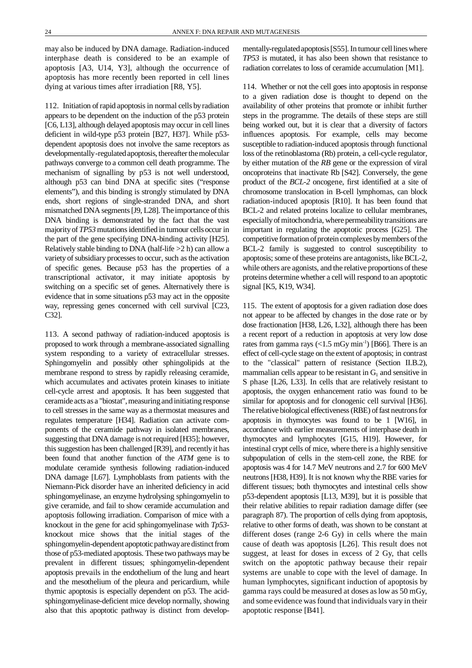may also be induced by DNA damage. Radiation-induced interphase death is considered to be an example of apoptosis [A3, U14, Y3], although the occurrence of apoptosis has more recently been reported in cell lines dying at various times after irradiation [R8, Y5].

112. Initiation of rapid apoptosis in normal cells byradiation appears to be dependent on the induction of the p53 protein [C6, L13], although delayed apoptosis may occur in cell lines deficient in wild-type p53 protein [B27, H37]. While p53 dependent apoptosis does not involve the same receptors as developmentally-regulated apoptosis, thereafter the molecular pathways converge to a common cell death programme. The mechanism of signalling by p53 is not well understood, although p53 can bind DNA at specific sites ("response elements"), and this binding is strongly stimulated by DNA ends, short regions of single-stranded DNA, and short mismatched DNA segments [J9, L28]. The importance of this DNA binding is demonstrated by the fact that the vast majorityof *TP53* mutations identified in tumour cells occur in the part of the gene specifying DNA-binding activity [H25]. Relatively stable binding to DNA (half-life  $>2$  h) can allow a variety of subsidiary processes to occur, such as the activation of specific genes. Because p53 has the properties of a transcriptional activator, it may initiate apoptosis by switching on a specific set of genes. Alternatively there is evidence that in some situations p53 may act in the opposite way, repressing genes concerned with cell survival [C23, C32].

113. A second pathway of radiation-induced apoptosis is proposed to work through a membrane-associated signalling system responding to a variety of extracellular stresses. Sphingomyelin and possibly other sphingolipids at the membrane respond to stress by rapidly releasing ceramide, which accumulates and activates protein kinases to initiate cell-cycle arrest and apoptosis. It has been suggested that ceramide acts as a "biostat", measuringandinitiating response to cell stresses in the same way as a thermostat measures and regulates temperature [H34]. Radiation can activate components of the ceramide pathway in isolated membranes, suggesting that DNA damage is not required [H35]; however, this suggestion has been challenged [R39], and recentlyit has been found that another function of the *ATM* gene is to modulate ceramide synthesis following radiation-induced DNA damage [L67]. Lymphoblasts from patients with the Niemann-Pick disorder have an inherited deficiency in acid sphingomyelinase, an enzyme hydrolysing sphingomyelin to give ceramide, and fail to show ceramide accumulation and apoptosis following irradiation. Comparison of mice with a knockout in the gene for acid sphingomyelinase with *Tp53* knockout mice shows that the initial stages of the sphingomyelin-dependent apoptotic pathway are distinct from those of p53-mediated apoptosis. These two pathways may be prevalent in different tissues; sphingomyelin-dependent apoptosis prevails in the endothelium of the lung and heart and the mesothelium of the pleura and pericardium, while thymic apoptosis is especially dependent on p53. The acidsphingomyelinase-deficient mice develop normally, showing also that this apoptotic pathway is distinct from developmentally-regulated apoptosis [S55]. In tumour cell lines where *TP53* is mutated, it has also been shown that resistance to radiation correlates to loss of ceramide accumulation [M1].

114. Whether or not the cell goes into apoptosis in response to a given radiation dose is thought to depend on the availability of other proteins that promote or inhibit further steps in the programme. The details of these steps are still being worked out, but it is clear that a diversity of factors influences apoptosis. For example, cells may become susceptible to radiation-induced apoptosis through functional loss of the retinoblastoma (Rb) protein, a cell-cycle regulator, by either mutation of the *RB* gene or the expression of viral oncoproteins that inactivate Rb [S42]. Conversely, the gene product of the *BCL-2* oncogene, first identified at a site of chromosome translocation in B-cell lymphomas, can block radiation-induced apoptosis [R10]. It has been found that BCL-2 and related proteins localize to cellular membranes, especially of mitochondria, where permeability transitions are important in regulating the apoptotic process [G25]. The competitive formation of protein complexes by members of the BCL-2 family is suggested to control susceptibility to apoptosis; some of these proteins are antagonists, like BCL-2, while others are agonists, and the relative proportions of these proteins determine whether a cell will respond to an apoptotic signal [K5, K19, W34].

115. The extent of apoptosis for a given radiation dose does not appear to be affected by changes in the dose rate or by dose fractionation [H38, L26, L32], although there has been a recent report of a reduction in apoptosis at very low dose rates from gamma rays  $\left($ <1.5 mGy min<sup>-1</sup>) [B66]. There is an effect of cell-cycle stage on the extent of apoptosis; in contrast to the "classical" pattern of resistance (Section II.B.2), mammalian cells appear to be resistant in  $G<sub>1</sub>$  and sensitive in S phase [L26, L33]. In cells that are relatively resistant to apoptosis, the oxygen enhancement ratio was found to be similar for apoptosis and for clonogenic cell survival [H36]. The relative biological effectiveness (RBE) of fast neutrons for apoptosis in thymocytes was found to be 1 [W16], in accordance with earlier measurements of interphase death in thymocytes and lymphocytes [G15, H19]. However, for intestinal crypt cells of mice, where there is a highly sensitive subpopulation of cells in the stem-cell zone, the RBE for apoptosis was 4 for 14.7 MeV neutrons and 2.7 for 600 MeV neutrons [H38, H39]. It is not known why the RBE varies for different tissues; both thymocytes and intestinal cells show p53-dependent apoptosis [L13, M39], but it is possible that their relative abilities to repair radiation damage differ (see paragraph 87). The proportion of cells dying from apoptosis, relative to other forms of death, was shown to be constant at different doses (range 2-6 Gy) in cells where the main cause of death was apoptosis [L26]. This result does not suggest, at least for doses in excess of 2 Gy, that cells switch on the apoptotic pathway because their repair systems are unable to cope with the level of damage. In human lymphocytes, significant induction of apoptosis by gamma rays could be measured at doses as low as 50 mGy, and some evidence was found that individuals vary in their apoptotic response [B41].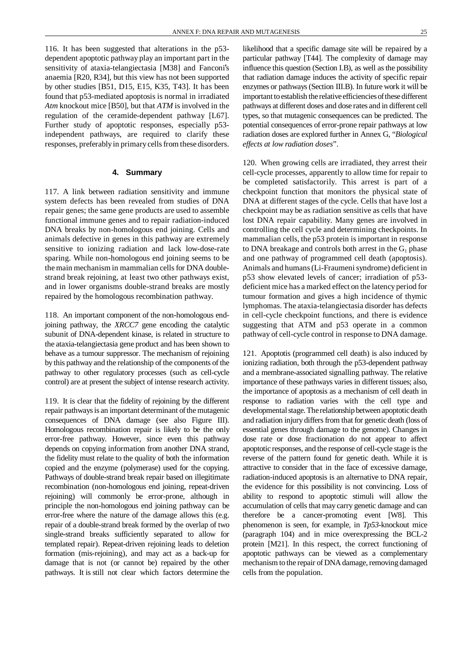116. It has been suggested that alterations in the p53 dependent apoptotic pathway play an important part in the sensitivity of ataxia-telangiectasia [M38] and Fanconis s<br>d<br>n anaemia [R20, R34], but this view has not been supported by other studies [B51, D15, E15, K35, T43]. It has been found that p53-mediated apoptosis is normal in irradiated *Atm* knockout mice [B50], but that *ATM* is involved in the regulation of the ceramide-dependent pathway [L67]. Further study of apoptotic responses, especially p53 independent pathways, are required to clarify these responses, preferablyin primarycells from these disorders.

### **4. Summary**

117. A link between radiation sensitivity and immune system defects has been revealed from studies of DNA repair genes; the same gene products are used to assemble functional immune genes and to repair radiation-induced DNA breaks by non-homologous end joining. Cells and animals defective in genes in this pathway are extremely sensitive to ionizing radiation and lack low-dose-rate sparing. While non-homologous end joining seems to be the main mechanism in mammalian cells for DNA doublestrand break rejoining, at least two other pathways exist, and in lower organisms double-strand breaks are mostly repaired by the homologous recombination pathway.

118. An important component of the non-homologous endjoining pathway, the *XRCC7* gene encoding the catalytic subunit of DNA-dependent kinase, is related in structure to the ataxia-telangiectasia gene product and has been shown to behave as a tumour suppressor. The mechanism of rejoining by this pathway and the relationship of the components of the pathway to other regulatory processes (such as cell-cycle control) are at present the subject of intense research activity.

119. It is clear that the fidelity of rejoining by the different repair pathways is an important determinant of the mutagenic consequences of DNA damage (see also Figure III). Homologous recombination repair is likely to be the only error-free pathway. However, since even this pathway depends on copying information from another DNA strand, the fidelity must relate to the quality of both the information copied and the enzyme (polymerase) used for the copying. Pathways of double-strand break repair based on illegitimate recombination (non-homologous end joining, repeat-driven rejoining) will commonly be error-prone, although in principle the non-homologous end joining pathway can be error-free where the nature of the damage allows this (e.g. repair of a double-strand break formed by the overlap of two single-strand breaks sufficiently separated to allow for templated repair). Repeat-driven rejoining leads to deletion formation (mis-rejoining), and may act as a back-up for damage that is not (or cannot be) repaired by the other pathways. It is still not clear which factors determine the

likelihood that a specific damage site will be repaired by a particular pathway [T44]. The complexity of damage may influence this question (Section I.B), as well as the possibility that radiation damage induces the activity of specific repair enzymes or pathways (Section III.B). In future work it will be important to establish the relative efficiencies of these different pathways at different doses and dose rates and in different cell types, so that mutagenic consequences can be predicted. The potential consequences of error-prone repair pathways at low radiation doses are explored further in Annex G, "*Biological effects at low radiation doses*".

120. When growing cells are irradiated, they arrest their cell-cycle processes, apparently to allow time for repair to be completed satisfactorily. This arrest is part of a checkpoint function that monitors the physical state of DNA at different stages of the cycle. Cells that have lost a checkpoint may be as radiation sensitive as cells that have lost DNA repair capability. Many genes are involved in controlling the cell cycle and determining checkpoints. In mammalian cells, the p53 protein is important in response to DNA breakage and controls both arrest in the  $G_1$  phase and one pathway of programmed cell death (apoptosis). Animals and humans (Li-Fraumeni syndrome) deficient in p53 show elevated levels of cancer; irradiation of p53 deficient mice has a marked effect on the latency period for tumour formation and gives a high incidence of thymic lymphomas. The ataxia-telangiectasia disorder has defects in cell-cycle checkpoint functions, and there is evidence suggesting that ATM and p53 operate in a common pathway of cell-cycle control in response to DNA damage.

121. Apoptotis (programmed cell death) is also induced by ionizing radiation, both through the p53-dependent pathway and a membrane-associated signalling pathway. The relative importance of these pathways varies in different tissues; also, the importance of apoptosis as a mechanism of cell death in response to radiation varies with the cell type and developmental stage. The relationship between apoptotic death and radiation injury differs from that for genetic death (loss of essential genes through damage to the genome). Changes in dose rate or dose fractionation do not appear to affect apoptotic responses, and the response of cell-cycle stage is the reverse of the pattern found for genetic death. While it is attractive to consider that in the face of excessive damage, radiation-induced apoptosis is an alternative to DNA repair, the evidence for this possibility is not convincing. Loss of ability to respond to apoptotic stimuli will allow the accumulation of cells that may carry genetic damage and can therefore be a cancer-promoting event [W8]. This phenomenon is seen, for example, in *Tp53*-knockout mice (paragraph 104) and in mice overexpressing the BCL-2 protein [M21]. In this respect, the correct functioning of apoptotic pathways can be viewed as a complementary mechanism to the repair of DNA damage, removing damaged cells from the population.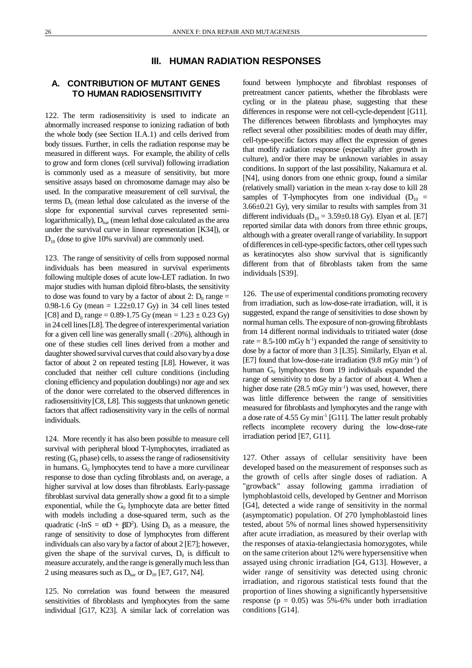### **III. HUMAN RADIATION RESPONSES**

### **A. CONTRIBUTION OF MUTANT GENES TO HUMAN RADIOSENSITIVITY**

122. The term radiosensitivity is used to indicate an abnormally increased response to ionizing radiation of both the whole body (see Section II.A.1) and cells derived from body tissues. Further, in cells the radiation response may be measured in different ways. For example, the ability of cells to grow and form clones (cell survival) following irradiation is commonly used as a measure of sensitivity, but more sensitive assays based on chromosome damage may also be used. In the comparative measurement of cell survival, the terms  $D_0$  (mean lethal dose calculated as the inverse of the slope for exponential survival curves represented semilogarithmically),  $D_{\text{bar}}$  (mean lethal dose calculated as the area under the survival curve in linear representation [K34]), or  $D_{10}$  (dose to give 10% survival) are commonly used.

123. The range of sensitivity of cells from supposed normal individuals has been measured in survival experiments following multiple doses of acute low-LET radiation. In two major studies with human diploid fibro-blasts, the sensitivity to dose was found to vary by a factor of about 2:  $D_0$  range = 0.98-1.6 Gy (mean =  $1.22 \pm 0.17$  Gy) in 34 cell lines tested [C8] and  $D_0$  range = 0.89-1.75 Gy (mean = 1.23  $\pm$  0.23 Gy) in 24 cell lines [L8]. The degree of interexperimental variation for a given cell line was generally small  $(\leq 20\%)$ , although in one of these studies cell lines derived from a mother and daughter showed survival curves that could alsovarybya dose factor of about 2 on repeated testing [L8]. However, it was concluded that neither cell culture conditions (including cloning efficiency and population doublings) nor age and sex of the donor were correlated to the observed differences in radiosensitivity[C8, L8]. This suggests that unknown genetic factors that affect radiosensitivity vary in the cells of normal individuals.

124. More recently it has also been possible to measure cell survival with peripheral blood T-lymphocytes, irradiated as resting  $(G_0$  phase) cells, to assess the range of radiosensitivity in humans.  $G_0$  lymphocytes tend to have a more curvilinear response to dose than cycling fibroblasts and, on average, a higher survival at low doses than fibroblasts. Early-passage fibroblast survival data generally show a good fit to a simple exponential, while the  $G_0$  lymphocyte data are better fitted with models including a dose-squared term, such as the quadratic (-lnS =  $\alpha$ D +  $\beta$ D<sup>2</sup>). Using D<sub>0</sub> as a measure, the range of sensitivity to dose of lymphocytes from different individuals can also vary by a factor of about 2 [E7]; however, given the shape of the survival curves,  $D_0$  is difficult to measure accurately, and the range is generallymuch less than 2 using measures such as  $D_{bar}$  or  $D_{10}$  [E7, G17, N4].

125. No correlation was found between the measured sensitivities of fibroblasts and lymphocytes from the same individual [G17, K23]. A similar lack of correlation was found between lymphocyte and fibroblast responses of pretreatment cancer patients, whether the fibroblasts were cycling or in the plateau phase, suggesting that these differences in response were not cell-cycle-dependent [G11]. The differences between fibroblasts and lymphocytes may reflect several other possibilities: modes of death may differ, cell-type-specific factors may affect the expression of genes that modify radiation response (especially after growth in culture), and/or there may be unknown variables in assay conditions. In support of the last possibility, Nakamura et al. [N4], using donors from one ethnic group, found a similar (relatively small) variation in the mean x-ray dose to kill 28 samples of T-lymphocytes from one individual  $(D_{10} =$ 3.66±0.21 Gy), very similar to results with samples from 31 different individuals ( $D_{10} = 3.59 \pm 0.18$  Gy). Elyan et al. [E7] reported similar data with donors from three ethnic groups, although with a greater overall range of variability. In support of differences in cell-type-specific factors, other cell types such as keratinocytes also show survival that is significantly different from that of fibroblasts taken from the same individuals [S39].

126. The use of experimental conditions promoting recovery from irradiation, such as low-dose-rate irradiation, will, it is suggested, expand the range of sensitivities to dose shown by normal human cells. The exposure of non-growing fibroblasts from 14 different normal individuals to tritiated water (dose rate =  $8.5$ -100 mGy h<sup>-1</sup>) expanded the range of sensitivity to dose by a factor of more than 3 [L35]. Similarly, Elyan et al. [E7] found that low-dose-rate irradiation (9.8 mGy min-1) of human  $G_0$  lymphocytes from 19 individuals expanded the range of sensitivity to dose by a factor of about 4. When a higher dose rate  $(28.5 \text{ mGy min}^{-1})$  was used, however, there was little difference between the range of sensitivities measured for fibroblasts and lymphocytes and the range with a dose rate of 4.55 Gy min<sup>-1</sup> [G11]. The latter result probably reflects incomplete recovery during the low-dose-rate irradiation period [E7, G11].

127. Other assays of cellular sensitivity have been developed based on the measurement of responses such as the growth of cells after single doses of radiation. A "growback" assay following gamma irradiation of lymphoblastoid cells, developed by Gentner and Morrison [G4], detected a wide range of sensitivity in the normal (asymptomatic) population. Of 270 lymphoblastoid lines tested, about 5% of normal lines showed hypersensitivity after acute irradiation, as measured by their overlap with the responses of ataxia-telangiectasia homozygotes, while on the same criterion about 12% were hypersensitive when assayed using chronic irradiation [G4, G13]. However, a wider range of sensitivity was detected using chronic irradiation, and rigorous statistical tests found that the proportion of lines showing a significantly hypersensitive response ( $p = 0.05$ ) was 5%-6% under both irradiation conditions [G14].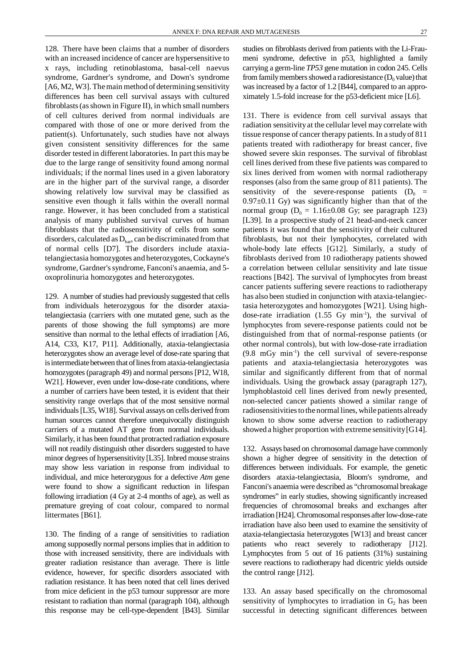128. There have been claims that a number of disorders with an increased incidence of cancer are hypersensitive to x rays, including retinoblastoma, basal-cell naevus syndrome, Gardner's syndrome, and Down's syndrome  $[A6, M2, W3]$ . The main method of determining sensitivity differences has been cell survival assays with cultured fibroblasts (as shown in Figure II), in which small numbers of cell cultures derived from normal individuals are compared with those of one or more derived from the patient(s). Unfortunately, such studies have not always given consistent sensitivity differences for the same disorder tested in different laboratories. In part this may be due to the large range of sensitivity found among normal individuals; if the normal lines used in a given laboratory are in the higher part of the survival range, a disorder showing relatively low survival may be classified as sensitive even though it falls within the overall normal range. However, it has been concluded from a statistical analysis of many published survival curves of human fibroblasts that the radiosensitivity of cells from some disorders, calculated as  $D<sub>bar</sub>$ , can be discriminated from that of normal cells [D7]. The disorders include ataxiatelangiectasia homozygotes and heterozygotes, Cockayne's syndrome, Gardner's syndrome, Fanconi's anaemia, and 5 oxoprolinuria homozygotes and heterozygotes.

129. A number of studies had previously suggested that cells from individuals heterozygous for the disorder ataxiatelangiectasia (carriers with one mutated gene, such as the parents of those showing the full symptoms) are more sensitive than normal to the lethal effects of irradiation [A6, A14, C33, K17, P11]. Additionally, ataxia-telangiectasia heterozygotes show an average level of dose-rate sparing that is intermediate between that of lines from ataxia-telangiectasia homozygotes (paragraph 49) and normal persons [P12, W18, W21]. However, even under low-dose-rate conditions, where a number of carriers have been tested, it is evident that their sensitivity range overlaps that of the most sensitive normal individuals [L35, W18]. Survival assays on cells derived from human sources cannot therefore unequivocally distinguish carriers of a mutated AT gene from normal individuals. Similarly, it has been found that protracted radiation exposure will not readily distinguish other disorders suggested to have minor degrees of hypersensitivity[L35]. Inbred mouse strains may show less variation in response from individual to individual, and mice heterozygous for a defective *Atm* gene were found to show a significant reduction in lifespan following irradiation (4 Gy at 2-4 months of age), as well as premature greying of coat colour, compared to normal littermates [B61].

130. The finding of a range of sensitivities to radiation among supposedly normal persons implies that in addition to those with increased sensitivity, there are individuals with greater radiation resistance than average. There is little evidence, however, for specific disorders associated with radiation resistance. It has been noted that cell lines derived from mice deficient in the p53 tumour suppressor are more resistant to radiation than normal (paragraph 104), although this response may be cell-type-dependent [B43]. Similar studies on fibroblasts derived from patients with the Li-Fraumeni syndrome, defective in p53, highlighted a family carrying a germ-line *TP53* gene mutation in codon 245. Cells from family members showed a radioresistance  $(D_0$  value) that was increased by a factor of 1.2 [B44], compared to an approximately 1.5-fold increase for the p53-deficient mice [L6].

131. There is evidence from cell survival assays that radiation sensitivityat the cellular level may correlate with tissue response of cancer therapy patients. In a studyof 811 patients treated with radiotherapy for breast cancer, five showed severe skin responses. The survival of fibroblast cell lines derived from these five patients was compared to six lines derived from women with normal radiotherapy responses (also from the same group of 811 patients). The sensitivity of the severe-response patients  $(D_0 =$  $0.97\pm0.11$  Gy) was significantly higher than that of the normal group ( $D_0 = 1.16 \pm 0.08$  Gy; see paragraph 123) [L39]. In a prospective study of 21 head-and-neck cancer patients it was found that the sensitivity of their cultured fibroblasts, but not their lymphocytes, correlated with whole-body late effects [G12]. Similarly, a study of fibroblasts derived from 10 radiotherapy patients showed a correlation between cellular sensitivity and late tissue reactions [B42]. The survival of lymphocytes from breast cancer patients suffering severe reactions to radiotherapy has also been studied in conjunction with ataxia-telangiectasia heterozygotes and homozygotes [W21]. Using highdose-rate irradiation  $(1.55 \text{ Gy min}^{-1})$ , the survival of lymphocytes from severe-response patients could not be distinguished from that of normal-response patients (or other normal controls), but with low-dose-rate irradiation  $(9.8 \text{ mGy min}^{-1})$  the cell survival of severe-response patients and ataxia-telangiectasia heterozygotes was similar and significantly different from that of normal individuals. Using the growback assay (paragraph 127), lymphoblastoid cell lines derived from newly presented, non-selected cancer patients showed a similar range of radiosensitivities tothe normal lines, while patients already known to show some adverse reaction to radiotherapy showed a higher proportion with extreme sensitivity[G14].

132. Assays based on chromosomal damage have commonly shown a higher degree of sensitivity in the detection of differences between individuals. For example, the genetic disorders ataxia-telangiectasia, Bloom's syndrome, and Fanconi's anaemia were described as "chromosomal breakage syndromes" in early studies, showing significantly increased frequencies of chromosomal breaks and exchanges after irradiation [H24]. Chromosomal responsesafter low-dose-rate irradiation have also been used to examine the sensitivity of ataxia-telangiectasia heterozygotes [W13] and breast cancer patients who react severely to radiotherapy [J12]. Lymphocytes from 5 out of 16 patients (31%) sustaining severe reactions to radiotherapy had dicentric yields outside the control range [J12].

133. An assay based specifically on the chromosomal sensitivity of lymphocytes to irradiation in  $G_2$  has been successful in detecting significant differences between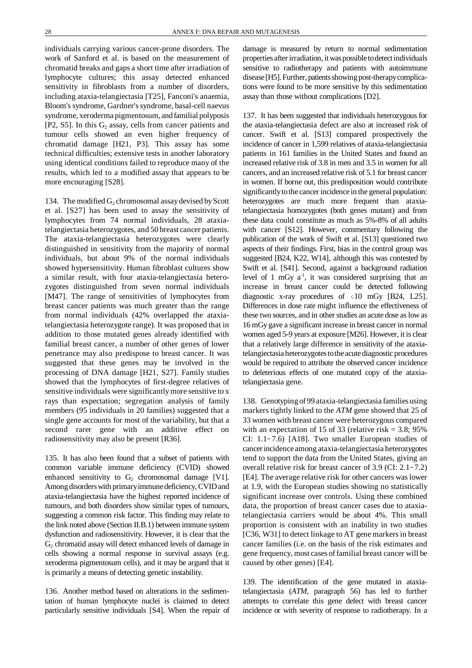individuals carrying various cancer-prone disorders. The work of Sanford et al. is based on the measurement of chromatid breaks and gaps a short time after irradiation of lymphocyte cultures; this assay detected enhanced sensitivity in fibroblasts from a number of disorders, including ataxia-telangiectasia [T25], Fanconi's anaemia, Bloom's syndrome, Gardner's syndrome, basal-cell naevus syndrome, xeroderma pigmentosum, and familial polyposis [P2, S5]. In this  $G_2$  assay, cells from cancer patients and tumour cells showed an even higher frequency of chromatid damage [H21, P3]. This assay has some technical difficulties; extensive tests in another laboratory using identical conditions failed to reproduce many of the results, which led to a modified assay that appears to be more encouraging [S28].

134. The modified  $G_2$  chromosomal assay devised by Scott et al. [S27] has been used to assay the sensitivity of lymphocytes from 74 normal individuals, 28 ataxiatelangiectasia heterozygotes, and 50 breast cancer patients. The ataxia-telangiectasia heterozygotes were clearly distinguished in sensitivity from the majority of normal individuals, but about 9% of the normal individuals showed hypersensitivity. Human fibroblast cultures show a similar result, with four ataxia-telangiectasia heterozygotes distinguished from seven normal individuals [M47]. The range of sensitivities of lymphocytes from breast cancer patients was much greater than the range from normal individuals (42% overlapped the ataxiatelangiectasia heterozygote range). It was proposed that in addition to those mutated genes already identified with familial breast cancer, a number of other genes of lower penetrance may also predispose to breast cancer. It was suggested that these genes may be involved in the processing of DNA damage [H21, S27]. Family studies showed that the lymphocytes of first-degree relatives of sensitive individuals were significantly more sensitive to x rays than expectation; segregation analysis of family members (95 individuals in 20 families) suggested that a single gene accounts for most of the variability, but that a second rarer gene with an additive effect on radiosensitivity may also be present [R36].

135. It has also been found that a subset of patients with common variable immune deficiency (CVID) showed enhanced sensitivity to  $G_2$  chromosomal damage [V1]. Among disorders with primary immune deficiency, CVID and ataxia-telangiectasia have the highest reported incidence of tumours, and both disorders show similar types of tumours, suggesting a common risk factor. This finding may relate to the link noted above (Section II.B.1) between immune system dysfunction and radiosensitivity. However, it is clear that the  $G<sub>2</sub>$  chromatid assay will detect enhanced levels of damage in cells showing a normal response in survival assays (e.g. xeroderma pigmentosum cells), and it may be argued that it is primarily a means of detecting genetic instability.

136. Another method based on alterations in the sedimentation of human lymphocyte nuclei is claimed to detect particularly sensitive individuals [S4]. When the repair of damage is measured by return to normal sedimentation properties after irradiation, it was possible to detect individuals sensitive to radiotherapy and patients with autoimmune disease [H5]. Further, patients showing post-therapy complications were found to be more sensitive by this sedimentation assay than those without complications [D2].

137. It has been suggested that individuals heterozygous for the ataxia-telangiectasia defect are also at increased risk of cancer. Swift et al. [S13] compared prospectively the incidence of cancer in 1,599 relatives of ataxia-telangiectasia patients in 161 families in the United States and found an increased relative risk of 3.8 in men and 3.5 in women for all cancers, and an increased relative risk of 5.1 for breast cancer in women. If borne out, this predisposition would contribute significantly to the cancer incidence in the general population: heterozygotes are much more frequent than ataxiatelangiectasia homozygotes (both genes mutant) and from these data could constitute as much as 5%-8% of all adults with cancer [S12]. However, commentary following the publication of the work of Swift et al. [S13] questioned two aspects of their findings. First, bias in the control group was suggested [B24, K22, W14], although this was contested by Swift et al. [S41]. Second, against a background radiation level of 1 mGy  $a^{-1}$ , it was considered surprising that an increase in breast cancer could be detected following diagnostic x-ray procedures of  $\leq 10$  mGy [B24, L25]. Differences in dose rate might influence the effectiveness of these two sources, and in other studies an acute dose as low as 16 mGygave a significant increase in breast cancer in normal women aged 5-9 years at exposure [M26]. However, it is clear that a relatively large difference in sensitivity of the ataxiatelangiectasia heterozygotes to the acute diagnostic procedures would be required to attribute the observed cancer incidence to deleterious effects of one mutated copy of the ataxiatelangiectasia gene.

138. Genotyping of99 ataxia-telangiectasia families using markers tightly linked to the *ATM* gene showed that 25 of 33 women with breast cancer were heterozygous compared with an expectation of 15 of 33 (relative risk  $= 3.8$ ; 95% CI:  $1.1-7.6$ ) [A18]. Two smaller European studies of cancer incidence among ataxia-telangiectasia heterozygotes tend to support the data from the United States, giving an overall relative risk for breast cancer of  $3.9$  (CI:  $2.1 - 7.2$ ) [E4]. The average relative risk for other cancers was lower at 1.9, with the European studies showing no statistically significant increase over controls. Using these combined data, the proportion of breast cancer cases due to ataxiatelangiectasia carriers would be about 4%. This small proportion is consistent with an inability in two studies [C36, W31] to detect linkage to AT gene markers in breast cancer families (i.e. on the basis of the risk estimates and gene frequency, most cases of familial breast cancer will be caused by other genes) [E4].

139. The identification of the gene mutated in ataxiatelangiectasia (*ATM,* paragraph 56) has led to further attempts to correlate this gene defect with breast cancer incidence or with severity of response to radiotherapy. In a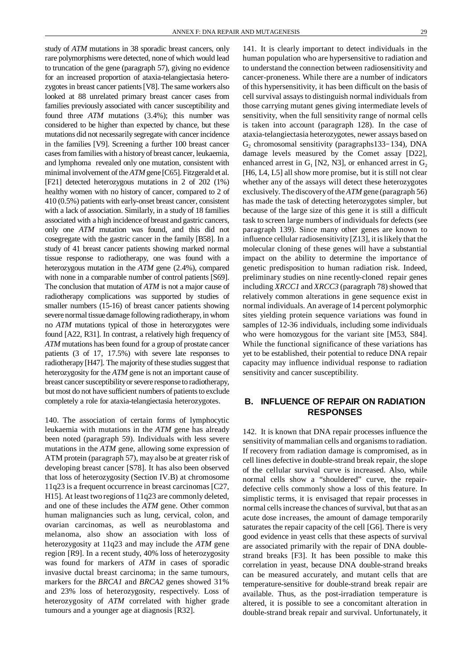study of *ATM* mutations in 38 sporadic breast cancers, only rare polymorphisms were detected, none of which would lead to truncation of the gene (paragraph 57), giving no evidence for an increased proportion of ataxia-telangiectasia heterozygotes in breast cancer patients [V8]. The same workers also looked at 88 unrelated primary breast cancer cases from families previously associated with cancer susceptibility and found three *ATM* mutations (3.4%); this number was considered to be higher than expected by chance, but these mutations did not necessarily segregate with cancer incidence in the families [V9]. Screening a further 100 breast cancer cases from families with a historyof breast cancer, leukaemia, and lymphoma revealed only one mutation, consistent with minimal involvement of the*ATM* gene [C65]. Fitzgerald et al. [F21] detected heterozygous mutations in 2 of 202 (1%) healthy women with no history of cancer, compared to 2 of 410 (0.5%) patients with early-onset breast cancer, consistent with a lack of association. Similarly, in a study of 18 families associated with a high incidence of breast and gastric cancers, only one *ATM* mutation was found, and this did not cosegregate with the gastric cancer in the family [B58]. In a study of 41 breast cancer patients showing marked normal tissue response to radiotherapy, one was found with a heterozygous mutation in the *ATM* gene (2.4%), compared with none in a comparable number of control patients [S69]. The conclusion that mutation of *ATM* is not a major cause of radiotherapy complications was supported by studies of smaller numbers (15-16) of breast cancer patients showing severe normal tissuedamage following radiotherapy, in whom no *ATM* mutations typical of those in heterozygotes were found [A22, R31]. In contrast, a relatively high frequency of *ATM* mutations has been found for a group of prostate cancer patients (3 of 17, 17.5%) with severe late responses to radiotherapy[H47]. The majority of these studies suggest that heterozygosity for the *ATM* gene is not an important cause of breast cancer susceptibilityor severe response to radiotherapy, but most do not have sufficient numbers of patients to exclude completely a role for ataxia-telangiectasia heterozygotes.

140. The association of certain forms of lymphocytic leukaemia with mutations in the *ATM* gene has already been noted (paragraph 59). Individuals with less severe mutations in the *ATM* gene, allowing some expression of ATM protein (paragraph 57), may also be at greater risk of developing breast cancer [S78]. It has also been observed that loss of heterozygosity (Section IV.B) at chromosome 11q23 is a frequent occurrence in breast carcinomas [C27, H15]. At least two regions of 11q23 are commonly deleted, and one of these includes the *ATM* gene. Other common human malignancies such as lung, cervical, colon, and ovarian carcinomas, as well as neuroblastoma and melanoma, also show an association with loss of heterozygosity at 11q23 and may include the *ATM* gene region [R9]. In a recent study, 40% loss of heterozygosity was found for markers of *ATM* in cases of sporadic invasive ductal breast carcinoma; in the same tumours, markers for the *BRCA1* and *BRCA2* genes showed 31% and 23% loss of heterozygosity, respectively. Loss of heterozygosity of *ATM* correlated with higher grade tumours and a younger age at diagnosis [R32].

141. It is clearly important to detect individuals in the human population who are hypersensitive to radiation and to understand the connection between radiosensitivity and cancer-proneness. While there are a number of indicators of this hypersensitivity, it has been difficult on the basis of cell survival assays to distinguish normal individuals from those carrying mutant genes giving intermediate levels of sensitivity, when the full sensitivity range of normal cells is taken into account (paragraph 128). In the case of ataxia-telangiectasia heterozygotes, newer assays based on  $G<sub>2</sub>$  chromosomal sensitivity (paragraphs133–134), DNA damage levels measured by the Comet assay [D22], enhanced arrest in  $G_1$  [N2, N3], or enhanced arrest in  $G_2$ [H6, L4, L5] all show more promise, but it is still not clear whether any of the assays will detect these heterozygotes exclusively. The discoveryof the*ATM* gene (paragraph 56) has made the task of detecting heterozygotes simpler, but because of the large size of this gene it is still a difficult task to screen large numbers of individuals for defects (see paragraph 139). Since many other genes are known to influence cellular radiosensitivity[Z13], it is likely that the molecular cloning of these genes will have a substantial impact on the ability to determine the importance of genetic predisposition to human radiation risk. Indeed, preliminary studies on nine recently-cloned repair genes including *XRCC1* and *XRCC3* (paragraph 78) showed that relatively common alterations in gene sequence exist in normal individuals. An average of 14 percent polymorphic sites yielding protein sequence variations was found in samples of 12-36 individuals, including some individuals who were homozygous for the variant site [M53, S84]. While the functional significance of these variations has yet to be established, their potential to reduce DNA repair capacity may influence individual response to radiation sensitivity and cancer susceptibility.

### **B. INFLUENCE OF REPAIR ON RADIATION RESPONSES**

142. It is known that DNA repair processes influence the sensitivity of mammalian cells and organisms to radiation. If recovery from radiation damage is compromised, as in cell lines defective in double-strand break repair, the slope of the cellular survival curve is increased. Also, while normal cells show a "shouldered" curve, the repairdefective cells commonly show a loss of this feature. In simplistic terms, it is envisaged that repair processes in normal cells increase the chances of survival, but that as an acute dose increases, the amount of damage temporarily saturates the repair capacity of the cell [G6]. There is very good evidence in yeast cells that these aspects of survival are associated primarily with the repair of DNA doublestrand breaks [F3]. It has been possible to make this correlation in yeast, because DNA double-strand breaks can be measured accurately, and mutant cells that are temperature-sensitive for double-strand break repair are available. Thus, as the post-irradiation temperature is altered, it is possible to see a concomitant alteration in double-strand break repair and survival. Unfortunately, it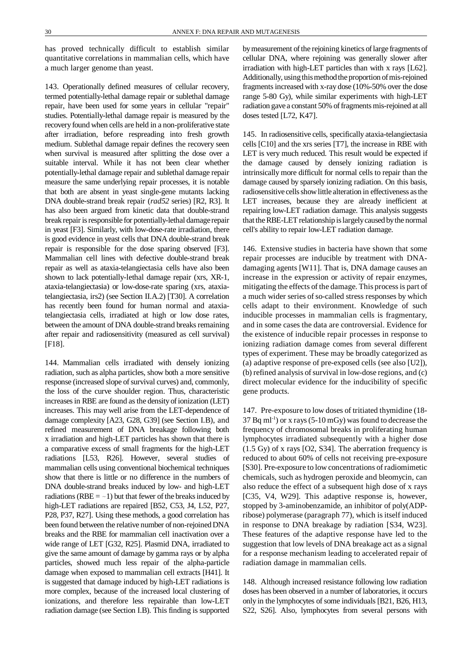has proved technically difficult to establish similar quantitative correlations in mammalian cells, which have a much larger genome than yeast.

143. Operationally defined measures of cellular recovery, termed potentially-lethal damage repair or sublethal damage repair, have been used for some years in cellular "repair" studies. Potentially-lethal damage repair is measured by the recoveryfound when cells are held in a non-proliferative state after irradiation, before respreading into fresh growth medium. Sublethal damage repair defines the recovery seen when survival is measured after splitting the dose over a suitable interval. While it has not been clear whether potentially-lethal damage repair and sublethal damage repair measure the same underlying repair processes, it is notable that both are absent in yeast single-gene mutants lacking DNA double-strand break repair (*rad52* series) [R2, R3]. It has also been argued from kinetic data that double-strand break repair is responsible for potentially-lethal damage repair in yeast [F3]. Similarly, with low-dose-rate irradiation, there is good evidence in yeast cells that DNA double-strand break repair is responsible for the dose sparing observed [F3]. Mammalian cell lines with defective double-strand break repair as well as ataxia-telangiectasia cells have also been shown to lack potentially-lethal damage repair (xrs, XR-1, ataxia-telangiectasia) or low-dose-rate sparing (xrs, ataxiatelangiectasia, irs2) (see Section II.A.2) [T30]. A correlation has recently been found for human normal and ataxiatelangiectasia cells, irradiated at high or low dose rates, between the amount of DNA double-strand breaks remaining after repair and radiosensitivity (measured as cell survival) [F18].

144. Mammalian cells irradiated with densely ionizing radiation, such as alpha particles, show both a more sensitive response (increased slope of survival curves) and, commonly, the loss of the curve shoulder region. Thus, characteristic increases in RBE are found as the densityof ionization (LET) increases. This may well arise from the LET-dependence of damage complexity [A23, G28, G39] (see Section I.B), and refined measurement of DNA breakage following both x irradiation and high-LET particles has shown that there is a comparative excess of small fragments for the high-LET radiations [L53, R26]. However, several studies of mammalian cells using conventional biochemical techniques show that there is little or no difference in the numbers of DNA double-strand breaks induced by low- and high-LET radiations (RBE  $=$   $\sim$  1) but that fewer of the breaks induced by high-LET radiations are repaired [B52, C53, J4, L52, P27, P28, P37, R27]. Using these methods, a good correlation has been found between the relative number of non-rejoined DNA breaks and the RBE for mammalian cell inactivation over a wide range of LET [G32, R25]. Plasmid DNA, irradiated to give the same amount of damage by gamma rays or by alpha particles, showed much less repair of the alpha-particle damage when exposed to mammalian cell extracts [H41]. It is suggested that damage induced by high-LET radiations is more complex, because of the increased local clustering of ionizations, and therefore less repairable than low-LET radiation damage (see Section I.B). This finding is supported

by measurement of the rejoining kinetics of large fragments of cellular DNA, where rejoining was generally slower after irradiation with high-LET particles than with x rays [L62]. Additionally, using this method the proportion of mis-rejoined fragments increased with x-ray dose (10%-50% over the dose range 5-80 Gy), while similar experiments with high-LET radiation gave a constant 50% of fragments mis-rejoined at all doses tested [L72, K47].

145. In radiosensitive cells, specifically ataxia-telangiectasia cells [C10] and the xrs series [T7], the increase in RBE with LET is very much reduced. This result would be expected if the damage caused by densely ionizing radiation is intrinsically more difficult for normal cells to repair than the damage caused by sparsely ionizing radiation. On this basis, radiosensitive cells showlittle alteration in effectiveness as the LET increases, because they are already inefficient at repairing low-LET radiation damage. This analysis suggests that the RBE-LET relationship is largelycaused bythe normal cell's ability to repair low-LET radiation damage.

146. Extensive studies in bacteria have shown that some repair processes are inducible by treatment with DNAdamaging agents [W11]. That is, DNA damage causes an increase in the expression or activity of repair enzymes, mitigating the effects of the damage. This process is part of a much wider series of so-called stress responses by which cells adapt to their environment. Knowledge of such inducible processes in mammalian cells is fragmentary, and in some cases the data are controversial. Evidence for the existence of inducible repair processes in response to ionizing radiation damage comes from several different types of experiment. These may be broadly categorized as (a) adaptive response of pre-exposed cells (see also [U2]), (b) refined analysis of survival in low-dose regions, and (c) direct molecular evidence for the inducibility of specific gene products.

147. Pre-exposure to low doses of tritiated thymidine (18- 37 Bq ml<sup>-1</sup>) or x rays (5-10 mGy) was found to decrease the frequency of chromosomal breaks in proliferating human lymphocytes irradiated subsequently with a higher dose (1.5 Gy) of x rays [O2, S34]. The aberration frequency is reduced to about 60% of cells not receiving pre-exposure [S30]. Pre-exposure to low concentrations of radiomimetic chemicals, such as hydrogen peroxide and bleomycin, can also reduce the effect of a subsequent high dose of x rays [C35, V4, W29]. This adaptive response is, however, stopped by 3-aminobenzamide, an inhibitor of poly(ADPribose) polymerase (paragraph 77), which is itself induced in response to DNA breakage by radiation [S34, W23]. These features of the adaptive response have led to the suggestion that low levels of DNA breakage act as a signal for a response mechanism leading to accelerated repair of radiation damage in mammalian cells.

148. Although increased resistance following low radiation doses has been observed in a number of laboratories, it occurs only in the lymphocytes of some individuals [B21, B26, H13, S22, S26]. Also, lymphocytes from several persons with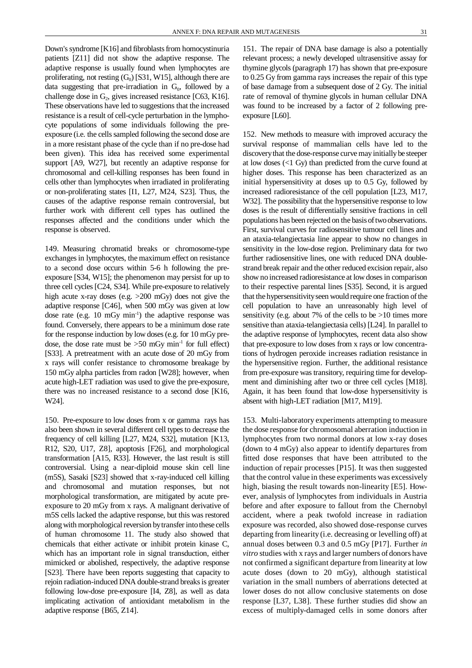Down's syndrome [K16] and fibroblasts from homocystinuria patients [Z11] did not show the adaptive response. The adaptive response is usually found when lymphocytes are proliferating, not resting  $(G_0)$  [S31, W15], although there are data suggesting that pre-irradiation in  $G_0$ , followed by a challenge dose in  $G_2$ , gives increased resistance [C63, K16]. These observations have led to suggestions that the increased resistance is a result of cell-cycle perturbation in the lymphocyte populations of some individuals following the preexposure (i.e. the cells sampled following the second dose are in a more resistant phase of the cycle than if no pre-dose had been given). This idea has received some experimental support [A9, W27], but recently an adaptive response for chromosomal and cell-killing responses has been found in cells other than lymphocytes when irradiated in proliferating or non-proliferating states [I1, L27, M24, S23]. Thus, the causes of the adaptive response remain controversial, but further work with different cell types has outlined the responses affected and the conditions under which the response is observed.

149. Measuring chromatid breaks or chromosome-type exchanges in lymphocytes, the maximum effect on resistance to a second dose occurs within 5-6 h following the preexposure [S34, W15]; the phenomenon may persist for up to three cell cycles [C24, S34]. While pre-exposure to relatively high acute x-ray doses (e.g. >200 mGy) does not give the adaptive response [C46], when 500 mGy was given at low dose rate (e.g.  $10 \text{ mGy min}^{-1}$ ) the adaptive response was found. Conversely, there appears to be a minimum dose rate for the response induction by low doses (e.g. for 10 mGy predose, the dose rate must be  $>50$  mGy min<sup>-1</sup> for full effect) [S33]. A pretreatment with an acute dose of 20 mGy from x rays will confer resistance to chromosome breakage by 150 mGy alpha particles from radon [W28]; however, when acute high-LET radiation was used to give the pre-exposure, there was no increased resistance to a second dose [K16, W24].

150. Pre-exposure to low doses from x or gamma rays has also been shown in several different cell types to decrease the frequency of cell killing [L27, M24, S32], mutation [K13, R12, S20, U17, Z8], apoptosis [F26], and morphological transformation [A15, R33]. However, the last result is still controversial. Using a near-diploid mouse skin cell line (m5S), Sasaki [S23] showed that x-ray-induced cell killing and chromosomal and mutation responses, but not morphological transformation, are mitigated by acute preexposure to 20 mGy from x rays. A malignant derivative of m5S cells lacked the adaptive response, but this was restored along with morphological reversion by transfer into these cells of human chromosome 11. The study also showed that chemicals that either activate or inhibit protein kinase C, which has an important role in signal transduction, either mimicked or abolished, respectively, the adaptive response [S23]. There have been reports suggesting that capacity to rejoin radiation-induced DNA double-strand breaks is greater following low-dose pre-exposure [I4, Z8], as well as data implicating activation of antioxidant metabolism in the adaptive response {B65, Z14].

151. The repair of DNA base damage is also a potentially relevant process; a newly developed ultrasensitive assay for thymine glycols (paragraph 17) has shown that pre-exposure to 0.25 Gy from gamma rays increases the repair of this type of base damage from a subsequent dose of 2 Gy. The initial rate of removal of thymine glycols in human cellular DNA was found to be increased by a factor of 2 following preexposure [L60].

152. New methods to measure with improved accuracy the survival response of mammalian cells have led to the discoverythat the dose-response curve mayinitiallybe steeper at low doses (<1 Gy) than predicted from the curve found at higher doses. This response has been characterized as an initial hypersensitivity at doses up to 0.5 Gy, followed by increased radioresistance of the cell population [L23, M17, W32]. The possibility that the hypersensitive response to low doses is the result of differentially sensitive fractions in cell populations has been rejected on the basis of two observations. First, survival curves for radiosensitive tumour cell lines and an ataxia-telangiectasia line appear to show no changes in sensitivity in the low-dose region. Preliminary data for two further radiosensitive lines, one with reduced DNA doublestrand break repair and the other reduced excision repair, also show no increased radioresistance at low doses in comparison to their respective parental lines [S35]. Second, it is argued that the hypersensitivityseen would require one fraction of the cell population to have an unreasonably high level of sensitivity (e.g. about 7% of the cells to be >10 times more sensitive than ataxia-telangiectasia cells) [L24]. In parallel to the adaptive response of lymphocytes, recent data also show that pre-exposure to low doses from x rays or low concentrations of hydrogen peroxide increases radiation resistance in the hypersensitive region. Further, the additional resistance from pre-exposure was transitory, requiring time for development and diminishing after two or three cell cycles [M18]. Again, it has been found that low-dose hypersensitivity is absent with high-LET radiation [M17, M19].

153. Multi-laboratory experiments attempting to measure the dose response for chromosomal aberration induction in lymphocytes from two normal donors at low x-ray doses (down to 4 mGy) also appear to identify departures from fitted dose responses that have been attributed to the induction of repair processes [P15]. It was then suggested that the control value in these experiments was excessively high, biasing the result towards non-linearity [E5]. However, analysis of lymphocytes from individuals in Austria before and after exposure to fallout from the Chernobyl accident, where a peak twofold increase in radiation exposure was recorded, also showed dose-response curves departing from linearity (i.e. decreasing or levelling off) at annual doses between 0.3 and 0.5 mGy [P17]. Further *in vitro* studies with x rays and larger numbers of donors have not confirmed a significant departure from linearity at low acute doses (down to 20 mGy), although statistical variation in the small numbers of aberrations detected at lower doses do not allow conclusive statements on dose response [L37, L38]. These further studies did show an excess of multiply-damaged cells in some donors after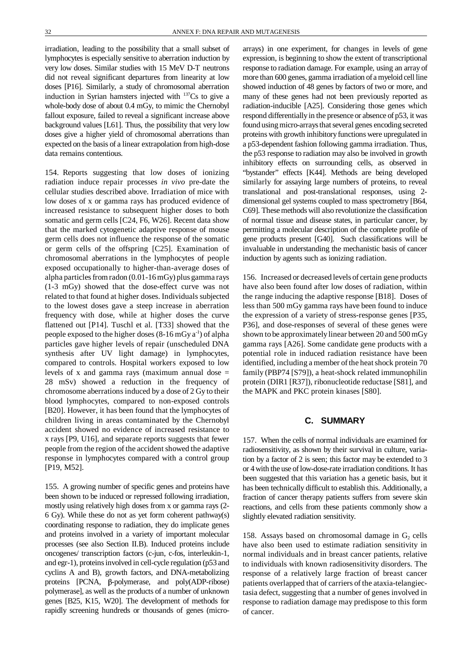irradiation, leading to the possibility that a small subset of lymphocytes is especially sensitive to aberration induction by very low doses. Similar studies with 15 MeV D-T neutrons did not reveal significant departures from linearity at low doses [P16]. Similarly, a study of chromosomal aberration induction in Syrian hamsters injected with 137Cs to give a whole-body dose of about 0.4 mGy, to mimic the Chernobyl fallout exposure, failed to reveal a significant increase above background values [L61]. Thus, the possibility that very low doses give a higher yield of chromosomal aberrations than expected on the basis of a linear extrapolation from high-dose data remains contentious.

154. Reports suggesting that low doses of ionizing radiation induce repair processes *in vivo* pre-date the cellular studies described above. Irradiation of mice with low doses of x or gamma rays has produced evidence of increased resistance to subsequent higher doses to both somatic and germ cells [C24, F6, W26]. Recent data show that the marked cytogenetic adaptive response of mouse germ cells does not influence the response of the somatic or germ cells of the offspring [C25]. Examination of chromosomal aberrations in the lymphocytes of people exposed occupationally to higher-than-average doses of alpha particles from radon (0.01-16 mGy) plus gamma rays (1-3 mGy) showed that the dose-effect curve was not related to that found at higher doses. Individuals subjected to the lowest doses gave a steep increase in aberration frequency with dose, while at higher doses the curve flattened out [P14]. Tuschl et al. [T33] showed that the people exposed to the higher doses  $(8-16 \,\mathrm{mGy\,a^{-1}})$  of alpha particles gave higher levels of repair (unscheduled DNA synthesis after UV light damage) in lymphocytes, compared to controls. Hospital workers exposed to low levels of x and gamma rays (maximum annual dose  $=$ 28 mSv) showed a reduction in the frequency of chromosome aberrations induced by a dose of 2 Gy to their blood lymphocytes, compared to non-exposed controls [B20]. However, it has been found that the lymphocytes of children living in areas contaminated by the Chernobyl accident showed no evidence of increased resistance to x rays [P9, U16], and separate reports suggests that fewer people from the region of the accident showed the adaptive response in lymphocytes compared with a control group [P19, M52].

155. A growing number of specific genes and proteins have been shown to be induced or repressed following irradiation, mostly using relatively high doses from x or gamma rays (2- 6 Gy). While these do not as yet form coherent pathway(s) coordinating response to radiation, they do implicate genes and proteins involved in a variety of important molecular processes (see also Section II.B). Induced proteins include oncogenes/ transcription factors (c-jun, c-fos, interleukin-1, and egr-1), proteins involved in cell-cycle regulation (p53 and cyclins A and B), growth factors, and DNA-metabolizing proteins  $[PCNA, \beta$ -polymerase, and poly $(ADP\text{-ribose})$ polymerase], as well as the products of a number of unknown genes [B25, K15, W20]. The development of methods for rapidly screening hundreds or thousands of genes (microarrays) in one experiment, for changes in levels of gene expression, is beginning to show the extent of transcriptional response to radiation damage. For example, using an array of more than 600 genes, gamma irradiation of a myeloid cell line showed induction of 48 genes by factors of two or more, and many of these genes had not been previously reported as radiation-inducible [A25]. Considering those genes which respond differentiallyin the presence or absence of p53, it was found using micro-arrays that several genes encoding secreted proteins with growth inhibitory functions were upregulated in a p53-dependent fashion following gamma irradiation. Thus, the p53 response to radiation may also be involved in growth inhibitory effects on surrounding cells, as observed in "bystander" effects [K44]. Methods are being developed similarly for assaying large numbers of proteins, to reveal translational and post-translational responses, using 2 dimensional gel systems coupled to mass spectrometry [B64, C69]. These methods will also revolutionize the classification of normal tissue and disease states, in particular cancer, by permitting a molecular description of the complete profile of gene products present [G40]. Such classifications will be invaluable in understanding the mechanistic basis of cancer induction by agents such as ionizing radiation.

156. Increased or decreased levels of certain gene products have also been found after low doses of radiation, within the range inducing the adaptive response [B18]. Doses of less than 500 mGy gamma rays have been found to induce the expression of a variety of stress-response genes [P35, P36], and dose-responses of several of these genes were shown to be approximatelylinear between 20 and 500 mGy gamma rays [A26]. Some candidate gene products with a potential role in induced radiation resistance have been identified, including a member of the heat shock protein 70 family (PBP74 [S79]), a heat-shock related immunophilin protein (DIR1 [R37]), ribonucleotide reductase [S81], and the MAPK and PKC protein kinases [S80].

### **C. SUMMARY**

157. When the cells of normal individuals are examined for radiosensitivity, as shown by their survival in culture, variation by a factor of 2 is seen; this factor may be extended to 3 or 4 with the use of low-dose-rate irradiation conditions. It has been suggested that this variation has a genetic basis, but it has been technically difficult to establish this. Additionally, a fraction of cancer therapy patients suffers from severe skin reactions, and cells from these patients commonly show a slightly elevated radiation sensitivity.

158. Assays based on chromosomal damage in  $G_2$  cells have also been used to estimate radiation sensitivity in normal individuals and in breast cancer patients, relative to individuals with known radiosensitivity disorders. The response of a relatively large fraction of breast cancer patients overlapped that of carriers of the ataxia-telangiectasia defect, suggesting that a number of genes involved in response to radiation damage may predispose to this form of cancer.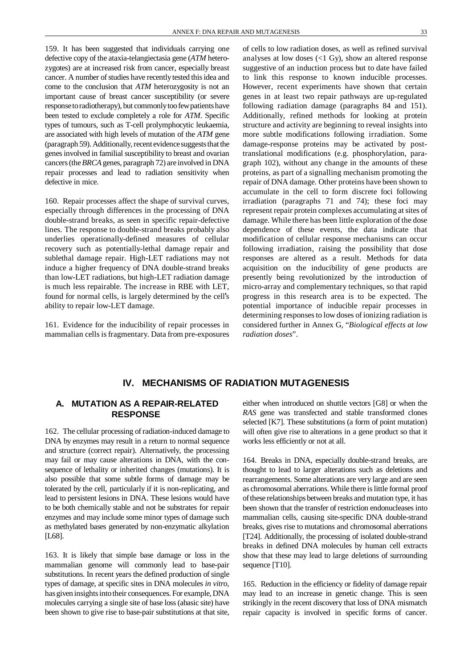159. It has been suggested that individuals carrying one defective copy of the ataxia-telangiectasia gene (*ATM* heterozygotes) are at increased risk from cancer, especially breast cancer. A number of studies have recently tested this idea and come to the conclusion that *ATM* heterozygosity is not an important cause of breast cancer susceptibility (or severe response to radiotherapy), but commonly too few patients have been tested to exclude completely a role for *ATM*. Specific types of tumours, such as T-cell prolymphocytic leukaemia, are associated with high levels of mutation of the *ATM* gene (paragraph 59). Additionally, recent evidence suggests that the genes involved in familial susceptibility to breast and ovarian cancers (the*BRCA*genes, paragraph 72) are involved in DNA repair processes and lead to radiation sensitivity when defective in mice.

160. Repair processes affect the shape of survival curves, especially through differences in the processing of DNA double-strand breaks, as seen in specific repair-defective lines. The response to double-strand breaks probably also underlies operationally-defined measures of cellular recovery such as potentially-lethal damage repair and sublethal damage repair. High-LET radiations may not induce a higher frequency of DNA double-strand breaks than low-LET radiations, but high-LET radiation damage is much less repairable. The increase in RBE with LET, found for normal cells, is largely determined by the cells ability to repair low-LET damage.

161. Evidence for the inducibility of repair processes in mammalian cells is fragmentary. Data from pre-exposures of cells to low radiation doses, as well as refined survival analyses at low doses (<1 Gy), show an altered response suggestive of an induction process but to date have failed to link this response to known inducible processes. However, recent experiments have shown that certain genes in at least two repair pathways are up-regulated following radiation damage (paragraphs 84 and 151). Additionally, refined methods for looking at protein structure and activity are beginning to reveal insights into more subtle modifications following irradiation. Some damage-response proteins may be activated by posttranslational modifications (e.g. phosphorylation, paragraph 102), without any change in the amounts of these proteins, as part of a signalling mechanism promoting the repair of DNA damage. Other proteins have been shown to accumulate in the cell to form discrete foci following irradiation (paragraphs 71 and 74); these foci may represent repair protein complexes accumulating at sites of damage. While there has been little exploration of the dose dependence of these events, the data indicate that modification of cellular response mechanisms can occur following irradiation, raising the possibility that dose responses are altered as a result. Methods for data acquisition on the inducibility of gene products are presently being revolutionized by the introduction of micro-array and complementary techniques, so that rapid progress in this research area is to be expected. The potential importance of inducible repair processes in determining responses to low doses of ionizing radiation is considered further in Annex G, "*Biological effects at low radiation doses*".

### **IV. MECHANISMS OF RADIATION MUTAGENESIS**

### **A. MUTATION AS A REPAIR-RELATED RESPONSE**

162. The cellular processing of radiation-induced damage to DNA by enzymes may result in a return to normal sequence and structure (correct repair). Alternatively, the processing may fail or may cause alterations in DNA, with the consequence of lethality or inherited changes (mutations). It is also possible that some subtle forms of damage may be tolerated by the cell, particularly if it is non-replicating, and lead to persistent lesions in DNA. These lesions would have to be both chemically stable and not be substrates for repair enzymes and may include some minor types of damage such as methylated bases generated by non-enzymatic alkylation [L68].

163. It is likely that simple base damage or loss in the mammalian genome will commonly lead to base-pair substitutions. In recent years the defined production of single types of damage, at specific sites in DNA molecules *in vitro*, has given insights into their consequences. For example, DNA molecules carrying a single site of base loss (abasic site) have been shown to give rise to base-pair substitutions at that site,

either when introduced on shuttle vectors [G8] or when the *RAS* gene was transfected and stable transformed clones selected [K7]. These substitutions (a form of point mutation) will often give rise to alterations in a gene product so that it works less efficiently or not at all.

164. Breaks in DNA, especially double-strand breaks, are thought to lead to larger alterations such as deletions and rearrangements. Some alterations are very large and are seen as chromosomal aberrations. While there is little formal proof ofthese relationships between breaks and mutation type, it has been shown that the transfer of restriction endonucleases into mammalian cells, causing site-specific DNA double-strand breaks, gives rise to mutations and chromosomal aberrations [T24]. Additionally, the processing of isolated double-strand breaks in defined DNA molecules by human cell extracts show that these may lead to large deletions of surrounding sequence [T10].

165. Reduction in the efficiency or fidelity of damage repair may lead to an increase in genetic change. This is seen strikingly in the recent discovery that loss of DNA mismatch repair capacity is involved in specific forms of cancer.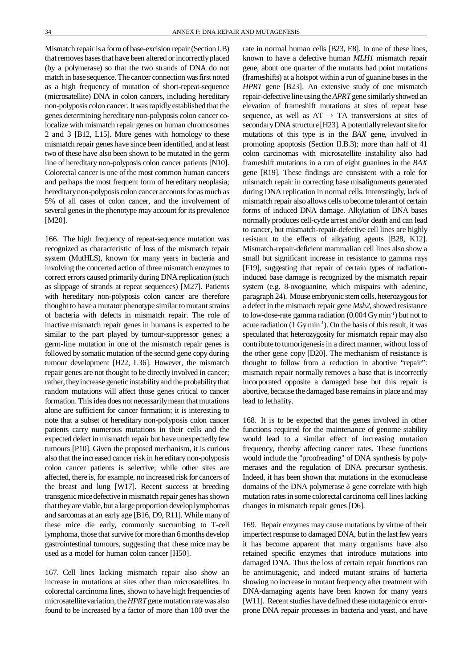Mismatch repair is a form ofbase-excision repair (Section I.B) that removes bases that have been altered or incorrectlyplaced (by a polymerase) so that the two strands of DNA do not match in base sequence. The cancer connection was first noted as a high frequency of mutation of short-repeat-sequence (microsatellite) DNA in colon cancers, including hereditary non-polyposis colon cancer. It was rapidlyestablished that the genes determining hereditary non-polyposis colon cancer colocalize with mismatch repair genes on human chromosomes 2 and 3 [B12, L15]. More genes with homology to these mismatch repair genes have since been identified, and at least two of these have also been shown to be mutated in the germ line of hereditary non-polyposis colon cancer patients [N10]. Colorectal cancer is one of the most common human cancers and perhaps the most frequent form of hereditary neoplasia; hereditarynon-polyposis colon cancer accounts for as much as 5% of all cases of colon cancer, and the involvement of several genes in the phenotype may account for its prevalence [M20].

166. The high frequency of repeat-sequence mutation was recognized as characteristic of loss of the mismatch repair system (MutHLS), known for many years in bacteria and involving the concerted action of three mismatch enzymes to correct errors caused primarily during DNA replication (such as slippage of strands at repeat sequences) [M27]. Patients with hereditary non-polyposis colon cancer are therefore thought to have a mutator phenotype similar to mutant strains of bacteria with defects in mismatch repair. The role of inactive mismatch repair genes in humans is expected to be similar to the part played by tumour-suppressor genes; a germ-line mutation in one of the mismatch repair genes is followed by somatic mutation of the second gene copy during tumour development [H22, L36]. However, the mismatch repair genes are not thought to be directly involved in cancer; rather, they increase genetic instability and the probability that random mutations will affect those genes critical to cancer formation. This idea does not necessarilymean that mutations alone are sufficient for cancer formation; it is interesting to note that a subset of hereditary non-polyposis colon cancer patients carry numerous mutations in their cells and the expected defect in mismatch repair but have unexpectedly few tumours [P10]. Given the proposed mechanism, it is curious also that the increased cancer risk in hereditary non-polyposis colon cancer patients is selective; while other sites are affected, there is, for example, no increased risk for cancers of the breast and lung [W17]. Recent success at breeding transgenicmicedefective in mismatch repair genes has shown that theyare viable, but a large proportion developlymphomas and sarcomas at an early age [B16, D9, R11]. While many of these mice die early, commonly succumbing to T-cell lymphoma, those that survive for more than 6 months develop gastrointestinal tumours, suggesting that these mice may be used as a model for human colon cancer [H50].

167. Cell lines lacking mismatch repair also show an increase in mutations at sites other than microsatellites. In colorectal carcinoma lines, shown to have high frequencies of microsatellitevariation, the*HPRT*gene mutation ratewasalso found to be increased by a factor of more than 100 over the

rate in normal human cells [B23, E8]. In one of these lines, known to have a defective human *MLH1* mismatch repair gene, about one quarter of the mutants had point mutations (frameshifts) at a hotspot within a run of guanine bases in the *HPRT* gene [B23]. An extensive study of one mismatch repair-defective line using the*APRT*gene similarlyshowed an elevation of frameshift mutations at sites of repeat base sequence, as well as  $AT \rightarrow TA$  transversions at sites of sequence, as well as  $AT \rightarrow TA$  transversions at sites of secondary DNA structure [H23]. A potentially relevant site for mutations of this type is in the *BAX* gene, involved in promoting apoptosis (Section II.B.3); more than half of 41 colon carcinomas with microsatellite instability also had frameshift mutations in a run of eight guanines in the *BAX* gene [R19]. These findings are consistent with a role for mismatch repair in correcting base misalignments generated during DNA replication in normal cells. Interestingly, lack of mismatch repair also allows cells tobecome tolerant of certain forms of induced DNA damage. Alkylation of DNA bases normally produces cell-cycle arrest and/or death and can lead to cancer, but mismatch-repair-defective cell lines are highly resistant to the effects of alkyating agents [B28, K12]. Mismatch-repair-deficient mammalian cell lines also show a small but significant increase in resistance to gamma rays [F19], suggesting that repair of certain types of radiationinduced base damage is recognized by the mismatch repair system (e.g. 8-oxoguanine, which mispairs with adenine, paragraph 24). Mouse embryonic stem cells, heterozygous for a defect in the mismatch repair gene *Msh2*, showed resistance to low-dose-rate gamma radiation  $(0.004 \text{ Gy min}^{-1})$  but not to acute radiation (1 Gy min-1). On the basis of this result, it was speculated that heterozygosity for mismatch repair may also contribute to tumorigenesis in a direct manner, without loss of the other gene copy [D20]. The mechanism of resistance is thought to follow from a reduction in abortive "repair": mismatch repair normally removes a base that is incorrectly incorporated opposite a damaged base but this repair is abortive, because the damaged base remains in place and may lead to lethality.

168. It is to be expected that the genes involved in other functions required for the maintenance of genome stability would lead to a similar effect of increasing mutation frequency, thereby affecting cancer rates. These functions would include the "proofreading" of DNA synthesis by polymerases and the regulation of DNA precursor synthesis. Indeed, it has been shown that mutations in the exonuclease domains of the DNA polymerase  $\delta$  gene correlate with high mutation rates in some colorectal carcinoma cell lines lacking changes in mismatch repair genes [D6].

169. Repair enzymes may cause mutations by virtue of their imperfect response to damaged DNA, but in the last few years it has become apparent that many organisms have also retained specific enzymes that introduce mutations into damaged DNA. Thus the loss of certain repair functions can be antimutagenic, and indeed mutant strains of bacteria showing no increase in mutant frequency after treatment with DNA-damaging agents have been known for many years [W11]. Recent studies have defined these mutagenic or errorprone DNA repair processes in bacteria and yeast, and have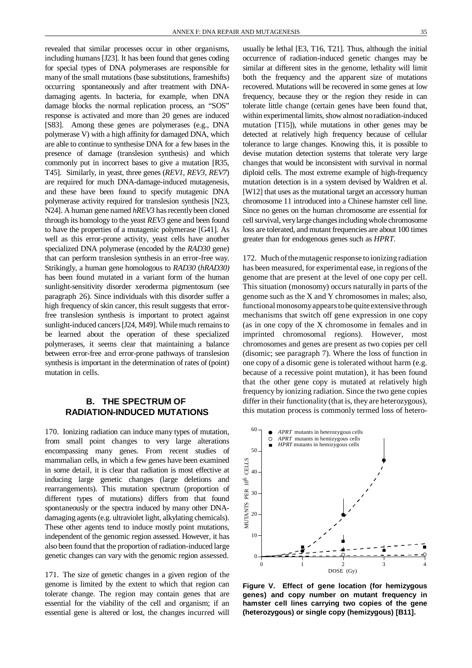revealed that similar processes occur in other organisms, including humans [J23]. It has been found that genes coding for special types of DNA polymerases are responsible for many of the small mutations (base substitutions, frameshifts) occurring spontaneously and after treatment with DNAdamaging agents. In bacteria, for example, when DNA damage blocks the normal replication process, an "SOS" response is activated and more than 20 genes are induced [S83]. Among these genes are polymerases (e.g., DNA polymerase V) with a high affinity for damaged DNA, which are able to continue to synthesise DNA for a few bases in the presence of damage (translesion synthesis) and which commonly put in incorrect bases to give a mutation [R35, T45]. Similarly, in yeast, three genes (*REV1, REV3, REV7*) are required for much DNA-damage-induced mutagenesis, and these have been found to specify mutagenic DNA polymerase activity required for translesion synthesis [N23, N24]. A human gene named *hREV3* has recently been cloned through its homology to the yeast *REV3* gene and been found to have the properties of a mutagenic polymerase [G41]. As well as this error-prone activity, yeast cells have another specialized DNA polymerase (encoded by the *RAD30* gene) that can perform translesion synthesis in an error-free way. Strikingly, a human gene homologous to *RAD30* (*hRAD30)* has been found mutated in a variant form of the human sunlight-sensitivity disorder xeroderma pigmentosum (see paragraph 26). Since individuals with this disorder suffer a high frequency of skin cancer, this result suggests that errorfree translesion synthesis is important to protect against sunlight-induced cancers [J24, M49]. While much remains to be learned about the operation of these specialized polymerases, it seems clear that maintaining a balance between error-free and error-prone pathways of translesion synthesis is important in the determination of rates of (point) mutation in cells.

## **B. THE SPECTRUM OF RADIATION-INDUCED MUTATIONS**

170. Ionizing radiation can induce many types of mutation, from small point changes to very large alterations encompassing many genes. From recent studies of mammalian cells, in which a few genes have been examined in some detail, it is clear that radiation is most effective at inducing large genetic changes (large deletions and rearrangements). This mutation spectrum (proportion of different types of mutations) differs from that found spontaneously or the spectra induced by many other DNAdamaging agents (e.g. ultraviolet light, alkylating chemicals). These other agents tend to induce mostly point mutations, independent of the genomic region assessed. However, it has also been found that the proportion of radiation-induced large genetic changes can vary with the genomic region assessed.

171. The size of genetic changes in a given region of the genome is limited by the extent to which that region can tolerate change. The region may contain genes that are essential for the viability of the cell and organism; if an essential gene is altered or lost, the changes incurred will usually be lethal [E3, T16, T21]. Thus, although the initial occurrence of radiation-induced genetic changes may be similar at different sites in the genome, lethality will limit both the frequency and the apparent size of mutations recovered. Mutations will be recovered in some genes at low frequency, because they or the region they reside in can tolerate little change (certain genes have been found that, within experimental limits, show almost noradiation-induced mutation [T15]), while mutations in other genes may be detected at relatively high frequency because of cellular tolerance to large changes. Knowing this, it is possible to devise mutation detection systems that tolerate very large changes that would be inconsistent with survival in normal diploid cells. The most extreme example of high-frequency mutation detection is in a system devised by Waldren et al. [W12] that uses as the mutational target an accessory human chromosome 11 introduced into a Chinese hamster cell line. Since no genes on the human chromosome are essential for cell survival, verylargechangesincluding whole chromosome loss are tolerated, and mutant frequencies are about 100 times greater than for endogenous genes such as *HPRT*.

172. Much ofthe mutagenic response to ionizing radiation has been measured, for experimental ease, in regions of the genome that are present at the level of one copy per cell. This situation (monosomy) occurs naturally in parts of the genome such as the X and Y chromosomes in males; also, functional monosomyappears tobe quite extensive through mechanisms that switch off gene expression in one copy (as in one copy of the X chromosome in females and in imprinted chromosomal regions). However, most chromosomes and genes are present as two copies per cell (disomic; see paragraph 7). Where the loss of function in one copy of a disomic gene is tolerated without harm (e.g. because of a recessive point mutation), it has been found that the other gene copy is mutated at relatively high frequency by ionizing radiation. Since the two gene copies differ in their functionality(that is, they are heterozygous), this mutation process is commonly termed loss of hetero-



**Figure V. Effect of gene location (for hemizygous genes) and copy number on mutant frequency in hamster cell lines carrying two copies of the gene (heterozygous) or single copy (hemizygous) [B11].**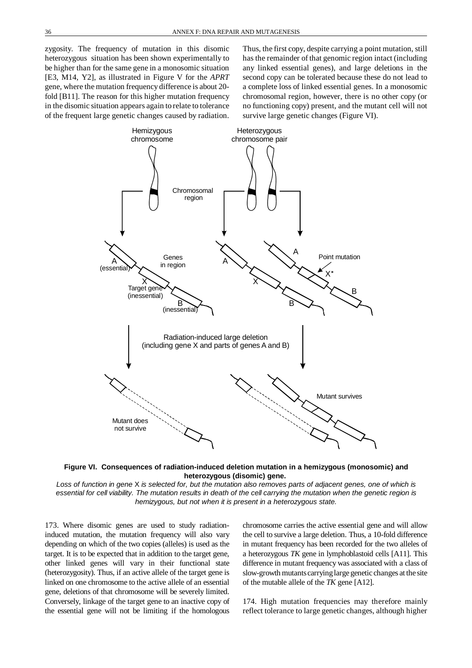zygosity. The frequency of mutation in this disomic heterozygous situation has been shown experimentally to be higher than for the same gene in a monosomic situation [E3, M14, Y2], as illustrated in Figure V for the *APRT* gene, where the mutation frequency difference is about 20 fold [B11]. The reason for this higher mutation frequency in the disomic situation appears again to relate to tolerance of the frequent large genetic changes caused by radiation. Thus, the first copy, despite carrying a point mutation, still has the remainder of that genomic region intact (including any linked essential genes), and large deletions in the second copy can be tolerated because these do not lead to a complete loss of linked essential genes. In a monosomic chromosomal region, however, there is no other copy (or no functioning copy) present, and the mutant cell will not survive large genetic changes (Figure VI).



**Figure VI. Consequences of radiation-induced deletion mutation in a hemizygous (monosomic) and heterozygous (disomic) gene.**

*Loss of function in gene* X *is selected for, but the mutation also removes parts of adjacent genes, one of which is essential for cell viability. The mutation results in death of the cell carrying the mutation when the genetic region is hemizygous, but not when it is present in a heterozygous state.*

173. Where disomic genes are used to study radiationinduced mutation, the mutation frequency will also vary depending on which of the two copies (alleles) is used as the target. It is to be expected that in addition to the target gene, other linked genes will vary in their functional state (heterozygosity). Thus, if an active allele of the target gene is linked on one chromosome to the active allele of an essential gene, deletions of that chromosome will be severely limited. Conversely, linkage of the target gene to an inactive copy of the essential gene will not be limiting if the homologous

chromosome carries the active essential gene and will allow the cell to survive a large deletion. Thus, a 10-fold difference in mutant frequency has been recorded for the two alleles of a heterozygous *TK* gene in lymphoblastoid cells [A11]. This difference in mutant frequency was associated with a class of slow-growth mutants carrying large genetic changes at the site of the mutable allele of the *TK* gene [A12].

174. High mutation frequencies may therefore mainly reflect tolerance to large genetic changes, although higher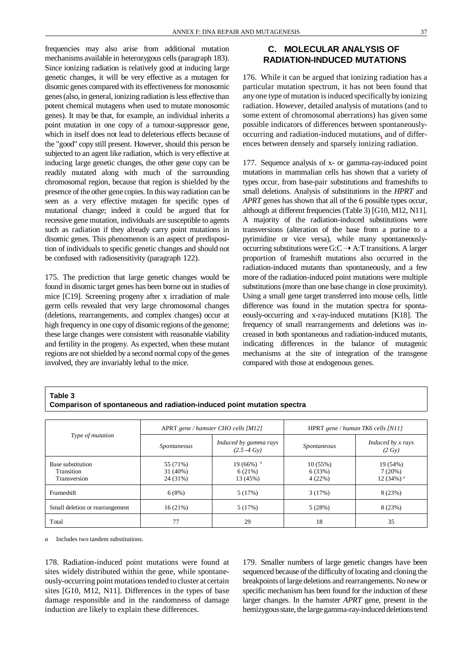frequencies may also arise from additional mutation mechanisms available in heterozygous cells (paragraph 183). Since ionizing radiation is relatively good at inducing large genetic changes, it will be very effective as a mutagen for disomic genes compared with its effectiveness for monosomic genes (also, in general, ionizing radiation is less effective than potent chemical mutagens when used to mutate monosomic genes). It may be that, for example, an individual inherits a point mutation in one copy of a tumour-suppressor gene, which in itself does not lead to deleterious effects because of the "good" copy still present. However, should this person be subjected to an agent like radiation, which is very effective at inducing large genetic changes, the other gene copy can be readily mutated along with much of the surrounding chromosomal region, because that region is shielded by the presence of the other gene copies. In this way radiation can be seen as a very effective mutagen for specific types of mutational change; indeed it could be argued that for recessive gene mutation, individuals are susceptible to agents such as radiation if they already carry point mutations in disomic genes. This phenomenon is an aspect of predisposition of individuals to specific genetic changes and should not be confused with radiosensitivity (paragraph 122).

175. The prediction that large genetic changes would be found in disomic target genes has been borne out in studies of mice [C19]. Screening progeny after x irradiation of male germ cells revealed that very large chromosomal changes (deletions, rearrangements, and complex changes) occur at high frequency in one copy of disomic regions of the genome; these large changes were consistent with reasonable viability and fertility in the progeny. As expected, when these mutant regions are not shielded by a second normal copy of the genes involved, they are invariably lethal to the mice.

# **C. MOLECULAR ANALYSIS OF RADIATION-INDUCED MUTATIONS**

176. While it can be argued that ionizing radiation has a particular mutation spectrum, it has not been found that any one type of mutation is induced specifically by ionizing radiation. However, detailed analysis of mutations (and to some extent of chromosomal aberrations) has given some possible indicators of differences between spontaneouslyoccurring and radiation-induced mutations, and of differences between densely and sparsely ionizing radiation.

177. Sequence analysis of x- or gamma-ray-induced point mutations in mammalian cells has shown that a variety of types occur, from base-pair substitutions and frameshifts to small deletions. Analysis of substitutions in the *HPRT* and *APRT* genes has shown that all of the 6 possible types occur, although at different frequencies (Table 3) [G10, M12, N11]. A majority of the radiation-induced substitutions were transversions (alteration of the base from a purine to a pyrimidine or vice versa), while many spontaneouslyoccurring substitutions were  $G:C \rightarrow A:T$  transitions. A larger -proportion of frameshift mutations also occurred in the radiation-induced mutants than spontaneously, and a few more of the radiation-induced point mutations were multiple substitutions (more than one base change in close proximity). Using a small gene target transferred into mouse cells, little difference was found in the mutation spectra for spontaeously-occurring and x-ray-induced mutations [K18]. The frequency of small rearrangements and deletions was increased in both spontaneous and radiation-induced mutants, indicating differences in the balance of mutagenic mechanisms at the site of integration of the transgene compared with those at endogenous genes.

| Table 3                                                                |  |
|------------------------------------------------------------------------|--|
| Comparison of spontaneous and radiation-induced point mutation spectra |  |

| Type of mutation                                       | APRT gene / hamster CHO cells [M12] |                                                 | HPRT gene / human TK6 cells [N11] |                                    |
|--------------------------------------------------------|-------------------------------------|-------------------------------------------------|-----------------------------------|------------------------------------|
|                                                        | <i>Spontaneous</i>                  | Induced by gamma rays<br>$(2.5 - 4 \text{ Gy})$ | Spontaneous                       | Induced by x rays<br>$(2\ Gv)$     |
| Base substitution<br><b>Transition</b><br>Transversion | 55 (71%)<br>31 (40%)<br>24 (31%)    | 19 $(66%)$ <sup>a</sup><br>6(21%)<br>13 (45%)   | 10(55%)<br>6(33%)<br>4(22%)       | 19 (54%)<br>7(20%)<br>12 $(34%)^a$ |
| Frameshift                                             | 6(8%)                               | 5(17%)                                          | 3(17%)                            | 8 (23%)                            |
| Small deletion or rearrangement                        | 16(21%)                             | 5(17%)                                          | 5(28%)                            | 8 (23%)                            |
| Total                                                  | 77                                  | 29                                              | 18                                | 35                                 |

*a* Includes two tandem substitutions.

178. Radiation-induced point mutations were found at sites widely distributed within the gene, while spontaneously-occurring point mutations tended to cluster at certain sites [G10, M12, N11]. Differences in the types of base damage responsible and in the randomness of damage induction are likely to explain these differences.

179. Smaller numbers of large genetic changes have been sequenced because of the difficultyof locating and cloning the breakpoints of large deletions and rearrangements. No new or specific mechanism has been found for the induction of these larger changes. In the hamster *APRT* gene, present in the hemizygous state, the large gamma-ray-induced deletions tend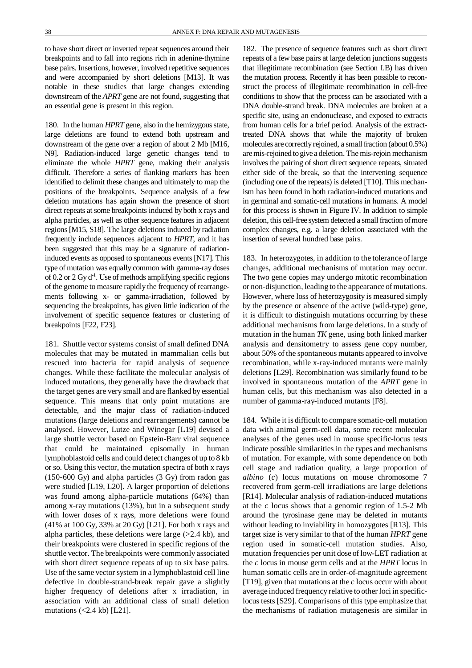to have short direct or inverted repeat sequences around their breakpoints and to fall into regions rich in adenine-thymine base pairs. Insertions, however, involved repetitive sequences and were accompanied by short deletions [M13]. It was notable in these studies that large changes extending downstream of the *APRT* gene are not found, suggesting that an essential gene is present in this region.

180. In the human *HPRT* gene, also in the hemizygous state, large deletions are found to extend both upstream and downstream of the gene over a region of about 2 Mb [M16, N9]. Radiation-induced large genetic changes tend to eliminate the whole *HPRT* gene, making their analysis difficult. Therefore a series of flanking markers has been identified to delimit these changes and ultimately to map the positions of the breakpoints. Sequence analysis of a few deletion mutations has again shown the presence of short direct repeats at some breakpoints induced by both x rays and alpha particles, as well as other sequence features in adjacent regions [M15, S18]. The large deletions induced by radiation frequently include sequences adjacent to *HPRT*, and it has been suggested that this may be a signature of radiationinduced events as opposed to spontaneous events [N17]. This type of mutation was equally common with gamma-ray doses of 0.2 or 2 Gy  $d^1$ . Use of methods amplifying specific regions of the genome to measure rapidly the frequency of rearrangements following x- or gamma-irradiation, followed by sequencing the breakpoints, has given little indication of the involvement of specific sequence features or clustering of breakpoints [F22, F23].

181. Shuttle vector systems consist of small defined DNA molecules that may be mutated in mammalian cells but rescued into bacteria for rapid analysis of sequence changes. While these facilitate the molecular analysis of induced mutations, they generally have the drawback that the target genes are very small and are flanked by essential sequence. This means that only point mutations are detectable, and the major class of radiation-induced mutations (large deletions and rearrangements) cannot be analysed. However, Lutze and Winegar [L19] devised a large shuttle vector based on Epstein-Barr viral sequence that could be maintained episomally in human lymphoblastoid cells and could detect changes of up to 8 kb or so. Using this vector, the mutation spectra of both x rays (150-600 Gy) and alpha particles (3 Gy) from radon gas were studied [L19, L20]. A larger proportion of deletions was found among alpha-particle mutations (64%) than among x-ray mutations (13%), but in a subsequent study with lower doses of x rays, more deletions were found (41% at 100 Gy, 33% at 20 Gy) [L21]. For both x rays and alpha particles, these deletions were large (>2.4 kb), and their breakpoints were clustered in specific regions of the shuttle vector. The breakpoints were commonly associated with short direct sequence repeats of up to six base pairs. Use of the same vector system in a lymphoblastoid cell line defective in double-strand-break repair gave a slightly higher frequency of deletions after x irradiation, in association with an additional class of small deletion mutations  $\left( < 2.4 \right)$  [L21].

182. The presence of sequence features such as short direct repeats of a few base pairs at large deletion junctions suggests that illegitimate recombination (see Section I.B) has driven the mutation process. Recently it has been possible to reconstruct the process of illegitimate recombination in cell-free conditions to show that the process can be associated with a DNA double-strand break. DNA molecules are broken at a specific site, using an endonuclease, and exposed to extracts from human cells for a brief period. Analysis of the extracttreated DNA shows that while the majority of broken molecules are correctlyrejoined, a small fraction (about 0.5%) are mis-rejoined togive a deletion. The mis-rejoin mechanism involves the pairing of short direct sequence repeats, situated either side of the break, so that the intervening sequence (including one of the repeats) is deleted [T10]. This mechanism has been found in both radiation-induced mutations and in germinal and somatic-cell mutations in humans. A model for this process is shown in Figure IV. In addition to simple deletion, this cell-free system detected a small fraction of more complex changes, e.g. a large deletion associated with the insertion of several hundred base pairs.

183. In heterozygotes, in addition to the tolerance of large changes, additional mechanisms of mutation may occur. The two gene copies may undergo mitotic recombination or non-disjunction, leading to the appearance of mutations. However, where loss of heterozygosity is measured simply by the presence or absence of the active (wild-type) gene, it is difficult to distinguish mutations occurring by these additional mechanisms from large deletions. In a study of mutation in the human *TK* gene, using both linked marker analysis and densitometry to assess gene copy number, about 50% of the spontaneous mutants appeared to involve recombination, while x-ray-induced mutants were mainly deletions [L29]. Recombination was similarly found to be involved in spontaneous mutation of the *APRT* gene in human cells, but this mechanism was also detected in a number of gamma-ray-induced mutants [F8].

184. While it is difficult to compare somatic-cell mutation data with animal germ-cell data, some recent molecular analyses of the genes used in mouse specific-locus tests indicate possible similarities in the types and mechanisms of mutation. For example, with some dependence on both cell stage and radiation quality, a large proportion of *albino* (*c*) locus mutations on mouse chromosome 7 recovered from germ-cell irradiations are large deletions [R14]. Molecular analysis of radiation-induced mutations at the *c* locus shows that a genomic region of 1.5-2 Mb around the tyrosinase gene may be deleted in mutants without leading to inviability in homozygotes [R13]. This target size is very similar to that of the human *HPRT* gene region used in somatic-cell mutation studies. Also, mutation frequencies per unit dose of low-LET radiation at the *c* locus in mouse germ cells and at the *HPRT* locus in human somatic cells are in order-of-magnitude agreement [T19], given that mutations at the *c* locus occur with about average induced frequency relative to other loci in specificlocus tests [S29]. Comparisons of this type emphasize that the mechanisms of radiation mutagenesis are similar in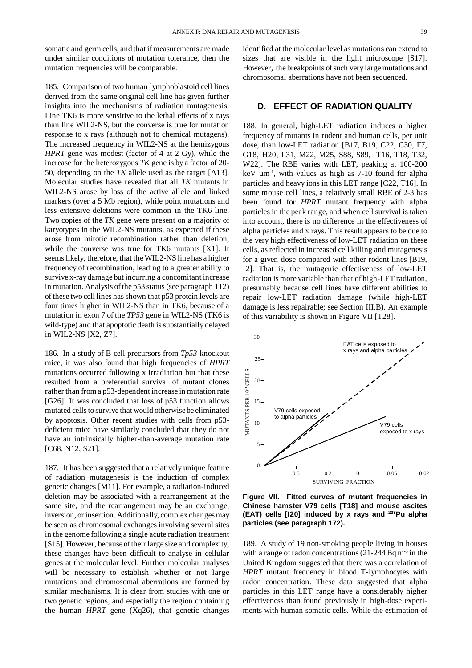somatic and germ cells, and that if measurements are made under similar conditions of mutation tolerance, then the mutation frequencies will be comparable.

185. Comparison of two human lymphoblastoid cell lines derived from the same original cell line has given further insights into the mechanisms of radiation mutagenesis. Line TK6 is more sensitive to the lethal effects of x rays than line WIL2-NS, but the converse is true for mutation response to x rays (although not to chemical mutagens). The increased frequency in WIL2-NS at the hemizygous *HPRT* gene was modest (factor of 4 at 2 Gy), while the increase for the heterozygous *TK* gene is by a factor of 20- 50, depending on the *TK* allele used as the target [A13]. Molecular studies have revealed that all *TK* mutants in WIL2-NS arose by loss of the active allele and linked markers (over a 5 Mb region), while point mutations and less extensive deletions were common in the TK6 line. Two copies of the *TK* gene were present on a majority of karyotypes in the WIL2-NS mutants, as expected if these arose from mitotic recombination rather than deletion, while the converse was true for TK6 mutants [X1]. It seems likely, therefore, that the WIL2-NS line has a higher frequency of recombination, leading to a greater ability to survive x-raydamage but incurring a concomitant increase in mutation. Analysis of the p53 status (see paragraph 112) of these two cell lines has shown that p53 protein levels are four times higher in WIL2-NS than in TK6, because of a mutation in exon 7 of the *TP53* gene in WIL2-NS (TK6 is wild-type) and that apoptotic death is substantially delayed in WIL2-NS [X2, Z7].

186. In a study of B-cell precursors from *Tp53*-knockout mice, it was also found that high frequencies of *HPRT* mutations occurred following x irradiation but that these resulted from a preferential survival of mutant clones rather than from a p53-dependent increase in mutation rate [G26]. It was concluded that loss of p53 function allows mutated cells to survive that would otherwise be eliminated by apoptosis. Other recent studies with cells from p53 deficient mice have similarly concluded that they do not have an intrinsically higher-than-average mutation rate [C68, N12, S21].

187. It has been suggested that a relatively unique feature of radiation mutagenesis is the induction of complex genetic changes [M11]. For example, a radiation-induced deletion may be associated with a rearrangement at the same site, and the rearrangement may be an exchange, inversion, or insertion. Additionally, complex changes may be seen as chromosomal exchanges involving several sites in the genome following a single acute radiation treatment [S15]. However, because of their large size and complexity, these changes have been difficult to analyse in cellular genes at the molecular level. Further molecular analyses will be necessary to establish whether or not large mutations and chromosomal aberrations are formed by similar mechanisms. It is clear from studies with one or two genetic regions, and especially the region containing the human *HPRT* gene (Xq26), that genetic changes

identified at the molecular level as mutations can extend to sizes that are visible in the light microscope [S17]. However, the breakpoints of such very large mutations and chromosomal aberrations have not been sequenced.

#### **D. EFFECT OF RADIATION QUALITY**

188. In general, high-LET radiation induces a higher frequency of mutants in rodent and human cells, per unit dose, than low-LET radiation [B17, B19, C22, C30, F7, G18, H20, L31, M22, M25, S88, S89, T16, T18, T32, W22]. The RBE varies with LET, peaking at 100-200  $keV$   $\mu$ m<sup>-1</sup>, with values as high as 7-10 found for alpha particles and heavy ions in this LET range [C22, T16]. In some mouse cell lines, a relatively small RBE of 2-3 has been found for *HPRT* mutant frequency with alpha particles in the peak range, and when cell survival is taken into account, there is no difference in the effectiveness of alpha particles and x rays. This result appears to be due to the very high effectiveness of low-LET radiation on these cells, as reflected in increased cell killing and mutagenesis for a given dose compared with other rodent lines [B19, I2]. That is, the mutagenic effectiveness of low-LET radiation is more variable than that of high-LET radiation, presumably because cell lines have different abilities to repair low-LET radiation damage (while high-LET damage is less repairable; see Section III.B). An example of this variability is shown in Figure VII [T28].



**Figure VII. Fitted curves of mutant frequencies in Chinese hamster V79 cells [T18] and mouse ascites (EAT) cells [I20] induced by x rays and 238Pu alpha particles (see paragraph 172).**

189. A study of 19 non-smoking people living in houses with a range of radon concentrations  $(21-244$  Bq m<sup>-3</sup> in the United Kingdom suggested that there was a correlation of *HPRT* mutant frequency in blood T-lymphocytes with radon concentration. These data suggested that alpha particles in this LET range have a considerably higher effectiveness than found previously in high-dose experiments with human somatic cells. While the estimation of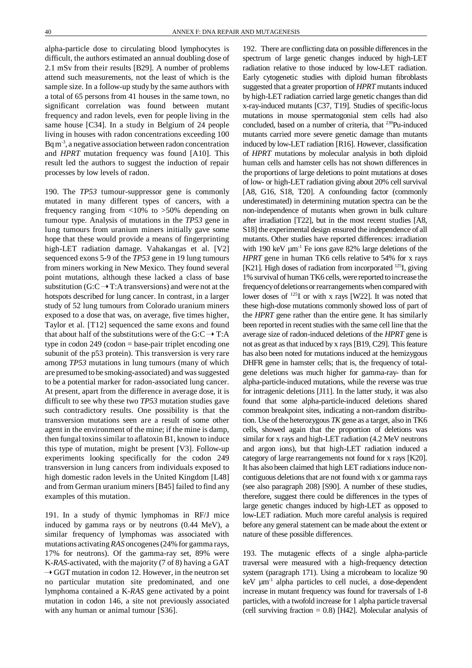alpha-particle dose to circulating blood lymphocytes is difficult, the authors estimated an annual doubling dose of 2.1 mSv from their results [B29]. A number of problems attend such measurements, not the least of which is the sample size. In a follow-up study by the same authors with a total of 65 persons from 41 houses in the same town, no significant correlation was found between mutant frequency and radon levels, even for people living in the same house [C34]. In a study in Belgium of 24 people living in houses with radon concentrations exceeding 100 Bq m-3, a negative association between radon concentration and *HPRT* mutation frequency was found [A10]. This result led the authors to suggest the induction of repair processes by low levels of radon.

190. The *TP53* tumour-suppressor gene is commonly mutated in many different types of cancers, with a frequency ranging from <10% to >50% depending on tumour type. Analysis of mutations in the *TP53* gene in lung tumours from uranium miners initially gave some hope that these would provide a means of fingerprinting high-LET radiation damage. Vahakangas et al. [V2] sequenced exons 5-9 of the *TP53* gene in 19 lung tumours from miners working in New Mexico. They found several point mutations, although these lacked a class of base substitution (G:C  $\rightarrow$  T:A transversions) and were not at the -hotspots described for lung cancer. In contrast, in a larger study of 52 lung tumours from Colorado uranium miners exposed to a dose that was, on average, five times higher, Taylor et al. [T12] sequenced the same exons and found that about half of the substitutions were of the G:C  $\rightarrow$  T:A type in codon 249 (codon = base-pair triplet encoding one subunit of the p53 protein). This transversion is very rare among *TP53* mutations in lung tumours (many of which are presumed to be smoking-associated) and was suggested to be a potential marker for radon-associated lung cancer. At present, apart from the difference in average dose, it is difficult to see why these two *TP53* mutation studies gave such contradictory results. One possibility is that the transversion mutations seen are a result of some other agent in the environment of the mine; if the mine is damp, then fungal toxins similar to aflatoxin B1, known to induce this type of mutation, might be present [V3]. Follow-up experiments looking specifically for the codon 249 transversion in lung cancers from individuals exposed to high domestic radon levels in the United Kingdom [L48] and from German uranium miners [B45] failed to find any examples of this mutation.

191. In a study of thymic lymphomas in RF/J mice induced by gamma rays or by neutrons (0.44 MeV), a similar frequency of lymphomas was associated with mutations activating*RAS* oncogenes (24% for gamma rays, 17% for neutrons). Of the gamma-ray set, 89% were K-*RAS*-activated, with the majority (7 of 8) having a GAT -no particular mutation site predominated, and one  $\rightarrow$  GGT mutation in codon 12. However, in the neutron set lymphoma contained a K-*RAS* gene activated by a point mutation in codon 146, a site not previously associated with any human or animal tumour [S36].

192. There are conflicting data on possible differences in the spectrum of large genetic changes induced by high-LET radiation relative to those induced by low-LET radiation. Early cytogenetic studies with diploid human fibroblasts suggested that a greater proportion of *HPRT* mutants induced by high-LET radiation carried large genetic changes than did x-ray-induced mutants [C37, T19]. Studies of specific-locus mutations in mouse spermatogonial stem cells had also concluded, based on a number of criteria, that 239Pu-induced mutants carried more severe genetic damage than mutants induced by low-LET radiation [R16]. However, classification of *HPRT* mutations by molecular analysis in both diploid human cells and hamster cells has not shown differences in the proportions of large deletions to point mutations at doses of low- or high-LET radiation giving about 20% cell survival [A8, G16, S18, T20]. A confounding factor (commonly underestimated) in determining mutation spectra can be the non-independence of mutants when grown in bulk culture after irradiation [T22], but in the most recent studies [A8, S18] the experimental design ensured the independence of all mutants. Other studies have reported differences: irradiation with 190 keV  $\mu$ m<sup>-1</sup> Fe ions gave 82% large deletions of the *HPRT* gene in human TK6 cells relative to 54% for x rays [K21]. High doses of radiation from incorporated  $^{125}I$ , giving 1% survival of human TK6 cells, were reported toincrease the frequency of deletions or rearrangements when compared with lower doses of <sup>125</sup>I or with x rays [W22]. It was noted that these high-dose mutations commonly showed loss of part of the *HPRT* gene rather than the entire gene. It has similarly been reported in recent studies with the same cell line that the average size of radon-induced deletions of the *HPRT* gene is not as great as that induced by x rays [B19, C29]. This feature has also been noted for mutations induced at the hemizygous DHFR gene in hamster cells; that is, the frequency of totalgene deletions was much higher for gamma-ray- than for alpha-particle-induced mutations, while the reverse was true for intragenic deletions [J11]. In the latter study, it was also found that some alpha-particle-induced deletions shared common breakpoint sites, indicating a non-random distribution. Use of the heterozygous *TK* gene as a target, also in TK6 cells, showed again that the proportion of deletions was similar for x rays and high-LET radiation (4.2 MeV neutrons and argon ions), but that high-LET radiation induced a category of large rearrangements not found for x rays [K20]. It has also been claimed that high LET radiations induce noncontiguous deletions that are not found with x or gamma rays (see also paragraph 208) [S90]. A number of these studies, therefore, suggest there could be differences in the types of large genetic changes induced by high-LET as opposed to low-LET radiation. Much more careful analysis is required before any general statement can be made about the extent or nature of these possible differences.

193. The mutagenic effects of a single alpha-particle traversal were measured with a high-frequency detection system (paragraph 171). Using a microbeam to localize 90 keV  $\mu$ m<sup>-1</sup> alpha particles to cell nuclei, a dose-dependent increase in mutant frequency was found for traversals of 1-8 particles, with a twofold increase for 1 alpha particle traversal (cell surviving fraction  $= 0.8$ ) [H42]. Molecular analysis of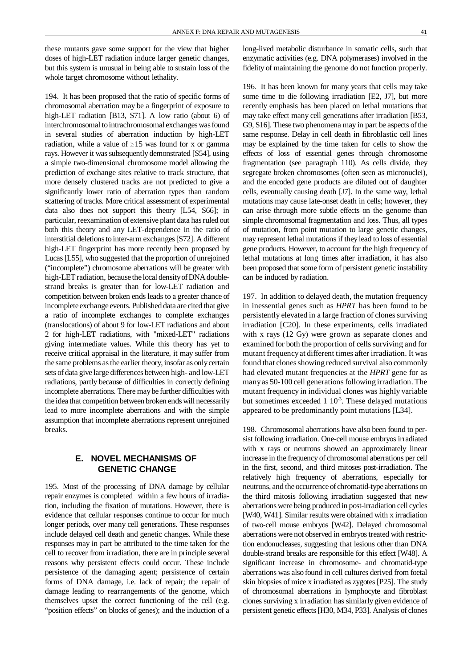these mutants gave some support for the view that higher doses of high-LET radiation induce larger genetic changes, but this system is unusual in being able to sustain loss of the whole target chromosome without lethality.

194. It has been proposed that the ratio of specific forms of chromosomal aberration may be a fingerprint of exposure to high-LET radiation [B13, S71]. A low ratio (about 6) of interchromosomal to intrachromosomal exchanges was found in several studies of aberration induction by high-LET radiation, while a value of  $\geq 15$  was found for x or gamma rays. However it was subsequently demonstrated [S54], using a simple two-dimensional chromosome model allowing the prediction of exchange sites relative to track structure, that more densely clustered tracks are not predicted to give a significantly lower ratio of aberration types than random scattering of tracks. More critical assessment of experimental data also does not support this theory [L54, S66]; in particular, reexamination of extensive plant data has ruled out both this theory and any LET-dependence in the ratio of interstitial deletions to inter-arm exchanges [S72]. A different high-LET fingerprint has more recently been proposed by Lucas [L55], who suggested that the proportion of unrejoined ("incomplete") chromosome aberrations will be greater with high-LET radiation, because the local density of DNA doublestrand breaks is greater than for low-LET radiation and competition between broken ends leads to a greater chance of incomplete exchange events. Published data are cited that give a ratio of incomplete exchanges to complete exchanges (translocations) of about 9 for low-LET radiations and about 2 for high-LET radiations, with "mixed-LET" radiations giving intermediate values. While this theory has yet to receive critical appraisal in the literature, it may suffer from the same problems as the earlier theory, insofar as onlycertain sets of data give large differences between high- and low-LET radiations, partly because of difficulties in correctly defining incomplete aberrations. There maybe further difficulties with the idea that competition between broken ends will necessarily lead to more incomplete aberrations and with the simple assumption that incomplete aberrations represent unrejoined breaks.

#### **E. NOVEL MECHANISMS OF GENETIC CHANGE**

195. Most of the processing of DNA damage by cellular repair enzymes is completed within a few hours of irradiation, including the fixation of mutations. However, there is evidence that cellular responses continue to occur for much longer periods, over many cell generations. These responses include delayed cell death and genetic changes. While these responses may in part be attributed to the time taken for the cell to recover from irradiation, there are in principle several reasons why persistent effects could occur. These include persistence of the damaging agent; persistence of certain forms of DNA damage, i.e. lack of repair; the repair of damage leading to rearrangements of the genome, which themselves upset the correct functioning of the cell (e.g. "position effects" on blocks of genes); and the induction of a long-lived metabolic disturbance in somatic cells, such that enzymatic activities (e.g. DNA polymerases) involved in the fidelity of maintaining the genome do not function properly.

196. It has been known for many years that cells may take some time to die following irradiation [E2, J7], but more recently emphasis has been placed on lethal mutations that may take effect many cell generations after irradiation [B53, G9, S16]. These two phenomena may in part be aspects of the same response. Delay in cell death in fibroblastic cell lines may be explained by the time taken for cells to show the effects of loss of essential genes through chromosome fragmentation (see paragraph 110). As cells divide, they segregate broken chromosomes (often seen as micronuclei), and the encoded gene products are diluted out of daughter cells, eventually causing death [J7]. In the same way, lethal mutations may cause late-onset death in cells; however, they can arise through more subtle effects on the genome than simple chromosomal fragmentation and loss. Thus, all types of mutation, from point mutation to large genetic changes, may represent lethal mutations if they lead to loss of essential gene products. However, to account for the high frequency of lethal mutations at long times after irradiation, it has also been proposed that some form of persistent genetic instability can be induced by radiation.

197. In addition to delayed death, the mutation frequency in inessential genes such as *HPRT* has been found to be persistently elevated in a large fraction of clones surviving irradiation [C20]. In these experiments, cells irradiated with x rays (12 Gy) were grown as separate clones and examined for both the proportion of cells surviving and for mutant frequencyat different times after irradiation. It was found that clones showing reduced survival also commonly had elevated mutant frequencies at the *HPRT* gene for as manyas 50-100 cell generations following irradiation. The mutant frequency in individual clones was highly variable but sometimes exceeded  $1 \, 10^{-3}$ . These delayed mutations appeared to be predominantly point mutations [L34].

198. Chromosomal aberrations have also been found to persist following irradiation. One-cell mouse embryos irradiated with x rays or neutrons showed an approximately linear increase in the frequency of chromosomal aberrations per cell in the first, second, and third mitoses post-irradiation. The relatively high frequency of aberrations, especially for neutrons, and the occurrence of chromatid-type aberrations on the third mitosis following irradiation suggested that new aberrations were being produced in post-irradiation cell cycles [W40, W41]. Similar results were obtained with x irradiation of two-cell mouse embryos [W42]. Delayed chromosomal aberrations were not observed in embryos treated with restriction endonucleases, suggesting that lesions other than DNA double-strand breaks are responsible for this effect [W48]. A significant increase in chromosome- and chromatid-type aberrations was also found in cell cultures derived from foetal skin biopsies of mice x irradiated as zygotes [P25]. The study of chromosomal aberrations in lymphocyte and fibroblast clones surviving x irradiation has similarly given evidence of persistent genetic effects [H30, M34, P33]. Analysis of clones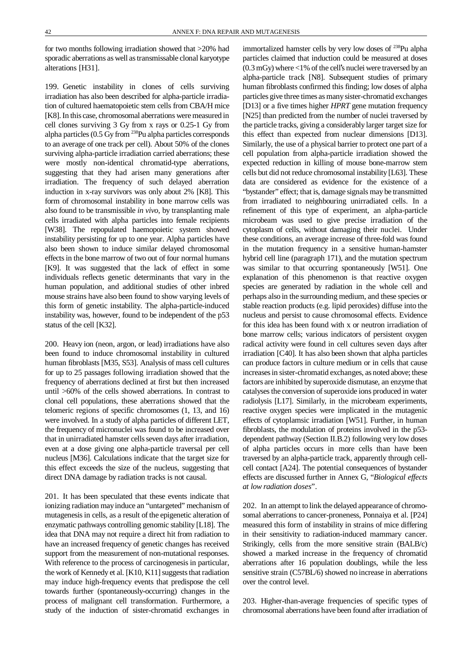for two months following irradiation showed that >20% had sporadic aberrations as well as transmissable clonal karyotype alterations [H31].

199. Genetic instability in clones of cells surviving irradiation has also been described for alpha-particle irradiation of cultured haematopoietic stem cells from CBA/H mice [K8]. In this case, chromosomal aberrations were measured in cell clones surviving 3 Gy from x rays or 0.25-1 Gy from alpha particles (0.5 Gy from 238Pu alpha particles corresponds to an average of one track per cell). About 50% of the clones surviving alpha-particle irradiation carried aberrations; these were mostly non-identical chromatid-type aberrations, suggesting that they had arisen many generations after irradiation. The frequency of such delayed aberration induction in x-ray survivors was only about 2% [K8]. This form of chromosomal instability in bone marrow cells was also found to be transmissible *in vivo*, by transplanting male cells irradiated with alpha particles into female recipients [W38]. The repopulated haemopoietic system showed instability persisting for up to one year. Alpha particles have also been shown to induce similar delayed chromosomal effects in the bone marrow of two out of four normal humans [K9]. It was suggested that the lack of effect in some individuals reflects genetic determinants that vary in the human population, and additional studies of other inbred mouse strains have also been found to show varying levels of this form of genetic instability. The alpha-particle-induced instability was, however, found to be independent of the p53 status of the cell [K32].

200. Heavy ion (neon, argon, or lead) irradiations have also been found to induce chromosomal instability in cultured human fibroblasts [M35, S53]. Analysis of mass cell cultures for up to 25 passages following irradiation showed that the frequency of aberrations declined at first but then increased until >60% of the cells showed aberrations. In contrast to clonal cell populations, these aberrations showed that the telomeric regions of specific chromosomes (1, 13, and 16) were involved. In a study of alpha particles of different LET, the frequency of micronuclei was found to be increased over that in unirradiated hamster cells seven days after irradiation, even at a dose giving one alpha-particle traversal per cell nucleus [M36]. Calculations indicate that the target size for this effect exceeds the size of the nucleus, suggesting that direct DNA damage by radiation tracks is not causal.

201. It has been speculated that these events indicate that ionizing radiation mayinduce an "untargeted" mechanism of mutagenesis in cells, as a result of the epigenetic alteration of enzymatic pathways controlling genomic stability [L18]. The idea that DNA may not require a direct hit from radiation to have an increased frequency of genetic changes has received support from the measurement of non-mutational responses. With reference to the process of carcinogenesis in particular, the work of Kennedy et al. [K10, K11] suggests that radiation may induce high-frequency events that predispose the cell towards further (spontaneously-occurring) changes in the process of malignant cell transformation. Furthermore, a study of the induction of sister-chromatid exchanges in

immortalized hamster cells by very low doses of 238Pu alpha particles claimed that induction could be measured at doses  $(0.3 \,\mathrm{mGy})$  where  $\lt 1\%$  of the cell's nuclei were traversed by an (0.3 mGy) where <1% of the cell's nuclei were traversed by an alpha-particle track [N8]. Subsequent studies of primary human fibroblasts confirmed this finding; low doses of alpha alpha-particle track [N8]. Subsequent studies of primary particles give three times as manysister-chromatid exchanges [D13] or a five times higher *HPRT* gene mutation frequency [N25] than predicted from the number of nuclei traversed by the particle tracks, giving a considerably larger target size for this effect than expected from nuclear dimensions [D13]. Similarly, the use of a physical barrier to protect one part of a cell population from alpha-particle irradiation showed the expected reduction in killing of mouse bone-marrow stem cells but did not reduce chromosomal instability [L63]. These data are considered as evidence for the existence of a "bystander" effect; that is, damage signals may be transmitted from irradiated to neighbouring unirradiated cells. In a refinement of this type of experiment, an alpha-particle microbeam was used to give precise irradiation of the cytoplasm of cells, without damaging their nuclei. Under these conditions, an average increase of three-fold was found in the mutation frequency in a sensitive human-hamster hybrid cell line (paragraph 171), and the mutation spectrum was similar to that occurring spontaneously [W51]. One explanation of this phenomenon is that reactive oxygen species are generated by radiation in the whole cell and perhaps also in the surrounding medium, and these species or stable reaction products (e.g. lipid peroxides) diffuse into the nucleus and persist to cause chromosomal effects. Evidence for this idea has been found with x or neutron irradiation of bone marrow cells; various indicators of persistent oxygen radical activity were found in cell cultures seven days after irradiation [C40]. It has also been shown that alpha particles can produce factors in culture medium or in cells that cause increases in sister-chromatid exchanges, as noted above; these factors are inhibited by superoxide dismutase, an enzyme that catalyses the conversion of superoxide ions produced in water radiolysis [L17]. Similarly, in the microbeam experiments, reactive oxygen species were implicated in the mutagenic effects of cytoplamsic irradiation [W51]. Further, in human fibroblasts, the modulation of proteins involved in the p53 dependent pathway (Section II.B.2) following very low doses of alpha particles occurs in more cells than have been traversed by an alpha-particle track, apparently through cellcell contact [A24]. The potential consequences of bystander effects are discussed further in Annex G, "*Biological effects at low radiation doses*".

202. In an attempt to link the delayed appearance of chromosomal aberrations to cancer-proneness, Ponnaiya et al. [P24] measured this form of instability in strains of mice differing in their sensitivity to radiation-induced mammary cancer. Strikingly, cells from the more sensitive strain (BALB/c) showed a marked increase in the frequency of chromatid aberrations after 16 population doublings, while the less sensitive strain (C57BL/6) showed no increase in aberrations over the control level.

203. Higher-than-average frequencies of specific types of chromosomal aberrations have been found after irradiation of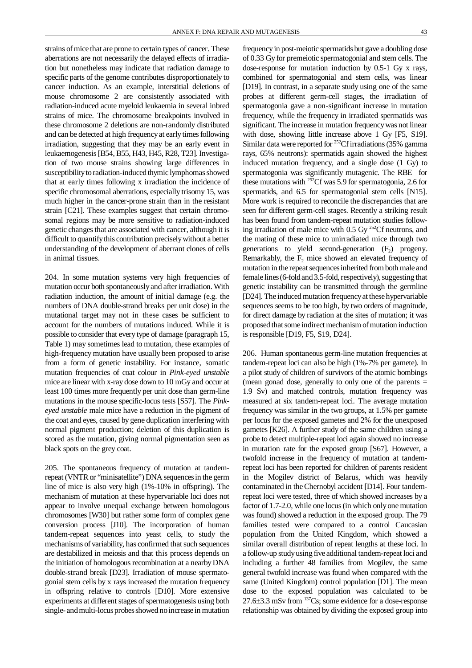strains of mice that are prone to certain types of cancer. These aberrations are not necessarily the delayed effects of irradiation but nonetheless may indicate that radiation damage to specific parts of the genome contributes disproportionately to cancer induction. As an example, interstitial deletions of mouse chromosome 2 are consistently associated with radiation-induced acute myeloid leukaemia in several inbred strains of mice. The chromosome breakpoints involved in these chromosome 2 deletions are non-randomly distributed and can be detected at high frequencyat earlytimes following irradiation, suggesting that they may be an early event in leukaemogenesis [B54, B55, H43, H45, R28, T23]. Investigation of two mouse strains showing large differences in susceptibility to radiation-induced thymic lymphomas showed that at early times following x irradiation the incidence of specific chromosomal aberrations, especially trisomy 15, was much higher in the cancer-prone strain than in the resistant strain [C21]. These examples suggest that certain chromosomal regions may be more sensitive to radiation-induced genetic changes that are associated with cancer, although it is difficult to quantifythis contribution preciselywithout a better understanding of the development of aberrant clones of cells in animal tissues.

204. In some mutation systems very high frequencies of mutation occur both spontaneouslyand after irradiation. With radiation induction, the amount of initial damage (e.g. the numbers of DNA double-strand breaks per unit dose) in the mutational target may not in these cases be sufficient to account for the numbers of mutations induced. While it is possible to consider that every type of damage (paragraph 15, Table 1) may sometimes lead to mutation, these examples of high-frequency mutation have usually been proposed to arise from a form of genetic instability. For instance, somatic mutation frequencies of coat colour in *Pink-eyed unstable* mice are linear with x-ray dose down to 10 mGy and occur at least 100 times more frequently per unit dose than germ-line mutations in the mouse specific-locus tests [S57]. The *Pinkeyed unstable* male mice have a reduction in the pigment of the coat and eyes, caused by gene duplication interfering with normal pigment production; deletion of this duplication is scored as the mutation, giving normal pigmentation seen as black spots on the grey coat.

205. The spontaneous frequency of mutation at tandemrepeat (VNTR or "minisatellite") DNA sequences in the germ line of mice is also very high (1%-10% in offspring). The mechanism of mutation at these hypervariable loci does not appear to involve unequal exchange between homologous chromosomes [W30] but rather some form of complex gene conversion process [J10]. The incorporation of human tandem-repeat sequences into yeast cells, to study the mechanisms of variability, has confirmed that such sequences are destabilized in meiosis and that this process depends on the initiation of homologous recombination at a nearby DNA double-strand break [D23]. Irradiation of mouse spermatogonial stem cells by x rays increased the mutation frequency in offspring relative to controls [D10]. More extensive experiments at different stages of spermatogenesis using both single- and multi-locus probes showed no increase in mutation frequencyin post-meiotic spermatids but gave a doubling dose of 0.33 Gy for premeiotic spermatogonial and stem cells. The dose-response for mutation induction by 0.5-1 Gy x rays, combined for spermatogonial and stem cells, was linear [D19]. In contrast, in a separate study using one of the same probes at different germ-cell stages, the irradiation of spermatogonia gave a non-significant increase in mutation frequency, while the frequency in irradiated spermatids was significant. The increase in mutation frequency was not linear with dose, showing little increase above 1 Gy [F5, S19]. Similar data were reported for <sup>252</sup>Cf irradiations (35% gamma rays, 65% neutrons): spermatids again showed the highest induced mutation frequency, and a single dose (1 Gy) to spermatogonia was significantly mutagenic. The RBE for these mutations with <sup>252</sup>Cf was 5.9 for spermatogonia, 2.6 for spermatids, and 6.5 for spermatogonial stem cells [N15]. More work is required to reconcile the discrepancies that are seen for different germ-cell stages. Recently a striking result has been found from tandem-repeat mutation studies following irradiation of male mice with 0.5 Gy 252Cf neutrons, and the mating of these mice to unirradiated mice through two generations to yield second-generation  $(F_2)$  progeny. Remarkably, the  $F_2$  mice showed an elevated frequency of mutation in the repeat sequencesinherited from both male and female lines(6-foldand3.5-fold, respectively), suggesting that genetic instability can be transmitted through the germline [D24]. The induced mutation frequencyat these hypervariable sequences seems to be too high, by two orders of magnitude, for direct damage by radiation at the sites of mutation; it was proposed that some indirect mechanism of mutation induction is responsible [D19, F5, S19, D24].

206. Human spontaneous germ-line mutation frequencies at tandem-repeat loci can also be high (1%-7% per gamete). In a pilot study of children of survivors of the atomic bombings (mean gonad dose, generally to only one of the parents = 1.9 Sv) and matched controls, mutation frequency was measured at six tandem-repeat loci. The average mutation frequency was similar in the two groups, at 1.5% per gamete per locus for the exposed gametes and 2% for the unexposed gametes [K26]. A further study of the same children using a probe to detect multiple-repeat loci again showed no increase in mutation rate for the exposed group [S67]. However, a twofold increase in the frequency of mutation at tandemrepeat loci has been reported for children of parents resident in the Mogilev district of Belarus, which was heavily contaminated in the Chernobyl accident [D14]. Four tandemrepeat loci were tested, three of which showed increases by a factor of 1.7-2.0, while one locus (in which onlyone mutation was found) showed a reduction in the exposed group. The 79 families tested were compared to a control Caucasian population from the United Kingdom, which showed a similar overall distribution of repeat lengths at these loci. In a follow-up studyusing five additional tandem-repeat loci and including a further 48 families from Mogilev, the same general twofold increase was found when compared with the same (United Kingdom) control population [D1]. The mean dose to the exposed population was calculated to be  $27.6\pm3.3$  mSv from  $137$ Cs; some evidence for a dose-response relationship was obtained by dividing the exposed group into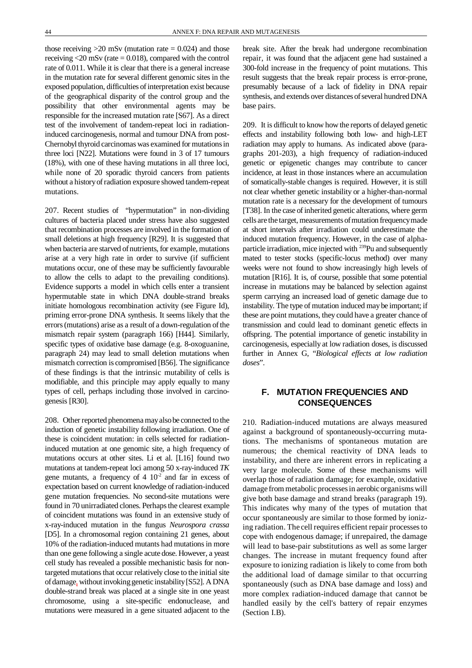those receiving  $>20$  mSv (mutation rate  $= 0.024$ ) and those receiving  $\langle 20 \text{ mSv} \rangle$  (rate = 0.018), compared with the control rate of 0.011. While it is clear that there is a general increase in the mutation rate for several different genomic sites in the exposed population, difficulties of interpretation exist because of the geographical disparity of the control group and the possibility that other environmental agents may be responsible for the increased mutation rate [S67]. As a direct test of the involvement of tandem-repeat loci in radiationinduced carcinogenesis, normal and tumour DNA from post-Chernobyl thyroid carcinomas was examined for mutations in three loci [N22]. Mutations were found in 3 of 17 tumours (18%), with one of these having mutations in all three loci, while none of 20 sporadic thyroid cancers from patients without a historyof radiation exposure showed tandem-repeat mutations.

207. Recent studies of "hypermutation" in non-dividing cultures of bacteria placed under stress have also suggested that recombination processes are involved in the formation of small deletions at high frequency [R29]. It is suggested that when bacteria are starved of nutrients, for example, mutations arise at a very high rate in order to survive (if sufficient mutations occur, one of these may be sufficiently favourable to allow the cells to adapt to the prevailing conditions). Evidence supports a model in which cells enter a transient hypermutable state in which DNA double-strand breaks initiate homologous recombination activity (see Figure Id), priming error-prone DNA synthesis. It seems likely that the errors (mutations) arise as a result of a down-regulation of the mismatch repair system (paragraph 166) [H44]. Similarly, specific types of oxidative base damage (e.g. 8-oxoguanine, paragraph 24) may lead to small deletion mutations when mismatch correction is compromised [B56]. The significance of these findings is that the intrinsic mutability of cells is modifiable, and this principle may apply equally to many types of cell, perhaps including those involved in carcinogenesis [R30].

208. Other reported phenomena mayalsobe connected to the induction of genetic instability following irradiation. One of these is coincident mutation: in cells selected for radiationinduced mutation at one genomic site, a high frequency of mutations occurs at other sites. Li et al. [L16] found two mutations at tandem-repeat loci among 50 x-ray-induced *TK* gene mutants, a frequency of  $4 \times 10^{-2}$  and far in excess of expectation based on current knowledge of radiation-induced gene mutation frequencies. No second-site mutations were found in 70 unirradiated clones. Perhaps the clearest example of coincident mutations was found in an extensive study of x-ray-induced mutation in the fungus *Neurospora crassa* [D5]. In a chromosomal region containing 21 genes, about 10% of the radiation-induced mutants had mutations in more than one gene following a single acute dose. However, a yeast cell study has revealed a possible mechanistic basis for nontargeted mutations that occur relatively close to the initial site of damage, without invoking genetic instability [S52]. A DNA double-strand break was placed at a single site in one yeast chromosome, using a site-specific endonuclease, and mutations were measured in a gene situated adjacent to the

break site. After the break had undergone recombination repair, it was found that the adjacent gene had sustained a 300-fold increase in the frequency of point mutations. This result suggests that the break repair process is error-prone, presumably because of a lack of fidelity in DNA repair synthesis, and extends over distances of several hundred DNA base pairs.

209. It is difficult to know how the reports of delayed genetic effects and instability following both low- and high-LET radiation may apply to humans. As indicated above (paragraphs 201-203), a high frequency of radiation-induced genetic or epigenetic changes may contribute to cancer incidence, at least in those instances where an accumulation of somatically-stable changes is required. However, it is still not clear whether genetic instability or a higher-than-normal mutation rate is a necessary for the development of tumours [T38]. In the case of inherited genetic alterations, where germ cells are the target, measurements of mutation frequency made at short intervals after irradiation could underestimate the induced mutation frequency. However, in the case of alphaparticle irradiation, mice injected with <sup>239</sup>Pu and subsequently mated to tester stocks (specific-locus method) over many weeks were not found to show increasingly high levels of mutation [R16]. It is, of course, possible that some potential increase in mutations may be balanced by selection against sperm carrying an increased load of genetic damage due to instability. The type of mutation induced maybe important; if these are point mutations, they could have a greater chance of transmission and could lead to dominant genetic effects in offspring. The potential importance of genetic instability in carcinogenesis, especially at low radiation doses, is discussed further in Annex G, "*Biological effects at low radiation doses*".

## **F. MUTATION FREQUENCIES AND CONSEQUENCES**

210. Radiation-induced mutations are always measured against a background of spontaneously-occurring mutations. The mechanisms of spontaneous mutation are numerous; the chemical reactivity of DNA leads to instability, and there are inherent errors in replicating a very large molecule. Some of these mechanisms will overlap those of radiation damage; for example, oxidative damage from metabolic processes in aerobic organisms will give both base damage and strand breaks (paragraph 19). This indicates why many of the types of mutation that occur spontaneously are similar to those formed by ionizing radiation. The cell requires efficient repair processes to cope with endogenous damage; if unrepaired, the damage will lead to base-pair substitutions as well as some larger changes. The increase in mutant frequency found after exposure to ionizing radiation is likely to come from both the additional load of damage similar to that occurring spontaneously (such as DNA base damage and loss) and more complex radiation-induced damage that cannot be handled easily by the cell's battery of repair enzymes (Section I.B).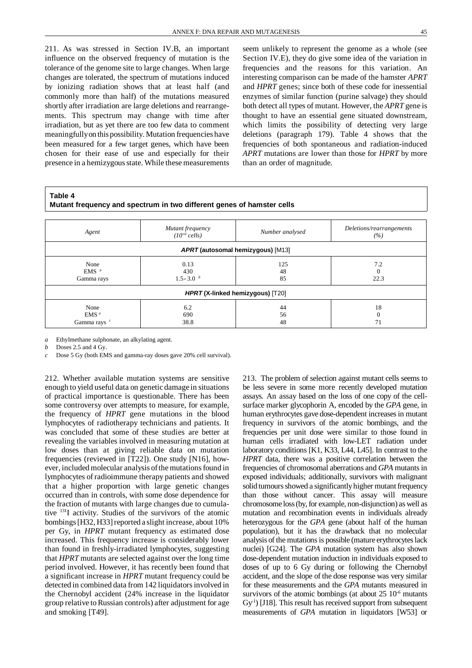211. As was stressed in Section IV.B, an important influence on the observed frequency of mutation is the tolerance of the genome site to large changes. When large changes are tolerated, the spectrum of mutations induced by ionizing radiation shows that at least half (and commonly more than half) of the mutations measured shortly after irradiation are large deletions and rearrangements. This spectrum may change with time after irradiation, but as yet there are too few data to comment meaningfullyon this possibility. Mutation frequencies have been measured for a few target genes, which have been chosen for their ease of use and especially for their presence in a hemizygous state. While these measurements seem unlikely to represent the genome as a whole (see Section IV.E), they do give some idea of the variation in frequencies and the reasons for this variation. An interesting comparison can be made of the hamster *APRT* and *HPRT* genes; since both of these code for inessential enzymes of similar function (purine salvage) they should both detect all types of mutant. However, the *APRT* gene is thought to have an essential gene situated downstream, which limits the possibility of detecting very large deletions (paragraph 179). Table 4 shows that the frequencies of both spontaneous and radiation-induced *APRT* mutations are lower than those for *HPRT* by more than an order of magnitude.

| Table 4                                                               |  |
|-----------------------------------------------------------------------|--|
| Mutant frequency and spectrum in two different genes of hamster cells |  |

| Agent            | Mutant frequency<br>$(10^{-6}$ cells)    | Number analysed | Deletions/rearrangements<br>(%) |
|------------------|------------------------------------------|-----------------|---------------------------------|
|                  | <b>APRT</b> (autosomal hemizygous) [M13] |                 |                                 |
| None             | 0.13                                     | 125             | 7.2                             |
| EMS $a$          | 430                                      | 48              | 0                               |
| Gamma rays       | $1.5 - 3.0b$                             | 85              | 22.3                            |
|                  | HPRT (X-linked hemizygous) [T20]         |                 |                                 |
| None             | 6.2                                      | 44              | 18                              |
| EMS <sup>a</sup> | 690                                      | 56              | 0                               |
| Gamma rays c     | 38.8                                     | 48              | 71                              |

*b* Doses 2.5 and 4 Gy.

Dose 5 Gy (both EMS and gamma-ray doses gave 20% cell survival).

212. Whether available mutation systems are sensitive enough to yield useful data on genetic damage in situations of practical importance is questionable. There has been some controversy over attempts to measure, for example, the frequency of *HPRT* gene mutations in the blood lymphocytes of radiotherapy technicians and patients. It was concluded that some of these studies are better at revealing the variables involved in measuring mutation at low doses than at giving reliable data on mutation frequencies (reviewed in [T22]). One study [N16], however, included molecular analysis ofthe mutations found in lymphocytes of radioimmune therapy patients and showed that a higher proportion with large genetic changes occurred than in controls, with some dose dependence for the fraction of mutants with large changes due to cumulative 131I activity. Studies of the survivors of the atomic bombings [H32, H33] reported a slight increase, about 10% per Gy, in *HPRT* mutant frequency as estimated dose increased. This frequency increase is considerably lower than found in freshly-irradiated lymphocytes, suggesting that *HPRT* mutants are selected against over the long time period involved. However, it has recently been found that a significant increase in *HPRT* mutant frequency could be detected in combined data from 142 liquidators involved in the Chernobyl accident (24% increase in the liquidator group relative to Russian controls) after adjustment for age and smoking [T49].

213. The problem of selection against mutant cells seems to be less severe in some more recently developed mutation assays. An assay based on the loss of one copy of the cellsurface marker glycophorin A, encoded by the *GPA* gene, in human erythrocytes gave dose-dependent increases in mutant frequency in survivors of the atomic bombings, and the frequencies per unit dose were similar to those found in human cells irradiated with low-LET radiation under laboratory conditions [K1, K33, L44, L45]. In contrast to the *HPRT* data, there was a positive correlation between the frequencies of chromosomal aberrations and *GPA* mutants in exposed individuals; additionally, survivors with malignant solid tumours showed a significantlyhigher mutant frequency than those without cancer. This assay will measure chromosome loss (by, for example, non-disjunction) as well as mutation and recombination events in individuals already heterozygous for the *GPA* gene (about half of the human population), but it has the drawback that no molecular analysis of the mutations is possible (mature erythrocytes lack nuclei) [G24]. The *GPA* mutation system has also shown dose-dependent mutation induction in individuals exposed to doses of up to 6 Gy during or following the Chernobyl accident, and the slope of the dose response was very similar for these measurements and the *GPA* mutants measured in survivors of the atomic bombings (at about  $25 \times 10^{-6}$  mutants  $Gy<sup>1</sup>$  [J18]. This result has received support from subsequent measurements of *GPA* mutation in liquidators [W53] or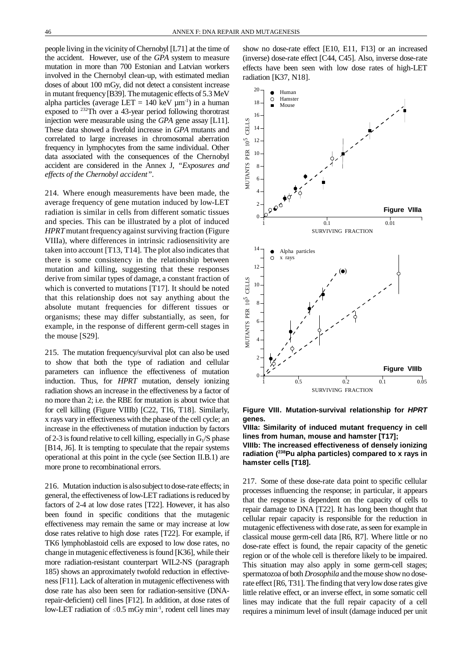people living in the vicinity of Chernobyl [L71] at the time of the accident. However, use of the *GPA* system to measure mutation in more than 700 Estonian and Latvian workers involved in the Chernobyl clean-up, with estimated median doses of about 100 mGy, did not detect a consistent increase in mutant frequency[B39]. The mutagenic effects of 5.3 MeV alpha particles (average LET = 140 keV  $\mu$ m<sup>-1</sup>) in a human exposed to 232Th over a 43-year period following thorotrast injection were measurable using the *GPA* gene assay [L11]. These data showed a fivefold increase in *GPA* mutants and correlated to large increases in chromosomal aberration frequency in lymphocytes from the same individual. Other data associated with the consequences of the Chernobyl accident are considered in the Annex J, *"Exposures and effects of the Chernobyl accident"*.

214. Where enough measurements have been made, the average frequency of gene mutation induced by low-LET radiation is similar in cells from different somatic tissues and species. This can be illustrated by a plot of induced *HPRT* mutant frequencyagainst surviving fraction (Figure VIIIa), where differences in intrinsic radiosensitivity are taken into account [T13, T14]. The plot also indicates that there is some consistency in the relationship between mutation and killing, suggesting that these responses derive from similar types of damage, a constant fraction of which is converted to mutations [T17]. It should be noted that this relationship does not say anything about the absolute mutant frequencies for different tissues or organisms; these may differ substantially, as seen, for example, in the response of different germ-cell stages in the mouse [S29].

215. The mutation frequency/survival plot can also be used to show that both the type of radiation and cellular parameters can influence the effectiveness of mutation induction. Thus, for *HPRT* mutation, densely ionizing radiation shows an increase in the effectiveness by a factor of no more than 2; i.e. the RBE for mutation is about twice that for cell killing (Figure VIIIb) [C22, T16, T18]. Similarly, x rays vary in effectiveness with the phase of the cell cycle; an increase in the effectiveness of mutation induction by factors of 2-3 is found relative to cell killing, especially in  $G<sub>1</sub>/S$  phase [B14, J6]. It is tempting to speculate that the repair systems operational at this point in the cycle (see Section II.B.1) are more prone to recombinational errors.

216. Mutation induction is alsosubject todose-rate effects; in general, the effectiveness of low-LET radiations is reduced by factors of 2-4 at low dose rates [T22]. However, it has also been found in specific conditions that the mutagenic effectiveness may remain the same or may increase at low dose rates relative to high dose rates [T22]. For example, if TK6 lymphoblastoid cells are exposed to low dose rates, no change in mutagenic effectiveness is found [K36], while their more radiation-resistant counterpart WIL2-NS (paragraph 185) shows an approximately twofold reduction in effectiveness [F11]. Lack of alteration in mutagenic effectiveness with dose rate has also been seen for radiation-sensitive (DNArepair-deficient) cell lines [F12]. In addition, at dose rates of low-LET radiation of  $\leq 0.5$  mGy min<sup>-1</sup>, rodent cell lines may show no dose-rate effect [E10, E11, F13] or an increased (inverse) dose-rate effect [C44, C45]. Also, inverse dose-rate effects have been seen with low dose rates of high-LET radiation [K37, N18].



**Figure VIII. Mutation-survival relationship for** *HPRT* **genes.**

**VIIIa: Similarity of induced mutant frequency in cell lines from human, mouse and hamster [T17];**

**VIIIb: The increased effectiveness of densely ionizing radiation (238Pu alpha particles) compared to x rays in hamster cells [T18].**

217. Some of these dose-rate data point to specific cellular processes influencing the response; in particular, it appears that the response is dependent on the capacity of cells to repair damage to DNA [T22]. It has long been thought that cellular repair capacity is responsible for the reduction in mutagenic effectiveness with dose rate, as seen for example in classical mouse germ-cell data [R6, R7]. Where little or no dose-rate effect is found, the repair capacity of the genetic region or of the whole cell is therefore likely to be impaired. This situation may also apply in some germ-cell stages; spermatozoa of both *Drosophila* and the mouse show no doserate effect [R6, T31]. The finding that verylowdose rates give little relative effect, or an inverse effect, in some somatic cell lines may indicate that the full repair capacity of a cell requires a minimum level of insult (damage induced per unit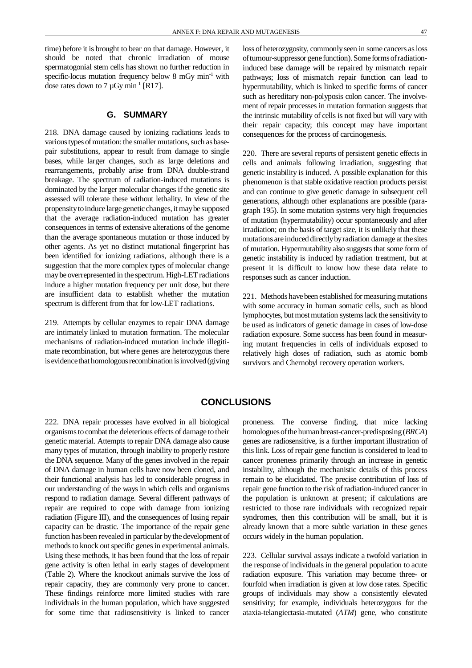time) before it is brought to bear on that damage. However, it should be noted that chronic irradiation of mouse spermatogonial stem cells has shown no further reduction in specific-locus mutation frequency below 8 mGy min<sup>-1</sup> with dose rates down to 7  $\mu$ Gy min<sup>-1</sup> [R17].

#### **G. SUMMARY**

218. DNA damage caused by ionizing radiations leads to various types of mutation: the smaller mutations, such as basepair substitutions, appear to result from damage to single bases, while larger changes, such as large deletions and rearrangements, probably arise from DNA double-strand breakage. The spectrum of radiation-induced mutations is dominated by the larger molecular changes if the genetic site assessed will tolerate these without lethality. In view of the propensitytoinduce large geneticchanges, it maybe supposed that the average radiation-induced mutation has greater consequences in terms of extensive alterations of the genome than the average spontaneous mutation or those induced by other agents. As yet no distinct mutational fingerprint has been identified for ionizing radiations, although there is a suggestion that the more complex types of molecular change maybe overrepresented in the spectrum. High-LET radiations induce a higher mutation frequency per unit dose, but there are insufficient data to establish whether the mutation spectrum is different from that for low-LET radiations.

219. Attempts by cellular enzymes to repair DNA damage are intimately linked to mutation formation. The molecular mechanisms of radiation-induced mutation include illegitimate recombination, but where genes are heterozygous there is evidence that homologous recombination is involved (giving loss of heterozygosity, commonlyseen in some cancers as loss of tumour-suppressor gene function). Some forms of radiationinduced base damage will be repaired by mismatch repair pathways; loss of mismatch repair function can lead to hypermutability, which is linked to specific forms of cancer such as hereditary non-polyposis colon cancer. The involvement of repair processes in mutation formation suggests that the intrinsic mutability of cells is not fixed but will vary with their repair capacity; this concept may have important consequences for the process of carcinogenesis.

220. There are several reports of persistent genetic effects in cells and animals following irradiation, suggesting that genetic instability is induced. A possible explanation for this phenomenon is that stable oxidative reaction products persist and can continue to give genetic damage in subsequent cell generations, although other explanations are possible (paragraph 195). In some mutation systems very high frequencies of mutation (hypermutability) occur spontaneously and after irradiation; on the basis of target size, it is unlikely that these mutations are induced directlybyradiation damage at the sites of mutation. Hypermutability also suggests that some form of genetic instability is induced by radiation treatment, but at present it is difficult to know how these data relate to responses such as cancer induction.

221. Methods havebeen established for measuring mutations with some accuracy in human somatic cells, such as blood lymphocytes, but most mutation systems lack the sensitivityto be used as indicators of genetic damage in cases of low-dose radiation exposure. Some success has been found in measuring mutant frequencies in cells of individuals exposed to relatively high doses of radiation, such as atomic bomb survivors and Chernobyl recovery operation workers.

## **CONCLUSIONS**

222. DNA repair processes have evolved in all biological organisms to combat the deleterious effects of damage to their genetic material. Attempts to repair DNA damage also cause many types of mutation, through inability to properly restore the DNA sequence. Many of the genes involved in the repair of DNA damage in human cells have now been cloned, and their functional analysis has led to considerable progress in our understanding of the ways in which cells and organisms respond to radiation damage. Several different pathways of repair are required to cope with damage from ionizing radiation (Figure III), and the consequences of losing repair capacity can be drastic. The importance of the repair gene function has been revealed in particular by the development of methods to knock out specific genes in experimental animals. Using these methods, it has been found that the loss of repair gene activity is often lethal in early stages of development (Table 2). Where the knockout animals survive the loss of repair capacity, they are commonly very prone to cancer. These findings reinforce more limited studies with rare individuals in the human population, which have suggested for some time that radiosensitivity is linked to cancer

proneness. The converse finding, that mice lacking homologuesofthehumanbreast-cancer-predisposing(*BRCA*) genes are radiosensitive, is a further important illustration of this link. Loss of repair gene function is considered to lead to cancer proneness primarily through an increase in genetic instability, although the mechanistic details of this process remain to be elucidated. The precise contribution of loss of repair gene function to the risk of radiation-induced cancer in the population is unknown at present; if calculations are restricted to those rare individuals with recognized repair syndromes, then this contribution will be small, but it is already known that a more subtle variation in these genes occurs widely in the human population.

223. Cellular survival assays indicate a twofold variation in the response of individuals in the general population to acute radiation exposure. This variation may become three- or fourfold when irradiation is given at low dose rates. Specific groups of individuals may show a consistently elevated sensitivity; for example, individuals heterozygous for the ataxia-telangiectasia-mutated (*ATM*) gene, who constitute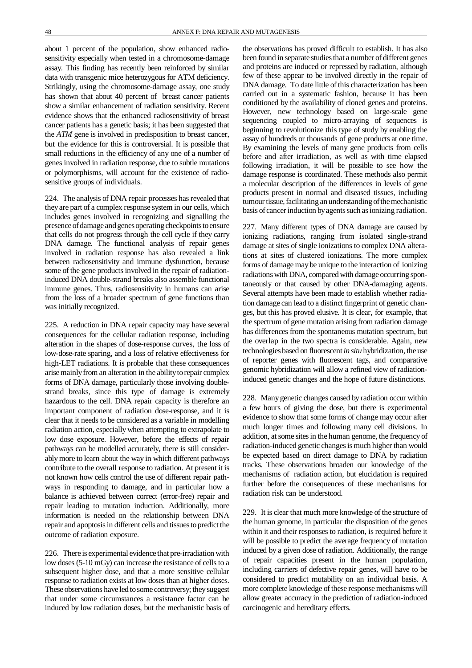about 1 percent of the population, show enhanced radiosensitivity especially when tested in a chromosome-damage assay. This finding has recently been reinforced by similar data with transgenic mice heterozygous for ATM deficiency. Strikingly, using the chromosome-damage assay, one study has shown that about 40 percent of breast cancer patients show a similar enhancement of radiation sensitivity. Recent evidence shows that the enhanced radiosensitivity of breast cancer patients has a genetic basis; it has been suggested that the *ATM* gene is involved in predisposition to breast cancer, but the evidence for this is controversial. It is possible that small reductions in the efficiency of any one of a number of genes involved in radiation response, due to subtle mutations or polymorphisms, will account for the existence of radiosensitive groups of individuals.

224. The analysis of DNA repair processes has revealed that theyare part of a complex response system in our cells, which includes genes involved in recognizing and signalling the presence of damage and genes operating checkpoints to ensure that cells do not progress through the cell cycle if they carry DNA damage. The functional analysis of repair genes involved in radiation response has also revealed a link between radiosensitivity and immune dysfunction, because some of the gene products involved in the repair of radiationinduced DNA double-strand breaks also assemble functional immune genes. Thus, radiosensitivity in humans can arise from the loss of a broader spectrum of gene functions than was initially recognized.

225. A reduction in DNA repair capacity may have several consequences for the cellular radiation response, including alteration in the shapes of dose-response curves, the loss of low-dose-rate sparing, and a loss of relative effectiveness for high-LET radiations. It is probable that these consequences arise mainlyfrom an alteration in the abilitytorepair complex forms of DNA damage, particularly those involving doublestrand breaks, since this type of damage is extremely hazardous to the cell. DNA repair capacity is therefore an important component of radiation dose-response, and it is clear that it needs to be considered as a variable in modelling radiation action, especially when attempting to extrapolate to low dose exposure. However, before the effects of repair pathways can be modelled accurately, there is still considerably more to learn about the way in which different pathways contribute to the overall response to radiation. At present it is not known how cells control the use of different repair pathways in responding to damage, and in particular how a balance is achieved between correct (error-free) repair and repair leading to mutation induction. Additionally, more information is needed on the relationship between DNA repair and apoptosis in different cells and tissues topredict the outcome of radiation exposure.

226. There is experimental evidence that pre-irradiation with low doses (5-10 mGy) can increase the resistance of cells to a subsequent higher dose, and that a more sensitive cellular response to radiation exists at low doses than at higher doses. These observations have led to some controversy; they suggest that under some circumstances a resistance factor can be induced by low radiation doses, but the mechanistic basis of the observations has proved difficult to establish. It has also been found in separate studies that a number of different genes and proteins are induced or repressed by radiation, although few of these appear to be involved directly in the repair of DNA damage. To date little of this characterization has been carried out in a systematic fashion, because it has been conditioned by the availability of cloned genes and proteins. However, new technology based on large-scale gene sequencing coupled to micro-arraying of sequences is beginning to revolutionize this type of study by enabling the assay of hundreds or thousands of gene products at one time. By examining the levels of many gene products from cells before and after irradiation, as well as with time elapsed following irradiation, it will be possible to see how the damage response is coordinated. These methods also permit a molecular description of the differences in levels of gene products present in normal and diseased tissues, including tumour tissue, facilitating an understanding of the mechanistic basis of cancer induction by agents such as ionizing radiation.

227. Many different types of DNA damage are caused by ionizing radiations, ranging from isolated single-strand damage at sites of single ionizations to complex DNA alterations at sites of clustered ionizations. The more complex forms of damage may be unique to the interaction of ionizing radiations with DNA, compared with damage occurring spontaneously or that caused by other DNA-damaging agents. Several attempts have been made to establish whether radiation damage can lead to a distinct fingerprint of genetic changes, but this has proved elusive. It is clear, for example, that the spectrum of gene mutation arising from radiation damage has differences from the spontaneous mutation spectrum, but the overlap in the two spectra is considerable. Again, new technologies based on fluorescent *in situ* hybridization, the use of reporter genes with fluorescent tags, and comparative genomic hybridization will allow a refined view of radiationinduced genetic changes and the hope of future distinctions.

228. Manygenetic changes caused by radiation occur within a few hours of giving the dose, but there is experimental evidence to show that some forms of change may occur after much longer times and following many cell divisions. In addition, at some sites in the human genome, the frequency of radiation-induced genetic changes is much higher than would be expected based on direct damage to DNA by radiation tracks. These observations broaden our knowledge of the mechanisms of radiation action, but elucidation is required further before the consequences of these mechanisms for radiation risk can be understood.

229. It is clear that much more knowledge of the structure of the human genome, in particular the disposition of the genes within it and their responses to radiation, is required before it will be possible to predict the average frequency of mutation induced by a given dose of radiation. Additionally, the range of repair capacities present in the human population, including carriers of defective repair genes, will have to be considered to predict mutability on an individual basis. A more complete knowledge of these response mechanisms will allow greater accuracy in the prediction of radiation-induced carcinogenic and hereditary effects.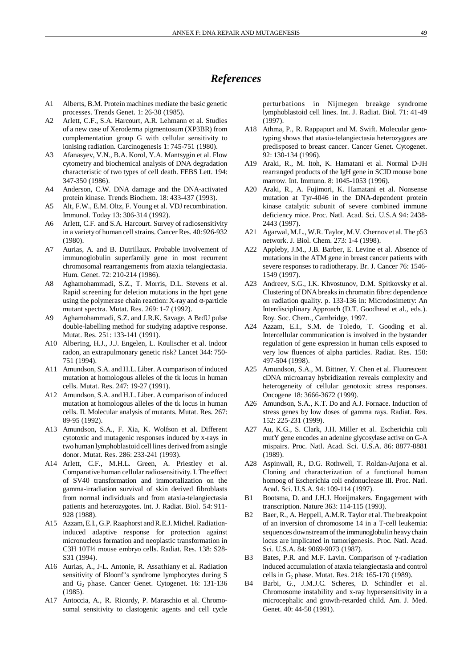# *References*

- A1 Alberts, B.M. Protein machines mediate the basic genetic processes. Trends Genet. 1: 26-30 (1985).
- A2 Arlett, C.F., S.A. Harcourt, A.R. Lehmann et al. Studies of a new case of Xeroderma pigmentosum (XP3BR) from complementation group G with cellular sensitivity to ionising radiation. Carcinogenesis 1: 745-751 (1980).
- A3 Afanasyev, V.N., B.A. Korol, Y.A. Mantsygin et al. Flow cytometry and biochemical analysis of DNA degradation characteristic of two types of cell death. FEBS Lett. 194: 347-350 (1986).
- A4 Anderson, C.W. DNA damage and the DNA-activated protein kinase. Trends Biochem. 18: 433-437 (1993).
- A5 Alt, F.W., E.M. Oltz, F. Young et al. VDJ recombination. Immunol. Today 13: 306-314 (1992).
- A6 Arlett, C.F. and S.A. Harcourt. Survey of radiosensitivity in a varietyof human cell strains. Cancer Res. 40: 926-932 (1980).
- A7 Aurias, A. and B. Dutrillaux. Probable involvement of immunoglobulin superfamily gene in most recurrent chromosomal rearrangements from ataxia telangiectasia. Hum. Genet. 72: 210-214 (1986).
- A8 Aghamohammadi, S.Z., T. Morris, D.L. Stevens et al. Rapid screening for deletion mutations in the hprt gene using the polymerase chain reaction: X-ray and  $\alpha$ -particle mutant spectra. Mutat. Res. 269: 1-7 (1992).
- A9 Aghamohammadi, S.Z. and J.R.K. Savage. A BrdU pulse double-labelling method for studying adaptive response. Mutat. Res. 251: 133-141 (1991).
- A10 Albering, H.J., J.J. Engelen, L. Koulischer et al. Indoor radon, an extrapulmonary genetic risk? Lancet 344: 750- 751 (1994).
- A11 Amundson, S.A. and H.L. Liber. A comparison of induced mutation at homologous alleles of the tk locus in human cells. Mutat. Res. 247: 19-27 (1991).
- A12 Amundson, S.A. and H.L. Liber. A comparison of induced mutation at homologous alleles of the tk locus in human cells. II. Molecular analysis of mutants. Mutat. Res. 267: 89-95 (1992).
- A13 Amundson, S.A., F. Xia, K. Wolfson et al. Different cytotoxic and mutagenic responses induced by x-rays in two human lymphoblastoid cell lines derived from a single donor. Mutat. Res. 286: 233-241 (1993).
- A14 Arlett, C.F., M.H.L. Green, A. Priestley et al. Comparative human cellular radiosensitivity. I. The effect of SV40 transformation and immortalization on the gamma-irradiation survival of skin derived fibroblasts from normal individuals and from ataxia-telangiectasia patients and heterozygotes. Int. J. Radiat. Biol. 54: 911- 928 (1988).
- A15 Azzam, E.I., G.P. Raaphorst and R.E.J. Michel. Radiationinduced adaptive response for protection against micronucleus formation and neoplastic transformation in C3H 10T½ mouse embryo cells. Radiat. Res. 138: S28- S31 (1994).
- A16 Aurias, A., J-L. Antonie, R. Assathiany et al. Radiation sensitivity of Bloom's syndrome lymphocytes during S ''s syndrome lymphocytes during S<br>
cer Genet. Cytogenet. 16: 131-136 and  $G_2$  phase. Cancer Genet. Cytogenet. 16: 131-136 (1985).
- A17 Antoccia, A., R. Ricordy, P. Maraschio et al. Chromosomal sensitivity to clastogenic agents and cell cycle

perturbations in Nijmegen breakge syndrome lymphoblastoid cell lines. Int. J. Radiat. Biol. 71: 41-49 (1997).

- A18 Athma, P., R. Rappaport and M. Swift. Molecular genotyping shows that ataxia-telangiectasia heterozygotes are predisposed to breast cancer. Cancer Genet. Cytogenet. 92: 130-134 (1996).
- A19 Araki, R., M. Itoh, K. Hamatani et al. Normal D-JH rearranged products of the IgH gene in SCID mouse bone marrow. Int. Immuno. 8: 1045-1053 (1996).
- A20 Araki, R., A. Fujimori, K. Hamatani et al. Nonsense mutation at Tyr-4046 in the DNA-dependent protein kinase catalytic subunit of severe combined immune deficiency mice. Proc. Natl. Acad. Sci. U.S.A 94: 2438- 2443 (1997).
- A21 Agarwal, M.L., W.R. Taylor, M.V. Chernov et al. The p53 network. J. Biol. Chem. 273: 1-4 (1998).
- A22 Appleby, J.M., J.B. Barber, E. Levine et al. Absence of mutations in the ATM gene in breast cancer patients with severe responses to radiotherapy. Br. J. Cancer 76: 1546- 1549 (1997).
- A23 Andreev, S.G., I.K. Khvostunov, D.M. Spitkovsky et al. Clustering of DNA breaks in chromatin fibre: dependence on radiation quality. p. 133-136 in: Microdosimetry: An Interdisciplinary Approach (D.T. Goodhead et al., eds.). Roy. Soc. Chem., Cambridge, 1997.
- A24 Azzam, E.I., S.M. de Toledo, T. Gooding et al. Intercellular communication is involved in the bystander regulation of gene expression in human cells exposed to very low fluences of alpha particles. Radiat. Res. 150: 497-504 (1998).
- A25 Amundson, S.A., M. Bittner, Y. Chen et al. Fluorescent cDNA microarray hybridization reveals complexity and heterogeneity of cellular genotoxic stress responses. Oncogene 18: 3666-3672 (1999).
- A26 Amundson, S.A., K.T. Do and A.J. Fornace. Induction of stress genes by low doses of gamma rays. Radiat. Res. 152: 225-231 (1999).
- A27 Au, K.G., S. Clark, J.H. Miller et al. Escherichia coli mutY gene encodes an adenine glycosylase active on G-A mispairs. Proc. Natl. Acad. Sci. U.S.A. 86: 8877-8881 (1989).
- A28 Aspinwall, R., D.G. Rothwell, T. Roldan-Arjona et al. Cloning and characterization of a functional human homoog of Escherichia coli endonuclease III. Proc. Natl. Acad. Sci. U.S.A. 94: 109-114 (1997).
- B1 Bootsma, D. and J.H.J. Hoeijmakers. Engagement with transcription. Nature 363: 114-115 (1993).
- B2 Baer, R., A. Heppell, A.M.R. Taylor et al. The breakpoint of an inversion of chromosome 14 in a T-cell leukemia: sequences downstream of the immunoglobulin heavychain locus are implicated in tumorigenesis. Proc. Natl. Acad. Sci. U.S.A. 84: 9069-9073 (1987).
- B3 Bates, P.R. and M.F. Lavin. Comparison of  $\gamma$ -radiation<br>induced example tion of staris talengia training and sented induced accumulation of ataxia telangiectasia and control cells in  $G_2$  phase. Mutat. Res. 218: 165-170 (1989).
- B4 Barbi, G., J.M.J.C. Scheres, D. Schindler et al. Chromosome instability and x-ray hypersensitivity in a microcephalic and growth-retarded child. Am. J. Med. Genet. 40: 44-50 (1991).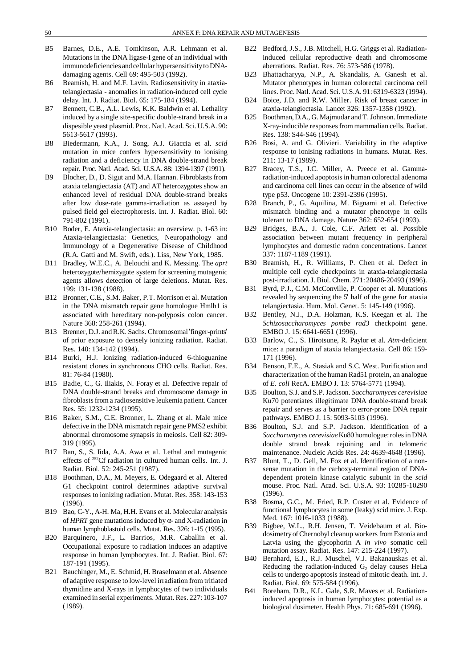- B5 Barnes, D.E., A.E. Tomkinson, A.R. Lehmann et al. Mutations in the DNA ligase-I gene of an individual with immunodeficiencies and cellular hypersensitivityto DNAdamaging agents. Cell 69: 495-503 (1992).
- B6 Beamish, H. and M.F. Lavin. Radiosensitivity in ataxiatelangiectasia - anomalies in radiation-induced cell cycle delay. Int. J. Radiat. Biol. 65: 175-184 (1994).
- B7 Bennett, C.B., A.L. Lewis, K.K. Baldwin et al. Lethality induced by a single site-specific double-strand break in a dispesible yeast plasmid. Proc. Natl. Acad. Sci. U.S.A. 90: 5613-5617 (1993).
- B8 Biedermann, K.A., J. Song, A.J. Giaccia et al. *scid* mutation in mice confers hypersensitivity to ionising radiation and a deficiency in DNA double-strand break repair. Proc. Natl. Acad. Sci. U.S.A. 88: 1394-1397 (1991).
- B9 Blocher, D., D. Sigut and M.A. Hannan. Fibroblasts from ataxia telangiectasia (AT) and AT heterozygotes show an enhanced level of residual DNA double-strand breaks after low dose-rate gamma-irradiation as assayed by pulsed field gel electrophoresis. Int. J. Radiat. Biol. 60: 791-802 (1991).
- B10 Boder, E. Ataxia-telangiectasia: an overview. p. 1-63 in: Ataxia-telangiectasia: Genetics, Neuropathology and Immunology of a Degenerative Disease of Childhood (R.A. Gatti and M. Swift, eds.). Liss, New York, 1985.
- B11 Bradley, W.E.C., A. Belouchi and K. Messing. The *aprt* heterozygote/hemizygote system for screening mutagenic agents allows detection of large deletions. Mutat. Res. 199: 131-138 (1988).
- B12 Bronner, C.E., S.M. Baker, P.T. Morrison et al. Mutation in the DNA mismatch repair gene homologue Hmlh1 is associated with hereditary non-polyposis colon cancer. Nature 368: 258-261 (1994).
- B13 Brenner, D.J. and R.K. Sachs. Chromosomal finger-prints finger-prints<sup>'</sup><br>ttion. Radiat.<br>. of prior exposure to densely ionizing radiation. Radiat. Res. 140: 134-142 (1994).
- B14 Burki, H.J. Ionizing radiation-induced 6-thioguanine resistant clones in synchronous CHO cells. Radiat. Res. 81: 76-84 (1980).
- B15 Badie, C., G. Iliakis, N. Foray et al. Defective repair of DNA double-strand breaks and chromosome damage in fibroblasts from a radiosensitive leukemia patient. Cancer Res. 55: 1232-1234 (1995).
- B16 Baker, S.M., C.E. Bronner, L. Zhang et al. Male mice defective in the DNA mismatch repair gene PMS2 exhibit abnormal chromosome synapsis in meiosis. Cell 82: 309- 319 (1995).
- B17 Ban, S., S. Iida, A.A. Awa et al. Lethal and mutagenic effects of 252Cf radiation in cultured human cells. Int. J. Radiat. Biol. 52: 245-251 (1987).
- B18 Boothman, D.A., M. Meyers, E. Odegaard et al. Altered G1 checkpoint control determines adaptive survival responses to ionizing radiation. Mutat. Res. 358: 143-153 (1996).
- B19 Bao, C-Y., A-H. Ma, H.H. Evans et al. Molecular analysis of  $HPT$  gene mutations induced by  $\alpha$ - and X-radiation in human lymphoblastoid cells. Mutat. Res. 326: 1-15 (1995).
- B20 Barquinero, J.F., L. Barrios, M.R. Caballin et al. Occupational exposure to radiation induces an adaptive response in human lymphocytes. Int. J. Radiat. Biol. 67: 187-191 (1995).
- B21 Bauchinger, M., E. Schmid, H. Braselmann et al. Absence of adaptive response to low-level irradiation from tritiated thymidine and X-rays in lymphocytes of two individuals examined in serial experiments. Mutat. Res. 227:103-107 (1989).
- B22 Bedford, J.S., J.B. Mitchell, H.G. Griggs et al. Radiationinduced cellular reproductive death and chromosome aberrations. Radiat. Res. 76: 573-586 (1978).
- B23 Bhattacharyya, N.P., A. Skandalis, A. Ganesh et al. Mutator phenotypes in human colorectal carcinoma cell lines. Proc. Natl. Acad. Sci. U.S.A. 91: 6319-6323 (1994).
- B24 Boice, J.D. and R.W. Miller. Risk of breast cancer in ataxia-telangiectasia. Lancet 326: 1357-1358 (1992).
- B25 Boothman, D.A., G. Majmudar and T. Johnson. Immediate X-ray-inducible responses from mammalian cells. Radiat. Res. 138: S44-S46 (1994).
- B26 Bosi, A. and G. Olivieri. Variability in the adaptive response to ionising radiations in humans. Mutat. Res. 211: 13-17 (1989).
- B27 Bracey, T.S., J.C. Miller, A. Preece et al. Gammaradiation-induced apoptosis in human colorectal adenoma and carcinoma cell lines can occur in the absence of wild type p53. Oncogene 10: 2391-2396 (1995).
- B28 Branch, P., G. Aquilina, M. Bignami et al. Defective mismatch binding and a mutator phenotype in cells tolerant to DNA damage. Nature 362: 652-654 (1993).
- B29 Bridges, B.A., J. Cole, C.F. Arlett et al. Possible association between mutant frequency in peripheral lymphocytes and domestic radon concentrations. Lancet 337: 1187-1189 (1991).
- B30 Beamish, H., R. Williams, P. Chen et al. Defect in multiple cell cycle checkpoints in ataxia-telangiectasia post-irradiation. J. Biol. Chem. 271:20486-20493 (1996).
- B31 Byrd, P.J., C.M. McConville, P. Cooper et al. Mutations revealed by sequencing the 5 half of the gene for ataxia half of the gene for ataxia<br>net. 5: 145-149 (1996).<br>n, K.S. Keegan et al. The telangiectasia. Hum. Mol. Genet. 5: 145-149 (1996).
- B32 Bentley, N.J., D.A. Holzman, K.S. Keegan et al. The *Schizosaccharomyces pombe rad3* checkpoint gene. EMBO J. 15: 6641-6651 (1996).
- B33 Barlow, C., S. Hirotsune, R. Paylor et al. *Atm*-deficient mice: a paradigm of ataxia telangiectasia. Cell 86: 159- 171 (1996).
- B34 Benson, F.E., A. Stasiak and S.C. West. Purification and characterization of the human Rad51 protein, an analogue of *E. coli* RecA. EMBO J. 13: 5764-5771 (1994).
- B35 Boulton, S.J. and S.P. Jackson. *Saccharomyces cerevisiae* Ku70 potentiates illegitimate DNA double-strand break repair and serves as a barrier to error-prone DNA repair pathways. EMBO J. 15: 5093-5103 (1996).
- B36 Boulton, S.J. and S.P. Jackson. Identification of a *Saccharomyces cerevisiae*Ku80 homologue:roles in DNA double strand break rejoining and in telomeric maintenance. Nucleic Acids Res. 24: 4639-4648 (1996).
- B37 Blunt, T., D. Gell, M. Fox et al. Identification of a nonsense mutation in the carboxy-terminal region of DNAdependent protein kinase catalytic subunit in the *scid* mouse. Proc. Natl. Acad. Sci. U.S.A. 93: 10285-10290 (1996).
- B38 Bosma, G.C., M. Fried, R.P. Custer et al. Evidence of functional lymphocytes in some (leaky) scid mice. J. Exp. Med. 167: 1016-1033 (1988).
- B39 Bigbee, W.L., R.H. Jensen, T. Veidebaum et al. Biodosimetryof Chernobyl cleanup workers from Estonia and Latvia using the glycophorin A *in vivo* somatic cell mutation assay. Radiat. Res. 147: 215-224 (1997).
- B40 Bernhard, E.J., R.J. Muschel, V.J. Bakanauskas et al. Reducing the radiation-induced  $G_2$  delay causes HeLa cells to undergo apoptosis instead of mitotic death. Int. J. Radiat. Biol. 69: 575-584 (1996).
- B41 Boreham, D.R., K.L. Gale, S.R. Maves et al. Radiationinduced apoptosis in human lymphocytes: potential as a biological dosimeter. Health Phys. 71: 685-691 (1996).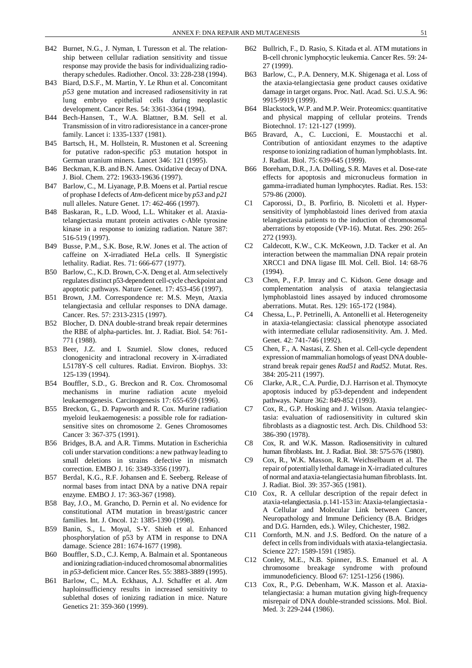- B42 Burnet, N.G., J. Nyman, I. Turesson et al. The relationship between cellular radiation sensitivity and tissue response may provide the basis for individualizing radiotherapy schedules. Radiother. Oncol. 33: 228-238 (1994).
- B43 Biard, D.S.F., M. Martin, Y. Le Rhun et al. Concomitant *p53* gene mutation and increased radiosensitivity in rat lung embryo epithelial cells during neoplastic development. Cancer Res. 54: 3361-3364 (1994).
- B44 Bech-Hansen, T., W.A. Blattner, B.M. Sell et al. Transmission of in vitro radioresistance in a cancer-prone family. Lancet i: 1335-1337 (1981).
- B45 Bartsch, H., M. Hollstein, R. Mustonen et al. Screening for putative radon-specific p53 mutation hotspot in German uranium miners. Lancet 346: 121 (1995).
- B46 Beckman, K.B. and B.N. Ames. Oxidative decay of DNA. J. Biol. Chem. 272: 19633-19636 (1997).
- B47 Barlow, C., M. Liyanage, P.B. Moens et al. Partial rescue of prophase I defects of *Atm*-deficent mice by *p53* and *p21* null alleles. Nature Genet. 17: 462-466 (1997).
- B48 Baskaran, R., L.D. Wood, L.L. Whitaker et al. Ataxiatelangiectasia mutant protein activates c-Able tyrosine kinase in a response to ionizing radiation. Nature 387: 516-519 (1997).
- B49 Busse, P.M., S.K. Bose, R.W. Jones et al. The action of caffeine on X-irradiated HeLa cells. II Synergistic lethality. Radiat. Res. 71: 666-677 (1977).
- B50 Barlow, C., K.D. Brown, C-X. Deng et al. Atm selectively regulates distinct p53-dependent cell-cycle checkpoint and apoptotic pathways. Nature Genet. 17: 453-456 (1997).
- B51 Brown, J.M. Correspondence re: M.S. Meyn, Ataxia telangiectasia and cellular responses to DNA damage. Cancer. Res. 57: 2313-2315 (1997).
- B52 Blocher, D. DNA double-strand break repair determines the RBE of alpha-particles. Int. J. Radiat. Biol. 54: 761- 771 (1988).
- B53 Beer, J.Z. and I. Szumiel. Slow clones, reduced clonogenicity and intraclonal recovery in X-irradiated L5178Y-S cell cultures. Radiat. Environ. Biophys. 33: 125-139 (1994).
- B54 Bouffler, S.D., G. Breckon and R. Cox. Chromosomal mechanisms in murine radiation acute myeloid leukaemogenesis. Carcinogenesis 17: 655-659 (1996).
- B55 Breckon, G., D. Papworth and R. Cox. Murine radiation myeloid leukaemogenesis: a possible role for radiationsensitive sites on chromosome 2. Genes Chromosomes Cancer 3: 367-375 (1991).
- B56 Bridges, B.A. and A.R. Timms. Mutation in Escherichia coli under starvation conditions: a new pathway leading to small deletions in strains defective in mismatch correction. EMBO J. 16: 3349-3356 (1997).
- B57 Berdal, K.G., R.F. Johansen and E. Seeberg. Release of normal bases from intact DNA by a native DNA repair enzyme. EMBO J. 17: 363-367 (1998).
- B58 Bay, J.O., M. Grancho, D. Pernin et al. No evidence for constitutional ATM mutation in breast/gastric cancer families. Int. J. Oncol. 12: 1385-1390 (1998).
- B59 Banin, S., L. Moyal, S-Y. Shieh et al. Enhanced phosphorylation of p53 by ATM in response to DNA damage. Science 281: 1674-1677 (1998).
- B60 Bouffler, S.D., C.J. Kemp, A. Balmain et al. Spontaneous and ionizingradiation-induced chromosomal abnormalities in *p53*-deficient mice. Cancer Res. 55: 3883-3889 (1995).
- B61 Barlow, C., M.A. Eckhaus, A.J. Schaffer et al. *Atm* haploinsufficiency results in increased sensitivity to sublethal doses of ionizing radiation in mice. Nature Genetics 21: 359-360 (1999).
- B62 Bullrich, F., D. Rasio, S. Kitada et al. ATM mutations in B-cell chronic lymphocytic leukemia. Cancer Res. 59: 24- 27 (1999).
- B63 Barlow, C., P.A. Dennery, M.K. Shigenaga et al. Loss of the ataxia-telangiectasia gene product causes oxidative damage in target organs. Proc. Natl. Acad. Sci. U.S.A. 96: 9915-9919 (1999).
- B64 Blackstock, W.P. and M.P. Weir. Proteomics:quantitative and physical mapping of cellular proteins. Trends Biotechnol. 17: 121-127 (1999).
- B65 Bravard, A., C. Luccioni, E. Moustacchi et al. Contribution of antioxidant enzymes to the adaptive response to ionizing radiation of human lymphoblasts. Int. J. Radiat. Biol. 75: 639-645 (1999).
- B66 Boreham, D.R., J.A. Dolling, S.R. Maves et al. Dose-rate effects for apoptosis and micronucleus formation in gamma-irradiated human lymphocytes. Radiat. Res. 153: 579-86 (2000).
- C1 Caporossi, D., B. Porfirio, B. Nicoletti et al. Hypersensitivity of lymphoblastoid lines derived from ataxia telangiectasia patients to the induction of chromosomal aberrations by etoposide (VP-16). Mutat. Res. 290: 265- 272 (1993).
- C2 Caldecott, K.W., C.K. McKeown, J.D. Tacker et al. An interaction between the mammalian DNA repair protein XRCC1 and DNA ligase III. Mol. Cell. Biol. 14: 68-76 (1994).
- C3 Chen, P., F.P. Imray and C. Kidson. Gene dosage and complementation analysis of ataxia telangiectasia lymphoblastoid lines assayed by induced chromosome aberrations. Mutat. Res. 129: 165-172 (1984).
- C4 Chessa, L., P. Petrinelli, A. Antonelli et al. Heterogeneity in ataxia-telangiectasia: classical phenotype associated with intermediate cellular radiosensitivity. Am. J. Med. Genet. 42: 741-746 (1992).
- C5 Chen, F., A. Nastasi, Z. Shen et al. Cell-cycle dependent expression of mammalian homologs of yeast DNA doublestrand break repair genes *Rad51* and *Rad52*. Mutat. Res. 384: 205-211 (1997).
- C6 Clarke, A.R., C.A. Purdie, D.J. Harrison et al. Thymocyte apoptosis induced by p53-dependent and independent pathways. Nature 362: 849-852 (1993).
- C7 Cox, R., G.P. Hosking and J. Wilson. Ataxia telangiectasia: evaluation of radiosensitivity in cultured skin fibroblasts as a diagnostic test. Arch. Dis. Childhood 53: 386-390 (1978).
- C8 Cox, R. and W.K. Masson. Radiosensitivity in cultured human fibroblasts. Int. J. Radiat. Biol. 38: 575-576 (1980).
- C9 Cox, R., W.K. Masson, R.R. Weichselbaum et al. The repair of potentiallylethal damage in X-irradiated cultures of normal and ataxia-telangiectasia human fibroblasts. Int. J. Radiat. Biol. 39: 357-365 (1981).
- C10 Cox, R. A cellular description of the repair defect in ataxia-telangiectasia. p.141-153 in:Ataxia-telangiectasia - A Cellular and Molecular Link between Cancer, Neuropathology and Immune Deficiency (B.A. Bridges and D.G. Harnden, eds.). Wiley, Chichester, 1982.
- C11 Cornforth, M.N. and J.S. Bedford. On the nature of a defect in cells from individuals with ataxia-telangiectasia. Science 227: 1589-1591 (1985).
- C12 Conley, M.E., N.B. Spinner, B.S. Emanuel et al. A chromosome breakage syndrome with profound immunodeficiency. Blood 67: 1251-1256 (1986).
- C13 Cox, R., P.G. Debenham, W.K. Masson et al. Ataxiatelangiectasia: a human mutation giving high-frequency misrepair of DNA double-stranded scissions. Mol. Biol. Med. 3: 229-244 (1986).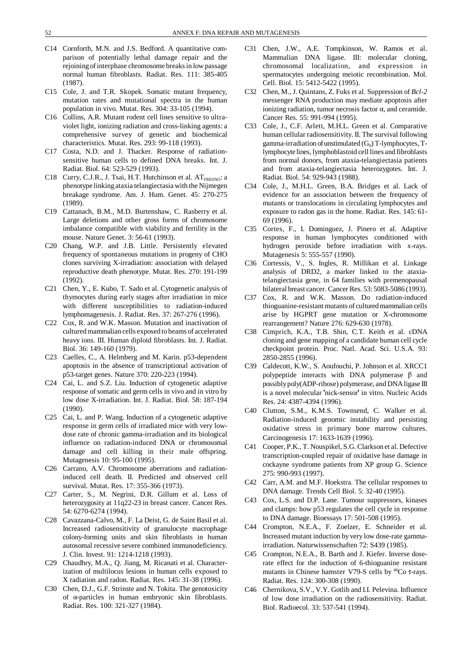- C14 Cornforth, M.N. and J.S. Bedford. A quantitative comparison of potentially lethal damage repair and the rejoining of interphase chromosome breaks in low passage normal human fibroblasts. Radiat. Res. 111: 385-405 (1987).
- C15 Cole, J. and T.R. Skopek. Somatic mutant frequency, mutation rates and mutational spectra in the human population in vivo. Mutat. Res. 304: 33-105 (1994).
- C16 Collins, A.R. Mutant rodent cell lines sensitive to ultraviolet light, ionizing radiation and cross-linking agents: a comprehensive survey of genetic and biochemical characteristics. Mutat. Res. 293: 99-118 (1993).
- C17 Costa, N.D. and J. Thacker. Response of radiationsensitive human cells to defined DNA breaks. Int. J. Radiat. Biol. 64: 523-529 (1993).
- C18 Curry, C.J.R., J. Tsai, H.T. Hutchinson et al. AT<sub>FRESNO</sub>: a phenotype linking ataxia telangiectasia with the Nijmegen breakage syndrome. Am. J. Hum. Genet. 45: 270-275 (1989).
- C19 Cattanach, B.M., M.D. Burtenshaw, C. Rasberry et al. Large deletions and other gross forms of chromosome imbalance compatible with viability and fertility in the mouse. Nature Genet. 3: 56-61 (1993).
- C20 Chang, W.P. and J.B. Little. Persistently elevated frequency of spontaneous mutations in progeny of CHO clones surviving X-irradiation: association with delayed reproductive death phenotype. Mutat. Res. 270: 191-199 (1992).
- C21 Chen, Y., E. Kubo, T. Sado et al. Cytogenetic analysis of thymocytes during early stages after irradiation in mice with different susceptibilities to radiation-induced lymphomagenesis. J. Radiat. Res. 37: 267-276 (1996).
- C22 Cox, R. and W.K. Masson. Mutation and inactivation of cultured mammalian cells exposed to beams of accelerated heavy ions. III. Human diploid fibroblasts. Int. J. Radiat. Biol. 36: 149-160 (1979).
- C23 Caelles, C., A. Helmberg and M. Karin. p53-dependent apoptosis in the absence of transcriptional activation of p53-target genes. Nature 370: 220-223 (1994).
- C24 Cai, L. and S.Z. Liu. Induction of cytogenetic adaptive response of somatic and germ cells in vivo and in vitro by low dose X-irradiation. Int. J. Radiat. Biol. 58: 187-194 (1990).
- C25 Cai, L. and P. Wang. Induction of a cytogenetic adaptive response in germ cells of irradiated mice with very lowdose rate of chronic gamma-irradiation and its biological influence on radiation-induced DNA or chromosomal damage and cell killing in their male offspring. Mutagenesis 10: 95-100 (1995).
- C26 Carrano, A.V. Chromosome aberrations and radiationinduced cell death. II. Predicted and observed cell survival. Mutat. Res. 17: 355-366 (1973).
- C27 Carter, S., M. Negrini, D.R. Gillum et al. Loss of heterozygosity at 11q22-23 in breast cancer. Cancer Res. 54: 6270-6274 (1994).
- C28 Cavazzana-Calvo, M., F. La Deist, G. de Saint Basil et al. Increased radiosensitivity of granulocyte macrophage colony-forming units and skin fibroblasts in human autosomal recessive severe combined immunodeficiency. J. Clin. Invest. 91: 1214-1218 (1993).
- C29 Chaudhry, M.A., Q. Jiang, M. Ricanati et al. Characterization of multilocus lesions in human cells exposed to X radiation and radon. Radiat. Res. 145: 31-38 (1996).
- C30 Chen, D.J., G.F. Strinste and N. Tokita. The genotoxicity of  $\alpha$ -particles in human embryonic skin fibroblasts. Radiat. Res. 100: 321-327 (1984).
- C31 Chen, J.W., A.E. Tompkinson, W. Ramos et al. Mammalian DNA ligase. III: molecular cloning, chromosomal localization, and expression in spermatocytes undergoing meiotic recombination. Mol. Cell. Biol. 15: 5412-5422 (1995).
- C32 Chen, M., J. Quintans, Z. Fuks et al. Suppression of *Bcl-2* messenger RNA production may mediate apoptosis after ionizing radiation, tumor necrosis factor  $\alpha$ , and ceramide. Cancer Res. 55: 991-994 (1995).
- C33 Cole, J., C.F. Arlett, M.H.L. Green et al. Comparative human cellular radiosensitivity. II. The survival following gamma-irradiation of unstimulated  $(G_0)$  T-lymphocytes, Tlymphocyte lines, lymphoblastoid cell lines and fibroblasts from normal donors, from ataxia-telangiectasia patients and from ataxia-telangiectasia heterozygotes. Int. J. Radiat. Biol. 54: 929-943 (1988).
- C34 Cole, J., M.H.L. Green, B.A. Bridges et al. Lack of evidence for an association between the frequency of mutants or translocations in circulating lymphocytes and exposure to radon gas in the home. Radiat. Res. 145: 61- 69 (1996).
- C35 Cortes, F., I. Dominguez, J. Pinero et al. Adaptive response in human lymphocytes conditioned with hydrogen peroxide before irradiation with x-rays. Mutagenesis 5: 555-557 (1990).
- C36 Cortessis, V., S. Ingles, R. Millikan et al. Linkage analysis of DRD2, a marker linked to the ataxiatelangiectasia gene, in 64 families with premenopausal bilateral breast cancer. Cancer Res. 53:5083-5086 (1993).
- C37 Cox, R. and W.K. Masson. Do radiation-induced thioguanine-resistant mutants of cultured mammalian cells arise by HGPRT gene mutation or X-chromosome rearrangement? Nature 276: 629-630 (1978).
- Cimprich, K.A., T.B. Shin, C.T. Keith et al. cDNA cloning and gene mapping of a candidate human cell cycle checkpoint protein. Proc. Natl. Acad. Sci. U.S.A. 93: 2850-2855 (1996).
- C39 Caldecott, K.W., S. Aoufouchi, P. Johnson et al. XRCC1 polypeptide interacts with DNA polymerase  $\beta$  and possiblypoly(ADP-ribose) polymerase, and DNAligase III is a novel molecular 'nick-sensor' in vitro. Nucleic Acids is a novel molecular 'nick-sensor' in vitro. Nucleic Acids<br>
Res. 24: 4387-4394 (1996).<br>
C40 Clutton, S.M., K.M.S. Townsend, C. Walker et al. Res. 24: 4387-4394 (1996).
- Radiation-induced genomic instability and persisting oxidative stress in primary bone marrow cultures. Carcinogenesis 17: 1633-1639 (1996).
- C41 Cooper, P.K., T. Nouspikel, S.G. Clarkson et al. Defective transcription-coupled repair of oxidative base damage in cockayne syndrome patients from XP group G. Science 275: 990-993 (1997).
- C42 Carr, A.M. and M.F. Hoekstra. The cellular responses to DNA damage. Trends Cell Biol. 5: 32-40 (1995).
- C43 Cox, L.S. and D.P. Lane. Tumour suppressors, kinases and clamps: how p53 regulates the cell cycle in response to DNA damage. Bioessays 17: 501-508 (1995).
- C44 Crompton, N.E.A., F. Zoelzer, E. Schneider et al. Increased mutant induction by very low dose-rate gammairradiation. Naturwissenschaften 72: S439 (1985).
- C45 Crompton, N.E.A., B. Barth and J. Kiefer. Inverse doserate effect for the induction of 6-thioguanine resistant mutants in Chinese hamster V79-S cells by  ${}^{60}Co$  t-rays. Radiat. Res. 124: 300-308 (1990).
- C46 Chernikova, S.V., V.Y. Gotlib and I.I. Pelevina. Influence of low dose irradiation on the radiosensitivity. Radiat. Biol. Radioecol. 33: 537-541 (1994).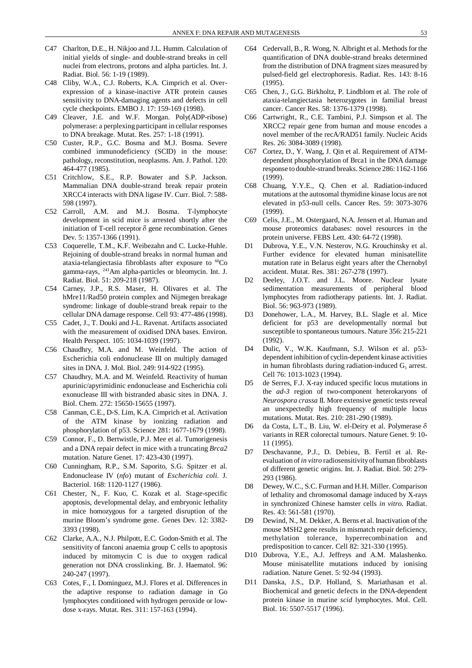- C47 Charlton, D.E., H. Nikjoo and J.L. Humm. Calculation of initial yields of single- and double-strand breaks in cell nuclei from electrons, protons and alpha particles. Int. J. Radiat. Biol. 56: 1-19 (1989).
- C48 Cliby, W.A., C.J. Roberts, K.A. Cimprich et al. Overexpression of a kinase-inactive ATR protein causes sensitivity to DNA-damaging agents and defects in cell cycle checkpoints. EMBO J. 17: 159-169 (1998).
- C49 Cleaver, J.E. and W.F. Morgan. Poly(ADP-ribose) polymerase: a perplexing participant in cellular responses to DNA breakage. Mutat. Res. 257: 1-18 (1991).
- C50 Custer, R.P., G.C. Bosma and M.J. Bosma. Severe combined immunodeficiency (SCID) in the mouse: pathology, reconstitution, neoplasms. Am. J. Pathol. 120: 464-477 (1985).
- C51 Critchlow, S.E., R.P. Bowater and S.P. Jackson. Mammalian DNA double-strand break repair protein XRCC4 interacts with DNA ligase IV. Curr. Biol. 7: 588- 598 (1997).
- C52 Carroll, A.M. and M.J. Bosma. T-lymphocyte development in scid mice is arrested shortly after the initiation of T-cell receptor  $\delta$  gene recombination. Genes Dev. 5: 1357-1366 (1991).
- C53 Coquerelle, T.M., K.F. Weibezahn and C. Lucke-Huhle. Rejoining of double-strand breaks in normal human and ataxia-telangiectasia fibroblasts after exposure to  ${}^{60}Co$ gamma-rays, 241Am alpha-particles or bleomycin. Int. J. Radiat. Biol. 51: 209-218 (1987).
- C54 Carney, J.P., R.S. Maser, H. Olivares et al. The hMre11/Rad50 protein complex and Nijmegen breakage syndrome: linkage of double-strand break repair to the cellular DNA damage response. Cell 93: 477-486 (1998).
- C55 Cadet, J., T. Douki and J-L. Ravenat. Artifacts associated with the measurement of oxidised DNA bases. Environ. Health Perspect. 105: 1034-1039 (1997).
- C56 Chaudhry, M.A. and M. Weinfeld. The action of Escherichia coli endonuclease III on multiply damaged sites in DNA. J. Mol. Biol. 249: 914-922 (1995).
- C57 Chaudhry, M.A. and M. Weinfeld. Reactivity of human apurinic/apyrimidinic endonuclease and Escherichia coli exonuclease III with bistranded abasic sites in DNA. J. Biol. Chem. 272: 15650-15655 (1997).
- C58 Canman, C.E., D-S. Lim, K.A. Cimprich et al. Activation of the ATM kinase by ionizing radiation and phosphorylation of p53. Science 281: 1677-1679 (1998).
- C59 Connor, F., D. Bertwistle, P.J. Mee et al. Tumorigenesis and a DNA repair defect in mice with a truncating *Brca2* mutation. Nature Genet. 17: 423-430 (1997).
- C60 Cunningham, R.P., S.M. Saporito, S.G. Spitzer et al. Endonuclease IV (*nfo*) mutant of *Escherichia coli.* J. Bacteriol. 168: 1120-1127 (1986).
- C61 Chester, N., F. Kuo, C. Kozak et al. Stage-specific apoptosis, developmental delay, and embryonic lethality in mice homozygous for a targeted disruption of the murine Bloom's syndrome gene. Genes Dev. 12: 3382- 3393 (1998).
- C62 Clarke, A.A., N.J. Philpott, E.C. Godon-Smith et al. The sensitivity of fanconi anaemia group C cells to apoptosis induced by mitomycin C is due to oxygen radical generation not DNA crosslinking. Br. J. Haematol. 96: 240-247 (1997).
- C63 Cotes, F., I. Dominguez, M.J. Flores et al. Differences in the adaptive response to radiation damage in Go lymphocytes conditioned with hydrogen peroxide or lowdose x-rays. Mutat. Res. 311: 157-163 (1994).
- C64 Cedervall, B., R. Wong, N. Albright et al. Methods for the quantification of DNA double-strand breaks determined from the distribution of DNA fragment sizes measured by pulsed-field gel electrophoresis. Radiat. Res. 143: 8-16 (1995).
- C65 Chen, J., G.G. Birkholtz, P. Lindblom et al. The role of ataxia-telangiectasia heterozygotes in familial breast cancer. Cancer Res. 58: 1376-1379 (1998).
- C66 Cartwright, R., C.E. Tambini, P.J. Simpson et al. The XRCC2 repair gene from human and mouse encodes a novel member of the recA/RAD51 family. Nucleic Acids Res. 26: 3084-3089 (1998).
- C67 Cortez, D., Y. Wang, J. Qin et al. Requirement of ATMdependent phosphorylation of Brca1 in the DNA damage response to double-strand breaks. Science 286:1162-1166 (1999).
- C68 Chuang, Y.Y.E., Q. Chen et al. Radiation-induced mutations at the autosomal thymidine kinase locus are not elevated in p53-null cells. Cancer Res. 59: 3073-3076 (1999).
- C69 Celis, J.E., M. Ostergaard, N.A. Jensen et al. Human and mouse proteomics databases: novel resources in the protein universe. FEBS Lett. 430: 64-72 (1998).
- D1 Dubrova, Y.E., V.N. Nesterov, N.G. Krouchinsky et al. Further evidence for elevated human minisatellite mutation rate in Belarus eight years after the Chernobyl accident. Mutat. Res. 381: 267-278 (1997).
- D2 Deeley, J.O.T. and J.L. Moore. Nuclear lysate sedimentation measurements of peripheral blood lymphocytes from radiotherapy patients. Int. J. Radiat. Biol. 56: 963-973 (1989).
- D3 Donehower, L.A., M. Harvey, B.L. Slagle et al. Mice deficient for p53 are developmentally normal but susceptible to spontaneous tumours. Nature 356: 215-221 (1992).
- D4 Dulic, V., W.K. Kaufmann, S.J. Wilson et al. p53 dependent inhibition of cyclin-dependent kinase activities in human fibroblasts during radiation-induced  $G_1$  arrest. Cell 76: 1013-1023 (1994).
- D5 de Serres, F.J. X-ray induced specific locus mutations in the *ad-3* region of two-component heterokaryons of *Neurospora crassa* II. More extensive genetic tests reveal an unexpectedly high frequency of multiple locus mutations. Mutat. Res. 210: 281-290 (1989).
- D6 da Costa, L.T., B. Liu, W. el-Deiry et al. Polymerase variants in RER colorectal tumours. Nature Genet. 9: 10- 11 (1995).
- D7 Deschavanne, P.J., D. Debieu, B. Fertil et al. Reevaluation of*in vitro* radiosensitivityof human fibroblasts of different genetic origins. Int. J. Radiat. Biol. 50: 279- 293 (1986).
- D8 Dewey, W.C., S.C. Furman and H.H. Miller. Comparison of lethality and chromosomal damage induced by X-rays in synchronized Chinese hamster cells *in vitro*. Radiat. Res. 43: 561-581 (1970).
- D9 Dewind, N., M. Dekker, A. Berns et al. Inactivation of the mouse MSH2 gene results in mismatch repair deficiency, methylation tolerance, hyperrecombination and predisposition to cancer. Cell 82: 321-330 (1995).
- D10 Dubrova, Y.E., A.J. Jeffreys and A.M. Malashenko. Mouse minisatellite mutations induced by ionising radiation. Nature Genet. 5: 92-94 (1993).
- D11 Danska, J.S., D.P. Holland, S. Mariathasan et al. Biochemical and genetic defects in the DNA-dependent protein kinase in murine *scid* lymphocytes. Mol. Cell. Biol. 16: 5507-5517 (1996).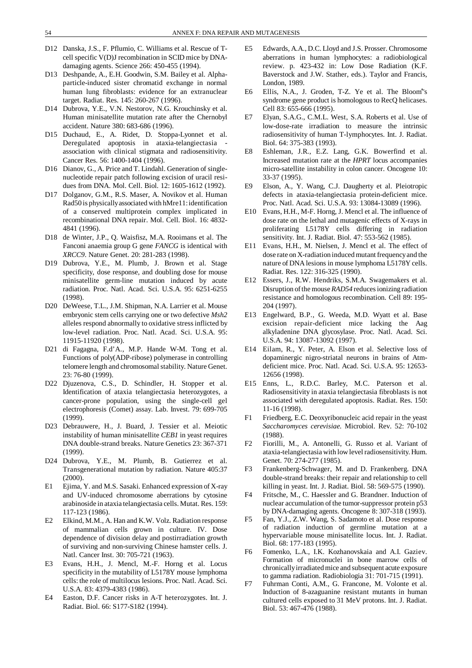- D12 Danska, J.S., F. Pflumio, C. Williams et al. Rescue of Tcell specific V(D)J recombination in SCID mice by DNAdamaging agents. Science 266: 450-455 (1994).
- D13 Deshpande, A., E.H. Goodwin, S.M. Bailey et al. Alphaparticle-induced sister chromatid exchange in normal human lung fibroblasts: evidence for an extranuclear target. Radiat. Res. 145: 260-267 (1996).
- D14 Dubrova, Y.E., V.N. Nestorov, N.G. Krouchinsky et al. Human minisatellite mutation rate after the Chernobyl accident. Nature 380: 683-686 (1996).
- D15 Duchaud, E., A. Ridet, D. Stoppa-Lyonnet et al. Deregulated apoptosis in ataxia-telangiectasia association with clinical stigmata and radiosensitivity. Cancer Res. 56: 1400-1404 (1996).
- D16 Dianov, G., A. Price and T. Lindahl. Generation of singlenucleotide repair patch following excision of uracil residues from DNA. Mol. Cell. Biol. 12: 1605-1612 (1992).
- D17 Dolganov, G.M., R.S. Maser, A. Novikov et al. Human Rad50 is physically associated with hMre11: identification of a conserved multiprotein complex implicated in recombinational DNA repair. Mol. Cell. Biol. 16: 4832- 4841 (1996).
- D18 de Winter, J.P., Q. Waisfisz, M.A. Rooimans et al. The Fanconi anaemia group G gene *FANCG* is identical with *XRCC9*. Nature Genet. 20: 281-283 (1998).
- D19 Dubrova, Y.E., M. Plumb, J. Brown et al. Stage specificity, dose response, and doubling dose for mouse minisatellite germ-line mutation induced by acute radiation. Proc. Natl. Acad. Sci. U.S.A. 95: 6251-6255 (1998).
- D20 DeWeese, T.L., J.M. Shipman, N.A. Larrier et al. Mouse embryonic stem cells carrying one or two defective *Msh2* alleles respond abnormally to oxidative stress inflicted by low-level radiation. Proc. Natl. Acad. Sci. U.S.A. 95: 11915-11920 (1998).
- D21 di Fagagna, F.d'A., M.P. Hande W-M. Tong et al. Functions of poly(ADP-ribose) polymerase in controlling telomere length and chromosomal stability. Nature Genet. 23: 76-80 (1999).
- D22 Djuzenova, C.S., D. Schindler, H. Stopper et al. Identification of ataxia telangiectasia heterozygotes, a cancer-prone population, using the single-cell gel electrophoresis (Comet) assay. Lab. Invest. 79: 699-705 (1999).
- D23 Debrauwere, H., J. Buard, J. Tessier et al. Meiotic instability of human minisatellite *CEB1* in yeast requires DNA double-strand breaks. Nature Genetics 23: 367-371 (1999).
- D24 Dubrova, Y.E., M. Plumb, B. Gutierrez et al. Transgenerational mutation by radiation. Nature 405:37 (2000).
- E1 Ejima, Y. and M.S. Sasaki. Enhanced expression of X-ray and UV-induced chromosome aberrations by cytosine arabinoside in ataxia telangiectasia cells. Mutat. Res. 159: 117-123 (1986).
- E2 Elkind, M.M., A. Han and K.W. Volz. Radiation response of mammalian cells grown in culture. IV. Dose dependence of division delay and postirradiation growth of surviving and non-surviving Chinese hamster cells. J. Natl. Cancer Inst. 30: 705-721 (1963).
- E3 Evans, H.H., J. Mencl, M.-F. Horng et al. Locus specificity in the mutability of L5178Y mouse lymphoma cells: the role of multilocus lesions. Proc. Natl. Acad. Sci. U.S.A. 83: 4379-4383 (1986).
- E4 Easton, D.F. Cancer risks in A-T heterozygotes. Int. J. Radiat. Biol. 66: S177-S182 (1994).
- E5 Edwards, A.A., D.C. Lloyd and J.S. Prosser. Chromosome aberrations in human lymphocytes: a radiobiological review. p. 423-432 in: Low Dose Radiation (K.F. Baverstock and J.W. Stather, eds.). Taylor and Francis, London, 1989.
- E6 Ellis, N.A., J. Groden, T-Z. Ye et al. The Bloom's  $\frac{1}{s}$ s. syndrome gene product is homologous to RecQ helicases. Cell 83: 655-666 (1995).
- E7 Elyan, S.A.G., C.M.L. West, S.A. Roberts et al. Use of low-dose-rate irradiation to measure the intrinsic radiosensitivity of human T-lymphocytes. Int. J. Radiat. Biol. 64: 375-383 (1993).
- E8 Eshleman, J.R., E.Z. Lang, G.K. Bowerfind et al. Increased mutation rate at the *HPRT* locus accompanies micro-satellite instability in colon cancer. Oncogene 10: 33-37 (1995).
- E9 Elson, A., Y. Wang, C.J. Daugherty et al. Pleiotropic defects in ataxia-telangiectasia protein-deficient mice. Proc. Natl. Acad. Sci. U.S.A. 93: 13084-13089 (1996).
- E10 Evans, H.H., M-F. Horng, J. Mencl et al. The influence of dose rate on the lethal and mutagenic effects of X-rays in proliferating L5178Y cells differing in radiation sensitivity. Int. J. Radiat. Biol. 47: 553-562 (1985).
- E11 Evans, H.H., M. Nielsen, J. Mencl et al. The effect of dose rate on X-radiation induced mutant frequencyand the nature of DNA lesions in mouse lymphoma L5178Y cells. Radiat. Res. 122: 316-325 (1990).
- E12 Essers, J., R.W. Hendriks, S.M.A. Swagemakers et al. Disruption of the mouse *RAD54* reduces ionizing radiation resistance and homologous recombination. Cell 89: 195- 204 (1997).
- E13 Engelward, B.P., G. Weeda, M.D. Wyatt et al. Base excision repair-deficient mice lacking the Aag alkyladenine DNA glycosylase. Proc. Natl. Acad. Sci. U.S.A. 94: 13087-13092 (1997).
- E14 Eilam, R., Y. Peter, A. Elson et al. Selective loss of dopaminergic nigro-striatal neurons in brains of Atmdeficient mice. Proc. Natl. Acad. Sci. U.S.A. 95: 12653- 12656 (1998).
- E15 Enns, L., R.D.C. Barley, M.C. Paterson et al. Radiosensitivity in ataxia telangiectasia fibroblasts is not associated with deregulated apoptosis. Radiat. Res. 150: 11-16 (1998).
- F1 Friedberg, E.C. Deoxyribonucleic acid repair in the yeast *Saccharomyces cerevisiae*. Microbiol. Rev. 52: 70-102 (1988).
- F2 Fiorilli, M., A. Antonelli, G. Russo et al. Variant of ataxia-telangiectasia with low level radiosensitivity. Hum. Genet. 70: 274-277 (1985).
- F3 Frankenberg-Schwager, M. and D. Frankenberg. DNA double-strand breaks: their repair and relationship to cell killing in yeast. Int. J. Radiat. Biol. 58: 569-575 (1990).
- F4 Fritsche, M., C. Haessler and G. Brandner. Induction of nuclear accumulation of the tumor-suppressor protein p53 by DNA-damaging agents. Oncogene 8: 307-318 (1993).
- F5 Fan, Y.J., Z.W. Wang, S. Sadamoto et al. Dose response of radiation induction of germline mutation at a hypervariable mouse minisatellite locus. Int. J. Radiat. Biol. 68: 177-183 (1995).
- F6 Fomenko, L.A., I.K. Kozhanovskaia and A.I. Gaziev. Formation of micronuclei in bone marrow cells of chronicallyirradiated mice and subsequent acute exposure to gamma radiation. Radiobiologia 31: 701-715 (1991).
- F7 Fuhrman Conti, A.M., G. Francone, M. Volonte et al. Induction of 8-azaguanine resistant mutants in human cultured cells exposed to 31 MeV protons. Int. J. Radiat. Biol. 53: 467-476 (1988).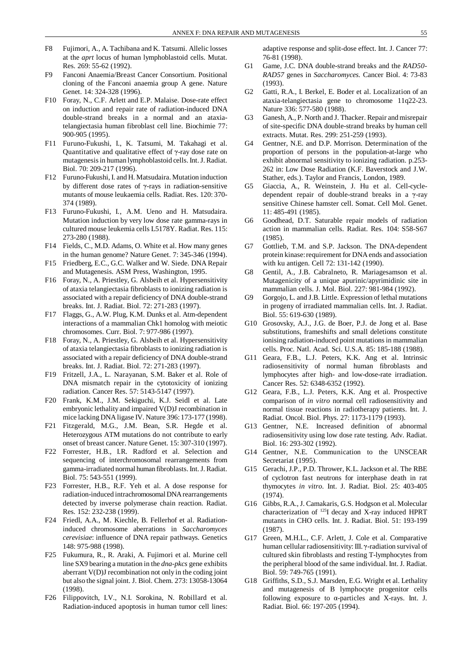- F8 Fujimori, A., A. Tachibana and K. Tatsumi. Allelic losses at the *aprt* locus of human lymphoblastoid cells. Mutat. Res. 269: 55-62 (1992).
- F9 Fanconi Anaemia/Breast Cancer Consortium. Positional cloning of the Fanconi anaemia group A gene. Nature Genet. 14: 324-328 (1996).
- F10 Foray, N., C.F. Arlett and E.P. Malaise. Dose-rate effect on induction and repair rate of radiation-induced DNA double-strand breaks in a normal and an ataxiatelangiectasia human fibroblast cell line. Biochimie 77: 900-905 (1995).
- F11 Furuno-Fukushi, I., K. Tatsumi, M. Takahagi et al. Quantitative and qualitative effect of  $\gamma$ -ray dose rate on<br>muta equation human lamph ablastaid as lie LB adjate mutagenesis in human lymphoblastoid cells. Int. J. Radiat. Biol. 70: 209-217 (1996).
- F12 Furuno-Fukushi, I. and H. Matsudaira. Mutation induction by different dose rates of  $\gamma$ -rays in radiation-sensitive<br>mutate of may a large via a la Dedict Bas 120, 270 mutants of mouse leukaemia cells. Radiat. Res. 120: 370- 374 (1989).
- F13 Furuno-Fukushi, I., A.M. Ueno and H. Matsudaira. Mutation induction by very low dose rate gamma-rays in cultured mouse leukemia cells L5178Y. Radiat. Res. 115: 273-280 (1988).
- F14 Fields, C., M.D. Adams, O. White et al. How many genes in the human genome? Nature Genet. 7: 345-346 (1994).
- F15 Friedberg, E.C., G.C. Walker and W. Siede. DNA Repair and Mutagenesis. ASM Press, Washington, 1995.
- F16 Foray, N., A. Priestley, G. Alsbeih et al. Hypersensitivity of ataxia telangiectasia fibroblasts to ionizing radiation is associated with a repair deficiency of DNA double-strand breaks. Int. J. Radiat. Biol. 72: 271-283 (1997).
- F17 Flaggs, G., A.W. Plug, K.M. Dunks et al. Atm-dependent interactions of a mammalian Chk1 homolog with meiotic chromosomes. Curr. Biol. 7: 977-986 (1997).
- F18 Foray, N., A. Priestley, G. Alsbeih et al. Hypersensitivity of ataxia telangiectasia fibroblasts to ionizing radiation is associated with a repair deficiency of DNA double-strand breaks. Int. J. Radiat. Biol. 72: 271-283 (1997).
- F19 Fritzell, J.A., L. Narayanan, S.M. Baker et al. Role of DNA mismatch repair in the cytotoxicity of ionizing radiation. Cancer Res. 57: 5143-5147 (1997).
- F20 Frank, K.M., J.M. Sekiguchi, K.J. Seidl et al. Late embryonic lethality and impaired V(D)J recombination in mice lacking DNA ligase IV. Nature 396: 173-177 (1998).
- F21 Fitzgerald, M.G., J.M. Bean, S.R. Hegde et al. Heterozygous ATM mutations do not contribute to early onset of breast cancer. Nature Genet. 15: 307-310 (1997).
- F22 Forrester, H.B., I.R. Radford et al. Selection and sequencing of interchromosomal rearrangements from gamma-irradiated normal human fibroblasts. Int. J. Radiat. Biol. 75: 543-551 (1999).
- F23 Forrester, H.B., R.F. Yeh et al. A dose response for radiation-induced intrachromosomal DNArearrangements detected by inverse polymerase chain reaction. Radiat. Res. 152: 232-238 (1999).
- F24 Friedl, A.A., M. Kiechle, B. Fellerhof et al. Radiationinduced chromosome aberrations in *Saccharomyces cerevisiae*: influence of DNA repair pathways. Genetics 148: 975-988 (1998).
- F25 Fukumura, R., R. Araki, A. Fujimori et al. Murine cell line SX9 bearing a mutation in the *dna-pkcs* gene exhibits aberrant V(D)J recombination not only in the coding joint but also the signal joint. J. Biol. Chem. 273: 13058-13064 (1998).
- F26 Filippovitch, I.V., N.I. Sorokina, N. Robillard et al. Radiation-induced apoptosis in human tumor cell lines:

adaptive response and split-dose effect. Int. J. Cancer 77: 76-81 (1998).

- G1 Game, J.C. DNA double-strand breaks and the *RAD50- RAD57* genes in *Saccharomyces.* Cancer Biol. 4: 73-83 (1993).
- G2 Gatti, R.A., I. Berkel, E. Boder et al. Localization of an ataxia-telangiectasia gene to chromosome 11q22-23. Nature 336: 577-580 (1988).
- G3 Ganesh, A., P. North and J. Thacker. Repair and misrepair of site-specific DNA double-strand breaks by human cell extracts. Mutat. Res. 299: 251-259 (1993).
- G4 Gentner, N.E. and D.P. Morrison. Determination of the proportion of persons in the population-at-large who exhibit abnormal sensitivity to ionizing radiation. p.253- 262 in: Low Dose Radiation (K.F. Baverstock and J.W. Stather, eds.). Taylor and Francis, London, 1989.
- G5 Giaccia, A., R. Weinstein, J. Hu et al. Cell-cycledependent repair of double-strand breaks in a  $\gamma$ -ray sensitive Chinese hamster cell. Somat. Cell Mol. Genet. 11: 485-491 (1985).
- G6 Goodhead, D.T. Saturable repair models of radiation action in mammalian cells. Radiat. Res. 104: S58-S67 (1985).
- G7 Gottlieb, T.M. and S.P. Jackson. The DNA-dependent protein kinase: requirement for DNA ends and association with ku antigen. Cell 72: 131-142 (1990).
- G8 Gentil, A., J.B. Cabralneto, R. Mariagesamson et al. Mutagenicity of a unique apurinic/apyrimidinic site in mammalian cells. J. Mol. Biol. 227: 981-984 (1992).
- G9 Gorgojo, L. and J.B. Little. Expression of lethal mutations in progeny of irradiated mammalian cells. Int. J. Radiat. Biol. 55: 619-630 (1989).
- G10 Grosovsky, A.J., J.G. de Boer, P.J. de Jong et al. Base substitutions, frameshifts and small deletions constitute ionising radiation-induced point mutations in mammalian cells. Proc. Natl. Acad. Sci. U.S.A. 85: 185-188 (1988).
- G11 Geara, F.B., L.J. Peters, K.K. Ang et al. Intrinsic radiosensitivity of normal human fibroblasts and lymphocytes after high- and low-dose-rate irradiation. Cancer Res. 52: 6348-6352 (1992).
- G12 Geara, F.B., L.J. Peters, K.K. Ang et al. Prospective comparison of *in vitro* normal cell radiosensitivity and normal tissue reactions in radiotherapy patients. Int. J. Radiat. Oncol. Biol. Phys. 27: 1173-1179 (1993).
- G13 Gentner, N.E. Increased definition of abnormal radiosensitivity using low dose rate testing. Adv. Radiat. Biol. 16: 293-302 (1992).
- G14 Gentner, N.E. Communication to the UNSCEAR Secretariat (1995).
- G15 Gerachi, J.P., P.D. Thrower, K.L. Jackson et al. The RBE of cyclotron fast neutrons for interphase death in rat thymocytes *in vitro*. Int. J. Radiat. Biol. 25: 403-405  $(1974)$ .
- G16 Gibbs, R.A., J. Camakaris, G.S. Hodgson et al. Molecular characterization of 125I decay and X-ray induced HPRT mutants in CHO cells. Int. J. Radiat. Biol. 51: 193-199 (1987).
- G17 Green, M.H.L., C.F. Arlett, J. Cole et al. Comparative human cellular radiosensitivity: III.  $\gamma$ -radiation survival of cultured skin fibroblasts and resting T-lymphocytes from the peripheral blood of the same individual. Int. J. Radiat. Biol. 59: 749-765 (1991).
- G18 Griffiths, S.D., S.J. Marsden, E.G. Wright et al. Lethality and mutagenesis of B lymphocyte progenitor cells following exposure to  $\alpha$ -particles and X-rays. Int. J. Radiat. Biol. 66: 197-205 (1994).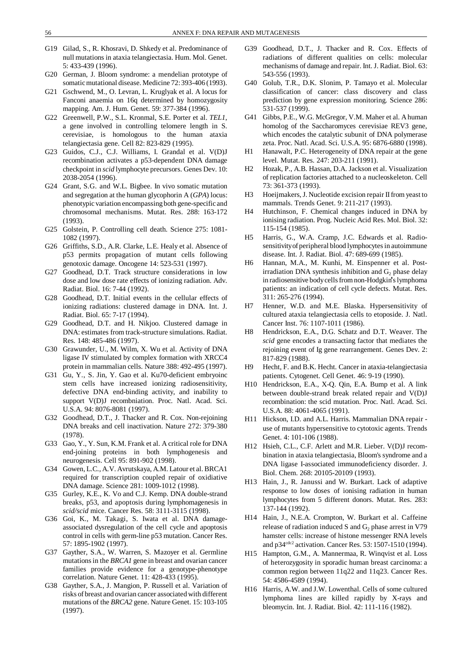- G19 Gilad, S., R. Khosravi, D. Shkedy et al. Predominance of null mutations in ataxia telangiectasia. Hum. Mol. Genet. 5: 433-439 (1996).
- G20 German, J. Bloom syndrome: a mendelian prototype of somatic mutational disease. Medicine 72:393-406 (1993).
- G21 Gschwend, M., O. Levran, L. Kruglyak et al. A locus for Fanconi anaemia on 16q determined by homozygosity mapping. Am. J. Hum. Genet. 59: 377-384 (1996).
- G22 Greenwell, P.W., S.L. Kronmal, S.E. Porter et al. *TEL1*, a gene involved in controlling telomere length in S. cerevisiae, is homologous to the human ataxia telangiectasia gene. Cell 82: 823-829 (1995).
- G23 Guidos, C.J., C.J. Williams, I. Grandal et al. V(D)J recombination activates a p53-dependent DNA damage checkpoint in *scid* lymphocyte precursors. Genes Dev. 10: 2038-2054 (1996).
- G24 Grant, S.G. and W.L. Bigbee. In vivo somatic mutation and segregation at the human glycophorin A (*GPA*) locus: phenotypic variation encompassing both gene-specific and chromosomal mechanisms. Mutat. Res. 288: 163-172 (1993).
- G25 Golstein, P. Controlling cell death. Science 275: 1081- 1082 (1997).
- G26 Griffiths, S.D., A.R. Clarke, L.E. Healy et al. Absence of p53 permits propagation of mutant cells following genotoxic damage. Oncogene 14: 523-531 (1997).
- G27 Goodhead, D.T. Track structure considerations in low dose and low dose rate effects of ionizing radiation. Adv. Radiat. Biol. 16: 7-44 (1992).
- G28 Goodhead, D.T. Initial events in the cellular effects of ionizing radiations: clustered damage in DNA. Int. J. Radiat. Biol. 65: 7-17 (1994).
- G29 Goodhead, D.T. and H. Nikjoo. Clustered damage in DNA: estimates from track-structure simulations. Radiat. Res. 148: 485-486 (1997).
- G30 Grawunder, U., M. Wilm, X. Wu et al. Activity of DNA ligase IV stimulated by complex formation with XRCC4 protein in mammalian cells. Nature 388: 492-495 (1997).
- G31 Gu, Y., S. Jin, Y. Gao et al. Ku70-deficient embryoinc stem cells have increased ionizing radiosensitivity, defective DNA end-binding activity, and inability to support V(D)J recombniation. Proc. Natl. Acad. Sci. U.S.A. 94: 8076-8081 (1997).
- G32 Goodhead, D.T., J. Thacker and R. Cox. Non-rejoining DNA breaks and cell inactivation. Nature 272: 379-380 (1978).
- G33 Gao, Y., Y. Sun, K.M. Frank et al. A critical role for DNA end-joining proteins in both lymphogenesis and neurogenesis. Cell 95: 891-902 (1998).
- G34 Gowen, L.C., A.V. Avrutskaya, A.M. Latour et al. BRCA1 required for transcription coupled repair of oxidiative DNA damage. Science 281: 1009-1012 (1998).
- G35 Gurley, K.E., K. Vo and C.J. Kemp. DNA double-strand breaks, p53, and apoptosis during lymphomagenesis in *scid/scid* mice. Cancer Res. 58: 3111-3115 (1998).
- G36 Goi, K., M. Takagi, S. Iwata et al. DNA damageassociated dysregulation of the cell cycle and apoptosis control in cells with germ-line p53 mutation. Cancer Res. 57: 1895-1902 (1997).
- G37 Gayther, S.A., W. Warren, S. Mazoyer et al. Germline mutations in the *BRCA1* gene in breast and ovarian cancer families provide evidence for a genotype-phenotype correlation. Nature Genet. 11: 428-433 (1995).
- G38 Gayther, S.A., J. Mangion, P. Russell et al. Variation of risks of breast and ovarian cancer associated with different mutations of the *BRCA2* gene. Nature Genet. 15: 103-105 (1997).
- G39 Goodhead, D.T., J. Thacker and R. Cox. Effects of radiations of different qualities on cells: molecular mechanisms of damage and repair. Int. J. Radiat. Biol. 63: 543-556 (1993).
- G40 Golub, T.R., D.K. Slonim, P. Tamayo et al. Molecular classification of cancer: class discovery and class prediction by gene expression monitoring. Science 286: 531-537 (1999).
- G41 Gibbs, P.E., W.G. McGregor, V.M. Maher et al. A human homolog of the Saccharomyces cerevisiae REV3 gene, which encodes the catalytic subunit of DNA polymerase zeta. Proc. Natl. Acad. Sci. U.S.A. 95: 6876-6880 (1998).
- H1 Hanawalt, P.C. Heterogeneity of DNA repair at the gene level. Mutat. Res. 247: 203-211 (1991).
- H2 Hozak, P., A.B. Hassan, D.A. Jackson et al. Visualization of replication factories attached to a nucleoskeleton. Cell 73: 361-373 (1993).
- H3 Hoeijmakers, J. Nucleotide excision repair II from yeast to mammals. Trends Genet. 9: 211-217 (1993).
- H4 Hutchinson, F. Chemical changes induced in DNA by ionising radiation. Prog. Nucleic Acid Res. Mol. Biol. 32: 115-154 (1985).
- H5 Harris, G., W.A. Cramp, J.C. Edwards et al. Radiosensitivityof peripheral blood lymphocytes in autoimmune disease. Int. J. Radiat. Biol. 47: 689-699 (1985).
- H6 Hannan, M.A., M. Kunhi, M. Einspenner et al. Postirradiation DNA synthesis inhibition and  $G<sub>2</sub>$  phase delay in radiosensitive body cells from non-Hodgkin s lymphoma s lymphoma<br>Mutat. Res. patients: an indication of cell cycle defects. Mutat. Res. 311: 265-276 (1994).
- H7 Henner, W.D. and M.E. Blaska. Hypersensitivity of cultured ataxia telangiectasia cells to etoposide. J. Natl. Cancer Inst. 76: 1107-1011 (1986).
- H8 Hendrickson, E.A., D.G. Schatz and D.T. Weaver. The *scid* gene encodes a transacting factor that mediates the rejoining event of Ig gene rearrangement. Genes Dev. 2: 817-829 (1988).
- H9 Hecht, F. and B.K. Hecht. Cancer in ataxia-telangiectasia patients. Cytogenet. Cell Genet. 46: 9-19 (1990).
- H10 Hendrickson, E.A., X-Q. Qin, E.A. Bump et al. A link between double-strand break related repair and V(D)J recombination: the scid mutation. Proc. Natl. Acad. Sci. U.S.A. 88: 4061-4065 (1991).
- H11 Hickson, I.D. and A.L. Harris. Mammalian DNA repair use of mutants hypersensitive to cytotoxic agents. Trends Genet. 4: 101-106 (1988).
- H12 Hsieh, C.L., C.F. Arlett and M.R. Lieber. V(D)J recombination in ataxia telangiectasia, Bloom's syndrome and a DNA ligase I-associated immunodeficiency disorder. J. Biol. Chem. 268: 20105-20109 (1993).
- H13 Hain, J., R. Janussi and W. Burkart. Lack of adaptive response to low doses of ionising radiation in human lymphocytes from 5 different donors. Mutat. Res. 283: 137-144 (1992).
- H14 Hain, J., N.E.A. Crompton, W. Burkart et al. Caffeine release of radiation induced S and  $G_2$  phase arrest in V79 hamster cells: increase of histone messenger RNA levels and p34<sup>cdc2</sup> activation. Cancer Res. 53: 1507-1510 (1994).
- H15 Hampton, G.M., A. Mannermaa, R. Winqvist et al. Loss of heterozygosity in sporadic human breast carcinoma: a common region between 11q22 and 11q23. Cancer Res. 54: 4586-4589 (1994).
- H16 Harris, A.W. and J.W. Lowenthal. Cells of some cultured lymphoma lines are killed rapidly by X-rays and bleomycin. Int. J. Radiat. Biol. 42: 111-116 (1982).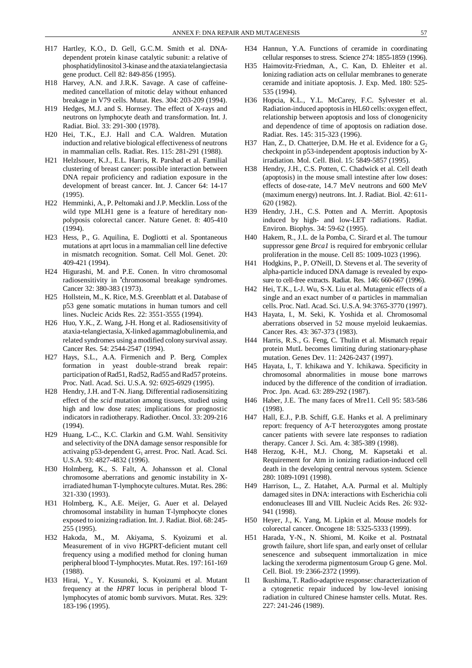- H17 Hartley, K.O., D. Gell, G.C.M. Smith et al. DNAdependent protein kinase catalytic subunit: a relative of phosphatidylinositol 3-kinase and the ataxia telangiectasia gene product. Cell 82: 849-856 (1995).
- H18 Harvey, A.N. and J.R.K. Savage. A case of caffeinemedited cancellation of mitotic delay without enhanced breakage in V79 cells. Mutat. Res. 304: 203-209 (1994).
- H19 Hedges, M.J. and S. Hornsey. The effect of X-rays and neutrons on lymphocyte death and transformation. Int. J. Radiat. Biol. 33: 291-300 (1978).
- H20 Hei, T.K., E.J. Hall and C.A. Waldren. Mutation induction and relative biological effectiveness of neutrons in mammalian cells. Radiat. Res. 115: 281-291 (1988).
- H21 Helzlsouer, K.J., E.L. Harris, R. Parshad et al. Familial clustering of breast cancer: possible interaction between DNA repair proficiency and radiation exposure in the development of breast cancer. Int. J. Cancer 64: 14-17 (1995).
- H22 Hemminki, A., P. Peltomaki and J.P. Mecklin. Loss of the wild type MLH1 gene is a feature of hereditary nonpolyposis colorectal cancer. Nature Genet. 8: 405-410 (1994).
- H23 Hess, P., G. Aquilina, E. Dogliotti et al. Spontaneous mutations at aprt locus in a mammalian cell line defective in mismatch recognition. Somat. Cell Mol. Genet. 20: 409-421 (1994).
- H24 Higurashi, M. and P.E. Conen. In vitro chromosomal radiosensitivity in chromosomal breakage syndromes. radiosensitivity in 'chromosomal breakage syndromes.<br>Cancer 32: 380-383 (1973).<br>H25 Hollstein, M., K. Rice, M.S. Greenblatt et al. Database of Cancer 32: 380-383 (1973).
- p53 gene somatic mutations in human tumors and cell lines. Nucleic Acids Res. 22: 3551-3555 (1994).
- H26 Huo, Y.K., Z. Wang, J-H. Hong et al. Radiosensitivity of ataxia-telangiectasia, X-linked agammaglobulinemia, and related syndromes using a modified colony survival assay. Cancer Res. 54: 2544-2547 (1994).
- H27 Hays, S.L., A.A. Firmenich and P. Berg. Complex formation in yeast double-strand break repair: participation of Rad51, Rad52, Rad55 and Rad57 proteins. Proc. Natl. Acad. Sci. U.S.A. 92: 6925-6929 (1995).
- H28 Hendry, J.H. and T-N. Jiang. Differential radiosensitizing effect of the *scid* mutation among tissues, studied using high and low dose rates; implications for prognostic indicators in radiotherapy. Radiother. Oncol. 33: 209-216  $(1994)$
- H29 Huang, L-C., K.C. Clarkin and G.M. Wahl. Sensitivity and selectivity of the DNA damage sensor responsible for activaing p53-dependent  $G_1$  arrest. Proc. Natl. Acad. Sci. U.S.A. 93: 4827-4832 (1996).
- H30 Holmberg, K., S. Falt, A. Johansson et al. Clonal chromosome aberrations and genomic instability in Xirradiated human T-lymphocyte cultures. Mutat. Res. 286: 321-330 (1993).
- H31 Holmberg, K., A.E. Meijer, G. Auer et al. Delayed chromosomal instability in human T-lymphocyte clones exposed to ionizing radiation. Int. J. Radiat. Biol. 68: 245- 255 (1995).
- H32 Hakoda, M., M. Akiyama, S. Kyoizumi et al. Measurement of in vivo HGPRT-deficient mutant cell frequency using a modified method for cloning human peripheral blood T-lymphocytes. Mutat. Res. 197:161-169 (1988).
- H33 Hirai, Y., Y. Kusunoki, S. Kyoizumi et al. Mutant frequency at the *HPRT* locus in peripheral blood Tlymphocytes of atomic bomb survivors. Mutat. Res. 329: 183-196 (1995).
- H34 Hannun, Y.A. Functions of ceramide in coordinating cellular responses to stress. Science 274: 1855-1859 (1996).
- H35 Haimovitz-Friedman, A., C. Kan, D. Ehleiter et al. Ionizing radiation acts on cellular membranes to generate ceramide and initiate apoptosis. J. Exp. Med. 180: 525- 535 (1994).
- H36 Hopcia, K.L., Y.L. McCarey, F.C. Sylvester et al. Radiation-induced apoptosis in HL60 cells: oxygen effect, relationship between apoptosis and loss of clonogenicity and dependence of time of apoptosis on radiation dose. Radiat. Res. 145: 315-323 (1996).
- H37 Han, Z., D. Chatterjee, D.M. He et al. Evidence for a  $G_2$ checkpoint in p53-independent apoptosis induction by Xirradiation. Mol. Cell. Biol. 15: 5849-5857 (1995).
- H38 Hendry, J.H., C.S. Potten, C. Chadwick et al. Cell death (apoptosis) in the mouse small intestine after low doses: effects of dose-rate, 14.7 MeV neutrons and 600 MeV (maximum energy) neutrons. Int. J. Radiat. Biol. 42: 611- 620 (1982).
- H39 Hendry, J.H., C.S. Potten and A. Merritt. Apoptosis induced by high- and low-LET radiations. Radiat. Environ. Biophys. 34: 59-62 (1995).
- H40 Hakem, R., J.L. de la Pomba, C. Sirard et al. The tumour suppressor gene *Brca1* is required for embryonic cellular proliferation in the mouse. Cell 85: 1009-1023 (1996).
- H41 Hodgkins, P., P. O'Neill, D. Stevens et al. The severity of alpha-particle induced DNA damage is revealed by exposure to cell-free extracts. Radiat. Res. 146: 660-667 (1996).
- H42 Hei, T.K., L-J. Wu, S-X. Liu et al. Mutagenic effects of a single and an exact number of  $\alpha$  particles in mammalian cells. Proc. Natl. Acad. Sci. U.S.A. 94: 3765-3770 (1997).
- H43 Hayata, I., M. Seki, K. Yoshida et al. Chromosomal aberrations observed in 52 mouse myeloid leukaemias. Cancer Res. 43: 367-373 (1983).
- H44 Harris, R.S., G. Feng, C. Thulin et al. Mismatch repair protein MutL becomes limiting during stationary-phase mutation. Genes Dev. 11: 2426-2437 (1997).
- H45 Hayata, I., T. Ichikawa and Y. Ichikawa. Specificity in chromosomal abnormalities in mouse bone marrows induced by the difference of the condition of irradiation. Proc. Jpn. Acad. 63: 289-292 (1987).
- H46 Haber, J.E. The many faces of Mre11. Cell 95: 583-586 (1998).
- H47 Hall, E.J., P.B. Schiff, G.E. Hanks et al. A preliminary report: frequency of A-T heterozygotes among prostate cancer patients with severe late responses to radiation therapy. Cancer J. Sci. Am. 4: 385-389 (1998).
- H48 Herzog, K-H., M.J. Chong, M. Kapsetaki et al. Requirement for Atm in ionizing radiation-induced cell death in the developing central nervous system. Science 280: 1089-1091 (1998).
- H49 Harrison, L., Z. Hatahet, A.A. Purmal et al. Multiply damaged sites in DNA: interactions with Escherichia coli endonucleases III and VIII. Nucleic Acids Res. 26: 932- 941 (1998).
- H50 Heyer, J., K. Yang, M. Lipkin et al. Mouse models for colorectal cancer. Oncogene 18: 5325-5333 (1999).
- H51 Harada, Y-N., N. Shiomi, M. Koike et al. Postnatal growth failure, short life span, and early onset of cellular senescence and subsequent immortalization in mice lacking the xeroderma pigmentosum Group G gene. Mol. Cell. Biol. 19: 2366-2372 (1999).
- I1 Ikushima, T. Radio-adaptive response: characterization of a cytogenetic repair induced by low-level ionising radiation in cultured Chinese hamster cells. Mutat. Res. 227: 241-246 (1989).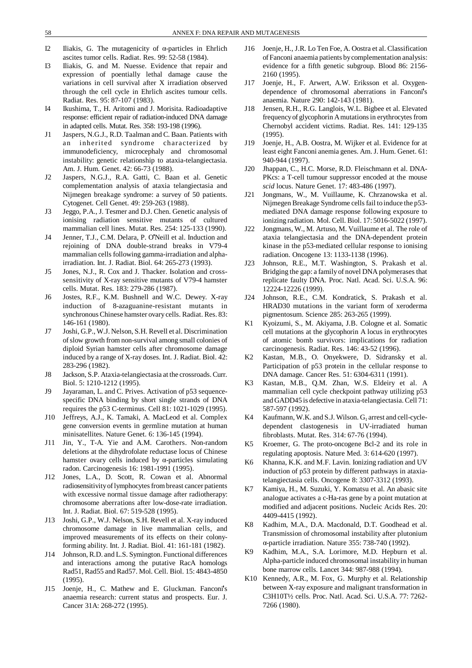- I2 Iliakis, G. The mutagenicity of  $\alpha$ -particles in Ehrlich ascites tumor cells. Radiat. Res. 99: 52-58 (1984).
- I3 Iliakis, G. and M. Nuesse. Evidence that repair and expression of poentially lethal damage cause the variations in cell survival after X irradiation observed through the cell cycle in Ehrlich ascites tumour cells. Radiat. Res. 95: 87-107 (1983).
- I4 Ikushima, T., H. Aritomi and J. Morisita. Radioadaptive response: efficient repair of radiation-induced DNA damage in adapted cells. Mutat. Res. 358: 193-198 (1996).
- J1 Jaspers, N.G.J., R.D. Taalman and C. Baan. Patients with an inherited syndrome characterized by immunodeficiency, microcephaly and chromosomal instability: genetic relationship to ataxia-telangiectasia. Am. J. Hum. Genet. 42: 66-73 (1988).
- J2 Jaspers, N.G.J., R.A. Gatti, C. Baan et al. Genetic complementation analysis of ataxia telangiectasia and Nijmegen breakage syndrome: a survey of 50 patients. Cytogenet. Cell Genet. 49: 259-263 (1988).
- J3 Jeggo, P.A., J. Tesmer and D.J. Chen. Genetic analysis of ionising radiation sensitive mutants of cultured mammalian cell lines. Mutat. Res. 254: 125-133 (1990).
- J4 Jenner, T.J., C.M. Delara, P. O'Neill et al. Induction and Jenner, T.J., C.M. Delara, P. O'Neill et al. Induction and<br>rejoining of DNA double-strand breaks in V79-4<br>mammalian cells following gamma-irradiation and alpharejoining of DNA double-strand breaks in V79-4 irradiation. Int. J. Radiat. Biol. 64: 265-273 (1993).
- J5 Jones, N.J., R. Cox and J. Thacker. Isolation and crosssensitivity of X-ray sensitive mutants of V79-4 hamster cells. Mutat. Res. 183: 279-286 (1987).
- J6 Jostes, R.F., K.M. Bushnell and W.C. Dewey. X-ray induction of 8-azaguanine-resistant mutants in synchronous Chinese hamster ovary cells. Radiat. Res. 83: 146-161 (1980).
- J7 Joshi, G.P., W.J. Nelson, S.H. Revell et al. Discrimination of slow growth from non-survival among small colonies of diploid Syrian hamster cells after chromosome damage induced by a range of X-ray doses. Int. J. Radiat. Biol. 42: 283-296 (1982).
- J8 Jackson, S.P. Ataxia-telangiectasia at the crossroads. Curr. Biol. 5: 1210-1212 (1995).
- J9 Jayaraman, L. and C. Prives. Activation of p53 sequencespecific DNA binding by short single strands of DNA requires the p53 C-terminus. Cell 81: 1021-1029 (1995).
- J10 Jeffreys, A.J., K. Tamaki, A. MacLeod et al. Complex gene conversion events in germline mutation at human minisatellites. Nature Genet. 6: 136-145 (1994).
- J11 Jin, Y., T-A. Yie and A.M. Carothers. Non-random deletions at the dihydrofolate reductase locus of Chinese hamster ovary cells induced by  $\alpha$ -particles simulating radon. Carcinogenesis 16: 1981-1991 (1995).
- J12 Jones, L.A., D. Scott, R. Cowan et al. Abnormal radiosensitivityof lymphocytes from breast cancer patients with excessive normal tissue damage after radiotherapy: chromosome aberrations after low-dose-rate irradiation. Int. J. Radiat. Biol. 67: 519-528 (1995).
- J13 Joshi, G.P., W.J. Nelson, S.H. Revell et al. X-ray induced chromosome damage in live mammalian cells, and improved measurements of its effects on their colonyforming ability. Int. J. Radiat. Biol. 41: 161-181 (1982).
- J14 Johnson, R.D. and L.S. Symington. Functional differences and interactions among the putative RacA homologs Rad51, Rad55 and Rad57. Mol. Cell. Biol. 15: 4843-4850 (1995).
- J15 Joenje, H., C. Mathew and E. Gluckman. Fanconis<br>J. anaemia research: current status and prospects. Eur. J. Cancer 31A: 268-272 (1995).
- J16 Joenje, H., J.R. Lo Ten Foe, A. Oostra et al. Classification of Fanconi anaemia patients bycomplementation analysis: evidence for a fifth genetic subgroup. Blood 86: 2156- 2160 (1995).
- J17 Joenje, H., F. Arwert, A.W. Eriksson et al. Oxygendependence of chromosomal aberrations in Fanconis anaemia. Nature 290: 142-143 (1981).
- J18 Jensen, R.H., R.G. Langlois, W.L. Bigbee et al. Elevated frequencyof glycophorin Amutations in erythrocytes from Chernobyl accident victims. Radiat. Res. 141: 129-135 (1995).
- J19 Joenje, H., A.B. Oostra, M. Wijker et al. Evidence for at least eight Fanconi anemia genes. Am. J. Hum. Genet. 61: 940-944 (1997).
- J20 Jhappan, C., H.C. Morse, R.D. Fleischmann et al. DNA-PKcs: a T-cell tumour suppressor encoded at the mouse *scid* locus. Nature Genet. 17: 483-486 (1997).
- J21 Jongmans, W., M. Vuillaume, K. Chrzanowska et al. Nijmegen Breakage Syndrome cells fail to induce the p53 mediated DNA damage response following exposure to ionizing radiation. Mol. Cell. Biol. 17: 5016-5022 (1997).
- J22 Jongmans, W., M. Artuso, M. Vuillaume et al. The role of ataxia telangiectasia and the DNA-dependent protein kinase in the p53-mediated cellular response to ionising radiation. Oncogene 13: 1133-1138 (1996).
- J23 Johnson, R.E., M.T. Washington, S. Prakash et al. Bridging the gap: a family of novel DNA polymerases that replicate faulty DNA. Proc. Natl. Acad. Sci. U.S.A. 96: 12224-12226 (1999).
- J24 Johnson, R.E., C.M. Kondratick, S. Prakash et al. HRAD30 mutations in the variant form of xeroderma pigmentosum. Science 285: 263-265 (1999).
- K1 Kyoizumi, S., M. Akiyama, J.B. Cologne et al. Somatic cell mutations at the glycophorin A locus in erythrocytes of atomic bomb survivors: implications for radiation carcinogenesis. Radiat. Res. 146: 43-52 (1996).
- K2 Kastan, M.B., O. Onyekwere, D. Sidransky et al. Participation of p53 protein in the cellular response to DNA damage. Cancer Res. 51: 6304-6311 (1991).
- K3 Kastan, M.B., Q.M. Zhan, W.S. Eldeiry et al. A mammalian cell cycle checkpoint pathway utilizing p53 and GADD45 is defective in ataxia-telangiectasia. Cell 71: 587-597 (1992).
- K4 Kaufmann, W.K. and S.J. Wilson.  $G_1$  arrest and cell-cycledependent clastogenesis in UV-irradiated human fibroblasts. Mutat. Res. 314: 67-76 (1994).
- K5 Kroemer, G. The proto-oncogene Bcl-2 and its role in regulating apoptosis. Nature Med. 3: 614-620 (1997).
- K6 Khanna, K.K. and M.F. Lavin. Ionizing radiation and UV induction of p53 protein by different pathways in ataxiatelangiectasia cells. Oncogene 8: 3307-3312 (1993).
- K7 Kamiya, H., M. Suzuki, Y. Komatsu et al. An abasic site analogue activates a c-Ha-ras gene by a point mutation at modified and adjacent positions. Nucleic Acids Res. 20: 4409-4415 (1992).
- K8 Kadhim, M.A., D.A. Macdonald, D.T. Goodhead et al. Transmission of chromosomal instability after plutonium  $\alpha$ -particle irradiation. Nature 355: 738-740 (1992).
- K9 Kadhim, M.A., S.A. Lorimore, M.D. Hepburn et al. Alpha-particle induced chromosomal instability in human bone marrow cells. Lancet 344: 987-988 (1994).
- K10 Kennedy, A.R., M. Fox, G. Murphy et al. Relationship between X-ray exposure and malignant transformation in C3H10T½ cells. Proc. Natl. Acad. Sci. U.S.A. 77: 7262- 7266 (1980).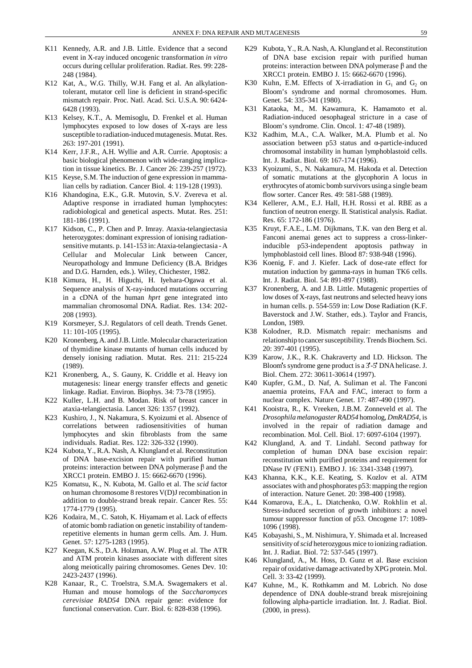- K11 Kennedy, A.R. and J.B. Little. Evidence that a second event in X-ray induced oncogenic transformation *in vitro* occurs during cellular proliferation. Radiat. Res. 99: 228- 248 (1984).
- K12 Kat, A., W.G. Thilly, W.H. Fang et al. An alkylationtolerant, mutator cell line is deficient in strand-specific mismatch repair. Proc. Natl. Acad. Sci. U.S.A. 90: 6424- 6428 (1993).
- K13 Kelsey, K.T., A. Memisoglu, D. Frenkel et al. Human lymphocytes exposed to low doses of X-rays are less susceptible to radiation-induced mutagenesis. Mutat. Res. 263: 197-201 (1991).
- K14 Kerr, J.F.R., A.H. Wyllie and A.R. Currie. Apoptosis: a basic biological phenomenon with wide-ranging implication in tissue kinetics. Br. J. Cancer 26: 239-257 (1972).
- K15 Keyse, S.M. The induction of gene expression in mammalian cells by radiation. Cancer Biol. 4: 119-128 (1993).
- K16 Khandogina, E.K., G.R. Mutovin, S.V. Zvereva et al. Adaptive response in irradiated human lymphocytes: radiobiological and genetical aspects. Mutat. Res. 251: 181-186 (1991).
- K17 Kidson, C., P. Chen and P. Imray. Ataxia-telangiectasia heterozygotes: dominant expression of ionising radiationsensitive mutants. p. 141-153 in: Ataxia-telangiectasia - A Cellular and Molecular Link between Cancer, Neuropathology and Immune Deficiency (B.A. Bridges and D.G. Harnden, eds.). Wiley, Chichester, 1982.
- K18 Kimura, H., H. Higuchi, H. Iyehara-Ogawa et al. Sequence analysis of X-ray-induced mutations occurring in a cDNA of the human *hprt* gene integrated into mammalian chromosomal DNA. Radiat. Res. 134: 202- 208 (1993).
- K19 Korsmeyer, S.J. Regulators of cell death. Trends Genet. 11: 101-105 (1995).
- K20 Kronenberg, A. and J.B. Little. Molecular characterization of thymidine kinase mutants of human cells induced by densely ionising radiation. Mutat. Res. 211: 215-224 (1989).
- K21 Kronenberg, A., S. Gauny, K. Criddle et al. Heavy ion mutagenesis: linear energy transfer effects and genetic linkage. Radiat. Environ. Biophys. 34: 73-78 (1995).
- K22 Kuller, L.H. and B. Modan. Risk of breast cancer in ataxia-telangiectasia. Lancet 326: 1357 (1992).
- K23 Kushiro, J., N. Nakamura, S. Kyoizumi et al. Absence of correlations between radiosensitivities of human lymphocytes and skin fibroblasts from the same individuals. Radiat. Res. 122: 326-332 (1990).
- K24 Kubota, Y., R.A. Nash, A. Klungland et al. Reconstitution of DNA base-excision repair with purified human proteins: interaction between DNA polymerase  $\beta$  and the XRCC1 protein. EMBO J. 15: 6662-6670 (1996).
- K25 Komatsu, K., N. Kubota, M. Gallo et al. The *scid* factor on human chromosome 8 restores V(D)J recombination in addition to double-strand break repair. Cancer Res. 55: 1774-1779 (1995).
- K26 Kodaira, M., C. Satoh, K. Hiyamam et al. Lack of effects of atomic bomb radiation on genetic instability of tandemrepetitive elements in human germ cells. Am. J. Hum. Genet. 57: 1275-1283 (1995).
- K27 Keegan, K.S., D.A. Holzman, A.W. Plug et al. The ATR and ATM protein kinases associate with different sites along meiotically pairing chromosomes. Genes Dev. 10: 2423-2437 (1996).
- K28 Kanaar, R., C. Troelstra, S.M.A. Swagemakers et al. Human and mouse homologs of the *Saccharomyces cerevisiae RAD54* DNA repair gene: evidence for functional conservation. Curr. Biol. 6: 828-838 (1996).
- K29 Kubota, Y., R.A. Nash, A. Klungland et al. Reconstitution of DNA base excision repair with purified human proteins: interaction between DNA polymerase  $\beta$  and the XRCC1 protein. EMBO J. 15: 6662-6670 (1996).
- K30 Kuhn, E.M. Effects of X-irradiation in  $G_1$  and  $G_2$  on Bloom's syndrome and normal chromosomes. Hum. Genet. 54: 335-341 (1980).
- K31 Kataoka, M., M. Kawamura, K. Hamamoto et al. Radiation-induced oesophageal stricture in a case of Bloom's syndrome. Clin. Oncol. 1: 47-48 (1989).
- K32 Kadhim, M.A., C.A. Walker, M.A. Plumb et al. No association between  $p53$  status and  $\alpha$ -particle-induced chromosomal instability in human lymphoblastoid cells. Int. J. Radiat. Biol. 69: 167-174 (1996).
- K33 Kyoizumi, S., N. Nakamura, M. Hakoda et al. Detection of somatic mutations at the glycophorin A locus in erythrocytes of atomic bomb survivors using a single beam flow sorter. Cancer Res. 49: 581-588 (1989).
- K34 Kellerer, A.M., E.J. Hall, H.H. Rossi et al. RBE as a function of neutron energy. II. Statistical analysis. Radiat. Res. 65: 172-186 (1976).
- K35 Kruyt, F.A.E., L.M. Dijkmans, T.K. van den Berg et al. Fanconi anemai genes act to suppress a cross-linkerinducible p53-independent apoptosis pathway in lymphoblastoid cell lines. Blood 87: 938-948 (1996).
- K36 Koenig, F. and J. Kiefer. Lack of dose-rate effect for mutation induction by gamma-rays in human TK6 cells. Int. J. Radiat. Biol. 54: 891-897 (1988).
- K37 Kronenberg, A. and J.B. Little. Mutagenic properties of low doses of X-rays, fast neutrons and selected heavy ions in human cells. p. 554-559 in: Low Dose Radiation (K.F. Baverstock and J.W. Stather, eds.). Taylor and Francis, London, 1989.
- K38 Kolodner, R.D. Mismatch repair: mechanisms and relationship to cancer susceptibility. Trends Biochem. Sci. 20: 397-401 (1995).
- K39 Karow, J.K., R.K. Chakraverty and I.D. Hickson. The Bloom's syndrome gene product is a 3'-5' DNA helicase. J.<br>Biol. Chem. 272: 30611-30614 (1997).<br>Kupfer, G.M., D. Naf, A. Suliman et al. The Fanconi Biol. Chem. 272: 30611-30614 (1997).
- K40 Kupfer, G.M., D. Naf, A. Suliman et al. The Fanconi anaemia proteins, FAA and FAC, interact to form a nuclear complex. Nature Genet. 17: 487-490 (1997).
- K41 Kooistra, R., K. Vreeken, J.B.M. Zonneveld et al. The *Drosophila melanogaster RAD54* homolog, *DmRAD54*, is involved in the repair of radiation damage and recombination. Mol. Cell. Biol. 17: 6097-6104 (1997).
- K42 Klungland, A. and T. Lindahl. Second pathway for completion of human DNA base excision repair: reconstitution with purified proteins and requirement for DNase IV (FEN1). EMBO J. 16: 3341-3348 (1997).
- K43 Khanna, K.K., K.E. Keating, S. Kozlov et al. ATM associates with and phosphorates p53: mapping the region of interaction. Nature Genet. 20: 398-400 (1998).
- K44 Komarova, E.A., L. Diatchenko, O.W. Rokhlin et al. Stress-induced secretion of growth inhibitors: a novel tumour suppressor function of p53. Oncogene 17: 1089- 1096 (1998).
- K45 Kobayashi, S., M. Nishimura, Y. Shimada et al. Increased sensitivityof*scid* heterozygous mice to ionizing radiation. Int. J. Radiat. Biol. 72: 537-545 (1997).
- K46 Klungland, A., M. Hoss, D. Gunz et al. Base excision repair of oxidative damage activated byXPG protein. Mol. Cell. 3: 33-42 (1999).
- K47 Kuhne, M., K. Rothkamm and M. Lobrich. No dose dependence of DNA double-strand break misrejoining following alpha-particle irradiation. Int. J. Radiat. Biol. (2000, in press).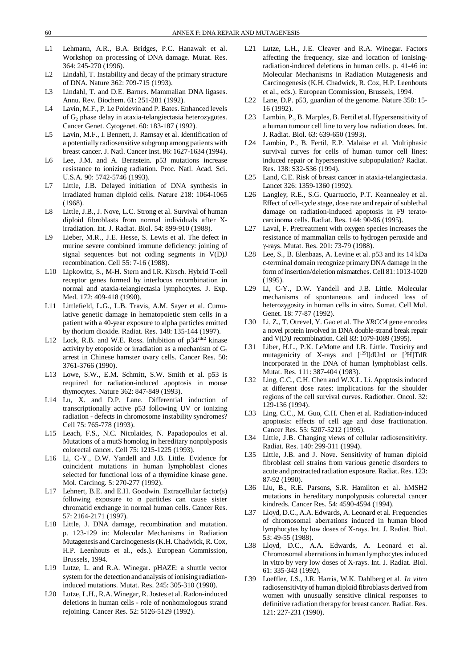- L1 Lehmann, A.R., B.A. Bridges, P.C. Hanawalt et al. Workshop on processing of DNA damage. Mutat. Res. 364: 245-270 (1996).
- L2 Lindahl, T. Instability and decay of the primary structure of DNA. Nature 362: 709-715 (1993).
- L3 Lindahl, T. and D.E. Barnes. Mammalian DNA ligases. Annu. Rev. Biochem. 61: 251-281 (1992).
- L4 Lavin, M.F., P. Le Poidevin and P. Bates. Enhanced levels of  $G<sub>2</sub>$  phase delay in ataxia-telangiectasia heterozygotes. Cancer Genet. Cytogenet. 60: 183-187 (1992).
- L5 Lavin, M.F., I. Bennett, J. Ramsay et al. Identification of a potentially radiosensitive subgroup among patients with breast cancer. J. Natl. Cancer Inst. 86: 1627-1634 (1994).
- L6 Lee, J.M. and A. Bernstein. p53 mutations increase resistance to ionizing radiation. Proc. Natl. Acad. Sci. U.S.A. 90: 5742-5746 (1993).
- L7 Little, J.B. Delayed initiation of DNA synthesis in irradiated human diploid cells. Nature 218: 1064-1065 (1968).
- L8 Little, J.B., J. Nove, L.C. Strong et al. Survival of human diploid fibroblasts from normal individuals after Xirradiation. Int. J. Radiat. Biol. 54: 899-910 (1988).
- L9 Lieber, M.R., J.E. Hesse, S. Lewis et al. The defect in murine severe combined immune deficiency: joining of signal sequences but not coding segments in V(D)J recombination. Cell 55: 7-16 (1988).
- L10 Lipkowitz, S., M-H. Stern and I.R. Kirsch. Hybrid T-cell receptor genes formed by interlocus recombination in normal and ataxia-telangiectasia lymphocytes. J. Exp. Med. 172: 409-418 (1990).
- L11 Littlefield, L.G., L.B. Travis, A.M. Sayer et al. Cumulative genetic damage in hematopoietic stem cells in a patient with a 40-year exposure to alpha particles emitted by thorium dioxide. Radiat. Res. 148: 135-144 (1997).
- L12 Lock, R.B. and W.E. Ross. Inhibition of  $p34^{cdc2}$  kinase activity by etoposide or irradiation as a mechanism of  $G<sub>2</sub>$ arrest in Chinese hamster ovary cells. Cancer Res. 50: 3761-3766 (1990).
- L13 Lowe, S.W., E.M. Schmitt, S.W. Smith et al. p53 is required for radiation-induced apoptosis in mouse thymocytes. Nature 362: 847-849 (1993).
- L14 Lu, X. and D.P. Lane. Differential induction of transcriptionally active p53 following UV or ionizing radiation - defects in chromosome instability syndromes? Cell 75: 765-778 (1993).
- L15 Leach, F.S., N.C. Nicolaides, N. Papadopoulos et al. Mutations of a mutS homolog in hereditary nonpolyposis colorectal cancer. Cell 75: 1215-1225 (1993).
- L16 Li, C-Y., D.W. Yandell and J.B. Little. Evidence for coincident mutations in human lymphoblast clones selected for functional loss of a thymidine kinase gene. Mol. Carcinog. 5: 270-277 (1992).
- L17 Lehnert, B.E. and E.H. Goodwin. Extracellular factor(s) following exposure to  $\alpha$  particles can cause sister chromatid exchange in normal human cells. Cancer Res. 57: 2164-2171 (1997).
- L18 Little, J. DNA damage, recombination and mutation. p. 123-129 in: Molecular Mechanisms in Radiation Mutagenesis and Carcinogenesis (K.H. Chadwick, R. Cox, H.P. Leenhouts et al., eds.). European Commission, Brussels, 1994.
- L19 Lutze, L. and R.A. Winegar. pHAZE: a shuttle vector system for the detection and analysis of ionising radiationinduced mutations. Mutat. Res. 245: 305-310 (1990).
- L20 Lutze, L.H., R.A. Winegar, R. Jostes et al. Radon-induced deletions in human cells - role of nonhomologous strand rejoining. Cancer Res. 52: 5126-5129 (1992).
- L21 Lutze, L.H., J.E. Cleaver and R.A. Winegar. Factors affecting the frequency, size and location of ionisingradiation-induced deletions in human cells. p. 41-46 in: Molecular Mechanisms in Radiation Mutagenesis and Carcinogenesis (K.H. Chadwick, R. Cox, H.P. Leenhouts et al., eds.). European Commission, Brussels, 1994.
- L22 Lane, D.P. p53, guardian of the genome. Nature 358: 15- 16 (1992).
- L23 Lambin, P., B. Marples, B. Fertil et al. Hypersensitivity of a human tumour cell line to very low radiation doses. Int. J. Radiat. Biol. 63: 639-650 (1993).
- L24 Lambin, P., B. Fertil, E.P. Malaise et al. Multiphasic survival curves for cells of human tumor cell lines: induced repair or hypersensitive subpopulation? Radiat. Res. 138: S32-S36 (1994).
- L25 Land, C.E. Risk of breast cancer in ataxia-telangiectasia. Lancet 326: 1359-1360 (1992).
- L26 Langley, R.E., S.G. Quartuccio, P.T. Keannealey et al. Effect of cell-cycle stage, dose rate and repair of sublethal damage on radiation-induced apoptosis in F9 teratocarcinoma cells. Radiat. Res. 144: 90-96 (1995).
- L27 Laval, F. Pretreatment with oxygen species increases the resistance of mammalian cells to hydrogen peroxide and -rays. Mutat. Res. 201: 73-79 (1988).
- -L28 Lee, S., B. Elenbaas, A. Levine et al. p53 and its 14 kDa c-terminal domain recognize primary DNA damage in the form of insertion/deletion mismatches. Cell 81:1013-1020 (1995).
- L29 Li, C-Y., D.W. Yandell and J.B. Little. Molecular mechanisms of spontaneous and induced loss of heterozygosity in human cells in vitro. Somat. Cell Mol. Genet. 18: 77-87 (1992).
- L30 Li, Z., T. Otrevel, Y. Gao et al. The *XRCC4* gene encodes a novel protein involved in DNA double-strand break repair and V(D)J recombination. Cell 83: 1079-1089 (1995).
- L31 Liber, H.L., P.K. LeMotte and J.B. Little. Toxicity and mutagenicity of X-rays and [<sup>125</sup>I]dUrd or [<sup>3</sup>H]TdR incorporated in the DNA of human lymphoblast cells. Mutat. Res. 111: 387-404 (1983).
- L32 Ling, C.C., C.H. Chen and W.X.L. Li. Apoptosis induced at different dose rates: implications for the shoulder regions of the cell survival curves. Radiother. Oncol. 32: 129-136 (1994).
- L33 Ling, C.C., M. Guo, C.H. Chen et al. Radiation-induced apoptosis: effects of cell age and dose fractionation. Cancer Res. 55: 5207-5212 (1995).
- L34 Little, J.B. Changing views of cellular radiosensitivity. Radiat. Res. 140: 299-311 (1994).
- L35 Little, J.B. and J. Nove. Sensitivity of human diploid fibroblast cell strains from various genetic disorders to acute and protracted radiation exposure. Radiat. Res. 123: 87-92 (1990).
- L36 Liu, B., R.E. Parsons, S.R. Hamilton et al. hMSH2 mutations in hereditary nonpolyposis colorectal cancer kindreds. Cancer Res. 54: 4590-4594 (1994).
- L37 Lloyd, D.C., A.A. Edwards, A. Leonard et al. Frequencies of chromosomal aberrations induced in human blood lymphocytes by low doses of X-rays. Int. J. Radiat. Biol. 53: 49-55 (1988).
- L38 Lloyd, D.C., A.A. Edwards, A. Leonard et al. Chromosomal aberrations in human lymphocytes induced in vitro by very low doses of X-rays. Int. J. Radiat. Biol. 61: 335-343 (1992).
- L39 Loeffler, J.S., J.R. Harris, W.K. Dahlberg et al. *In vitro* radiosensitivity of human diploid fibroblasts derived from women with unusually sensitive clinical responses to definitive radiation therapy for breast cancer. Radiat. Res. 121: 227-231 (1990).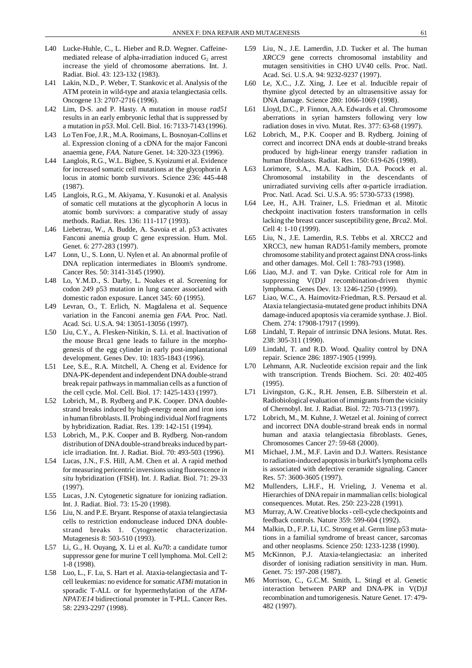- L40 Lucke-Huhle, C., L. Hieber and R.D. Wegner. Caffeinemediated release of alpha-irradiation induced  $G<sub>2</sub>$  arrest increase the yield of chromosome aberrations. Int. J. Radiat. Biol. 43: 123-132 (1983).
- L41 Lakin, N.D., P. Weber, T. Stankovic et al. Analysis of the ATM protein in wild-type and ataxia telangiectasia cells. Oncogene 13: 2707-2716 (1996).
- L42 Lim, D-S. and P. Hasty. A mutation in mouse *rad51* results in an early embryonic lethal that is suppressed by a mutation in *p53*. Mol. Cell. Biol. 16: 7133-7143 (1996).
- L43 Lo Ten Foe, J.R., M.A. Rooimans, L. Bosnoyan-Collins et al. Expression cloning of a cDNA for the major Fanconi anaemia gene, *FAA*. Nature Genet. 14: 320-323 (1996).
- L44 Langlois, R.G., W.L. Bigbee, S. Kyoizumi et al. Evidence for increased somatic cell mutations at the glycophorin A locus in atomic bomb survivors. Science 236: 445-448 (1987).
- L45 Langlois, R.G., M. Akiyama, Y. Kusunoki et al. Analysis of somatic cell mutations at the glycophorin A locus in atomic bomb survivors: a comparative study of assay methods. Radiat. Res. 136: 111-117 (1993).
- L46 Liebetrau, W., A. Budde, A. Savoia et al. p53 activates Fanconi anemia group C gene expression. Hum. Mol. Genet. 6: 277-283 (1997).
- L47 Lonn, U., S. Lonn, U. Nylen et al. An abnormal profile of DNA replication intermediates in Bloom's syndrome. Cancer Res. 50: 3141-3145 (1990).
- L48 Lo, Y.M.D., S. Darby, L. Noakes et al. Screening for codon 249 p53 mutation in lung cancer associated with domestic radon exposure. Lancet 345: 60 (1995).
- L49 Levran, O., T. Erlich, N. Magdalena et al. Sequence variation in the Fanconi anemia gen *FAA*. Proc. Natl. Acad. Sci. U.S.A. 94: 13051-13056 (1997).
- L50 Liu, C.Y., A. Flesken-Nitikin, S. Li. et al. Inactivation of the mouse Brca1 gene leads to failure in the morphogenesis of the egg cylinder in early post-implantational development. Genes Dev. 10: 1835-1843 (1996).
- L51 Lee, S.E., R.A. Mitchell, A. Cheng et al. Evidence for DNA-PK-dependent and independent DNAdouble-strand break repair pathways in mammalian cells as a function of the cell cycle. Mol. Cell. Biol. 17: 1425-1433 (1997).
- L52 Lobrich, M., B. Rydberg and P.K. Cooper. DNA doublestrand breaks induced by high-energy neon and iron ions in human fibroblasts. II. Probing individual *Not*Ifragments by hybridization. Radiat. Res. 139: 142-151 (1994).
- L53 Lobrich, M., P.K. Cooper and B. Rydberg. Non-random distribution of DNAdouble-strand breaks induced byparticle irradiation. Int. J. Radiat. Biol. 70: 493-503 (1996).
- L54 Lucas, J.N., F.S. Hill, A.M. Chen et al. A rapid method for measuring pericentric inversions using fluorescence *in situ* hybridization (FISH). Int. J. Radiat. Biol. 71: 29-33 (1997).
- L55 Lucas, J.N. Cytogenetic signature for ionizing radiation. Int. J. Radiat. Biol. 73: 15-20 (1998).
- L56 Liu, N. and P.E. Bryant. Response of ataxia telangiectasia cells to restriction endonuclease induced DNA doublestrand breaks 1. Cytogenetic characterization. Mutagenesis 8: 503-510 (1993).
- L57 Li, G., H. Ouyang, X. Li et al. *Ku70*: a candidate tumor suppressor gene for murine T cell lymphoma. Mol. Cell 2: 1-8 (1998).
- L58 Luo, L., F. Lu, S. Hart et al. Ataxia-telangiectasia and Tcell leukemias: no evidence for somatic *ATMi* mutation in sporadic T-ALL or for hypermethylation of the *ATM-NPAT/E14* bidirectional promoter in T-PLL. Cancer Res. 58: 2293-2297 (1998).
- L59 Liu, N., J.E. Lamerdin, J.D. Tucker et al. The human *XRCC9* gene corrects chromosomal instability and mutagen sensitivities in CHO UV40 cells. Proc. Natl. Acad. Sci. U.S.A. 94: 9232-9237 (1997).
- L60 Le, X.C., J.Z. Xing, J. Lee et al. Inducible repair of thymine glycol detected by an ultrasensitive assay for DNA damage. Science 280: 1066-1069 (1998).
- L61 Lloyd, D.C., P. Finnon, A.A. Edwards et al. Chromosome aberrations in syrian hamsters following very low radiation doses in vivo. Mutat. Res. 377: 63-68 (1997).
- L62 Lobrich, M., P.K. Cooper and B. Rydberg. Joining of correct and incorrect DNA ends at double-strand breaks produced by high-linear energy transfer radiation in human fibroblasts. Radiat. Res. 150: 619-626 (1998).
- L63 Lorimore, S.A., M.A. Kadhim, D.A. Pocock et al. Chromosomal instability in the descendants of unirradiated surviving cells after  $\alpha$ -particle irradiation. Proc. Natl. Acad. Sci. U.S.A. 95: 5730-5733 (1998).
- L64 Lee, H., A.H. Trainer, L.S. Friedman et al. Mitotic checkpoint inactivation fosters transformation in cells lacking the breast cancer susceptibility gene, *Brca2*. Mol. Cell 4: 1-10 (1999).
- L65 Liu, N., J.E. Lamerdin, R.S. Tebbs et al. XRCC2 and XRCC3, new human RAD51-family members, promote chromosome stabilityand protect against DNAcross-links and other damages. Mol. Cell 1: 783-793 (1998).
- L66 Liao, M.J. and T. van Dyke. Critical role for Atm in suppressing V(D)J recombination-driven thymic lymphoma. Genes Dev. 13: 1246-1250 (1999).
- L67 Liao, W.C., A. Haimovitz-Friedman, R.S. Persaud et al. Ataxia telangiectasia-mutated gene product inhibits DNA damage-induced apoptosis via ceramide synthase. J. Biol. Chem. 274: 17908-17917 (1999).
- L68 Lindahl, T. Repair of intrinsic DNA lesions. Mutat. Res. 238: 305-311 (1990).
- L69 Lindahl, T. and R.D. Wood. Quality control by DNA repair. Science 286: 1897-1905 (1999).
- L70 Lehmann, A.R. Nucleotide excision repair and the link with transcription. Trends Biochem. Sci. 20: 402-405  $(1995)$ .
- L71 Livingston, G.K., R.H. Jensen, E.B. Silberstein et al. Radiobiological evaluation of immigrants from the vicinity of Chernobyl. Int. J. Radiat. Biol. 72: 703-713 (1997).
- L72 Lobrich, M., M. Kuhne, J. Wetzel et al. Joining of correct and incorrect DNA double-strand break ends in normal human and ataxia telangiectasia fibroblasts. Genes, Chromosomes Cancer 27: 59-68 (2000).
- M1 Michael, J.M., M.F. Lavin and D.J. Watters. Resistance to radiation-induced apoptosis in burkitts lymphoma cells<br>signaling. Cancer is associated with defective ceramide signaling. Cancer Res. 57: 3600-3605 (1997).
- M2 Mullenders, L.H.F., H. Vrieling, J. Venema et al. Hierarchies of DNA repair in mammalian cells: biological consequences. Mutat. Res. 250: 223-228 (1991).
- M3 Murray, A.W. Creative blocks cell-cycle checkpoints and feedback controls. Nature 359: 599-604 (1992).
- M4 Malkin, D., F.P. Li, I.C. Strong et al. Germ line p53 mutations in a familial syndrome of breast cancer, sarcomas and other neoplasms. Science 250: 1233-1238 (1990).
- M5 McKinnon, P.J. Ataxia-telangiectasia: an inherited disorder of ionising radiation sensitivity in man. Hum. Genet. 75: 197-208 (1987).
- M6 Morrison, C., G.C.M. Smith, L. Stingl et al. Genetic interaction between PARP and DNA-PK in V(D)J recombination and tumorigenesis. Nature Genet. 17: 479- 482 (1997).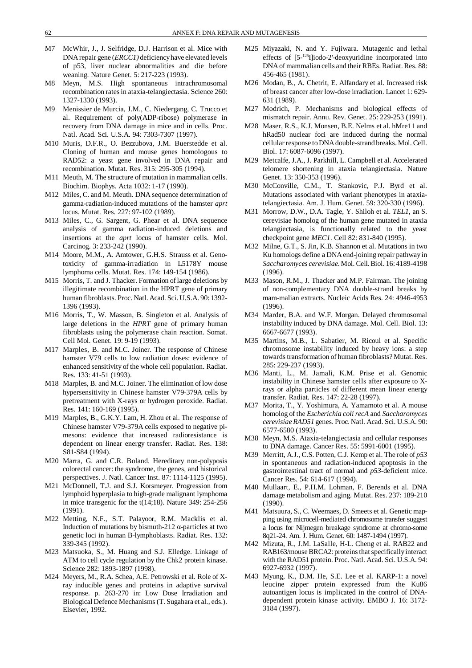- M7 McWhir, J., J. Selfridge, D.J. Harrison et al. Mice with DNArepair gene (*ERCC1)* deficiencyhave elevated levels of p53, liver nuclear abnormalities and die before weaning. Nature Genet. 5: 217-223 (1993).
- M8 Meyn, M.S. High spontaneous intrachromosomal recombination rates in ataxia-telangiectasia. Science 260: 1327-1330 (1993).
- M9 Menissier de Murcia, J.M., C. Niedergang, C. Trucco et al. Requirement of poly(ADP-ribose) polymerase in recovery from DNA damage in mice and in cells. Proc. Natl. Acad. Sci. U.S.A. 94: 7303-7307 (1997).
- M10 Muris, D.F.R., O. Bezzubova, J.M. Buerstedde et al. Cloning of human and mouse genes homologous to RAD52: a yeast gene involved in DNA repair and recombination. Mutat. Res. 315: 295-305 (1994).
- M11 Meuth, M. The structure of mutation in mammalian cells. Biochim. Biophys. Acta 1032: 1-17 (1990).
- M12 Miles, C. and M. Meuth. DNA sequence determination of gamma-radiation-induced mutations of the hamster *aprt* locus. Mutat. Res. 227: 97-102 (1989).
- M13 Miles, C., G. Sargent, G. Phear et al. DNA sequence analysis of gamma radiation-induced deletions and insertions at the *aprt* locus of hamster cells. Mol. Carcinog. 3: 233-242 (1990).
- M14 Moore, M.M., A. Amtower, G.H.S. Strauss et al. Genotoxicity of gamma-irradiation in L5178Y mouse lymphoma cells. Mutat. Res. 174: 149-154 (1986).
- M15 Morris, T. and J. Thacker. Formation of large deletions by illegitimate recombination in the HPRT gene of primary human fibroblasts. Proc. Natl. Acad. Sci. U.S.A. 90:1392- 1396 (1993).
- M16 Morris, T., W. Masson, B. Singleton et al. Analysis of large deletions in the *HPRT* gene of primary human fibroblasts using the polymerase chain reaction. Somat. Cell Mol. Genet. 19: 9-19 (1993).
- M17 Marples, B. and M.C. Joiner. The response of Chinese hamster V79 cells to low radiation doses: evidence of enhanced sensitivity of the whole cell population. Radiat. Res. 133: 41-51 (1993).
- M18 Marples, B. and M.C. Joiner. The elimination of low dose hypersensitivity in Chinese hamster V79-379A cells by pretreatment with X-rays or hydrogen peroxide. Radiat. Res. 141: 160-169 (1995).
- M19 Marples, B., G.K.Y. Lam, H. Zhou et al. The response of Chinese hamster V79-379A cells exposed to negative pimesons: evidence that increased radioresistance is dependent on linear energy transfer. Radiat. Res. 138: S81-S84 (1994).
- M20 Marra, G. and C.R. Boland. Hereditary non-polyposis colorectal cancer: the syndrome, the genes, and historical perspectives. J. Natl. Cancer Inst. 87: 1114-1125 (1995).
- M21 McDonnell, T.J. and S.J. Korsmeyer. Progression from lymphoid hyperplasia to high-grade malignant lymphoma in mice transgenic for the t(14;18). Nature 349: 254-256  $(1991)$
- M22 Metting, N.F., S.T. Palayoor, R.M. Macklis et al. Induction of mutations by bismuth-212  $\alpha$ -particles at two genetic loci in human B-lymphoblasts. Radiat. Res. 132: 339-345 (1992).
- M23 Matsuoka, S., M. Huang and S.J. Elledge. Linkage of ATM to cell cycle regulation by the Chk2 protein kinase. Science 282: 1893-1897 (1998).
- M24 Meyers, M., R.A. Schea, A.E. Petrowski et al. Role of Xray inducible genes and proteins in adaptive survival response. p. 263-270 in: Low Dose Irradiation and Biological Defence Mechanisms (T. Sugahara et al., eds.). Elsevier, 1992.
- M25 Miyazaki, N. and Y. Fujiwara. Mutagenic and lethal effects of [5-125I]iodo-2'-deoxyuridine incorporated into DNA of mammalian cells and their RBEs. Radiat. Res. 88: 456-465 (1981).
- M26 Modan, B., A. Chetrit, E. Alfandary et al. Increased risk of breast cancer after low-dose irradiation. Lancet 1: 629- 631 (1989).
- M27 Modrich, P. Mechanisms and biological effects of mismatch repair. Annu. Rev. Genet. 25: 229-253 (1991).
- M28 Maser, R.S., K.J. Monsen, B.E. Nelms et al. hMre11 and hRad50 nuclear foci are induced during the normal cellular response to DNAdouble-strand breaks. Mol. Cell. Biol. 17: 6087-6096 (1997).
- M29 Metcalfe, J.A., J. Parkhill, L. Campbell et al. Accelerated telomere shortening in ataxia telangiectasia. Nature Genet. 13: 350-353 (1996).
- M30 McConville, C.M., T. Stankovic, P.J. Byrd et al. Mutations associated with variant phenotypes in ataxiatelangiectasia. Am. J. Hum. Genet. 59: 320-330 (1996).
- M31 Morrow, D.W., D.A. Tagle, Y. Shiloh et al. *TEL1*, an S. cerevisiae homolog of the human gene mutated in ataxia telangiectasia, is functionally related to the yeast checkpoint gene *MEC1*. Cell 82: 831-840 (1995).
- M32 Milne, G.T., S. Jin, K.B. Shannon et al. Mutations in two Ku homologs define a DNA end-joining repair pathway in *Saccharomyces cerevisiae*. Mol. Cell. Biol. 16:4189-4198 (1996).
- M33 Mason, R.M., J. Thacker and M.P. Fairman. The joining of non-complementary DNA double-strand breaks by mam-malian extracts. Nucleic Acids Res. 24: 4946-4953 (1996).
- M34 Marder, B.A. and W.F. Morgan. Delayed chromosomal instability induced by DNA damage. Mol. Cell. Biol. 13: 6667-6677 (1993).
- M35 Martins, M.B., L. Sabatier, M. Ricoul et al. Specific chromosome instability induced by heavy ions: a step towards transformation of human fibroblasts? Mutat. Res. 285: 229-237 (1993).
- M36 Manti, L., M. Jamali, K.M. Prise et al. Genomic instability in Chinese hamster cells after exposure to Xrays or alpha particles of different mean linear energy transfer. Radiat. Res. 147: 22-28 (1997).
- M37 Morita, T., Y. Yoshimura, A. Yamamoto et al. A mouse homolog of the *Escherichia coli recA* and *Saccharomyces cerevisiae RAD51* genes. Proc. Natl. Acad. Sci. U.S.A. 90: 6577-6580 (1993).
- M38 Meyn, M.S. Ataxia-telangiectasia and cellular responses to DNA damage. Cancer Res. 55: 5991-6001 (1995).
- M39 Merritt, A.J., C.S. Potten, C.J. Kemp et al. The role of *p53* in spontaneous and radiation-induced apoptosis in the gastrointestinal tract of normal and *p53*-deficient mice. Cancer Res. 54: 614-617 (1994).
- M40 Mullaart, E., P.H.M. Lohman, F. Berends et al. DNA damage metabolism and aging. Mutat. Res. 237: 189-210 (1990).
- M41 Matsuura, S., C. Weemaes, D. Smeets et al. Genetic mapping using microcell-mediated chromosome transfer suggest a locus for Nijmegen breakage syndrome at chromo-some 8q21-24. Am. J. Hum. Genet. 60: 1487-1494 (1997).
- M42 Mizuta, R., J.M. LaSalle, H-L. Cheng et al. RAB22 and RAB163/mouse BRCA2: proteins that specifically interact with the RAD51 protein. Proc. Natl. Acad. Sci. U.S.A. 94: 6927-6932 (1997).
- M43 Myung, K., D.M. He, S.E. Lee et al. KARP-1: a novel leucine zipper protein expressed from the Ku86 autoantigen locus is implicated in the control of DNAdependent protein kinase activity. EMBO J. 16: 3172- 3184 (1997).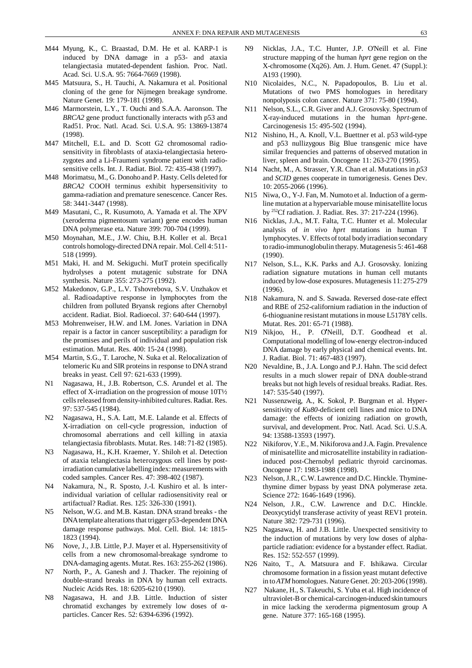- M44 Myung, K., C. Braastad, D.M. He et al. KARP-1 is induced by DNA damage in a p53- and ataxia telangiectasia mutated-dependent fashion. Proc. Natl. Acad. Sci. U.S.A. 95: 7664-7669 (1998).
- M45 Matsuura, S., H. Tauchi, A. Nakamura et al. Positional cloning of the gene for Nijmegen breakage syndrome. Nature Genet. 19: 179-181 (1998).
- M46 Marmorstein, L.Y., T. Ouchi and S.A.A. Aaronson. The *BRCA2* gene product functionally interacts with p53 and Rad51. Proc. Natl. Acad. Sci. U.S.A. 95: 13869-13874 (1998).
- M47 Mitchell, E.L. and D. Scott G2 chromosomal radiosensitivity in fibroblasts of ataxia-telangiectasia heterozygotes and a Li-Fraumeni syndrome patient with radiosensitive cells. Int. J. Radiat. Biol. 72: 435-438 (1997).
- M48 Morimatsu, M., G. Donoho and P. Hasty. Cells deleted for *BRCA2* COOH terminus exhibit hypersensitivity to gamma-radiation and premature senescence. Cancer Res. 58: 3441-3447 (1998).
- M49 Masutani, C., R. Kusumoto, A. Yamada et al. The XPV (xeroderma pigmentosum variant) gene encodes human DNA polymerase eta. Nature 399: 700-704 (1999).
- M50 Moynahan, M.E., J.W. Chiu, B.H. Koller et al. Brca1 controls homology-directed DNA repair. Mol. Cell 4:511- 518 (1999).
- M51 Maki, H. and M. Sekiguchi. MutT protein specifically hydrolyses a potent mutagenic substrate for DNA synthesis. Nature 355: 273-275 (1992).
- M52 Makedonov, G.P., L.V. Tshovrebova, S.V. Unzhakov et al. Radioadaptive response in lymphocytes from the children from polluted Bryansk regions after Chernobyl accident. Radiat. Biol. Radioecol. 37: 640-644 (1997).
- M53 Mohrenweiser, H.W. and I.M. Jones. Variation in DNA repair is a factor in cancer susceptibility: a paradigm for the promises and perils of individual and population risk estimation. Mutat. Res. 400: 15-24 (1998).
- M54 Martin, S.G., T. Laroche, N. Suka et al. Relocalization of telomeric Ku and SIR proteins in response to DNA strand breaks in yeast. Cell 97: 621-633 (1999).
- N1 Nagasawa, H., J.B. Robertson, C.S. Arundel et al. The effect of X-irradiation on the progression of mouse 10T½ cells released from density-inhibited cultures. Radiat. Res. 97: 537-545 (1984).
- N2 Nagasawa, H., S.A. Latt, M.E. Lalande et al. Effects of X-irradiation on cell-cycle progression, induction of chromosomal aberrations and cell killing in ataxia telangiectasia fibroblasts. Mutat. Res. 148: 71-82 (1985).
- N3 Nagasawa, H., K.H. Kraemer, Y. Shiloh et al. Detection of ataxia telangiectasia heterozygous cell lines by postirradiation cumulative labelling index: measurements with coded samples. Cancer Res. 47: 398-402 (1987).
- N4 Nakamura, N., R. Sposto, J.-I. Kushiro et al. Is interindividual variation of cellular radiosensitivity real or artifactual? Radiat. Res. 125: 326-330 (1991).
- N5 Nelson, W.G. and M.B. Kastan. DNA strand breaks the DNAtemplate alterations that trigger p53-dependent DNA damage response pathways. Mol. Cell. Biol. 14: 1815- 1823 (1994).
- N6 Nove, J., J.B. Little, P.J. Mayer et al. Hypersensitivity of cells from a new chromosomal-breakage syndrome to DNA-damaging agents. Mutat. Res. 163: 255-262 (1986).
- N7 North, P., A. Ganesh and J. Thacker. The rejoining of double-strand breaks in DNA by human cell extracts. Nucleic Acids Res. 18: 6205-6210 (1990).
- N8 Nagasawa, H. and J.B. Little. Induction of sister chromatid exchanges by extremely low doses of  $\alpha$ particles. Cancer Res. 52: 6394-6396 (1992).
- N9 Nicklas, J.A., T.C. Hunter, J.P. O'Neill et al. Fine structure mapping of the human *hprt* gene region on the X-chromosome (Xq26). Am. J. Hum. Genet. 47 (Suppl.): A193 (1990).
- N10 Nicolaides, N.C., N. Papadopoulos, B. Liu et al. Mutations of two PMS homologues in hereditary nonpolyposis colon cancer. Nature 371: 75-80 (1994).
- N11 Nelson, S.L., C.R. Giver and A.J. Grosovsky. Spectrum of X-ray-induced mutations in the human *hprt*-gene. Carcinogenesis 15: 495-502 (1994).
- N12 Nishino, H., A. Knoll, V.L. Buettner et al. p53 wild-type and p53 nullizygous Big Blue transgenic mice have similar frequencies and patterns of observed mutation in liver, spleen and brain. Oncogene 11: 263-270 (1995).
- N14 Nacht, M., A. Strasser, Y.R. Chan et al. Mutations in *p53* and *SCID* genes cooperate in tumorigenesis. Genes Dev. 10: 2055-2066 (1996).
- N15 Niwa, O., Y-J. Fan, M. Numoto et al. Induction of a germline mutation at a hypervariable mouse minisatellite locus by 252Cf radiation. J. Radiat. Res. 37: 217-224 (1996).
- N16 Nicklas, J.A., M.T. Falta, T.C. Hunter et al. Molecular analysis of *in vivo hprt* mutations in human T lymphocytes. V. Effects of total bodyirradiation secondary to radio-immunoglobulin therapy. Mutagenesis 5:461-468 (1990).
- N17 Nelson, S.L., K.K. Parks and A.J. Grosovsky. Ionizing radiation signature mutations in human cell mutants induced by low-dose exposures. Mutagenesis 11: 275-279 (1996).
- N18 Nakamura, N. and S. Sawada. Reversed dose-rate effect and RBE of 252-californium radiation in the induction of 6-thioguanine resistant mutations in mouse L5178Y cells. Mutat. Res. 201: 65-71 (1988).
- N19 Nikjoo, H., P. O'Neill, D.T. Goodhead et al. Neill, D.T. Goodhead et al.<br>ling of low-energy electron-induced<br>physical and chemical events. Int. Computational modelling of low-energy electron-induced DNA damage by early physical and chemical events. Int. J. Radiat. Biol. 71: 467-483 (1997).
- N20 Nevaldine, B., J.A. Longo and P.J. Hahn. The scid defect results in a much slower repair of DNA double-strand breaks but not high levels of residual breaks. Radiat. Res. 147: 535-540 (1997).
- N21 Nussenzweig, A., K. Sokol, P. Burgman et al. Hypersensitivity of *Ku80*-deficient cell lines and mice to DNA damage: the effects of ionizing radiation on growth, survival, and development. Proc. Natl. Acad. Sci. U.S.A. 94: 13588-13593 (1997).
- N22 Nikiforov, Y.E., M. Nikiforova and J.A. Fagin. Prevalence of minisatellite and microsatellite instability in radiationinduced post-Chernobyl pediatric thyroid carcinomas. Oncogene 17: 1983-1988 (1998).
- N23 Nelson, J.R., C.W. Lawrence and D.C. Hinckle. Thyminethymine dimer bypass by yeast DNA polymerase zeta. Science 272: 1646-1649 (1996).
- N24 Nelson, J.R., C.W. Lawrence and D.C. Hinckle. Deoxycytidyl transferase activity of yeast REV1 protein. Nature 382: 729-731 (1996).
- N25 Nagasawa, H. and J.B. Little. Unexpected sensitivity to the induction of mutations by very low doses of alphaparticle radiation: evidence for a bystander effect. Radiat. Res. 152: 552-557 (1999).
- N26 Naito, T., A. Matsuura and F. Ishikawa. Circular chromosome formation in a fission yeast mutant defective in to*ATM* homologues. Nature Genet. 20:203-206 (1998).
- N27 Nakane, H., S. Takeuchi, S. Yuba et al. High incidence of ultraviolet-B or chemical-carcinogen-induced skin tumours in mice lacking the xeroderma pigmentosum group A gene. Nature 377: 165-168 (1995).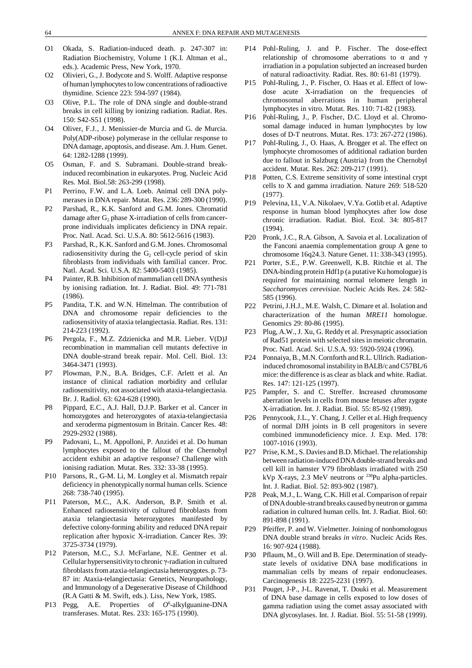- O1 Okada, S. Radiation-induced death. p. 247-307 in: Radiation Biochemistry, Volume 1 (K.I. Altman et al., eds.). Academic Press, New York, 1970.
- O2 Olivieri, G., J. Bodycote and S. Wolff. Adaptive response of human lymphocytes to low concentrations of radioactive thymidine. Science 223: 594-597 (1984).
- O3 Olive, P.L. The role of DNA single and double-strand breaks in cell killing by ionizing radiation. Radiat. Res. 150: S42-S51 (1998).
- Oliver, F.J., J. Menissier-de Murcia and G. de Murcia. Poly(ADP-ribose) polymerase in the cellular response to DNA damage, apoptosis, and disease. Am. J. Hum. Genet. 64: 1282-1288 (1999).
- O5 Osman, F. and S. Subramani. Double-strand breakinduced recombination in eukaryotes. Prog. Nucleic Acid Res. Mol. Biol.58: 263-299 (1998).
- P1 Perrino, F.W. and L.A. Loeb. Animal cell DNA polymerases in DNA repair. Mutat. Res. 236: 289-300 (1990).
- P2 Parshad, R., K.K. Sanford and G.M. Jones. Chromatid damage after  $G_2$  phase X-irradiation of cells from cancerprone individuals implicates deficiency in DNA repair. Proc. Natl. Acad. Sci. U.S.A. 80: 5612-5616 (1983).
- P3 Parshad, R., K.K. Sanford and G.M. Jones. Chromosomal radiosensitivity during the  $G_2$  cell-cycle period of skin fibroblasts from individuals with familial cancer. Proc. Natl. Acad. Sci. U.S.A. 82: 5400-5403 (1985).
- P4 Painter, R.B. Inhibition of mammalian cell DNAsynthesis by ionising radiation. Int. J. Radiat. Biol. 49: 771-781 (1986).
- P5 Pandita, T.K. and W.N. Hittelman. The contribution of DNA and chromosome repair deficiencies to the radiosensitivity of ataxia telangiectasia. Radiat. Res. 131: 214-223 (1992).
- P6 Pergola, F., M.Z. Zdzienicka and M.R. Lieber. V(D)J recombination in mammalian cell mutants defective in DNA double-strand break repair. Mol. Cell. Biol. 13: 3464-3471 (1993).
- P7 Plowman, P.N., B.A. Bridges, C.F. Arlett et al. An instance of clinical radiation morbidity and cellular radiosensitivity, not associated with ataxia-telangiectasia. Br. J. Radiol. 63: 624-628 (1990).
- P8 Pippard, E.C., A.J. Hall, D.J.P. Barker et al. Cancer in homozygotes and heterozygotes of ataxia-telangiectasia and xeroderma pigmentosum in Britain. Cancer Res. 48: 2929-2932 (1988).
- P9 Padovani, L., M. Appolloni, P. Anzidei et al. Do human lymphocytes exposed to the fallout of the Chernobyl accident exhibit an adaptive response? Challenge with ionising radiation. Mutat. Res. 332: 33-38 (1995).
- P10 Parsons, R., G-M. Li, M. Longley et al. Mismatch repair deficiency in phenotypically normal human cells. Science 268: 738-740 (1995).
- P11 Paterson, M.C., A.K. Anderson, B.P. Smith et al. Enhanced radiosensitivity of cultured fibroblasts from ataxia telangiectasia heterozygotes manifested by defective colony-forming ability and reduced DNA repair replication after hypoxic X-irradiation. Cancer Res. 39: 3725-3734 (1979).
- P12 Paterson, M.C., S.J. McFarlane, N.E. Gentner et al. Cellular hypersensitivity to chronic  $\gamma$ -radiation in cultured<br>Claudelate Canada in the chronical state and the  $\frac{72}{3}$ fibroblasts from ataxia-telangiectasia heterozygotes. p. 73- 87 in: Ataxia-telangiectasia: Genetics, Neuropathology, and Immunology of a Degenerative Disease of Childhood (R.A Gatti & M. Swift, eds.). Liss, New York, 1985.
- P13 Pegg, A.E. Properties of O<sup>6</sup>-alkylguanine-DNA transferases. Mutat. Res. 233: 165-175 (1990).
- P14 Pohl-Ruling, J. and P. Fischer. The dose-effect relationship of chromosome aberrations to  $\alpha$  and  $\gamma$ irradiation in a population subjected an increased burden of natural radioactivity. Radiat. Res. 80: 61-81 (1979).
- P15 Pohl-Ruling, J., P. Fischer, O. Haas et al. Effect of lowdose acute X-irradiation on the frequencies of chromosomal aberrations in human peripheral lymphocytes in vitro. Mutat. Res. 110: 71-82 (1983).
- P16 Pohl-Ruling, J., P. Fischer, D.C. Lloyd et al. Chromosomal damage induced in human lymphocytes by low doses of D-T neutrons. Mutat. Res. 173: 267-272 (1986).
- P17 Pohl-Ruling, J., O. Haas, A. Brogger et al. The effect on lymphocyte chromosomes of additional radiation burden due to fallout in Salzburg (Austria) from the Chernobyl accident. Mutat. Res. 262: 209-217 (1991).
- P18 Potten, C.S. Extreme sensitivity of some intestinal crypt cells to X and gamma irradiation. Nature 269: 518-520 (1977).
- P19 Pelevina, I.I., V.A. Nikolaev, V.Ya. Gotlib et al. Adaptive response in human blood lymphocytes after low dose chronic irradiation. Radiat. Biol. Ecol. 34: 805-817 (1994).
- P20 Pronk, J.C., R.A. Gibson, A. Savoia et al. Localization of the Fanconi anaemia complementation group A gene to chromosome 16q24.3. Nature Genet. 11: 338-343 (1995).
- P21 Porter, S.E., P.W. Greenwell, K.B. Ritchie et al. The DNA-binding protein Hdf1p (a putative Ku homologue) is required for maintaining normal telomere length in *Saccharomyces cerevisiae*. Nucleic Acids Res. 24: 582- 585 (1996).
- P22 Petrini, J.H.J., M.E. Walsh, C. Dimare et al. Isolation and characterization of the human *MRE11* homologue. Genomics 29: 80-86 (1995).
- P23 Plug, A.W., J. Xu, G. Reddy et al. Presynaptic association of Rad51 protein with selected sites in meiotic chromatin. Proc. Natl. Acad. Sci. U.S.A. 93: 5920-5924 (1996).
- P24 Ponnaiya, B., M.N. Cornforth and R.L. Ullrich. Radiationinduced chromosomal instability in BALB/c and C57BL/6 mice: the difference is as clear as black and white. Radiat. Res. 147: 121-125 (1997).
- P25 Pampfer, S. and C. Streffer. Increased chromosome aberration levels in cells from mouse fetuses after zygote X-irradiation. Int. J. Radiat. Biol. 55: 85-92 (1989).
- P26 Pennycook, J.L., Y. Chang, J. Celler et al. High frequency of normal DJH joints in B cell progenitors in severe combined immunodeficiency mice. J. Exp. Med. 178: 1007-1016 (1993).
- P27 Prise, K.M., S. Davies and B.D. Michael. The relationship between radiation-induced DNAdouble-strand breaks and cell kill in hamster V79 fibroblasts irradiated with 250 kVp X-rays, 2.3 MeV neutrons or 238Pu alpha-particles. Int. J. Radiat. Biol. 52: 893-902 (1987).
- P28 Peak, M.J., L. Wang, C.K. Hill et al. Comparison of repair of DNAdouble-strand breaks caused byneutron or gamma radiation in cultured human cells. Int. J. Radiat. Biol. 60: 891-898 (1991).
- P29 Pfeiffer, P. and W. Vielmetter. Joining of nonhomologous DNA double strand breaks *in vitro*. Nucleic Acids Res. 16: 907-924 (1988).
- P30 Pflaum, M., O. Will and B. Epe. Determination of steadystate levels of oxidative DNA base modifications in mammalian cells by means of repair endonucleases. Carcinogenesis 18: 2225-2231 (1997).
- P31 Pouget, J-P., J-L. Ravenat, T. Douki et al. Measurement of DNA base damage in cells exposed to low doses of gamma radiation using the comet assay associated with DNA glycosylases. Int. J. Radiat. Biol. 55: 51-58 (1999).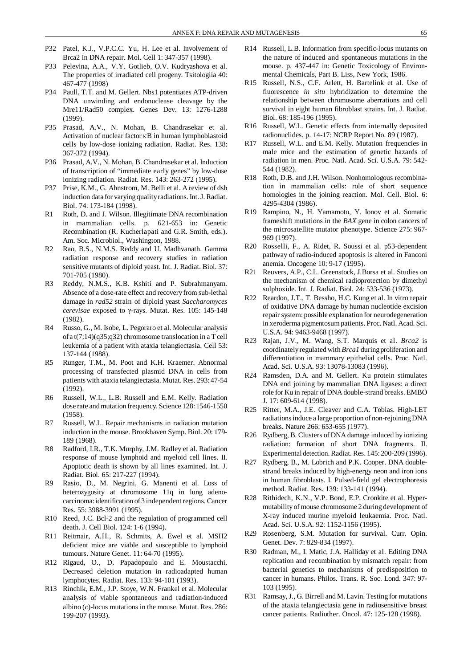- P32 Patel, K.J., V.P.C.C. Yu, H. Lee et al. Involvement of Brca2 in DNA repair. Mol. Cell 1: 347-357 (1998).
- P33 Pelevina, A.A., V.Y. Gotlieb, O.V. Kudryashova et al. The properties of irradiated cell progeny. Tsitologiia 40: 467-477 (1998)
- P34 Paull, T.T. and M. Gellert. Nbs1 potentiates ATP-driven DNA unwinding and endonuclease cleavage by the Mre11/Rad50 complex. Genes Dev. 13: 1276-1288 (1999).
- P35 Prasad, A.V., N. Mohan, B. Chandrasekar et al. Activation of nuclear factor  $\kappa$ B in human lymphoblastoid cells by low-dose ionizing radiation. Radiat. Res. 138: 367-372 (1994).
- P36 Prasad, A.V., N. Mohan, B. Chandrasekar et al. Induction of transcription of "immediate early genes" by low-dose ionizing radiation. Radiat. Res. 143: 263-272 (1995).
- P37 Prise, K.M., G. Ahnstrom, M. Belli et al. A review of dsb induction data for varying qualityradiations. Int. J. Radiat. Biol. 74: 173-184 (1998).
- R1 Roth, D. and J. Wilson. Illegitimate DNA recombination in mammalian cells. p. 621-653 in: Genetic Recombination (R. Kucherlapati and G.R. Smith, eds.). Am. Soc. Microbiol., Washington, 1988.
- R2 Rao, B.S., N.M.S. Reddy and U. Madhvanath. Gamma radiation response and recovery studies in radiation sensitive mutants of diploid yeast. Int. J. Radiat. Biol. 37: 701-705 (1980).
- R3 Reddy, N.M.S., K.B. Kshiti and P. Subrahmanyam. Absence of a dose-rate effect and recovery from sub-lethal damage in *rad52* strain of diploid yeast *Saccharomyces cerevisae* exposed to γ-rays. Mutat. Res. 105: 145-148 (1982).
- R4 Russo, G., M. Isobe, L. Pegoraro et al. Molecular analysis of a t(7;14)(q35;q32) chromosome translocation in a T cell leukemia of a patient with ataxia telangiectasia. Cell 53: 137-144 (1988).
- R5 Runger, T.M., M. Poot and K.H. Kraemer. Abnormal processing of transfected plasmid DNA in cells from patients with ataxia telangiectasia. Mutat. Res. 293:47-54 (1992).
- R6 Russell, W.L., L.B. Russell and E.M. Kelly. Radiation dose rate and mutation frequency. Science 128:1546-1550 (1958).
- R7 Russell, W.L. Repair mechanisms in radiation mutation induction in the mouse. Brookhaven Symp. Biol. 20: 179- 189 (1968).
- R8 Radford, I.R., T.K. Murphy, J.M. Radley et al. Radiation response of mouse lymphoid and myeloid cell lines. II. Apoptotic death is shown by all lines examined. Int. J. Radiat. Biol. 65: 217-227 (1994).
- R9 Rasio, D., M. Negrini, G. Manenti et al. Loss of heterozygosity at chromosome 11q in lung adenocarcinoma:identification of 3 independent regions. Cancer Res. 55: 3988-3991 (1995).
- R10 Reed, J.C. Bcl-2 and the regulation of programmed cell death. J. Cell Biol. 124: 1-6 (1994).
- R11 Reitmair, A.H., R. Schmits, A. Ewel et al. MSH2 deficient mice are viable and susceptible to lymphoid tumours. Nature Genet. 11: 64-70 (1995).
- R12 Rigaud, O., D. Papadopoulo and E. Moustacchi. Decreased deletion mutation in radioadapted human lymphocytes. Radiat. Res. 133: 94-101 (1993).
- R13 Rinchik, E.M., J.P. Stoye, W.N. Frankel et al. Molecular analysis of viable spontaneous and radiation-induced albino (*c*)-locus mutations in the mouse. Mutat. Res. 286: 199-207 (1993).
- R14 Russell, L.B. Information from specific-locus mutants on the nature of induced and spontaneous mutations in the mouse. p. 437-447 in: Genetic Toxicology of Environmental Chemicals, Part B. Liss, New York, 1986.
- R15 Russell, N.S., C.F. Arlett, H. Bartelink et al. Use of fluorescence *in situ* hybridization to determine the relationship between chromosome aberrations and cell survival in eight human fibroblast strains. Int. J. Radiat. Biol. 68: 185-196 (1995).
- R16 Russell, W.L. Genetic effects from internally deposited radionuclides. p. 14-17: NCRP Report No. 89 (1987).
- R17 Russell, W.L. and E.M. Kelly. Mutation frequencies in male mice and the estimation of genetic hazards of radiation in men. Proc. Natl. Acad. Sci. U.S.A. 79: 542- 544 (1982).
- R18 Roth, D.B. and J.H. Wilson. Nonhomologous recombination in mammalian cells: role of short sequence homologies in the joining reaction. Mol. Cell. Biol. 6: 4295-4304 (1986).
- R19 Rampino, N., H. Yamamoto, Y. Ionov et al. Somatic frameshift mutations in the *BAX* gene in colon cancers of the microsatellite mutator phenotype. Science 275: 967- 969 (1997).
- R20 Rosselli, F., A. Ridet, R. Soussi et al. p53-dependent pathway of radio-induced apoptosis is altered in Fanconi anemia. Oncogene 10: 9-17 (1995).
- R21 Reuvers, A.P., C.L. Greenstock, J.Borsa et al. Studies on the mechanism of chemical radioprotection by dimethyl sulphoxide. Int. J. Radiat. Biol. 24: 533-536 (1973).
- R22 Reardon, J.T., T. Bessho, H.C. Kung et al. In vitro repair of oxidative DNA damage by human nucleotide excision repair system: possible explanation for neurodegeneration in xeroderma pigmentosum patients. Proc. Natl. Acad. Sci. U.S.A. 94: 9463-9468 (1997).
- R23 Rajan, J.V., M. Wang, S.T. Marquis et al. *Brca2* is coordinatelyregulated with *Brca1* duringproliferation and differentiation in mammary epithelial cells. Proc. Natl. Acad. Sci. U.S.A. 93: 13078-13083 (1996).
- R24 Ramsden, D.A. and M. Gellert. Ku protein stimulates DNA end joining by mammalian DNA ligases: a direct role for Ku in repair of DNA double-strand breaks. EMBO J. 17: 609-614 (1998).
- R25 Ritter, M.A., J.E. Cleaver and C.A. Tobias. High-LET radiations induce a large proportion of non-rejoining DNA breaks. Nature 266: 653-655 (1977).
- R26 Rydberg, B. Clusters of DNA damage induced by ionizing radiation: formation of short DNA fragments. II. Experimental detection. Radiat. Res. 145:200-209 (1996).
- R27 Rydberg, B., M. Lobrich and P.K. Cooper. DNA doublestrand breaks induced by high-energy neon and iron ions in human fibroblasts. I. Pulsed-field gel electrophoresis method. Radiat. Res. 139: 133-141 (1994).
- R28 Rithidech, K.N., V.P. Bond, E.P. Cronkite et al. Hypermutability of mouse chromosome 2 during development of X-ray induced murine myeloid leukaemia. Proc. Natl. Acad. Sci. U.S.A. 92: 1152-1156 (1995).
- R29 Rosenberg, S.M. Mutation for survival. Curr. Opin. Genet. Dev. 7: 829-834 (1997).
- R30 Radman, M., I. Matic, J.A. Halliday et al. Editing DNA replication and recombination by mismatch repair: from bacterial genetics to mechanisms of predisposition to cancer in humans. Philos. Trans. R. Soc. Lond. 347: 97- 103 (1995).
- R31 Ramsay, J., G. Birrell and M. Lavin. Testing for mutations of the ataxia telangiectasia gene in radiosensitive breast cancer patients. Radiother. Oncol. 47: 125-128 (1998).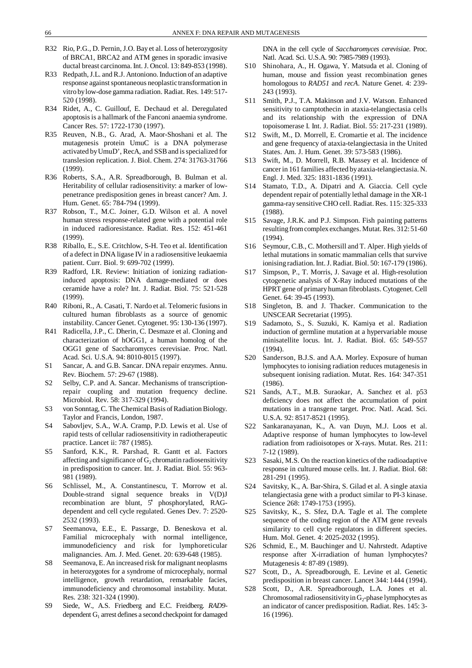- R32 Rio, P.G., D. Pernin, J.O. Bay et al. Loss of heterozygosity of BRCA1, BRCA2 and ATM genes in sporadic invasive ductal breast carcinoma. Int. J. Oncol. 13: 849-853 (1998).
- R33 Redpath, J.L. and R.J. Antoniono. Induction of an adaptive response against spontaneous neoplastictransformation in vitro bylow-dose gamma radiation. Radiat. Res. 149: 517- 520 (1998).
- R34 Ridet, A., C. Guillouf, E. Dechaud et al. Deregulated apoptosis is a hallmark of the Fanconi anaemia syndrome. Cancer Res. 57: 1722-1730 (1997).
- R35 Reuven, N.B., G. Arad, A. Maor-Shoshani et al. The mutagenesis protein UmuC is a DNA polymerase activated byUmuD', RecA, and SSB and is specialized for translesion replication. J. Biol. Chem. 274: 31763-31766 (1999).
- R36 Roberts, S.A., A.R. Spreadborough, B. Bulman et al. Heritability of cellular radiosensitivity: a marker of lowpenetrance predisposition genes in breast cancer? Am. J. Hum. Genet. 65: 784-794 (1999).
- R37 Robson, T., M.C. Joiner, G.D. Wilson et al. A novel human stress response-related gene with a potential role in induced radioresistance. Radiat. Res. 152: 451-461 (1999).
- R38 Riballo, E., S.E. Critchlow, S-H. Teo et al. Identification of a defect in DNA ligase IV in a radiosensitive leukaemia patient. Curr. Biol. 9: 699-702 (1999).
- R39 Radford, I.R. Review: Initiation of ionizing radiationinduced apoptosis: DNA damage-mediated or does ceramide have a role? Int. J. Radiat. Biol. 75: 521-528 (1999).
- R40 Riboni, R., A. Casati, T. Nardo et al. Telomeric fusions in cultured human fibroblasts as a source of genomic instability. Cancer Genet. Cytogenet. 95: 130-136 (1997).
- R41 Radicella, J.P., C. Dherin, C. Desmaze et al. Cloning and characterization of hOGG1, a human homolog of the OGG1 gene of Saccharomyces cerevisiae. Proc. Natl. Acad. Sci. U.S.A. 94: 8010-8015 (1997).
- S1 Sancar, A. and G.B. Sancar. DNA repair enzymes. Annu. Rev. Biochem. 57: 29-67 (1988).
- S2 Selby, C.P. and A. Sancar. Mechanisms of transcriptionrepair coupling and mutation frequency decline. Microbiol. Rev. 58: 317-329 (1994).
- S3 von Sonntag, C. The Chemical Basis of Radiation Biology. Taylor and Francis, London, 1987.
- S4 Sabovljev, S.A., W.A. Cramp, P.D. Lewis et al. Use of rapid tests of cellular radiosensitivity in radiotherapeutic practice. Lancet ii: 787 (1985).
- S5 Sanford, K.K., R. Parshad, R. Gantt et al. Factors affecting and significance of  $G_2$  chromatin radiosensitivity in predisposition to cancer. Int. J. Radiat. Biol. 55: 963- 981 (1989).
- S6 Schlissel, M., A. Constantinescu, T. Morrow et al. Double-strand signal sequence breaks in V(D)J recombination are blunt, 5 phosphorylated, RAGphosphorylated, RAG-<br>ated. Genes Dev. 7: 2520dependent and cell cycle regulated. Genes Dev. 7: 2520- 2532 (1993).
- S7 Seemanova, E.E., E. Passarge, D. Beneskova et al. Familial microcephaly with normal intelligence, immunodeficiency and risk for lymphoreticular malignancies. Am. J. Med. Genet. 20: 639-648 (1985).
- S8 Seemanova, E. An increased risk for malignant neoplasms in heterozygotes for a syndrome of microcephaly, normal intelligence, growth retardation, remarkable facies, immunodeficiency and chromosomal instability. Mutat. Res. 238: 321-324 (1990).
- S9 Siede, W., A.S. Friedberg and E.C. Freidberg. *RAD9* dependent  $G_1$  arrest defines a second checkpoint for damaged

DNA in the cell cycle of *Saccharomyces cerevisiae*. Proc. Natl. Acad. Sci. U.S.A. 90: 7985-7989 (1993).

- S10 Shinohara, A., H. Ogawa, Y. Matsuda et al. Cloning of human, mouse and fission yeast recombination genes homologous to *RAD51* and *recA*. Nature Genet. 4: 239- 243 (1993).
- S11 Smith, P.J., T.A. Makinson and J.V. Watson. Enhanced sensitivity to camptothecin in ataxia-telangiectasia cells and its relationship with the expression of DNA topoisomerase I. Int. J. Radiat. Biol. 55: 217-231 (1989).
- S12 Swift, M., D. Morrell, E. Cromartie et al. The incidence and gene frequency of ataxia-telangiectasia in the United States. Am. J. Hum. Genet. 39: 573-583 (1986).
- S13 Swift, M., D. Morrell, R.B. Massey et al. Incidence of cancer in 161 families affected byataxia-telangiectasia. N. Engl. J. Med. 325: 1831-1836 (1991).
- S14 Stamato, T.D., A. Dipatri and A. Giaccia. Cell cycle dependent repair of potentially lethal damage in the XR-1 gamma-ray sensitive CHO cell. Radiat. Res. 115: 325-333 (1988).
- S15 Savage, J.R.K. and P.J. Simpson. Fish painting patterns resulting from complex exchanges. Mutat. Res. 312:51-60 (1994).
- S16 Seymour, C.B., C. Mothersill and T. Alper. High yields of lethal mutations in somatic mammalian cells that survive ionising radiation. Int. J. Radiat. Biol. 50: 167-179 (1986).
- S17 Simpson, P., T. Morris, J. Savage et al. High-resolution cytogenetic analysis of X-Ray induced mutations of the HPRT gene of primary human fibroblasts. Cytogenet. Cell Genet. 64: 39-45 (1993).
- S18 Singleton, B. and J. Thacker. Communication to the UNSCEAR Secretariat (1995).
- S19 Sadamoto, S., S. Suzuki, K. Kamiya et al. Radiation induction of germline mutation at a hypervariable mouse minisatellite locus. Int. J. Radiat. Biol. 65: 549-557 (1994).
- S20 Sanderson, B.J.S. and A.A. Morley. Exposure of human lymphocytes to ionising radiation reduces mutagenesis in subsequent ionising radiation. Mutat. Res. 164: 347-351 (1986).
- S21 Sands, A.T., M.B. Suraokar, A. Sanchez et al. p53 deficiency does not affect the accumulation of point mutations in a transgene target. Proc. Natl. Acad. Sci. U.S.A. 92: 8517-8521 (1995).
- S22 Sankaranayanan, K., A. van Duyn, M.J. Loos et al. Adaptive response of human lymphocytes to low-level radiation from radioisotopes or X-rays. Mutat. Res. 211: 7-12 (1989).
- S23 Sasaki, M.S. On the reaction kinetics of the radioadaptive response in cultured mouse cells. Int. J. Radiat. Biol. 68: 281-291 (1995).
- S24 Savitsky, K., A. Bar-Shira, S. Gilad et al. A single ataxia telangiectasia gene with a product similar to PI-3 kinase. Science 268: 1749-1753 (1995).
- S25 Savitsky, K., S. Sfez, D.A. Tagle et al. The complete sequence of the coding region of the ATM gene reveals similarity to cell cycle regulators in different species. Hum. Mol. Genet. 4: 2025-2032 (1995).
- S26 Schmid, E., M. Bauchinger and U. Nahrstedt. Adaptive response after X-irradiation of human lymphocytes? Mutagenesis 4: 87-89 (1989).
- S27 Scott, D., A. Spreadborough, E. Levine et al. Genetic predisposition in breast cancer. Lancet 344: 1444 (1994).
- S28 Scott, D., A.R. Spreadborough, L.A. Jones et al. Chromosomal radiosensitivity in  $G_2$ -phase lymphocytes as an indicator of cancer predisposition. Radiat. Res. 145: 3- 16 (1996).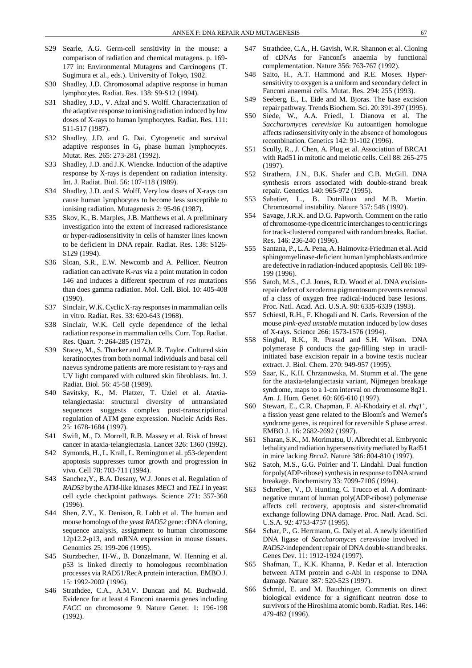- S29 Searle, A.G. Germ-cell sensitivity in the mouse: a comparison of radiation and chemical mutagens. p. 169- 177 in: Environmental Mutagens and Carcinogens (T. Sugimura et al., eds.). University of Tokyo, 1982.
- S30 Shadley, J.D. Chromosomal adaptive response in human lymphocytes. Radiat. Res. 138: S9-S12 (1994).
- S31 Shadley, J.D., V. Afzal and S. Wolff. Characterization of the adaptive response to ionising radiation induced by low doses of X-rays to human lymphocytes. Radiat. Res. 111: 511-517 (1987).
- S32 Shadley, J.D. and G. Dai. Cytogenetic and survival adaptive responses in  $G_1$  phase human lymphocytes. Mutat. Res. 265: 273-281 (1992).
- S33 Shadley, J.D. and J.K. Wiencke. Induction of the adaptive response by X-rays is dependent on radiation intensity. Int. J. Radiat. Biol. 56: 107-118 (1989).
- S34 Shadley, J.D. and S. Wolff. Very low doses of X-rays can cause human lymphocytes to become less susceptible to ionising radiation. Mutagenesis 2: 95-96 (1987).
- S35 Skov, K., B. Marples, J.B. Matthews et al. A preliminary investigation into the extent of increased radioresistance or hyper-radiosensitivity in cells of hamster lines known to be deficient in DNA repair. Radiat. Res. 138: S126- S129 (1994).
- S36 Sloan, S.R., E.W. Newcomb and A. Pellicer. Neutron radiation can activate K-*ras* via a point mutation in codon 146 and induces a different spectrum of *ras* mutations than does gamma radiation. Mol. Cell. Biol. 10: 405-408 (1990).
- S37 Sinclair, W.K. Cyclic X-rayresponses in mammalian cells in vitro. Radiat. Res. 33: 620-643 (1968).
- S38 Sinclair, W.K. Cell cycle dependence of the lethal radiation response in mammalian cells. Curr. Top. Radiat. Res. Quart. 7: 264-285 (1972).
- S39 Stacey, M., S. Thacker and A.M.R. Taylor. Cultured skin keratinocytes from both normal individuals and basal cell naevus syndrome patients are more resistant to  $\gamma$ -rays and UV light compared with cultured skin fibroblasts. Int. J. Radiat. Biol. 56: 45-58 (1989).
- S40 Savitsky, K., M. Platzer, T. Uziel et al. Ataxiatelangiectasia: structural diversity of untranslated sequences suggests complex post-transcriptional regulation of ATM gene expression. Nucleic Acids Res. 25: 1678-1684 (1997).
- S41 Swift, M., D. Morrell, R.B. Massey et al. Risk of breast cancer in ataxia-telangiectasia. Lancet 326: 1360 (1992).
- S42 Symonds, H., L. Krall, L. Remington et al. p53-dependent apoptosis suppresses tumor growth and progression in vivo. Cell 78: 703-711 (1994).
- S43 Sanchez,Y., B.A. Desany, W.J. Jones et al. Regulation of *RAD53* by the *ATM*-like kinases *MEC1* and *TEL1* in yeast cell cycle checkpoint pathways. Science 271: 357-360 (1996).
- S44 Shen, Z.Y., K. Denison, R. Lobb et al. The human and mouse homologs of the yeast *RAD52* gene: cDNA cloning, sequence analysis, assignment to human chromosome 12p12.2-p13, and mRNA expression in mouse tissues. Genomics 25: 199-206 (1995).
- S45 Sturzbecher, H-W., B. Donzelmann, W. Henning et al. p53 is linked directly to homologous recombination processes via RAD51/RecA protein interaction. EMBO J. 15: 1992-2002 (1996).
- S46 Strathdee, C.A., A.M.V. Duncan and M. Buchwald. Evidence for at least 4 Fanconi anaemia genes including *FACC* on chromosome 9. Nature Genet. 1: 196-198 (1992).
- S47 Strathdee, C.A., H. Gavish, W.R. Shannon et al. Cloning of cDNAs for Fanconiof cDNAs for Fanconi's anaemia by functional<br>
complementation. Nature 356: 763-767 (1992).<br>
S48 Saito, H., A.T. Hammond and R.E. Moses. Hypercomplementation. Nature 356: 763-767 (1992).
- sensitivity to oxygen is a uniform and secondary defect in Fanconi anaemai cells. Mutat. Res. 294: 255 (1993).
- S49 Seeberg, E., L. Eide and M. Bjoras. The base excision repair pathway. Trends Biochem. Sci. 20:391-397 (1995).
- S50 Siede, W., A.A. Friedl, I. Dianova et al. The *Saccharomyces cerevisiae* Ku autoantigen homologue affects radiosensitivity only in the absence of homologous recombination. Genetics 142: 91-102 (1996).
- S51 Scully, R., J. Chen, A. Plug et al. Association of BRCA1 with Rad51 in mitotic and meiotic cells. Cell 88: 265-275 (1997).
- S52 Strathern, J.N., B.K. Shafer and C.B. McGill. DNA synthesis errors associated with double-strand break repair. Genetics 140: 965-972 (1995).
- S53 Sabatier, L., B. Dutrillaux and M.B. Martin. Chromosomal instability. Nature 357: 548 (1992).
- S54 Savage, J.R.K. and D.G. Papworth. Comment on the ratio of chromosome-type dicentric interchanges to centric rings for track-clustered compared with random breaks. Radiat. Res. 146: 236-240 (1996).
- S55 Santana, P., L.A. Pena, A. Haimovitz-Friedman et al. Acid sphingomyelinase-deficient human lymphoblasts and mice are defective in radiation-induced apoptosis. Cell 86: 189- 199 (1996).
- S56 Satoh, M.S., C.J. Jones, R.D. Wood et al. DNA excisionrepair defect of xeroderma pigmentosum prevents removal of a class of oxygen free radical-induced base lesions. Proc. Natl. Acad. Aci. U.S.A. 90: 6335-6339 (1993).
- S57 Schiestl, R.H., F. Khogali and N. Carls. Reversion of the mouse *pink-eyed unstable* mutation induced by low doses of X-rays. Science 266: 1573-1576 (1994).
- S58 Singhal, R.K., R. Prasad and S.H. Wilson. DNA polymerase  $\beta$  conducts the gap-filling step in uracilinitiated base excision repair in a bovine testis nuclear extract. J. Biol. Chem. 270: 949-957 (1995).
- S59 Saar, K., K.H. Chrzanowska, M. Stumm et al. The gene for the ataxia-telangiectasia variant, Nijmegen breakage syndrome, maps to a 1-cm interval on chromosome 8q21. Am. J. Hum. Genet. 60: 605-610 (1997).
- S60 Stewart, E., C.R. Chapman, F. Al-Khodairy et al. *rhq1+*, a fission yeast gene related to the Bloom's and Werner's<br>syndrome genes, is required for reversible S phase arrest.<br>EMBO J. 16: 2682-2692 (1997). syndrome genes, is required for reversible S phase arrest. EMBO J. 16: 2682-2692 (1997).
- S61 Sharan, S.K., M. Morimatsu, U. Albrecht et al. Embryonic lethalityand radiation hypersensitivitymediated byRad51 in mice lacking *Brca2*. Nature 386: 804-810 (1997).
- S62 Satoh, M.S., G.G. Poirier and T. Lindahl. Dual function for poly(ADP-ribose) synthesis in response to DNAstrand breakage. Biochemistry 33: 7099-7106 (1994).
- S63 Schreiber, V., D. Hunting, C. Trucco et al. A dominantnegative mutant of human poly(ADP-ribose) polymerase affects cell recovery, apoptosis and sister-chromatid exchange following DNA damage. Proc. Natl. Acad. Sci. U.S.A. 92: 4753-4757 (1995).
- S64 Schar, P., G. Herrmann, G. Daly et al. A newly identified DNA ligase of *Saccharomyces cerevisiae* involved in *RAD52*-independent repair of DNA double-strand breaks. Genes Dev. 11: 1912-1924 (1997).
- S65 Shafman, T., K.K. Khanna, P. Kedar et al. Interaction between ATM protein and c-Abl in response to DNA damage. Nature 387: 520-523 (1997).
- S66 Schmid, E. and M. Bauchinger. Comments on direct biological evidence for a significant neutron dose to survivors of the Hiroshima atomic bomb. Radiat. Res. 146: 479-482 (1996).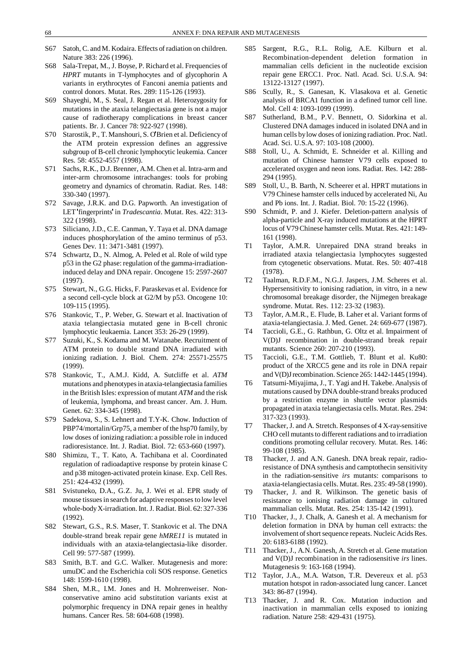- S67 Satoh, C. and M. Kodaira. Effects of radiation on children. Nature 383: 226 (1996).
- S68 Sala-Trepat, M., J. Boyse, P. Richard et al. Frequencies of *HPRT* mutants in T-lymphocytes and of glycophorin A variants in erythrocytes of Fanconi anemia patients and control donors. Mutat. Res. 289: 115-126 (1993).
- S69 Shayeghi, M., S. Seal, J. Regan et al. Heterozygosity for mutations in the ataxia telangiectasia gene is not a major cause of radiotherapy complications in breast cancer patients. Br. J. Cancer 78: 922-927 (1998).
- S70 Starostik, P., T. Manshouri, S. O'Brien et al. Deficiency of Starostik, P., T. Manshouri, S. O'Brien et al. Deficiency of<br>the ATM protein expression defines an aggressive<br>subgroup of B-cell chronic lymphocytic leukemia. Cancer the ATM protein expression defines an aggressive Res. 58: 4552-4557 (1998).
- S71 Sachs, R.K., D.J. Brenner, A.M. Chen et al. Intra-arm and inter-arm chromosome intrachanges: tools for probing geometry and dynamics of chromatin. Radiat. Res. 148: 330-340 (1997).
- S72 Savage, J.R.K. and D.G. Papworth. An investigation of LET fingerprints in *Tradescantia*. Mutat. Res. 422: 313-LET 'fingerprints in *Tradescantia*. Mutat. Res. 422: 313-<br>322 (1998).<br>S73 Siliciano, J.D., C.E. Canman, Y. Taya et al. DNA damage 322 (1998).
- induces phosphorylation of the amino terminus of p53. Genes Dev. 11: 3471-3481 (1997).
- S74 Schwartz, D., N. Almog, A. Peled et al. Role of wild type p53 in the G2 phase: regulation of the gamma-irradiationinduced delay and DNA repair. Oncogene 15: 2597-2607 (1997).
- S75 Stewart, N., G.G. Hicks, F. Paraskevas et al. Evidence for a second cell-cycle block at G2/M by p53. Oncogene 10: 109-115 (1995).
- S76 Stankovic, T., P. Weber, G. Stewart et al. Inactivation of ataxia telangiectasia mutated gene in B-cell chronic lymphocytic leukaemia. Lancet 353: 26-29 (1999).
- S77 Suzuki, K., S. Kodama and M. Watanabe. Recruitment of ATM protein to double strand DNA irradiated with ionizing radiation. J. Biol. Chem. 274: 25571-25575 (1999).
- S78 Stankovic, T., A.M.J. Kidd, A. Sutcliffe et al. *ATM* mutations and phenotypes in ataxia-telangiectasia families in the British Isles: expression of mutant *ATM* and the risk of leukemia, lymphoma, and breast cancer. Am. J. Hum. Genet. 62: 334-345 (1998).
- S79 Sadekova, S., S. Lehnert and T.Y-K. Chow. Induction of PBP74/mortalin/Grp75, a member of the hsp70 family, by low doses of ionizing radiation: a possible role in induced radioresistance. Int. J. Radiat. Biol. 72: 653-660 (1997).
- S80 Shimizu, T., T. Kato, A. Tachibana et al. Coordinated regulation of radioadaptive response by protein kinase C and p38 mitogen-activated protein kinase. Exp. Cell Res. 251: 424-432 (1999).
- S81 Svistuneko, D.A., G.Z. Ju, J. Wei et al. EPR study of mouse tissues in search for adaptive responses to low level whole-bodyX-irradiation. Int. J. Radiat. Biol. 62:327-336 (1992).
- S82 Stewart, G.S., R.S. Maser, T. Stankovic et al. The DNA double-strand break repair gene *hMRE11* is mutated in individuals with an ataxia-telangiectasia-like disorder. Cell 99: 577-587 (1999).
- S83 Smith, B.T. and G.C. Walker. Mutagenesis and more: umuDC and the Escherichia coli SOS response. Genetics 148: 1599-1610 (1998).
- S84 Shen, M.R., I.M. Jones and H. Mohrenweiser. Nonconservative amino acid substitution variants exist at polymorphic frequency in DNA repair genes in healthy humans. Cancer Res. 58: 604-608 (1998).
- S85 Sargent, R.G., R.L. Rolig, A.E. Kilburn et al. Recombination-dependent deletion formation in mammalian cells deficient in the nucleotide excision repair gene ERCC1. Proc. Natl. Acad. Sci. U.S.A. 94: 13122-13127 (1997).
- S86 Scully, R., S. Ganesan, K. Vlasakova et al. Genetic analysis of BRCA1 function in a defined tumor cell line. Mol. Cell 4: 1093-1099 (1999).
- S87 Sutherland, B.M., P.V. Bennett, O. Sidorkina et al. Clustered DNA damages induced in isolated DNA and in human cells bylow doses of ionizing radiation. Proc. Natl. Acad. Sci. U.S.A. 97: 103-108 (2000).
- S88 Stoll, U., A. Schmidt, E. Schneider et al. Killing and mutation of Chinese hamster V79 cells exposed to accelerated oxygen and neon ions. Radiat. Res. 142: 288- 294 (1995).
- S89 Stoll, U., B. Barth, N. Scheerer et al. HPRT mutations in V79 Chinese hamster cells induced by accelerated Ni, Au and Pb ions. Int. J. Radiat. Biol. 70: 15-22 (1996).
- S90 Schmidt, P. and J. Kiefer. Deletion-pattern analysis of alpha-particle and X-ray induced mutations at the HPRT locus of V79 Chinese hamster cells. Mutat. Res. 421: 149- 161 (1998).
- T1 Taylor, A.M.R. Unrepaired DNA strand breaks in irradiated ataxia telangiectasia lymphocytes suggested from cytogenetic observations. Mutat. Res. 50: 407-418 (1978).
- T2 Taalman, R.D.F.M., N.G.J. Jaspers, J.M. Scheres et al. Hypersensitivity to ionising radiation, in vitro, in a new chromosomal breakage disorder, the Nijmegen breakage syndrome. Mutat. Res. 112: 23-32 (1983).
- T3 Taylor, A.M.R., E. Flude, B. Laher et al. Variant forms of ataxia-telangiectasia. J. Med. Genet. 24: 669-677 (1987).
- T4 Taccioli, G.E., G. Rathbun, G. Oltz et al. Impairment of V(D)J recombination in double-strand break repair mutants. Science 260: 207-210 (1993).
- T5 Taccioli, G.E., T.M. Gottlieb, T. Blunt et al. Ku80: product of the XRCC5 gene and its role in DNA repair and V(D)J recombination. Science 265:1442-1445 (1994).
- T6 Tatsumi-Miyajima, J., T. Yagi and H. Takebe. Analysis of mutations caused by DNA double-strand breaks produced by a restriction enzyme in shuttle vector plasmids propagated in ataxia telangiectasia cells. Mutat. Res. 294: 317-323 (1993).
- T7 Thacker, J. and A. Stretch. Responses of 4 X-ray-sensitive CHO cell mutants to different radiations and to irradiation conditions promoting cellular recovery. Mutat. Res. 146: 99-108 (1985).
- T8 Thacker, J. and A.N. Ganesh. DNA break repair, radioresistance of DNA synthesis and camptothecin sensitivity in the radiation-sensitive *irs* mutants: comparisons to ataxia-telangiectasia cells. Mutat. Res. 235: 49-58 (1990).
- T9 Thacker, J. and R. Wilkinson. The genetic basis of resistance to ionising radiation damage in cultured mammalian cells. Mutat. Res. 254: 135-142 (1991).
- T10 Thacker, J., J. Chalk, A. Ganesh et al. A mechanism for deletion formation in DNA by human cell extracts: the involvement of short sequence repeats. Nucleic Acids Res. 20: 6183-6188 (1992).
- T11 Thacker, J., A.N. Ganesh, A. Stretch et al. Gene mutation and V(D)J recombination in the radiosensitive *irs* lines. Mutagenesis 9: 163-168 (1994).
- T12 Taylor, J.A., M.A. Watson, T.R. Devereux et al. p53 mutation hotspot in radon-associated lung cancer. Lancet 343: 86-87 (1994).
- T13 Thacker, J. and R. Cox. Mutation induction and inactivation in mammalian cells exposed to ionizing radiation. Nature 258: 429-431 (1975).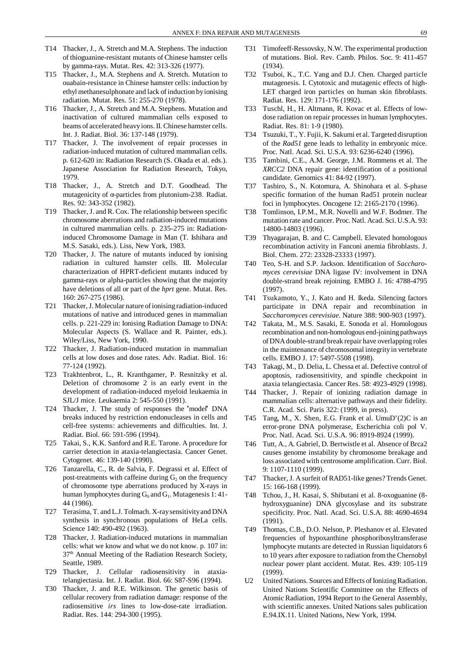- T14 Thacker, J., A. Stretch and M.A. Stephens. The induction of thioguanine-resistant mutants of Chinese hamster cells by gamma-rays. Mutat. Res. 42: 313-326 (1977).
- T15 Thacker, J., M.A. Stephens and A. Stretch. Mutation to ouabain-resistance in Chinese hamster cells: induction by ethyl methanesulphonate and lack of induction byionising radiation. Mutat. Res. 51: 255-270 (1978).
- T16 Thacker, J., A. Stretch and M.A. Stephens. Mutation and inactivation of cultured mammalian cells exposed to beams of accelerated heavy ions. II. Chinese hamster cells. Int. J. Radiat. Biol. 36: 137-148 (1979).
- T17 Thacker, J. The involvement of repair processes in radiation-induced mutation of cultured mammalian cells. p. 612-620 in: Radiation Research (S. Okada et al. eds.). Japanese Association for Radiation Research, Tokyo, 1979.
- T18 Thacker, J., A. Stretch and D.T. Goodhead. The mutagenicity of  $\alpha$ -particles from plutonium-238. Radiat. Res. 92: 343-352 (1982).
- T19 Thacker, J. and R. Cox. The relationship between specific chromosome aberrations and radiation-induced mutations in cultured mammalian cells. p. 235-275 in: Radiationinduced Chromosome Damage in Man (T. Ishihara and M.S. Sasaki, eds.). Liss, New York, 1983.
- T20 Thacker, J. The nature of mutants induced by ionising radiation in cultured hamster cells. III. Molecular characterization of HPRT-deficient mutants induced by gamma-rays or alpha-particles showing that the majority have deletions of all or part of the *hprt* gene. Mutat. Res. 160: 267-275 (1986).
- T21 Thacker, J. Molecular nature of ionising radiation-induced mutations of native and introduced genes in mammalian cells. p. 221-229 in: Ionising Radiation Damage to DNA: Molecular Aspects (S. Wallace and R. Painter, eds.). Wiley/Liss, New York, 1990.
- T22 Thacker, J. Radiation-induced mutation in mammalian cells at low doses and dose rates. Adv. Radiat. Biol. 16: 77-124 (1992).
- T23 Trakhtenbrot, L., R. Kranthgamer, P. Resnitzky et al. Deletion of chromosome 2 is an early event in the development of radiation-induced myeloid leukaemia in SJL/J mice. Leukaemia 2: 545-550 (1991).
- T24 Thacker, J. The study of responses the 'model' DNA Thacker, J. The study of responses the 'model' DNA<br>breaks induced by restriction endonucleases in cells and<br>cell-free systems: achievements and difficulties. Int. J. breaks induced by restriction endonucleases in cells and Radiat. Biol. 66: 591-596 (1994).
- T25 Takai, S., K.K. Sanford and R.E. Tarone. A procedure for carrier detection in ataxia-telangiectasia. Cancer Genet. Cytogenet. 46: 139-140 (1990).
- T26 Tanzarella, C., R. de Salvia, F. Degrassi et al. Effect of post-treatments with caffeine during  $G_2$  on the frequency of chromosome type aberrations produced by X-rays in human lymphocytes during  $G_0$  and  $G_1$ . Mutagenesis 1:41-44 (1986).
- T27 Terasima, T. and L.J. Tolmach. X-raysensitivityand DNA synthesis in synchronous populations of HeLa cells. Science 140: 490-492 (1963).
- T28 Thacker, J. Radiation-induced mutations in mammalian cells: what we know and what we do not know. p. 107 in: 37th Annual Meeting of the Radiation Research Society, Seattle, 1989.
- T29 Thacker, J. Cellular radiosensitivity in ataxiatelangiectasia. Int. J. Radiat. Biol. 66: S87-S96 (1994).
- T30 Thacker, J. and R.E. Wilkinson. The genetic basis of cellular recovery from radiation damage: response of the radiosensitive *irs* lines to low-dose-rate irradiation. Radiat. Res. 144: 294-300 (1995).
- T31 Timofeeff-Ressovsky, N.W. The experimental production of mutations. Biol. Rev. Camb. Philos. Soc. 9: 411-457 (1934).
- T32 Tsuboi, K., T.C. Yang and D.J. Chen. Charged particle mutagenesis. I. Cytotoxic and mutagenic effects of high-LET charged iron particles on human skin fibroblasts. Radiat. Res. 129: 171-176 (1992).
- T33 Tuschl, H., H. Altmann, R. Kovac et al. Effects of lowdose radiation on repair processes in human lymphocytes. Radiat. Res. 81: 1-9 (1980).
- T34 Tsuzuki, T., Y. Fujii, K. Sakumi et al. Targeted disruption of the *Rad51* gene leads to lethality in embryonic mice. Proc. Natl. Acad. Sci. U.S.A. 93: 6236-6240 (1996).
- T35 Tambini, C.E., A.M. George, J.M. Rommens et al. The *XRCC2* DNA repair gene: identification of a positional candidate. Genomics 41: 84-92 (1997).
- T37 Tashiro, S., N. Kotomura, A. Shinohara et al. S-phase specific formation of the human Rad51 protein nuclear foci in lymphocytes. Oncogene 12: 2165-2170 (1996).
- T38 Tomlinson, I.P.M., M.R. Novelli and W.F. Bodmer. The mutation rate and cancer. Proc. Natl. Acad. Sci. U.S.A. 93: 14800-14803 (1996).
- T39 Thyagarajan, B. and C. Campbell. Elevated homologous recombination activity in Fanconi anemia fibroblasts. J. Biol. Chem. 272: 23328-23333 (1997).
- T40 Teo, S-H. and S.P. Jackson. Identification of *Saccharomyces cerevisiae* DNA ligase IV: involvement in DNA double-strand break rejoining. EMBO J. 16: 4788-4795 (1997).
- T41 Tsukamoto, Y., J. Kato and H. Ikeda. Silencing factors participate in DNA repair and recombination in *Saccharomyces cerevisiae*. Nature 388: 900-903 (1997).
- T42 Takata, M., M.S. Sasaki, E. Sonoda et al. Homologous recombination and non-homologous end-joining pathways of DNAdouble-strand break repair have overlapping roles in the maintenance of chromosomal integrity in vertebrate cells. EMBO J. 17: 5497-5508 (1998).
- T43 Takagi, M., D. Delia, L. Chessa et al. Defective control of apoptosis, radiosensitivity, and spindle checkpoint in ataxia telangiectasia. Cancer Res. 58: 4923-4929 (1998).
- T44 Thacker, J. Repair of ionizing radiation damage in mammalian cells: alternative pathways and their fidelity. C.R. Acad. Sci. Paris 322: (1999, in press).
- T45 Tang, M., X. Shen, E.G. Frank et al. UmuD'(2)C is an error-prone DNA polymerase, Escherichia coli pol V. Proc. Natl. Acad. Sci. U.S.A. 96: 8919-8924 (1999).
- T46 Tutt, A., A. Gabriel, D. Bertwistle et al. Absence of Brca2 causes genome instability by chromosome breakage and loss associated with centrosome amplification. Curr. Biol. 9: 1107-1110 (1999).
- T47 Thacker, J. A surfeit of RAD51-like genes? Trends Genet. 15: 166-168 (1999).
- T48 Tchou, J., H. Kasai, S. Shibutani et al. 8-oxoguanine (8 hydroxyguanine) DNA glycosylase and its substrate specificity. Proc. Natl. Acad. Sci. U.S.A. 88: 4690-4694 (1991).
- T49 Thomas, C.B., D.O. Nelson, P. Pleshanov et al. Elevated frequencies of hypoxanthine phosphoribosyltransferase lymphocyte mutants are detected in Russian liquidators 6 to 10 years after exposure to radiation from the Chernobyl nuclear power plant accident. Mutat. Res. 439: 105-119 (1999).
- U2 United Nations. Sources and Effects of Ionizing Radiation. United Nations Scientific Committee on the Effects of Atomic Radiation, 1994 Report to the General Assembly, with scientific annexes. United Nations sales publication E.94.IX.11. United Nations, New York, 1994.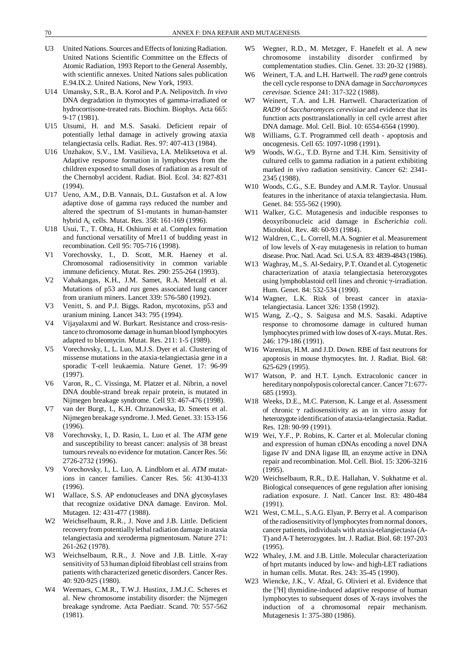- U3 United Nations. Sources and Effects of Ionizing Radiation. United Nations Scientific Committee on the Effects of Atomic Radiation, 1993 Report to the General Assembly, with scientific annexes. United Nations sales publication E.94.IX.2. United Nations, New York, 1993.
- U14 Umansky, S.R., B.A. Korol and P.A. Nelipovitch. *In vivo* DNA degradation in thymocytes of gamma-irradiated or hydrocortisone-treated rats. Biochim. Biophys. Acta 665: 9-17 (1981).
- U15 Utsumi, H. and M.S. Sasaki. Deficient repair of potentially lethal damage in actively growing ataxia telangiectasia cells. Radiat. Res. 97: 407-413 (1984).
- U16 Unzhakov, S.V., I.M. Vasilieva, I.A. Meliksetova et al. Adaptive response formation in lymphocytes from the children exposed to small doses of radiation as a result of the Chernobyl accident. Radiat. Biol. Ecol. 34: 827-831 (1994).
- U17 Ueno, A.M., D.B. Vannais, D.L. Gustafson et al. A low adaptive dose of gamma rays reduced the number and altered the spectrum of S1-mutants in human-hamster hybrid A<sub>L</sub> cells. Mutat. Res. 358: 161-169 (1996).
- U18 Usui, T., T. Ohta, H. Oshiumi et al. Complex formation and functional versatility of Mre11 of budding yeast in recombination. Cell 95: 705-716 (1998).
- V1 Vorechovsky, I., D. Scott, M.R. Haeney et al. Chromosomal radiosensitivity in common variable immune deficiency. Mutat. Res. 290: 255-264 (1993).
- V2 Vahakangas, K.H., J.M. Samet, R.A. Metcalf et al. Mutations of p53 and *ras* genes associated lung cancer from uranium miners. Lancet 339: 576-580 (1992).
- V3 Venitt, S. and P.J. Biggs. Radon, mycotoxins, p53 and uranium mining. Lancet 343: 795 (1994).
- V4 Vijayalaxmi and W. Burkart. Resistance and cross-resistance to chromosome damage in human blood lymphocytes adapted to bleomycin. Mutat. Res. 211: 1-5 (1989).
- V5 Vorechovsky, I., L. Luo, M.J.S. Dyer et al. Clustering of missense mutations in the ataxia-telangiectasia gene in a sporadic T-cell leukaemia. Nature Genet. 17: 96-99 (1997).
- V6 Varon, R., C. Vissinga, M. Platzer et al. Nibrin, a novel DNA double-strand break repair protein, is mutated in Nijmegen breakage syndrome. Cell 93: 467-476 (1998).
- V7 van der Burgt, I., K.H. Chrzanowska, D. Smeets et al. Nijmegen breakage syndrome. J. Med. Genet. 33:153-156 (1996).
- V8 Vorechovsky, I., D. Rasio, L. Luo et al. The *ATM* gene and susceptibility to breast cancer: analysis of 38 breast tumours reveals no evidence for mutation. Cancer Res. 56: 2726-2732 (1996).
- V9 Vorechovsky, I., L. Luo, A. Lindblom et al. *ATM* mutations in cancer families. Cancer Res. 56: 4130-4133 (1996).
- W1 Wallace, S.S. AP endonucleases and DNA glycosylases that recognize oxidative DNA damage. Environ. Mol. Mutagen. 12: 431-477 (1988).
- W2 Weichselbaum, R.R., J. Nove and J.B. Little. Deficient recoveryfrom potentiallylethal radiation damage in ataxia telangiectasia and xeroderma pigmentosum. Nature 271: 261-262 (1978).
- W3 Weichselbaum, R.R., J. Nove and J.B. Little. X-ray sensitivityof 53 human diploid fibroblast cell strains from patients with characterized genetic disorders. Cancer Res. 40: 920-925 (1980).
- W4 Weemaes, C.M.R., T.W.J. Hustinx, J.M.J.C. Scheres et al. New chromosome instability disorder: the Nijmegen breakage syndrome. Acta Paediatr. Scand. 70: 557-562 (1981).
- W5 Wegner, R.D., M. Metzger, F. Hanefelt et al. A new chromosome instability disorder confirmed by complementation studies. Clin. Genet. 33: 20-32 (1988).
- W6 Weinert, T.A. and L.H. Hartwell. The *rad9* gene controls the cell cycle response to DNA damage in *Saccharomyces cerevisae*. Science 241: 317-322 (1988).
- W7 Weinert, T.A. and L.H. Hartwell. Characterization of *RAD9* of *Saccharomyces cerevisiae* and evidence that its function acts posttranslationally in cell cycle arrest after DNA damage. Mol. Cell. Biol. 10: 6554-6564 (1990).
- W8 Williams, G.T. Programmed cell death apoptosis and oncogenesis. Cell 65: 1097-1098 (1991).
- W9 Woods, W.G., T.D. Byrne and T.H. Kim. Sensitivity of cultured cells to gamma radiation in a patient exhibiting marked *in vivo* radiation sensitivity. Cancer 62: 2341- 2345 (1988).
- W10 Woods, C.G., S.E. Bundey and A.M.R. Taylor. Unusual features in the inheritance of ataxia telangiectasia. Hum. Genet. 84: 555-562 (1990).
- W11 Walker, G.C. Mutagenesis and inducible responses to deoxyribonucleic acid damage in *Escherichia coli.* Microbiol. Rev. 48: 60-93 (1984).
- W12 Waldren, C., L. Correll, M.A. Sognier et al. Measurement of low levels of X-ray mutagenesis in relation to human disease. Proc. Natl. Acad. Sci. U.S.A. 83: 4839-4843 (1986).
- W13 Waghray, M., S. Al-Sedairy, P.T. Ozand et al. Cytogenetic characterization of ataxia telangiectasia heterozygotes using lymphoblastoid cell lines and chronic  $\gamma$ -irradiation. Hum. Genet. 84: 532-534 (1990).
- W14 Wagner, L.K. Risk of breast cancer in ataxiatelangiectasia. Lancet 326: 1358 (1992).
- W15 Wang, Z.-Q., S. Saigusa and M.S. Sasaki. Adaptive response to chromosome damage in cultured human lymphocytes primed with low doses of X-rays. Mutat. Res. 246: 179-186 (1991).
- W16 Warenius, H.M. and J.D. Down. RBE of fast neutrons for apoptosis in mouse thymocytes. Int. J. Radiat. Biol. 68: 625-629 (1995).
- W17 Watson, P. and H.T. Lynch. Extracolonic cancer in hereditary nonpolyposis colorectal cancer. Cancer 71:677-685 (1993).
- W18 Weeks, D.E., M.C. Paterson, K. Lange et al. Assessment of chronic  $\gamma$  radiosensitivity as an in vitro assay for<br>heterographs identification of the inductional political heterozygote identification of ataxia-telangiectasia. Radiat. Res. 128: 90-99 (1991).
- W19 Wei, Y.F., P. Robins, K. Carter et al. Molecular cloning and expression of human cDNAs encoding a novel DNA ligase IV and DNA ligase III, an enzyme active in DNA repair and recombination. Mol. Cell. Biol. 15: 3206-3216 (1995).
- W20 Weichselbaum, R.R., D.E. Hallahan, V. Sukhatme et al. Biological consequences of gene regulation after ionising radiation exposure. J. Natl. Cancer Inst. 83: 480-484 (1991).
- W21 West, C.M.L., S.A.G. Elyan, P. Berry et al. A comparison of the radiosensitivityof lymphocytes from normal donors, cancer patients, individuals with ataxia-telangiectasia (A-T) and A-T heterozygotes. Int. J. Radiat. Biol. 68: 197-203 (1995).
- W22 Whaley, J.M. and J.B. Little. Molecular characterization of hprt mutants induced by low- and high-LET radiations in human cells. Mutat. Res. 243: 35-45 (1990).
- W23 Wiencke, J.K., V. Afzal, G. Olivieri et al. Evidence that the [3 H] thymidine-induced adaptive response of human lymphocytes to subsequent doses of X-rays involves the induction of a chromosomal repair mechanism. Mutagenesis 1: 375-380 (1986).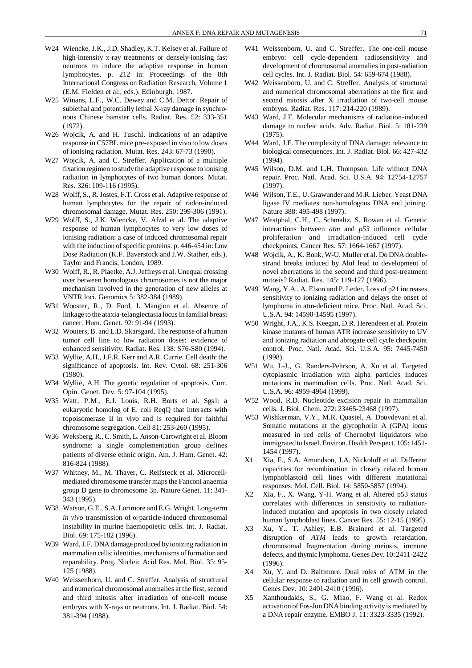- W24 Wiencke, J.K., J.D. Shadley, K.T. Kelsey et al. Failure of high-intensity x-ray treatments or densely-ionising fast neutrons to induce the adaptive response in human lymphocytes. p. 212 in: Proceedings of the 8th International Congress on Radiation Research, Volume 1 (E.M. Fielden et al., eds.). Edinburgh, 1987.
- W25 Winans, L.F., W.C. Dewey and C.M. Dettor. Repair of sublethal and potentially lethal X-ray damage in synchronous Chinese hamster cells. Radiat. Res. 52: 333-351 (1972).
- W26 Wojcik, A. and H. Tuschl. Indications of an adaptive response in C57BL mice pre-exposed in vivo to low doses of ionising radiation. Mutat. Res. 243: 67-73 (1990).
- W27 Wojcik, A. and C. Streffer. Application of a multiple fixation regimen to study the adaptive response to ionising radiation in lymphocytes of two human donors. Mutat. Res. 326: 109-116 (1995).
- W28 Wolff, S., R. Jostes, F.T. Cross et al. Adaptive response of human lymphocytes for the repair of radon-induced chromosomal damage. Mutat. Res. 250: 299-306 (1991).
- W29 Wolff, S., J.K. Wiencke, V. Afzal et al. The adaptive response of human lymphocytes to very low doses of ionising radiation: a case of induced chromosomal repair with the induction of specific proteins. p. 446-454 in: Low Dose Radiation (K.F. Baverstock and J.W. Stather, eds.). Taylor and Francis, London, 1989.
- W30 Wolff, R., R. Plaetke, A.J. Jeffreys et al. Unequal crossing over between homologous chromosomes is not the major mechanism involved in the generation of new alleles at VNTR loci. Genomics 5: 382-384 (1989).
- W31 Wooster, R., D. Ford, J. Mangion et al. Absence of linkage to the ataxia-telangiectasia locus in familial breast cancer. Hum. Genet. 92: 91-94 (1993).
- W32 Wouters, B. and L.D. Skarsgard. The response of a human tumor cell line to low radiation doses: evidence of enhanced sensitivity. Radiat. Res. 138: S76-S80 (1994).
- W33 Wyllie, A.H., J.F.R. Kerr and A.R. Currie. Cell death: the significance of apoptosis. Int. Rev. Cytol. 68: 251-306 (1980).
- W34 Wyllie, A.H. The genetic regulation of apoptosis. Curr. Opin. Genet. Dev. 5: 97-104 (1995).
- W35 Watt, P.M., E.J. Louis, R.H. Borts et al. Sgs1: a eukaryotic homolog of E. coli ReqQ that interacts with topoisomerase II in vivo and is required for faithful chromosome segregation. Cell 81: 253-260 (1995).
- W36 Weksberg, R., C. Smith, L. Anson-Cartwright et al. Bloom syndrome: a single complementation group defines patients of diverse ethnic origin. Am. J. Hum. Genet. 42: 816-824 (1988).
- W37 Whitney, M., M. Thayer, C. Reifsteck et al. Microcellmediated chromosome transfer maps the Fanconi anaemia group D gene to chromosome 3p. Nature Genet. 11: 341- 343 (1995).
- W38 Watson, G.E., S.A. Lorimore and E.G. Wright. Long-term  $in$  *vivo* transmission of  $\alpha$ -particle-induced chromosomal instability in murine haemopoietic cells. Int. J. Radiat. Biol. 69: 175-182 (1996).
- W39 Ward, J.F. DNA damage produced byionizing radiation in mammalian cells: identities, mechanisms of formation and reparability. Prog. Nucleic Acid Res. Mol. Biol. 35: 95- 125 (1988).
- W40 Weissenborn, U. and C. Streffer. Analysis of structural and numerical chromosomal anomalies at the first, second and third mitosis after irradiation of one-cell mouse embryos with X-rays or neutrons. Int. J. Radiat. Biol. 54: 381-394 (1988).
- W41 Weissenborn, U. and C. Streffer. The one-cell mouse embryo: cell cycle-dependent radiosensitivity and development of chromosomal anomalies in post-radiation cell cycles. Int. J. Radiat. Biol. 54: 659-674 (1988).
- W42 Weissenborn, U. and C. Streffer. Analysis of structural and numerical chromosomal aberrations at the first and second mitosis after X irradiation of two-cell mouse embryos. Radiat. Res. 117: 214-220 (1989).
- W43 Ward, J.F. Molecular mechanisms of radiation-induced damage to nucleic acids. Adv. Radiat. Biol. 5: 181-239 (1975).
- W44 Ward, J.F. The complexity of DNA damage: relevance to biological consequences. Int. J. Radiat. Biol. 66: 427-432 (1994).
- W45 Wilson, D.M. and L.H. Thompson. Life without DNA repair. Proc. Natl. Acad. Sci. U.S.A. 94: 12754-12757 (1997).
- W46 Wilson, T.E., U. Grawunder and M.R. Lieber. Yeast DNA ligase IV mediates non-homologous DNA end joining. Nature 388: 495-498 (1997).
- W47 Westphal, C.H., C. Schmaltz, S. Rowan et al. Genetic interactions between *atm* and *p53* influence cellular proliferation and irradiation-induced cell cycle checkpoints. Cancer Res. 57: 1664-1667 (1997).
- W48 Wojcik, A., K. Bonk, W-U. Muller et al. Do DNA doublestrand breaks induced by AluI lead to development of novel aberrations in the second and third post-treatment mitosis? Radiat. Res. 145: 119-127 (1996).
- W49 Wang, Y.A., A. Elson and P. Leder. Loss of p21 increases sensitivity to ionizing radiation and delays the onset of lymphoma in atm-deficient mice. Proc. Natl. Acad. Sci. U.S.A. 94: 14590-14595 (1997).
- W50 Wright, J.A., K.S. Keegan, D.R. Herendeen et al. Protein kinase mutants of human ATR increase sensitivity to UV and ionizing radiation and abrogate cell cycle checkpoint control. Proc. Natl. Acad. Sci. U.S.A. 95: 7445-7450 (1998).
- W51 Wu, L-J., G. Randers-Pehrson, A. Xu et al. Targeted cytoplasmic irradiation with alpha particles induces mutations in mammalian cells. Proc. Natl. Acad. Sci. U.S.A. 96: 4959-4964 (1999).
- W52 Wood, R.D. Nucleotide excision repair in mammalian cells. J. Biol. Chem. 272: 23465-23468 (1997).
- W53 Wishkerman, V.Y., M.R. Quastel, A. Douvdevani et al. Somatic mutations at the glycophorin A (GPA) locus measured in red cells of Chernobyl liquidators who immigrated to Israel. Environ. Health Perspect. 105:1451- 1454 (1997).
- X1 Xia, F., S.A. Amundson, J.A. Nickoloff et al. Different capacities for recombination in closely related human lymphoblastoid cell lines with different mutational responses. Mol. Cell. Biol. 14: 5850-5857 (1994).
- X2 Xia, F., X. Wang, Y-H. Wang et al. Altered p53 status correlates with differences in sensitivity to radiationinduced mutation and apoptosis in two closely related human lymphoblast lines. Cancer Res. 55: 12-15 (1995).
- X3 Xu, Y., T. Ashley, E.B. Brainerd et al. Targeted disruption of *ATM* leads to growth retardation, chromosomal fragmentation during meiosis, immune defects, and thymic lymphoma. Genes Dev. 10:2411-2422  $(1996)$
- X4 Xu, Y. and D. Baltimore. Dual roles of ATM in the cellular response to radiation and in cell growth control. Genes Dev. 10: 2401-2410 (1996).
- X5 Xanthoudakis, S., G. Miao, F. Wang et al. Redox activation of Fos-Jun DNA binding activity is mediated by a DNA repair enzyme. EMBO J. 11: 3323-3335 (1992).